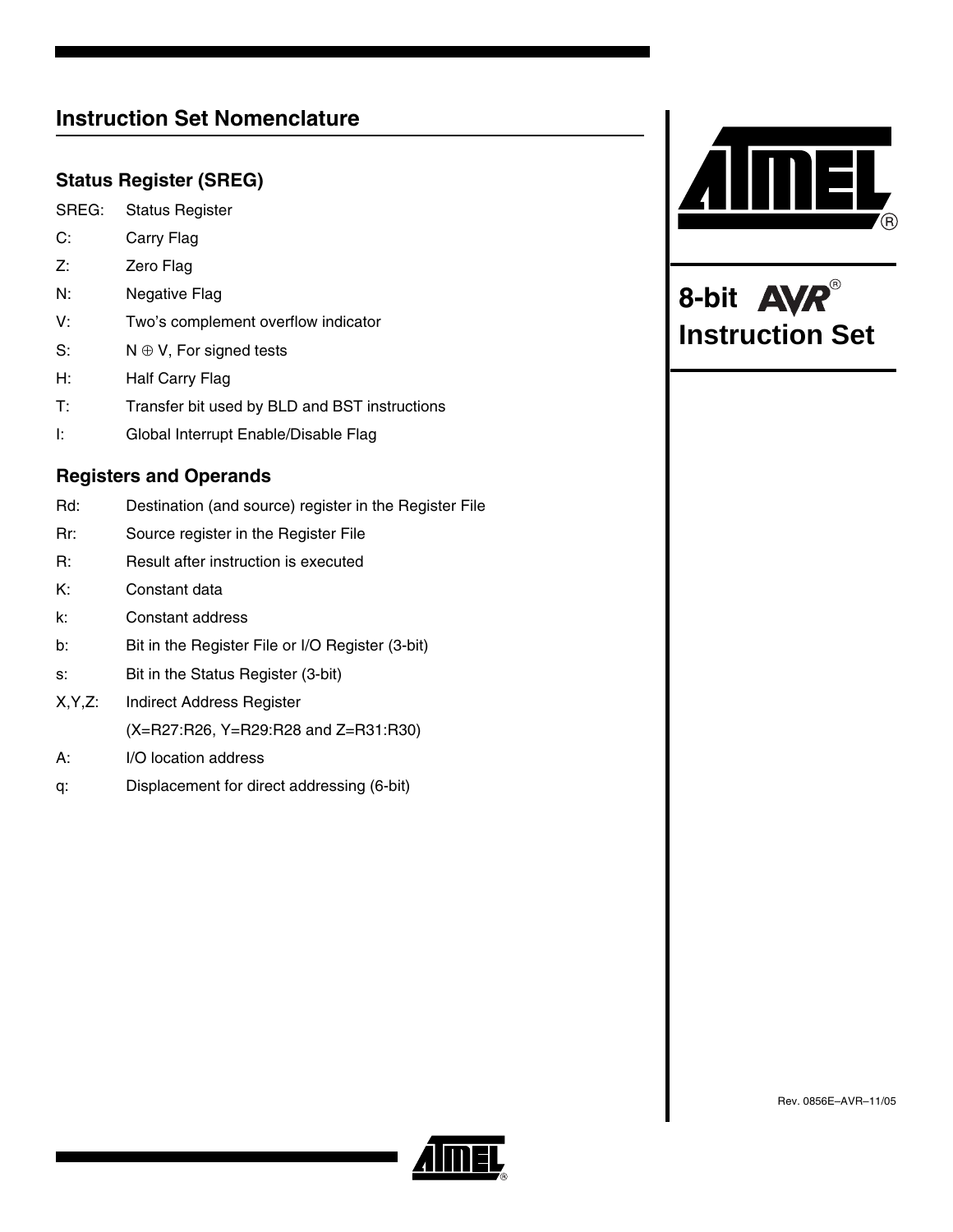# **Instruction Set Nomenclature**

# **Status Register (SREG)**

- SREG: Status Register
- C: Carry Flag
- Z: Zero Flag
- N: Negative Flag
- V: Two's complement overflow indicator
- S: N ⊕ V, For signed tests
- H: Half Carry Flag
- T: Transfer bit used by BLD and BST instructions
- I: Global Interrupt Enable/Disable Flag

# **Registers and Operands**

Rd: Destination (and source) register in the Register File Rr: Source register in the Register File R: Result after instruction is executed K: Constant data k: Constant address b: Bit in the Register File or I/O Register (3-bit) s: Bit in the Status Register (3-bit) X,Y,Z: Indirect Address Register (X=R27:R26, Y=R29:R28 and Z=R31:R30) A: **I/O** location address q: Displacement for direct addressing (6-bit)



**8-bit Instruction Set**

Rev. 0856E–AVR–11/05

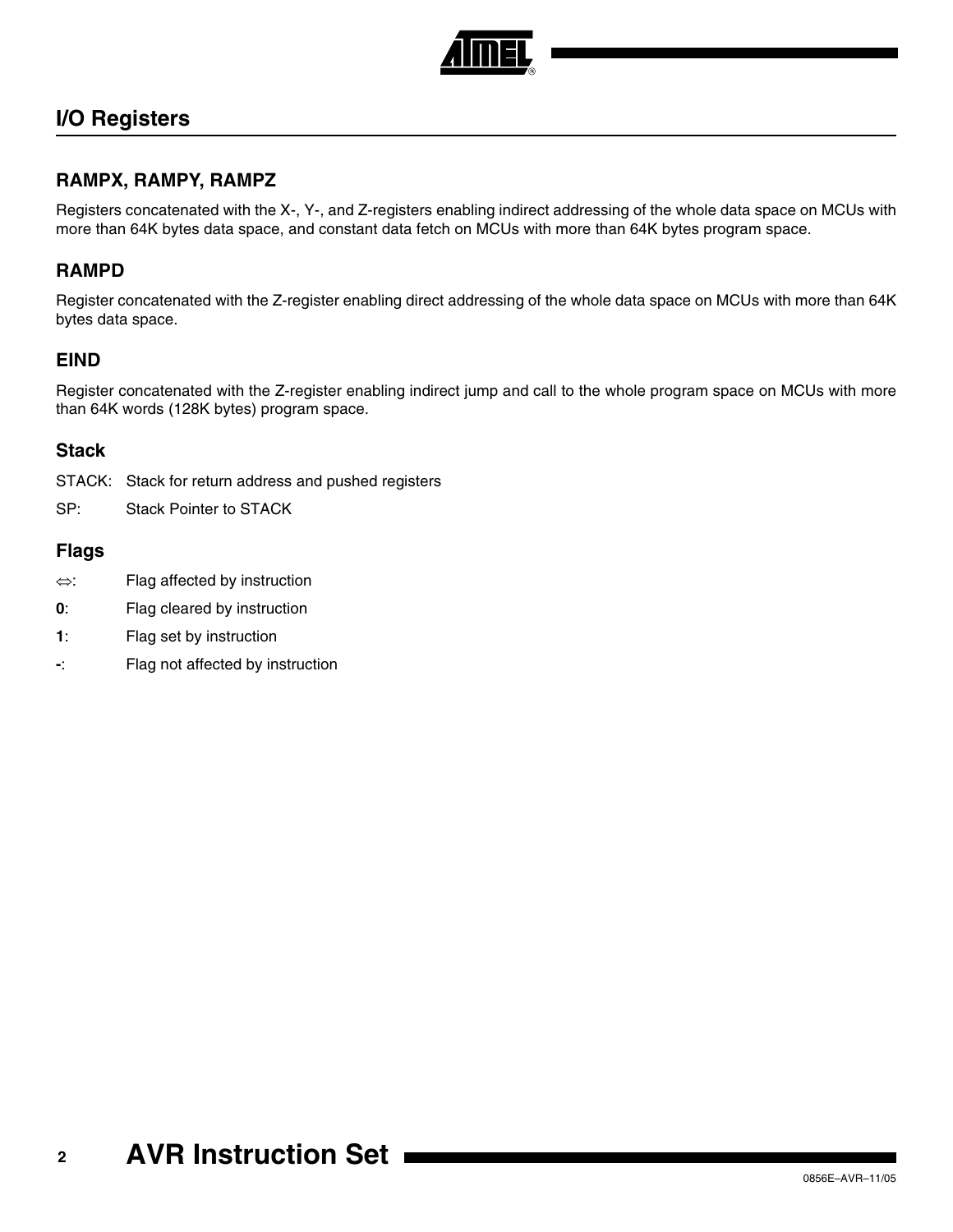

# **I/O Registers**

# **RAMPX, RAMPY, RAMPZ**

Registers concatenated with the X-, Y-, and Z-registers enabling indirect addressing of the whole data space on MCUs with more than 64K bytes data space, and constant data fetch on MCUs with more than 64K bytes program space.

# **RAMPD**

Register concatenated with the Z-register enabling direct addressing of the whole data space on MCUs with more than 64K bytes data space.

# **EIND**

Register concatenated with the Z-register enabling indirect jump and call to the whole program space on MCUs with more than 64K words (128K bytes) program space.

# **Stack**

STACK: Stack for return address and pushed registers

SP: Stack Pointer to STACK

# **Flags**

- ⇔: Flag affected by instruction
- **0**: Flag cleared by instruction
- **1**: Flag set by instruction
- **-**: Flag not affected by instruction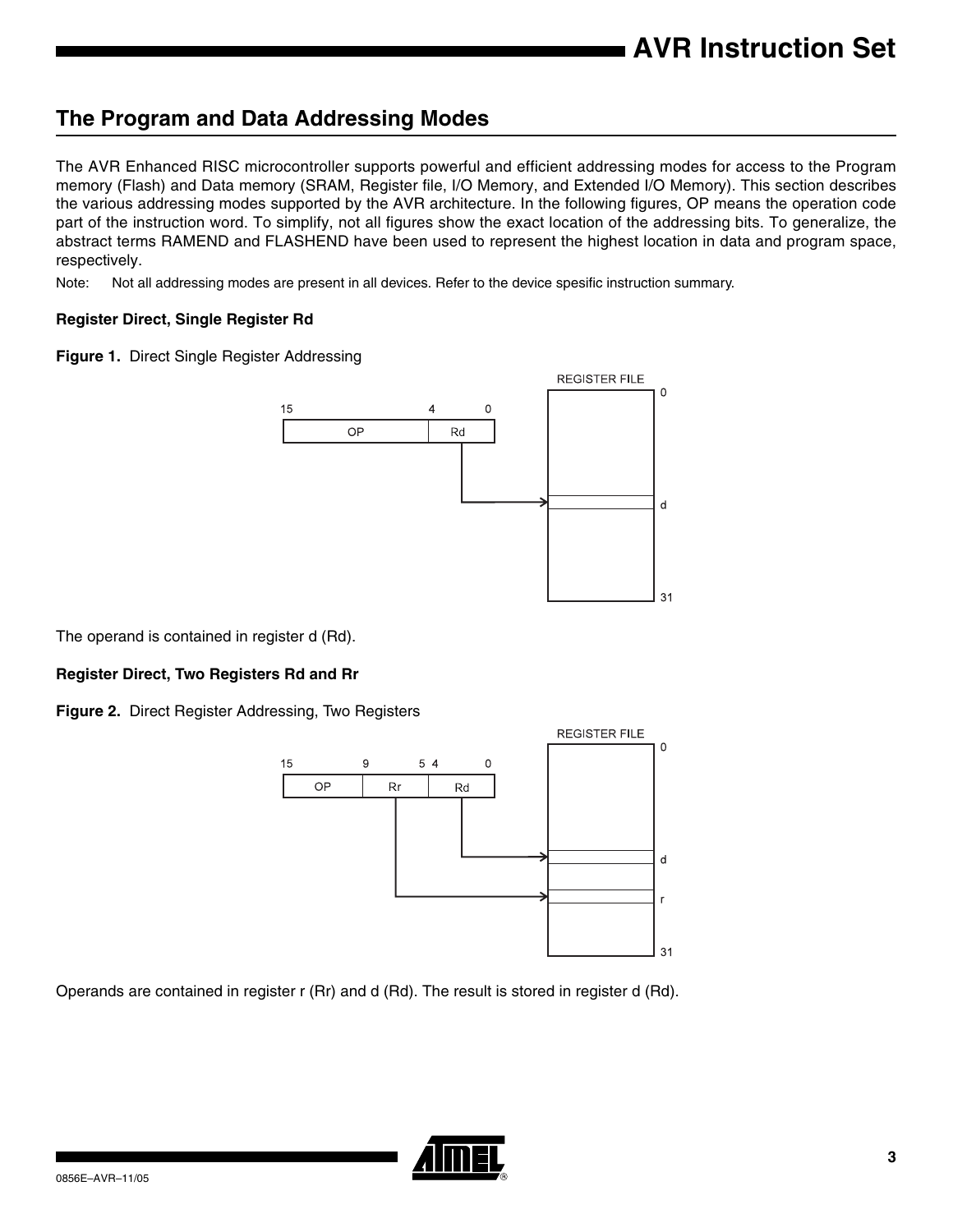# **The Program and Data Addressing Modes**

The AVR Enhanced RISC microcontroller supports powerful and efficient addressing modes for access to the Program memory (Flash) and Data memory (SRAM, Register file, I/O Memory, and Extended I/O Memory). This section describes the various addressing modes supported by the AVR architecture. In the following figures, OP means the operation code part of the instruction word. To simplify, not all figures show the exact location of the addressing bits. To generalize, the abstract terms RAMEND and FLASHEND have been used to represent the highest location in data and program space, respectively.

Note: Not all addressing modes are present in all devices. Refer to the device spesific instruction summary.

# **Register Direct, Single Register Rd**

**Figure 1.** Direct Single Register Addressing



The operand is contained in register d (Rd).

# **Register Direct, Two Registers Rd and Rr**

**Figure 2.** Direct Register Addressing, Two Registers



Operands are contained in register r (Rr) and d (Rd). The result is stored in register d (Rd).

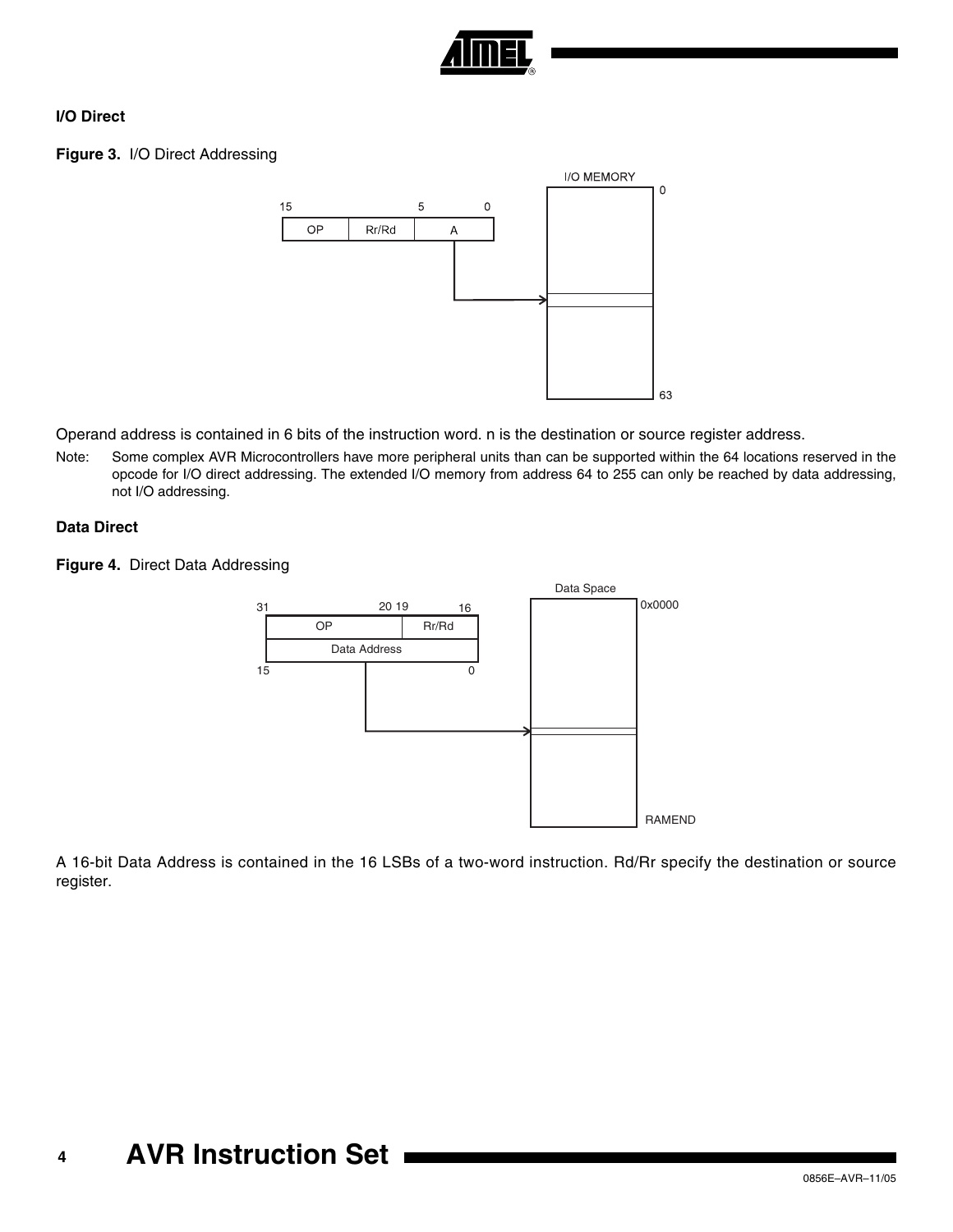

# **I/O Direct**

# **Figure 3.** I/O Direct Addressing



Operand address is contained in 6 bits of the instruction word. n is the destination or source register address.

Note: Some complex AVR Microcontrollers have more peripheral units than can be supported within the 64 locations reserved in the opcode for I/O direct addressing. The extended I/O memory from address 64 to 255 can only be reached by data addressing, not I/O addressing.

### **Data Direct**

**Figure 4.** Direct Data Addressing



A 16-bit Data Address is contained in the 16 LSBs of a two-word instruction. Rd/Rr specify the destination or source register.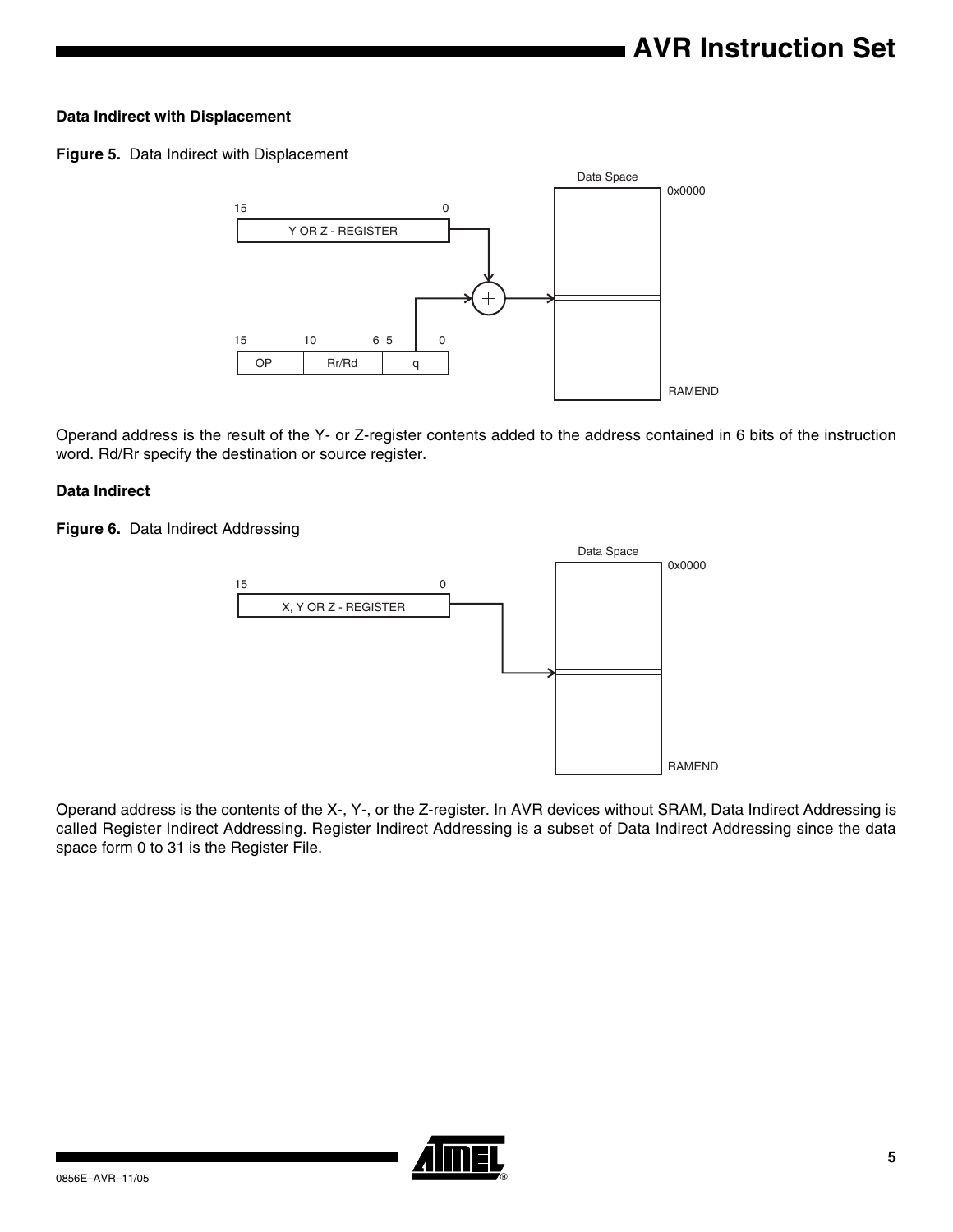### **Data Indirect with Displacement**

**Figure 5.** Data Indirect with Displacement



Operand address is the result of the Y- or Z-register contents added to the address contained in 6 bits of the instruction word. Rd/Rr specify the destination or source register.

### **Data Indirect**

**Figure 6.** Data Indirect Addressing



Operand address is the contents of the X-, Y-, or the Z-register. In AVR devices without SRAM, Data Indirect Addressing is called Register Indirect Addressing. Register Indirect Addressing is a subset of Data Indirect Addressing since the data space form 0 to 31 is the Register File.

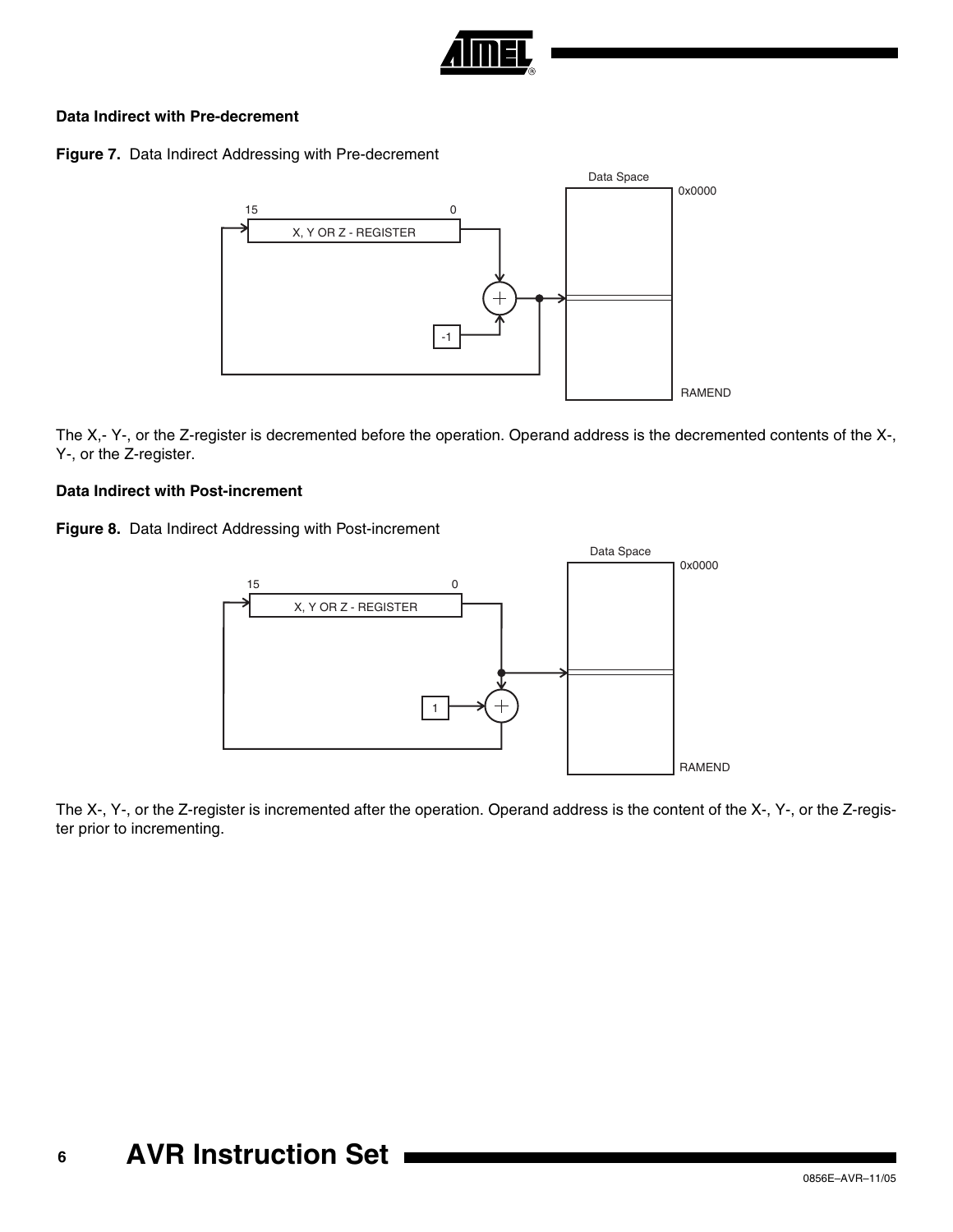

# **Data Indirect with Pre-decrement**

**Figure 7.** Data Indirect Addressing with Pre-decrement



The X,- Y-, or the Z-register is decremented before the operation. Operand address is the decremented contents of the X-, Y-, or the Z-register.

### **Data Indirect with Post-increment**

**Figure 8.** Data Indirect Addressing with Post-increment



The X-, Y-, or the Z-register is incremented after the operation. Operand address is the content of the X-, Y-, or the Z-register prior to incrementing.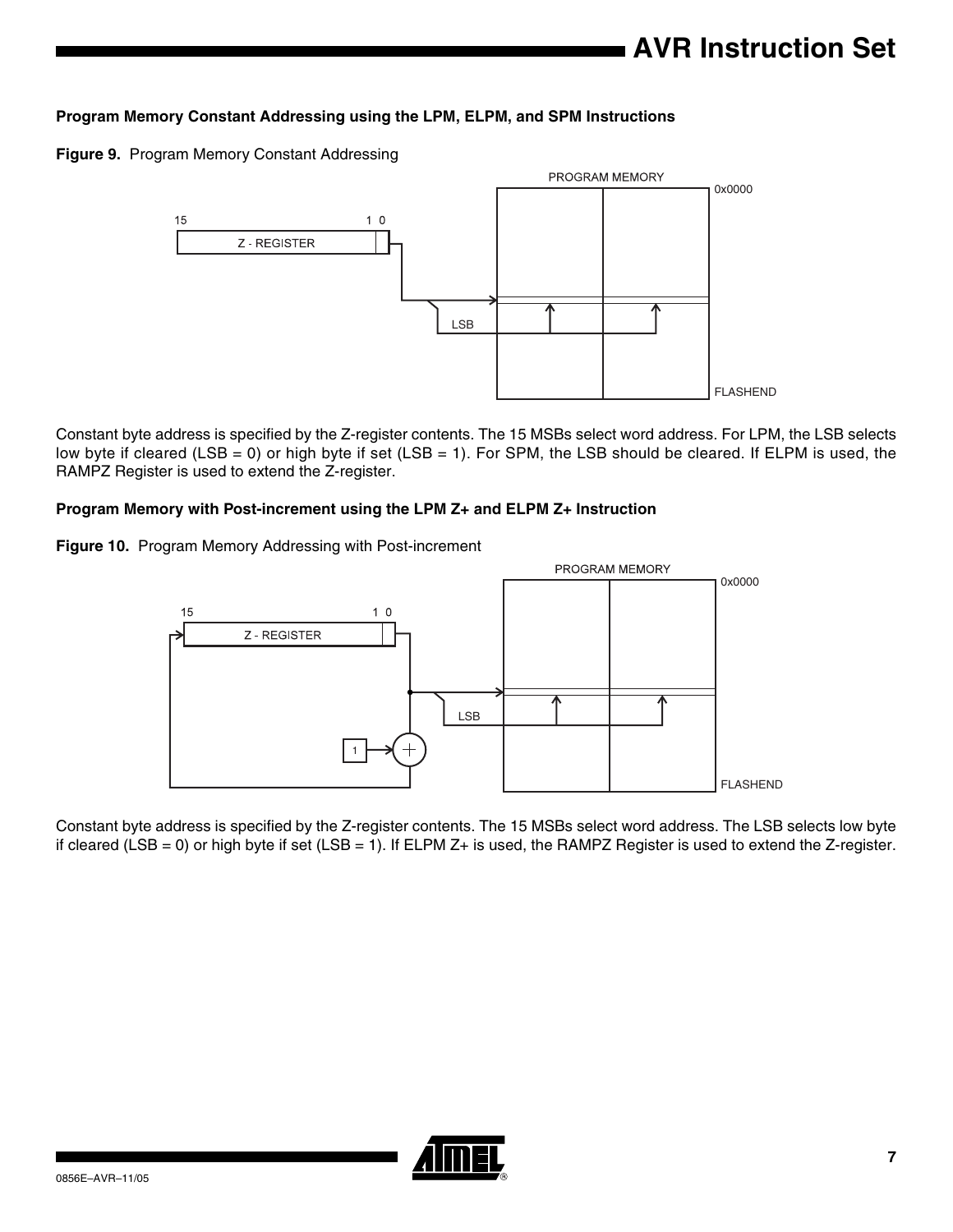# **Program Memory Constant Addressing using the LPM, ELPM, and SPM Instructions**

**Figure 9.** Program Memory Constant Addressing



Constant byte address is specified by the Z-register contents. The 15 MSBs select word address. For LPM, the LSB selects low byte if cleared (LSB = 0) or high byte if set (LSB = 1). For SPM, the LSB should be cleared. If ELPM is used, the RAMPZ Register is used to extend the Z-register.

# **Program Memory with Post-increment using the LPM Z+ and ELPM Z+ Instruction**

**Figure 10.** Program Memory Addressing with Post-increment



Constant byte address is specified by the Z-register contents. The 15 MSBs select word address. The LSB selects low byte if cleared (LSB = 0) or high byte if set (LSB = 1). If ELPM  $Z+$  is used, the RAMPZ Register is used to extend the Z-register.

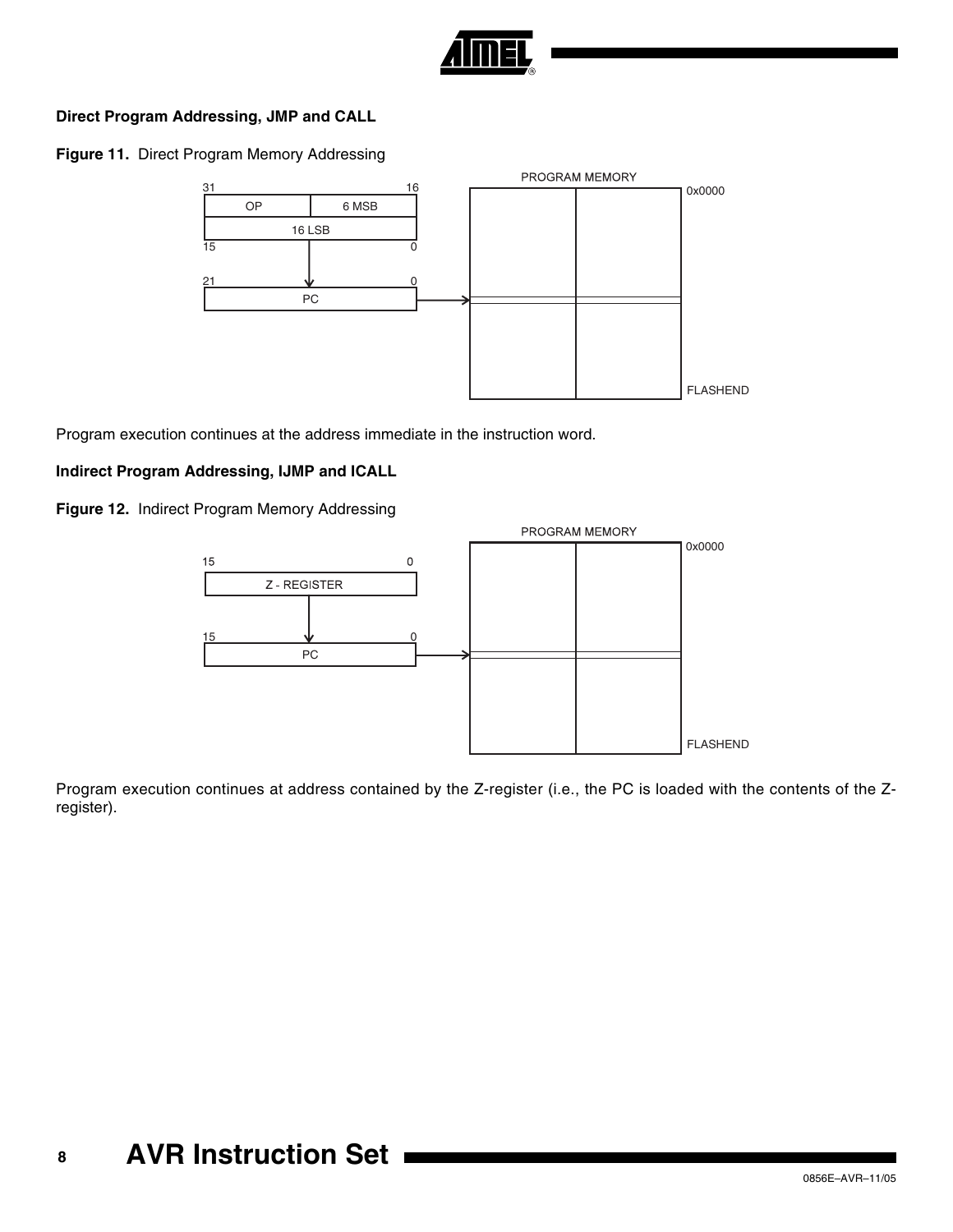

# **Direct Program Addressing, JMP and CALL**

**Figure 11.** Direct Program Memory Addressing



Program execution continues at the address immediate in the instruction word.

# **Indirect Program Addressing, IJMP and ICALL**

**Figure 12.** Indirect Program Memory Addressing



Program execution continues at address contained by the Z-register (i.e., the PC is loaded with the contents of the Zregister).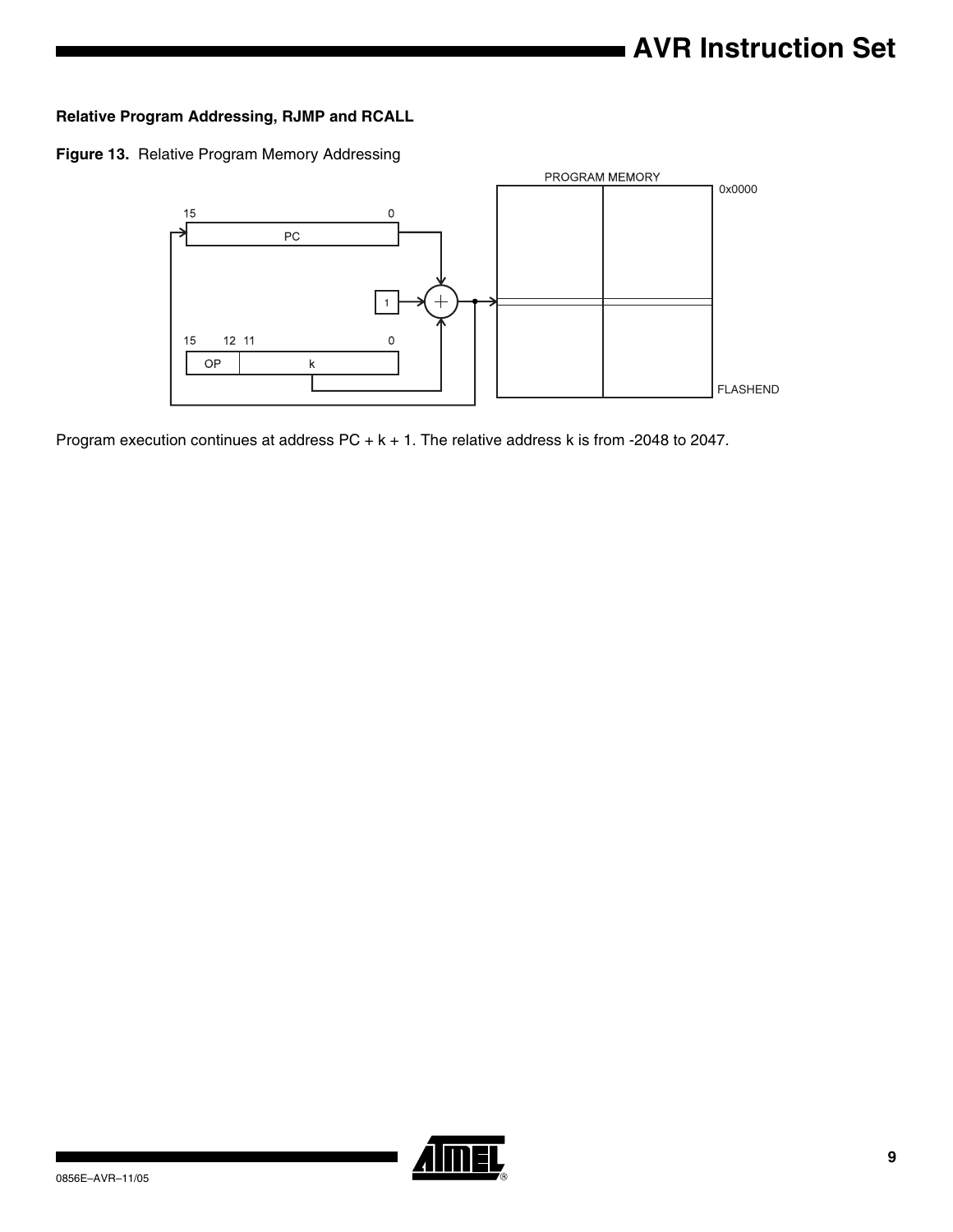# **Relative Program Addressing, RJMP and RCALL**

**Figure 13.** Relative Program Memory Addressing



Program execution continues at address PC + k + 1. The relative address k is from -2048 to 2047.

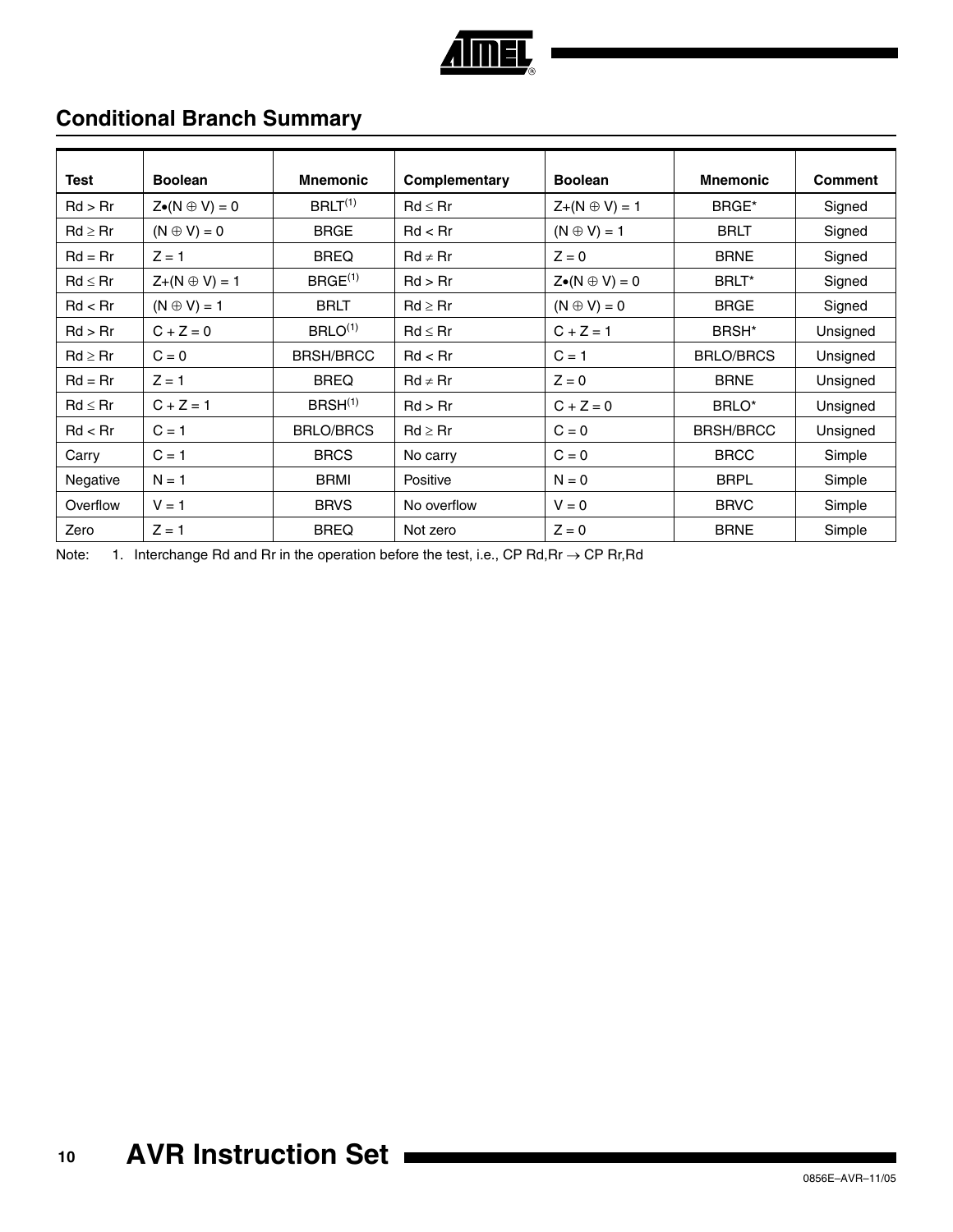

# **Conditional Branch Summary**

| Test         | <b>Boolean</b>             | <b>Mnemonic</b>      | Complementary | <b>Boolean</b>             | <b>Mnemonic</b>   | <b>Comment</b> |
|--------------|----------------------------|----------------------|---------------|----------------------------|-------------------|----------------|
| Rd > Rr      | $Z\bullet(N \oplus V) = 0$ | $BRLT^{(1)}$         | $Rd \leq Rr$  | $Z+(N \oplus V)=1$         | BRGE*             | Signed         |
| $Rd \geq Rr$ | $(N \oplus V) = 0$         | <b>BRGE</b>          | Rd < Rr       | $(N \oplus V) = 1$         | <b>BRLT</b>       | Signed         |
| $Rd = Rr$    | $Z = 1$                    | <b>BREQ</b>          | $Rd \neq Rr$  | $Z = 0$                    | <b>BRNE</b>       | Signed         |
| $Rd \leq Rr$ | $Z+(N \oplus V) = 1$       | B RGE <sup>(1)</sup> | Rd > Rr       | $Z\bullet(N \oplus V) = 0$ | BRLT*             | Signed         |
| Rd < Rr      | $(N \oplus V) = 1$         | <b>BRLT</b>          | $Rd \geq Rr$  | $(N \oplus V) = 0$         | <b>BRGE</b>       | Signed         |
| Rd > Rr      | $C + Z = 0$                | $BRLO^{(1)}$         | $Rd \leq Rr$  | $C + Z = 1$                | BRSH <sup>*</sup> | Unsigned       |
| $Rd \geq Rr$ | $C = 0$                    | <b>BRSH/BRCC</b>     | Rd < Rr       | $C = 1$                    | <b>BRLO/BRCS</b>  | Unsigned       |
| $Rd = Rr$    | $Z = 1$                    | <b>BREQ</b>          | $Rd \neq Rr$  | $Z = 0$                    | <b>BRNE</b>       | Unsigned       |
| $Rd \leq Rr$ | $C + Z = 1$                | $BRSH^{(1)}$         | Rd > Rr       | $C + Z = 0$                | BRLO*             | Unsigned       |
| Rd < Rr      | $C = 1$                    | <b>BRLO/BRCS</b>     | $Rd \geq Rr$  | $C = 0$                    | <b>BRSH/BRCC</b>  | Unsigned       |
| Carry        | $C = 1$                    | <b>BRCS</b>          | No carry      | $C = 0$                    | <b>BRCC</b>       | Simple         |
| Negative     | $N = 1$                    | <b>BRMI</b>          | Positive      | $N = 0$                    | <b>BRPL</b>       | Simple         |
| Overflow     | $V = 1$                    | <b>BRVS</b>          | No overflow   | $V = 0$                    | <b>BRVC</b>       | Simple         |
| Zero         | $Z = 1$                    | <b>BREQ</b>          | Not zero      | $Z = 0$                    | <b>BRNE</b>       | Simple         |

Note: 1. Interchange Rd and Rr in the operation before the test, i.e., CP Rd, Rr  $\rightarrow$  CP Rr, Rd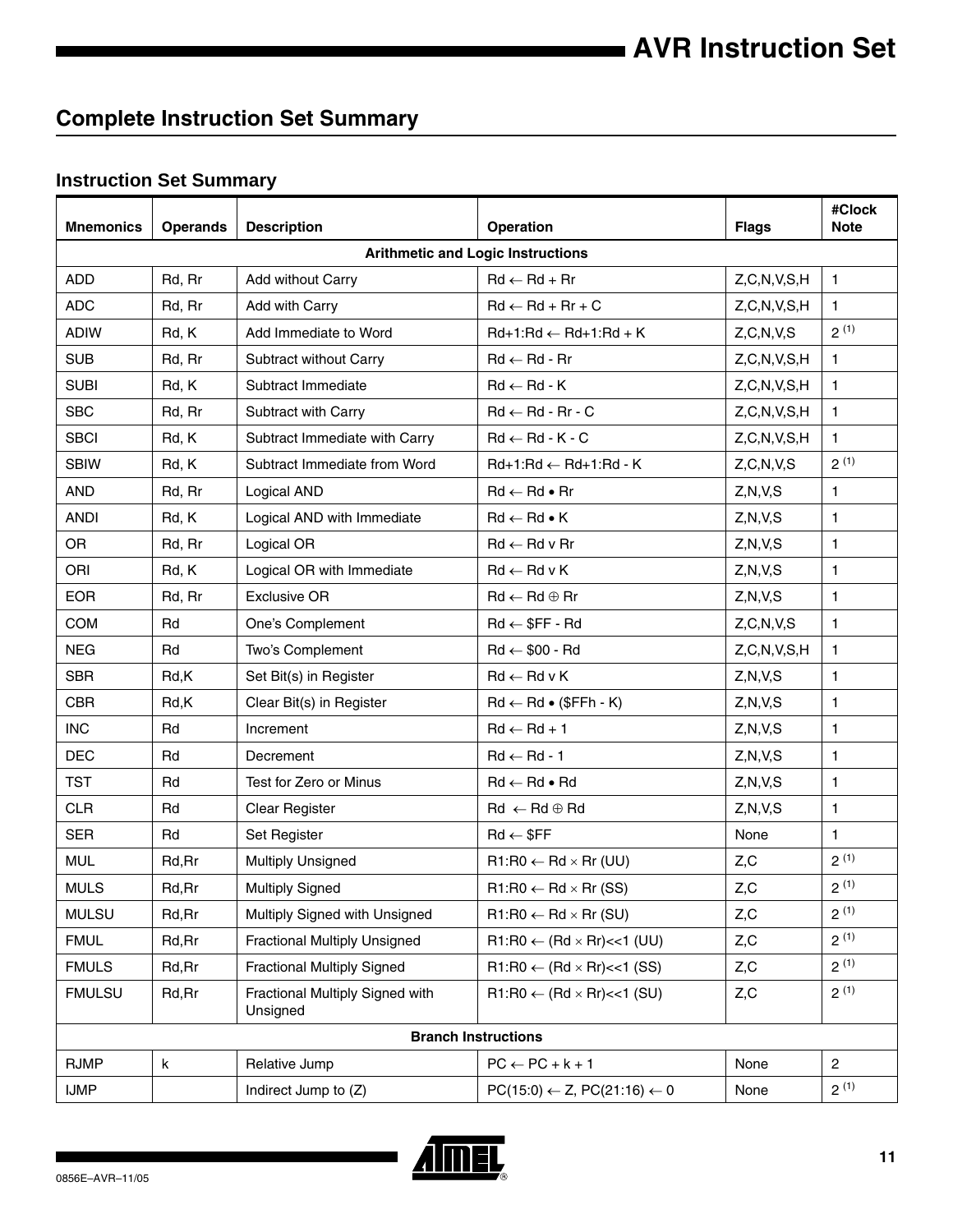# **Complete Instruction Set Summary**

# **Instruction Set Summary**

| <b>Mnemonics</b> | <b>Operands</b> | <b>Description</b>                          | Operation                                          | <b>Flags</b>     | #Clock<br><b>Note</b> |
|------------------|-----------------|---------------------------------------------|----------------------------------------------------|------------------|-----------------------|
|                  |                 |                                             | <b>Arithmetic and Logic Instructions</b>           |                  |                       |
| <b>ADD</b>       | Rd, Rr          | Add without Carry                           | $Rd \leftarrow Rd + Rr$                            | Z, C, N, V, S, H | 1                     |
| <b>ADC</b>       | Rd, Rr          | Add with Carry                              | $Rd \leftarrow Rd + Rr + C$                        | Z, C, N, V, S, H | $\mathbf{1}$          |
| <b>ADIW</b>      | Rd, K           | Add Immediate to Word                       | $Rd+1:Rd \leftarrow Rd+1:Rd + K$                   | Z, C, N, V, S    | $2^{(1)}$             |
| <b>SUB</b>       | Rd, Rr          | Subtract without Carry                      | $Rd \leftarrow Rd - Rr$                            | Z, C, N, V, S, H | 1.                    |
| <b>SUBI</b>      | Rd, K           | Subtract Immediate                          | $Rd \leftarrow Rd - K$                             | Z, C, N, V, S, H | 1.                    |
| <b>SBC</b>       | Rd, Rr          | Subtract with Carry                         | $Rd \leftarrow Rd - Rr - C$                        | Z, C, N, V, S, H | 1.                    |
| <b>SBCI</b>      | Rd, K           | Subtract Immediate with Carry               | $Rd \leftarrow Rd - K - C$                         | Z, C, N, V, S, H | 1                     |
| <b>SBIW</b>      | Rd, K           | Subtract Immediate from Word                | $Rd+1:Rd \leftarrow Rd+1:Rd - K$                   | Z, C, N, V, S    | 2(1)                  |
| <b>AND</b>       | Rd, Rr          | Logical AND                                 | $Rd \leftarrow Rd \bullet Rr$                      | Z, N, V, S       | 1                     |
| <b>ANDI</b>      | Rd, K           | Logical AND with Immediate                  | $Rd \leftarrow Rd \bullet K$                       | Z, N, V, S       | 1                     |
| OR               | Rd, Rr          | Logical OR                                  | $Rd \leftarrow Rd$ v Rr                            | Z, N, V, S       | 1                     |
| ORI              | Rd, K           | Logical OR with Immediate                   | $Rd \leftarrow Rd \vee K$                          | Z, N, V, S       | 1                     |
| <b>EOR</b>       | Rd, Rr          | <b>Exclusive OR</b>                         | $Rd \leftarrow Rd \oplus Rr$                       | Z, N, V, S       | 1                     |
| <b>COM</b>       | Rd              | One's Complement                            | $Rd \leftarrow$ \$FF - Rd                          | Z, C, N, V, S    | $\mathbf{1}$          |
| <b>NEG</b>       | Rd              | Two's Complement                            | $Rd \leftarrow $00 - Rd$                           | Z, C, N, V, S, H | 1                     |
| <b>SBR</b>       | Rd, K           | Set Bit(s) in Register                      | $Rd \leftarrow Rd \vee K$                          | Z, N, V, S       | 1                     |
| <b>CBR</b>       | Rd, K           | Clear Bit(s) in Register                    | $Rd \leftarrow Rd \bullet ( \$FFh \cdot K)$        | Z, N, V, S       | 1                     |
| <b>INC</b>       | Rd              | Increment                                   | $Rd \leftarrow Rd + 1$                             | Z, N, V, S       | 1                     |
| <b>DEC</b>       | Rd              | Decrement                                   | $Rd \leftarrow Rd - 1$                             | Z, N, V, S       | 1                     |
| <b>TST</b>       | Rd              | Test for Zero or Minus                      | $Rd \leftarrow Rd \bullet Rd$                      | Z, N, V, S       | 1                     |
| <b>CLR</b>       | Rd              | Clear Register                              | $Rd \leftarrow Rd \oplus Rd$                       | Z, N, V, S       | $\mathbf{1}$          |
| <b>SER</b>       | <b>Rd</b>       | Set Register                                | $Rd \leftarrow$ \$FF                               | None             | $\mathbf{1}$          |
| <b>MUL</b>       | Rd, Rr          | <b>Multiply Unsigned</b>                    | $R1:R0 \leftarrow Rd \times Rr$ (UU)               | Z,C              | 2(1)                  |
| <b>MULS</b>      | Rd, Rr          | <b>Multiply Signed</b>                      | $R1:R0 \leftarrow Rd \times Rr$ (SS)               | Z, C             | $2^{(1)}$             |
| <b>MULSU</b>     | Rd, Rr          | Multiply Signed with Unsigned               | $R1:R0 \leftarrow Rd \times Rr$ (SU)               | Z,C              | $2^{(1)}$             |
| <b>FMUL</b>      | Rd, Rr          | Fractional Multiply Unsigned                | $R1:RO \leftarrow (Rd \times Rr) \leftarrow (UU)$  | Z, C             | $2^{(1)}$             |
| <b>FMULS</b>     | Rd, Rr          | <b>Fractional Multiply Signed</b>           | $R1:R0 \leftarrow (Rd \times Rr) \lt 1$ (SS)       | Z,C              | $2^{(1)}$             |
| <b>FMULSU</b>    | Rd, Rr          | Fractional Multiply Signed with<br>Unsigned | $R1:R0 \leftarrow (Rd \times Rr) \lt 1$ (SU)       | Z,C              | $2^{(1)}$             |
|                  |                 |                                             | <b>Branch Instructions</b>                         |                  |                       |
| <b>RJMP</b>      | $\sf k$         | Relative Jump                               | $PC \leftarrow PC + k + 1$                         | None             | $\overline{2}$        |
| <b>IJMP</b>      |                 | Indirect Jump to (Z)                        | $PC(15:0) \leftarrow Z$ , $PC(21:16) \leftarrow 0$ | None             | $2^{(1)}$             |

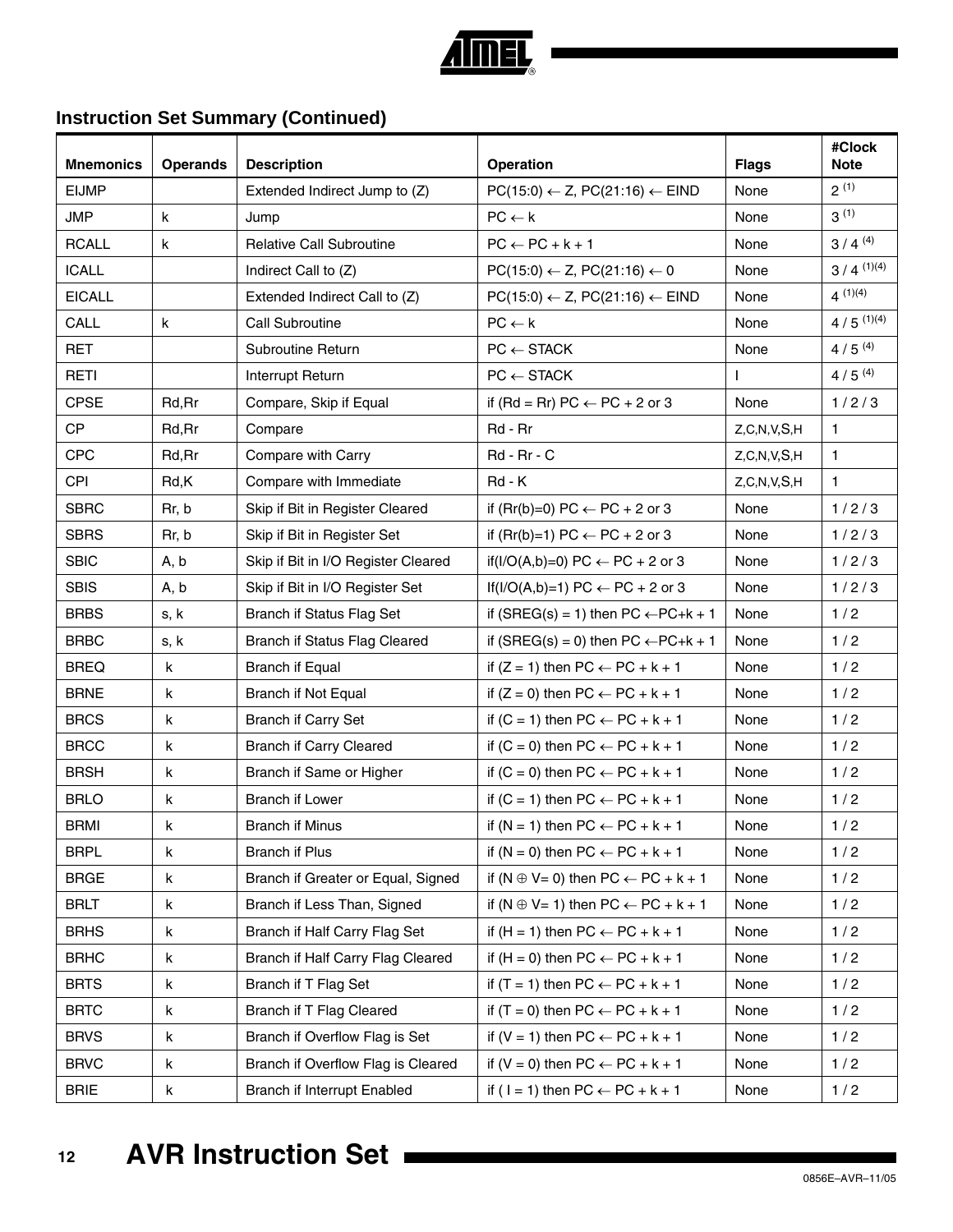

| <b>Mnemonics</b> | <b>Operands</b> | <b>Description</b>                  | <b>Operation</b>                                      | <b>Flags</b>     | #Clock<br><b>Note</b> |
|------------------|-----------------|-------------------------------------|-------------------------------------------------------|------------------|-----------------------|
| <b>EIJMP</b>     |                 | Extended Indirect Jump to (Z)       | $PC(15:0) \leftarrow Z$ , $PC(21:16) \leftarrow EIND$ | None             | $2^{(1)}$             |
| <b>JMP</b>       | k               | Jump                                | $PC \leftarrow k$                                     | None             | $3^{(1)}$             |
| <b>RCALL</b>     | k               | <b>Relative Call Subroutine</b>     | $PC \leftarrow PC + k + 1$                            | None             | $3/4^{(4)}$           |
| <b>ICALL</b>     |                 | Indirect Call to (Z)                | $PC(15:0) \leftarrow Z$ , $PC(21:16) \leftarrow 0$    | None             | $3/4$ (1)(4)          |
| <b>EICALL</b>    |                 | Extended Indirect Call to (Z)       | $PC(15:0) \leftarrow Z$ , $PC(21:16) \leftarrow EIND$ | None             | $4^{(1)(4)}$          |
| CALL             | k               | <b>Call Subroutine</b>              | $PC \leftarrow k$                                     | None             | $4/5$ (1)(4)          |
| <b>RET</b>       |                 | Subroutine Return                   | $PC \leftarrow$ STACK                                 | None             | $4/5^{(4)}$           |
| <b>RETI</b>      |                 | Interrupt Return                    | $PC \leftarrow$ STACK                                 | ı                | $4/5^{(4)}$           |
| <b>CPSE</b>      | Rd, Rr          | Compare, Skip if Equal              | if $(Rd = Rr) PC \leftarrow PC + 2$ or 3              | None             | 1/2/3                 |
| CP               | Rd, Rr          | Compare                             | Rd - Rr                                               | Z, C, N, V, S, H | 1.                    |
| <b>CPC</b>       | Rd, Rr          | Compare with Carry                  | $Rd - Rr - C$                                         | Z, C, N, V, S, H | $\mathbf{1}$          |
| CPI              | Rd, K           | Compare with Immediate              | $Rd - K$                                              | Z, C, N, V, S, H | $\mathbf{1}$          |
| <b>SBRC</b>      | Rr, b           | Skip if Bit in Register Cleared     | if $(Rr(b)=0) PC \leftarrow PC + 2$ or 3              | None             | 1/2/3                 |
| <b>SBRS</b>      | Rr, b           | Skip if Bit in Register Set         | if $(Rr(b)=1) PC \leftarrow PC + 2$ or 3              | None             | 1/2/3                 |
| <b>SBIC</b>      | A, b            | Skip if Bit in I/O Register Cleared | if(I/O(A,b)=0) PC $\leftarrow$ PC + 2 or 3            | None             | 1/2/3                 |
| <b>SBIS</b>      | A, b            | Skip if Bit in I/O Register Set     | If(I/O(A,b)=1) PC $\leftarrow$ PC + 2 or 3            | None             | 1/2/3                 |
| <b>BRBS</b>      | s, k            | Branch if Status Flag Set           | if (SREG(s) = 1) then $PC \leftarrow PC+k + 1$        | None             | 1/2                   |
| <b>BRBC</b>      | s, k            | Branch if Status Flag Cleared       | if (SREG(s) = 0) then $PC \leftarrow PC+k + 1$        | None             | 1/2                   |
| <b>BREQ</b>      | k               | Branch if Equal                     | if $(Z = 1)$ then $PC \leftarrow PC + k + 1$          | None             | 1/2                   |
| <b>BRNE</b>      | k               | Branch if Not Equal                 | if $(Z = 0)$ then $PC \leftarrow PC + k + 1$          | None             | 1/2                   |
| <b>BRCS</b>      | k               | Branch if Carry Set                 | if $(C = 1)$ then $PC \leftarrow PC + k + 1$          | None             | 1/2                   |
| <b>BRCC</b>      | k               | <b>Branch if Carry Cleared</b>      | if $(C = 0)$ then $PC \leftarrow PC + k + 1$          | None             | 1/2                   |
| <b>BRSH</b>      | k               | Branch if Same or Higher            | if $(C = 0)$ then $PC \leftarrow PC + k + 1$          | None             | 1/2                   |
| <b>BRLO</b>      | k               | Branch if Lower                     | if $(C = 1)$ then $PC \leftarrow PC + k + 1$          | None             | 1/2                   |
| <b>BRMI</b>      | k               | <b>Branch if Minus</b>              | if $(N = 1)$ then $PC \leftarrow PC + k + 1$          | None             | 1/2                   |
| <b>BRPL</b>      | k               | <b>Branch if Plus</b>               | if $(N = 0)$ then $PC \leftarrow PC + k + 1$          | None             | 1/2                   |
| <b>BRGE</b>      | k               | Branch if Greater or Equal, Signed  | if $(N \oplus V = 0)$ then $PC \leftarrow PC + k + 1$ | None             | 1/2                   |
| <b>BRLT</b>      | k               | Branch if Less Than, Signed         | if $(N \oplus V = 1)$ then $PC \leftarrow PC + k + 1$ | None             | 1/2                   |
| <b>BRHS</b>      | k               | Branch if Half Carry Flag Set       | if $(H = 1)$ then $PC \leftarrow PC + k + 1$          | None             | 1/2                   |
| <b>BRHC</b>      | k               | Branch if Half Carry Flag Cleared   | if $(H = 0)$ then $PC \leftarrow PC + k + 1$          | None             | 1/2                   |
| <b>BRTS</b>      | k               | Branch if T Flag Set                | if $(T = 1)$ then $PC \leftarrow PC + k + 1$          | None             | 1/2                   |
| <b>BRTC</b>      | k               | Branch if T Flag Cleared            | if $(T = 0)$ then $PC \leftarrow PC + k + 1$          | None             | 1/2                   |
| <b>BRVS</b>      | k               | Branch if Overflow Flag is Set      | if $(V = 1)$ then $PC \leftarrow PC + k + 1$          | None             | 1/2                   |
| <b>BRVC</b>      | k               | Branch if Overflow Flag is Cleared  | if $(V = 0)$ then $PC \leftarrow PC + k + 1$          | None             | 1/2                   |
| <b>BRIE</b>      | k               | Branch if Interrupt Enabled         | if (1 = 1) then $PC \leftarrow PC + k + 1$            | None             | 1/2                   |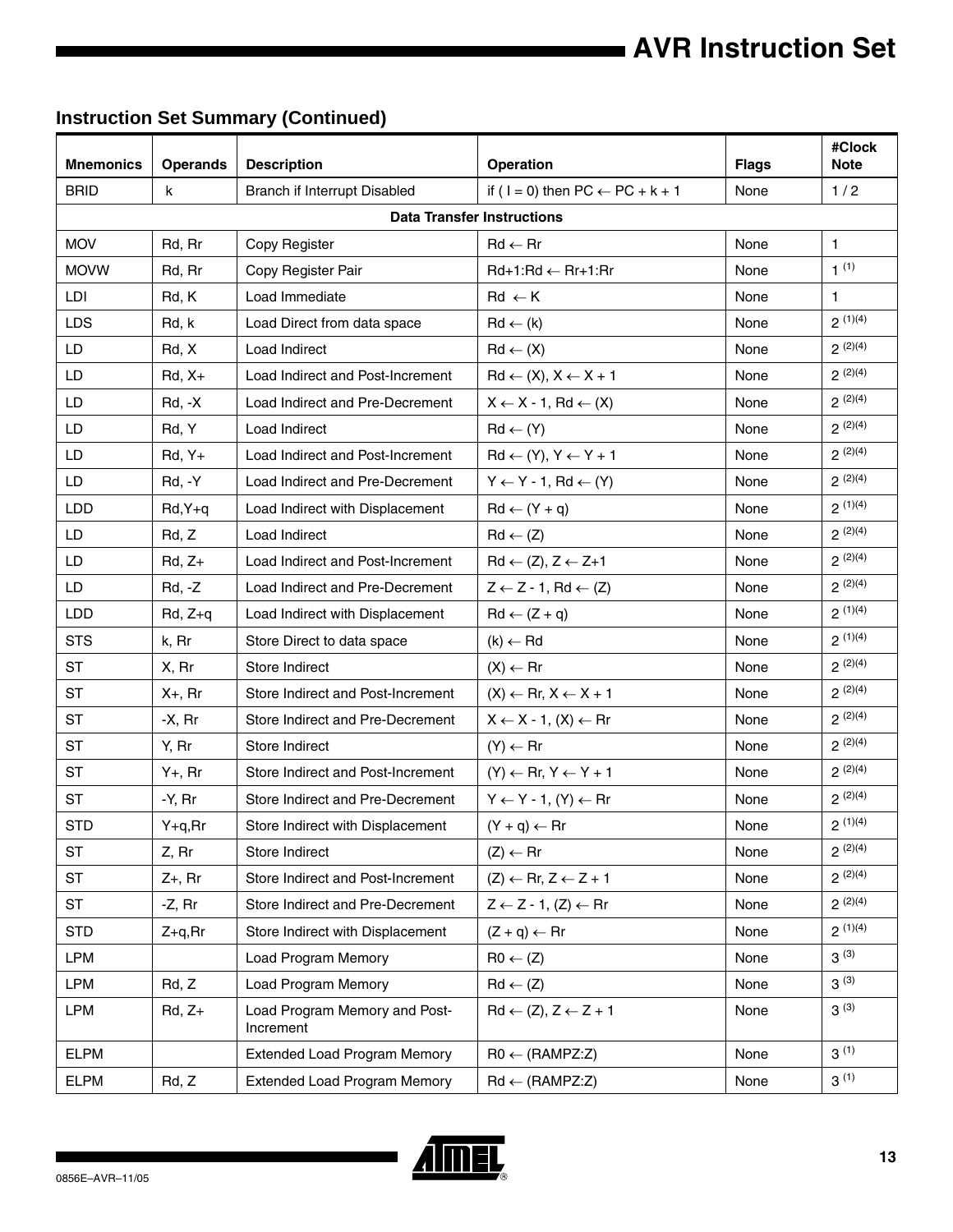| <b>Mnemonics</b> | <b>Operands</b> | <b>Description</b>                         | <b>Operation</b>                               | <b>Flags</b> | #Clock<br><b>Note</b> |
|------------------|-----------------|--------------------------------------------|------------------------------------------------|--------------|-----------------------|
| <b>BRID</b>      | k               | <b>Branch if Interrupt Disabled</b>        | if ( $1 = 0$ ) then $PC \leftarrow PC + k + 1$ | None         | 1/2                   |
|                  |                 |                                            | <b>Data Transfer Instructions</b>              |              |                       |
| <b>MOV</b>       | Rd, Rr          | Copy Register                              | $Rd \leftarrow Rr$                             | None         | $\mathbf{1}$          |
| <b>MOVW</b>      | Rd, Rr          | Copy Register Pair                         | $Rd+1:Rd \leftarrow Rr+1:Rr$                   | None         | $1^{(1)}$             |
| LDI              | Rd, K           | Load Immediate                             | $Rd \leftarrow K$                              | None         | $\mathbf{1}$          |
| <b>LDS</b>       | Rd, k           | Load Direct from data space                | $Rd \leftarrow (k)$                            | None         | $2^{(1)(4)}$          |
| LD               | Rd, X           | Load Indirect                              | $Rd \leftarrow (X)$                            | None         | $2^{(2)(4)}$          |
| LD               | $Rd, X+$        | Load Indirect and Post-Increment           | $Rd \leftarrow (X), X \leftarrow X + 1$        | None         | $2^{(2)(4)}$          |
| LD               | $Rd, -X$        | Load Indirect and Pre-Decrement            | $X \leftarrow X - 1$ , Rd $\leftarrow (X)$     | None         | $2^{(2)(4)}$          |
| LD               | Rd, Y           | Load Indirect                              | $Rd \leftarrow (Y)$                            | None         | $2^{(2)(4)}$          |
| LD               | $Rd, Y+$        | Load Indirect and Post-Increment           | $Rd \leftarrow (Y), Y \leftarrow Y + 1$        | None         | $2^{(2)(4)}$          |
| LD               | Rd, -Y          | Load Indirect and Pre-Decrement            | $Y \leftarrow Y - 1$ , Rd $\leftarrow (Y)$     | None         | $2^{(2)(4)}$          |
| <b>LDD</b>       | $Rd, Y+q$       | Load Indirect with Displacement            | $Rd \leftarrow (Y + q)$                        | None         | $2^{(1)(4)}$          |
| LD               | Rd, Z           | Load Indirect                              | $Rd \leftarrow (Z)$                            | None         | $2^{(2)(4)}$          |
| LD               | $Rd, Z+$        | Load Indirect and Post-Increment           | $Rd \leftarrow (Z), Z \leftarrow Z+1$          | None         | $2^{(2)(4)}$          |
| LD               | $Rd, -Z$        | Load Indirect and Pre-Decrement            | $Z \leftarrow Z - 1$ , Rd $\leftarrow (Z)$     | None         | $2^{(2)(4)}$          |
| <b>LDD</b>       | $Rd, Z+q$       | Load Indirect with Displacement            | $Rd \leftarrow (Z + q)$                        | None         | $2^{(1)(4)}$          |
| <b>STS</b>       | k, Rr           | Store Direct to data space                 | $(k) \leftarrow Rd$                            | None         | $2^{(1)(4)}$          |
| <b>ST</b>        | X, Rr           | Store Indirect                             | $(X) \leftarrow Rr$                            | None         | $2^{(2)(4)}$          |
| <b>ST</b>        | $X_{+}$ , Rr    | Store Indirect and Post-Increment          | $(X) \leftarrow$ Rr, $X \leftarrow X + 1$      | None         | $2^{(2)(4)}$          |
| <b>ST</b>        | $-X$ , $Rr$     | Store Indirect and Pre-Decrement           | $X \leftarrow X - 1$ , $(X) \leftarrow Rr$     | None         | $2^{(2)(4)}$          |
| <b>ST</b>        | Y, Rr           | Store Indirect                             | $(Y) \leftarrow Rr$                            | None         | $2^{(2)(4)}$          |
| <b>ST</b>        | $Y_{+}$ , Rr    | Store Indirect and Post-Increment          | $(Y) \leftarrow$ Rr, $Y \leftarrow Y + 1$      | None         | $2^{(2)(4)}$          |
| <b>ST</b>        | -Y, Rr          | Store Indirect and Pre-Decrement           | $Y \leftarrow Y - 1$ , $(Y) \leftarrow Rr$     | None         | $2^{(2)(4)}$          |
| <b>STD</b>       | $Y+q, Rr$       | Store Indirect with Displacement           | $(Y + q) \leftarrow Rr$                        | None         | $2^{(1)(4)}$          |
| <b>ST</b>        | Z, Rr           | Store Indirect                             | $(Z) \leftarrow Rr$                            | None         | $2^{(2)(4)}$          |
| <b>ST</b>        | $Z+$ , Rr       | Store Indirect and Post-Increment          | $(Z) \leftarrow$ Rr, $Z \leftarrow Z + 1$      | None         | $2^{(2)(4)}$          |
| <b>ST</b>        | $-Z$ , $Rr$     | Store Indirect and Pre-Decrement           | $Z \leftarrow Z - 1$ , $(Z) \leftarrow Rr$     | None         | $2^{(2)(4)}$          |
| <b>STD</b>       | $Z+q, Rr$       | Store Indirect with Displacement           | $(Z + q) \leftarrow Rr$                        | None         | $2^{(1)(4)}$          |
| <b>LPM</b>       |                 | <b>Load Program Memory</b>                 | $R0 \leftarrow (Z)$                            | None         | $3^{(3)}$             |
| <b>LPM</b>       | Rd, Z           | <b>Load Program Memory</b>                 | $Rd \leftarrow (Z)$                            | None         | $3^{(3)}$             |
| <b>LPM</b>       | $Rd, Z+$        | Load Program Memory and Post-<br>Increment | $Rd \leftarrow (Z), Z \leftarrow Z + 1$        | None         | $3^{(3)}$             |
| <b>ELPM</b>      |                 | <b>Extended Load Program Memory</b>        | $RO \leftarrow (RAMPZ:Z)$                      | None         | $3^{(1)}$             |
| <b>ELPM</b>      | Rd, Z           | <b>Extended Load Program Memory</b>        | $Rd \leftarrow (RAMPZ:Z)$                      | None         | $3^{(1)}$             |

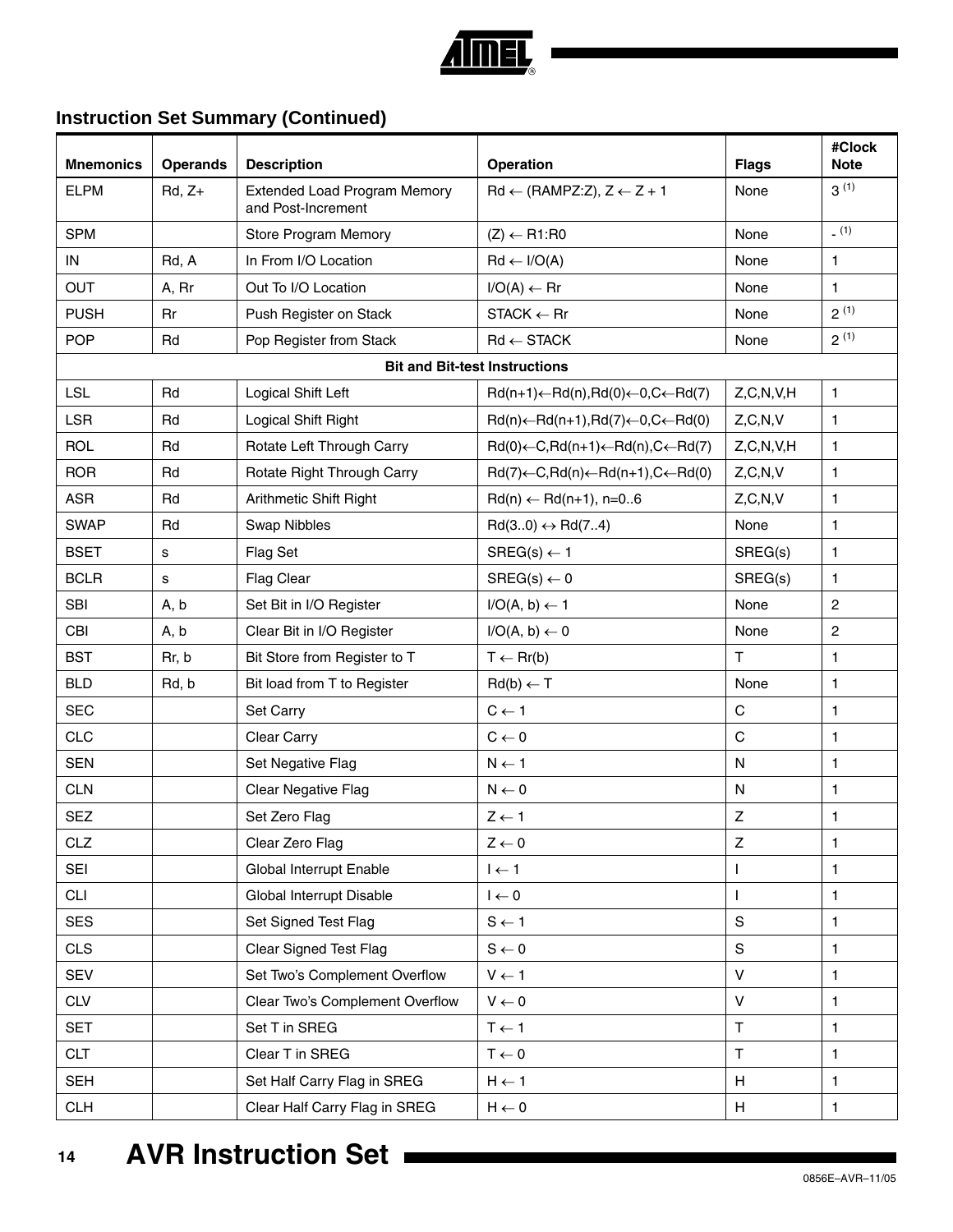

| <b>Mnemonics</b> | <b>Operands</b> | <b>Description</b>                                        | <b>Operation</b>                                                   | <b>Flags</b>  | #Clock<br><b>Note</b> |
|------------------|-----------------|-----------------------------------------------------------|--------------------------------------------------------------------|---------------|-----------------------|
| <b>ELPM</b>      | $Rd, Z+$        | <b>Extended Load Program Memory</b><br>and Post-Increment | $Rd \leftarrow (RAMPZ:Z), Z \leftarrow Z + 1$                      | None          | $3^{(1)}$             |
| <b>SPM</b>       |                 | <b>Store Program Memory</b>                               | $(Z) \leftarrow R1:R0$                                             | None          | (1)                   |
| IN               | Rd, A           | In From I/O Location                                      | $Rd \leftarrow I/O(A)$                                             | None          | $\mathbf{1}$          |
| <b>OUT</b>       | A, Rr           | Out To I/O Location                                       | $I/O(A) \leftarrow Rr$                                             | None          | $\mathbf{1}$          |
| <b>PUSH</b>      | <b>Rr</b>       | Push Register on Stack                                    | $STACK \leftarrow Rr$                                              | None          | $2^{(1)}$             |
| <b>POP</b>       | Rd              | Pop Register from Stack                                   | $Rd \leftarrow$ STACK                                              | None          | $2^{(1)}$             |
|                  |                 |                                                           | <b>Bit and Bit-test Instructions</b>                               |               |                       |
| <b>LSL</b>       | Rd              | Logical Shift Left                                        | $Rd(n+1) \leftarrow Rd(n), Rd(0) \leftarrow 0, C \leftarrow Rd(7)$ | Z, C, N, V, H | $\mathbf{1}$          |
| <b>LSR</b>       | Rd              | Logical Shift Right                                       | $Rd(n) \leftarrow Rd(n+1), Rd(7) \leftarrow 0, C \leftarrow Rd(0)$ | Z, C, N, V    | $\mathbf{1}$          |
| <b>ROL</b>       | Rd              | Rotate Left Through Carry                                 | $Rd(0) \leftarrow C, Rd(n+1) \leftarrow Rd(n), C \leftarrow Rd(7)$ | Z, C, N, V, H | $\mathbf{1}$          |
| <b>ROR</b>       | Rd              | Rotate Right Through Carry                                | $Rd(7) \leftarrow C, Rd(n) \leftarrow Rd(n+1), C \leftarrow Rd(0)$ | Z, C, N, V    | $\mathbf{1}$          |
| <b>ASR</b>       | Rd              | Arithmetic Shift Right                                    | $Rd(n) \leftarrow Rd(n+1), n=06$                                   | Z, C, N, V    | $\mathbf{1}$          |
| <b>SWAP</b>      | Rd              | Swap Nibbles                                              | $Rd(3.0) \leftrightarrow Rd(7.4)$                                  | None          | $\mathbf{1}$          |
| <b>BSET</b>      | s               | Flag Set                                                  | $SREG(s) \leftarrow 1$                                             | SREG(s)       | $\mathbf{1}$          |
| <b>BCLR</b>      | s               | <b>Flag Clear</b>                                         | $SREG(s) \leftarrow 0$                                             | SREG(s)       | $\mathbf{1}$          |
| <b>SBI</b>       | A, b            | Set Bit in I/O Register                                   | $I/O(A, b) \leftarrow 1$                                           | None          | $\overline{c}$        |
| CBI              | A, b            | Clear Bit in I/O Register                                 | $I/O(A, b) \leftarrow 0$                                           | None          | $\overline{c}$        |
| <b>BST</b>       | Rr, b           | Bit Store from Register to T                              | $T \leftarrow Rr(b)$                                               | $\top$        | $\mathbf{1}$          |
| <b>BLD</b>       | Rd, b           | Bit load from T to Register                               | $Rd(b) \leftarrow T$                                               | None          | 1                     |
| <b>SEC</b>       |                 | Set Carry                                                 | $C \leftarrow 1$                                                   | $\mathsf{C}$  | 1                     |
| <b>CLC</b>       |                 | Clear Carry                                               | $C \leftarrow 0$                                                   | $\mathsf{C}$  | $\mathbf{1}$          |
| <b>SEN</b>       |                 | Set Negative Flag                                         | $N \leftarrow 1$                                                   | N             | 1                     |
| <b>CLN</b>       |                 | Clear Negative Flag                                       | $N \leftarrow 0$                                                   | $\mathsf{N}$  | $\mathbf{1}$          |
| <b>SEZ</b>       |                 | Set Zero Flag                                             | $Z \leftarrow 1$                                                   | Z             | $\mathbf{1}$          |
| <b>CLZ</b>       |                 | Clear Zero Flag                                           | $Z \leftarrow 0$                                                   | $\mathsf Z$   | $\mathbf{1}$          |
| <b>SEI</b>       |                 | Global Interrupt Enable                                   | $l \leftarrow 1$                                                   | I             | $\mathbf{1}$          |
| <b>CLI</b>       |                 | Global Interrupt Disable                                  | $0 \rightarrow 1$                                                  | $\mathbf{I}$  | $\mathbf{1}$          |
| <b>SES</b>       |                 | Set Signed Test Flag                                      | $S \leftarrow 1$                                                   | $\mathsf S$   | $\mathbf{1}$          |
| <b>CLS</b>       |                 | <b>Clear Signed Test Flag</b>                             | $S \leftarrow 0$                                                   | S             | $\mathbf{1}$          |
| <b>SEV</b>       |                 | Set Two's Complement Overflow                             | $V \leftarrow 1$                                                   | $\vee$        | $\mathbf{1}$          |
| <b>CLV</b>       |                 | Clear Two's Complement Overflow                           | $V \leftarrow 0$                                                   | $\vee$        | $\mathbf{1}$          |
| <b>SET</b>       |                 | Set T in SREG                                             | $T \leftarrow 1$                                                   | $\mathsf T$   | $\mathbf{1}$          |
| <b>CLT</b>       |                 | Clear T in SREG                                           | $0 \rightarrow T$                                                  | $\mathsf{T}$  | $\mathbf{1}$          |
| <b>SEH</b>       |                 | Set Half Carry Flag in SREG                               | $H \leftarrow 1$                                                   | H             | $\mathbf{1}$          |
| <b>CLH</b>       |                 | Clear Half Carry Flag in SREG                             | $0 \rightarrow H$                                                  | H             | $\mathbf{1}$          |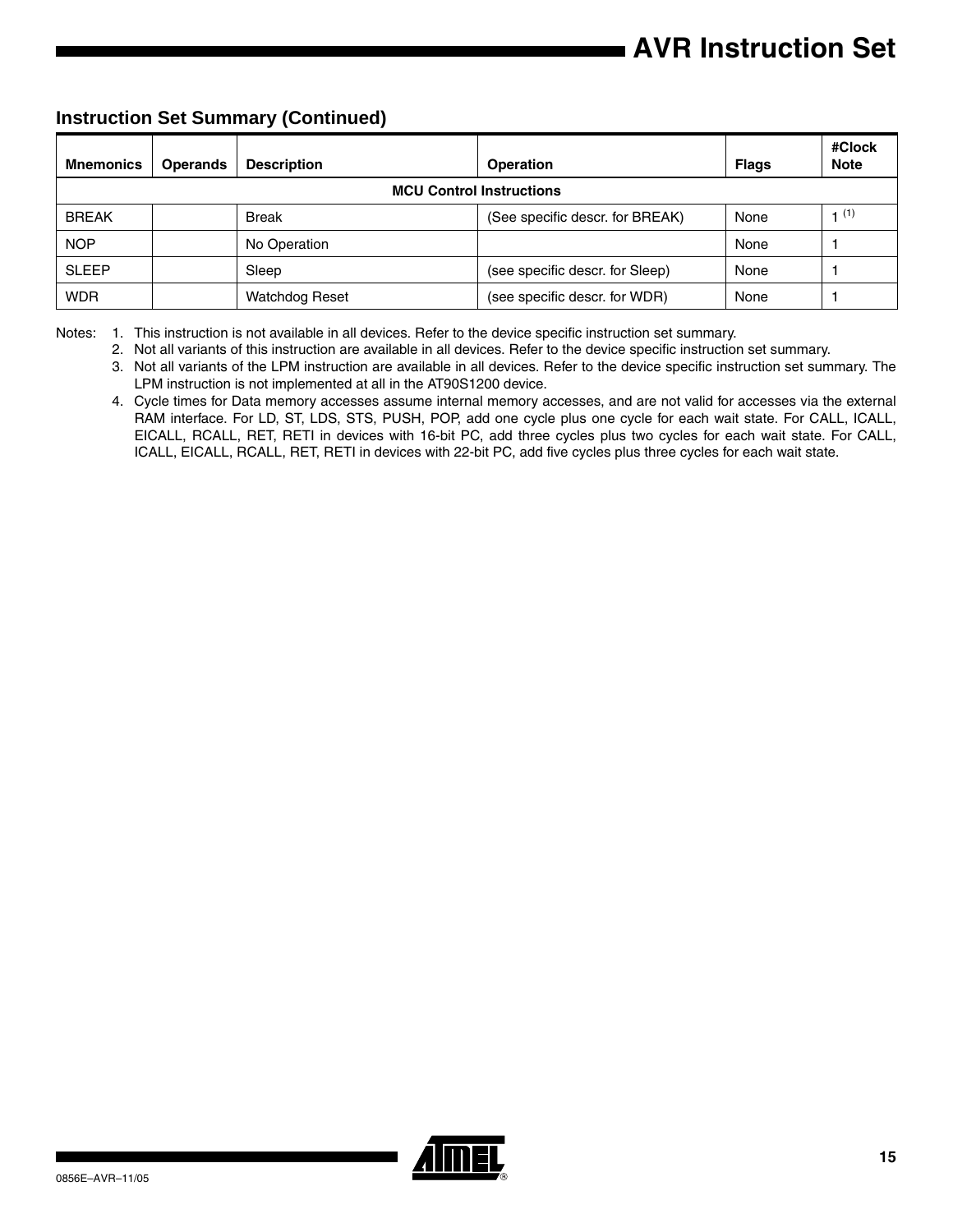| <b>Mnemonics</b>                | <b>Operands</b> | <b>Description</b>    | <b>Operation</b>                | <b>Flags</b> | #Clock<br><b>Note</b> |
|---------------------------------|-----------------|-----------------------|---------------------------------|--------------|-----------------------|
| <b>MCU Control Instructions</b> |                 |                       |                                 |              |                       |
| <b>BREAK</b>                    |                 | <b>Break</b>          | (See specific descr. for BREAK) | None         | 1(1)                  |
| <b>NOP</b>                      |                 | No Operation          |                                 | None         |                       |
| <b>SLEEP</b>                    |                 | Sleep                 | (see specific descr. for Sleep) | None         |                       |
| <b>WDR</b>                      |                 | <b>Watchdog Reset</b> | (see specific descr. for WDR)   | None         |                       |

Notes: 1. This instruction is not available in all devices. Refer to the device specific instruction set summary.

2. Not all variants of this instruction are available in all devices. Refer to the device specific instruction set summary.

3. Not all variants of the LPM instruction are available in all devices. Refer to the device specific instruction set summary. The LPM instruction is not implemented at all in the AT90S1200 device.

4. Cycle times for Data memory accesses assume internal memory accesses, and are not valid for accesses via the external RAM interface. For LD, ST, LDS, STS, PUSH, POP, add one cycle plus one cycle for each wait state. For CALL, ICALL, EICALL, RCALL, RET, RETI in devices with 16-bit PC, add three cycles plus two cycles for each wait state. For CALL, ICALL, EICALL, RCALL, RET, RETI in devices with 22-bit PC, add five cycles plus three cycles for each wait state.

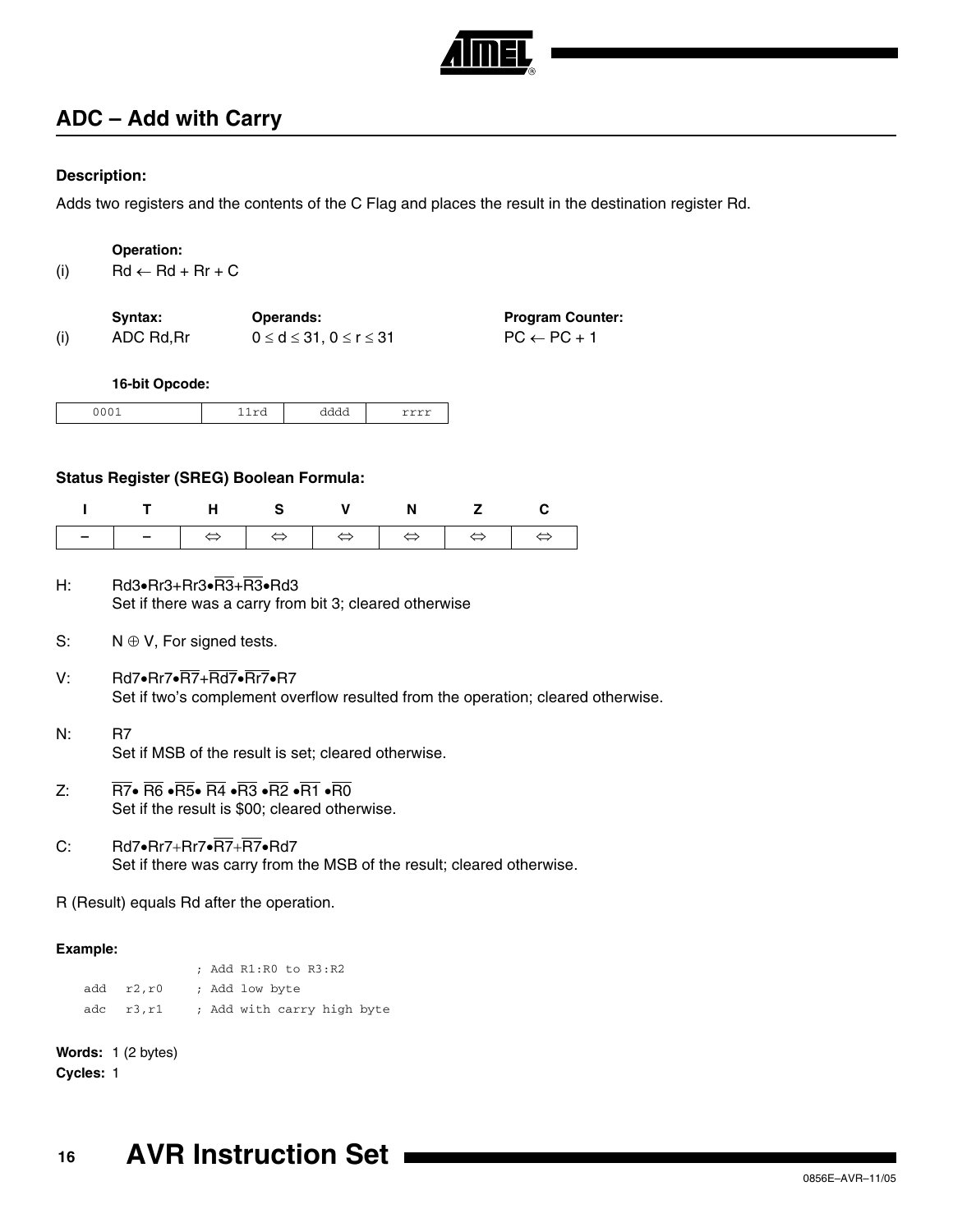# **ADC – Add with Carry**

#### **Description:**

Adds two registers and the contents of the C Flag and places the result in the destination register Rd.

| <b>Operation:</b> |  |
|-------------------|--|
|                   |  |

(i)  $Rd \leftarrow Rd + Rr + C$ 

|     | Syntax:    | <b>Operands:</b>                     | <b>Program Counter:</b> |
|-----|------------|--------------------------------------|-------------------------|
| (i) | ADC Rd, Rr | $0 \leq d \leq 31, 0 \leq r \leq 31$ | $PC \leftarrow PC + 1$  |

**16-bit Opcode:**

| $\sim$ $\sim$ $\sim$<br>-<br>. | $\sim$<br>∸∽ | - - -<br>س اس<br>aaaa | -------- |
|--------------------------------|--------------|-----------------------|----------|
|--------------------------------|--------------|-----------------------|----------|

# **Status Register (SREG) Boolean Formula:**

| ITHS V N Z C |  |  |  |
|--------------|--|--|--|
|              |  |  |  |

- H: Rd3•Rr3+Rr3•R3+R3•Rd3 Set if there was a carry from bit 3; cleared otherwise
- S: N ⊕ V, For signed tests.
- V: Rd7•Rr7•R7+Rd7•Rr7•R7 Set if two's complement overflow resulted from the operation; cleared otherwise.
- N: R7 Set if MSB of the result is set; cleared otherwise.
- Z: R7• R6 •R5• R4 •R3 •R2 •R1 •R0 Set if the result is \$00; cleared otherwise.
- C: Rd7•Rr7+Rr7•R7+R7•Rd7 Set if there was carry from the MSB of the result; cleared otherwise.

R (Result) equals Rd after the operation.

#### **Example:**

; Add R1:R0 to R3:R2 add r2,r0 ; Add low byte adc r3, r1 ; Add with carry high byte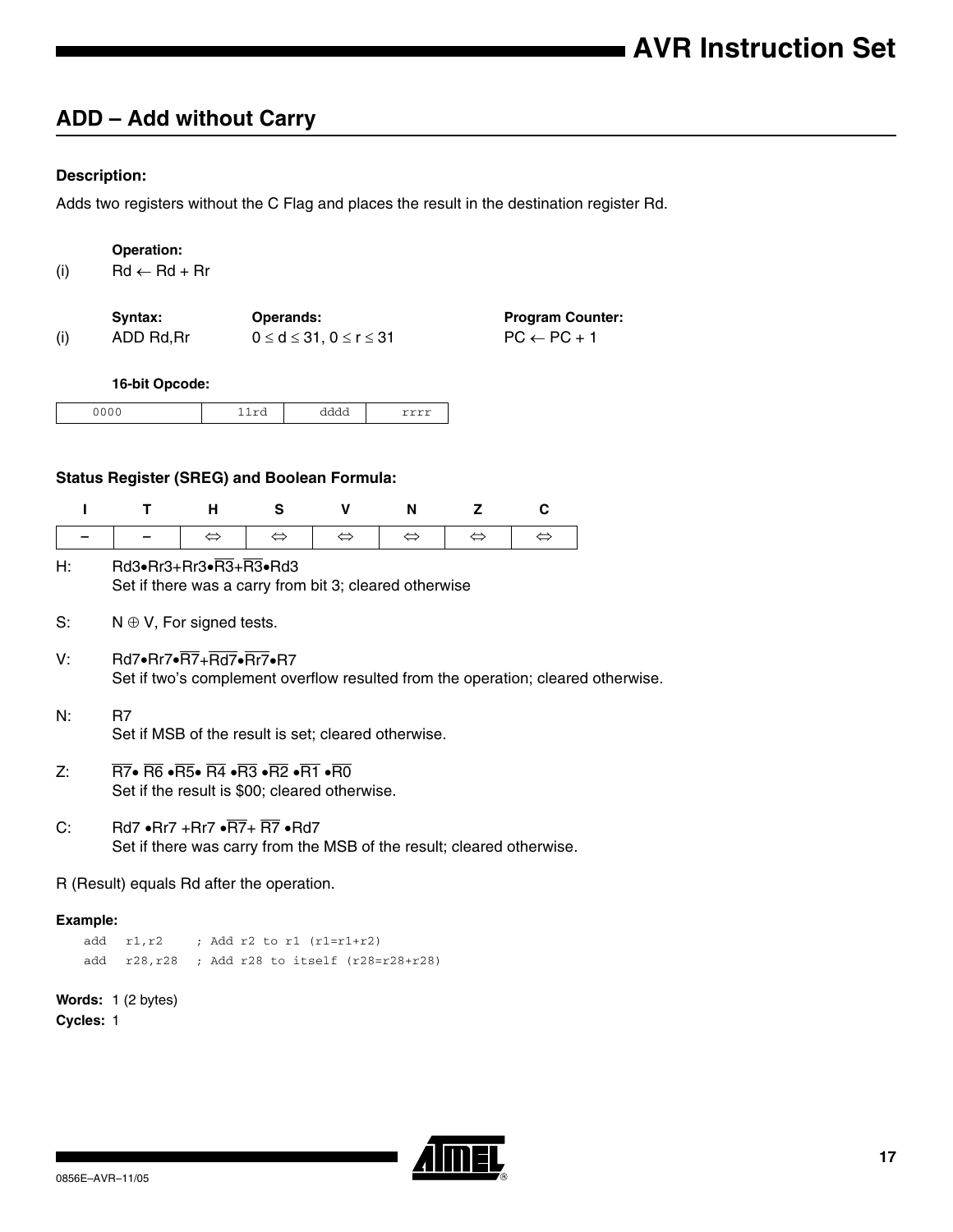# **ADD – Add without Carry**

# **Description:**

Adds two registers without the C Flag and places the result in the destination register Rd.

(i)  $Rd \leftarrow Rd + Rr$ 

|     | Svntax:   | <b>Operands:</b>                     | <b>Program Counter:</b> |
|-----|-----------|--------------------------------------|-------------------------|
| (i) | ADD Rd.Rr | $0 \leq d \leq 31, 0 \leq r \leq 31$ | $PC \leftarrow PC + 1$  |

**16-bit Opcode:**

|  |  | ---<br>∼<br>. | - -<br>ື | -------- |
|--|--|---------------|----------|----------|
|--|--|---------------|----------|----------|

### **Status Register (SREG) and Boolean Formula:**

|                                           | т                                                                                                                                                                                                                                                      | н                 | S                 | v                 | N                 | z                 | C                 |  |  |  |  |
|-------------------------------------------|--------------------------------------------------------------------------------------------------------------------------------------------------------------------------------------------------------------------------------------------------------|-------------------|-------------------|-------------------|-------------------|-------------------|-------------------|--|--|--|--|
|                                           |                                                                                                                                                                                                                                                        | $\Leftrightarrow$ | $\Leftrightarrow$ | $\Leftrightarrow$ | $\Leftrightarrow$ | $\Leftrightarrow$ | $\Leftrightarrow$ |  |  |  |  |
| Н:                                        | Rd3.Rr3+Rr3.R3+R3.Rd3<br>Set if there was a carry from bit 3; cleared otherwise                                                                                                                                                                        |                   |                   |                   |                   |                   |                   |  |  |  |  |
| S:                                        | $N \oplus V$ , For signed tests.                                                                                                                                                                                                                       |                   |                   |                   |                   |                   |                   |  |  |  |  |
| V.                                        | Rd7•Rr7•R7+Rd7•Rr7•R7<br>Set if two's complement overflow resulted from the operation; cleared otherwise.                                                                                                                                              |                   |                   |                   |                   |                   |                   |  |  |  |  |
| N:                                        | R7<br>Set if MSB of the result is set; cleared otherwise.                                                                                                                                                                                              |                   |                   |                   |                   |                   |                   |  |  |  |  |
| Z:                                        | $\overline{R7}$ $\bullet$ $\overline{R6}$ $\bullet$ $\overline{R5}$ $\bullet$ $\overline{R4}$ $\bullet$ $\overline{R3}$ $\bullet$ $\overline{R2}$ $\bullet$ $\overline{R1}$ $\bullet$ $\overline{R0}$<br>Set if the result is \$00; cleared otherwise. |                   |                   |                   |                   |                   |                   |  |  |  |  |
| C:                                        | Rd7 • Rr7 + Rr7 • R7+ R7 • Rd7<br>Set if there was carry from the MSB of the result; cleared otherwise.                                                                                                                                                |                   |                   |                   |                   |                   |                   |  |  |  |  |
| R (Result) equals Rd after the operation. |                                                                                                                                                                                                                                                        |                   |                   |                   |                   |                   |                   |  |  |  |  |
| Example:                                  |                                                                                                                                                                                                                                                        |                   |                   |                   |                   |                   |                   |  |  |  |  |

add  $r1, r2$  ; Add  $r2$  to  $r1$   $(r1=r1+r2)$ add r28,r28 ; Add r28 to itself (r28=r28+r28)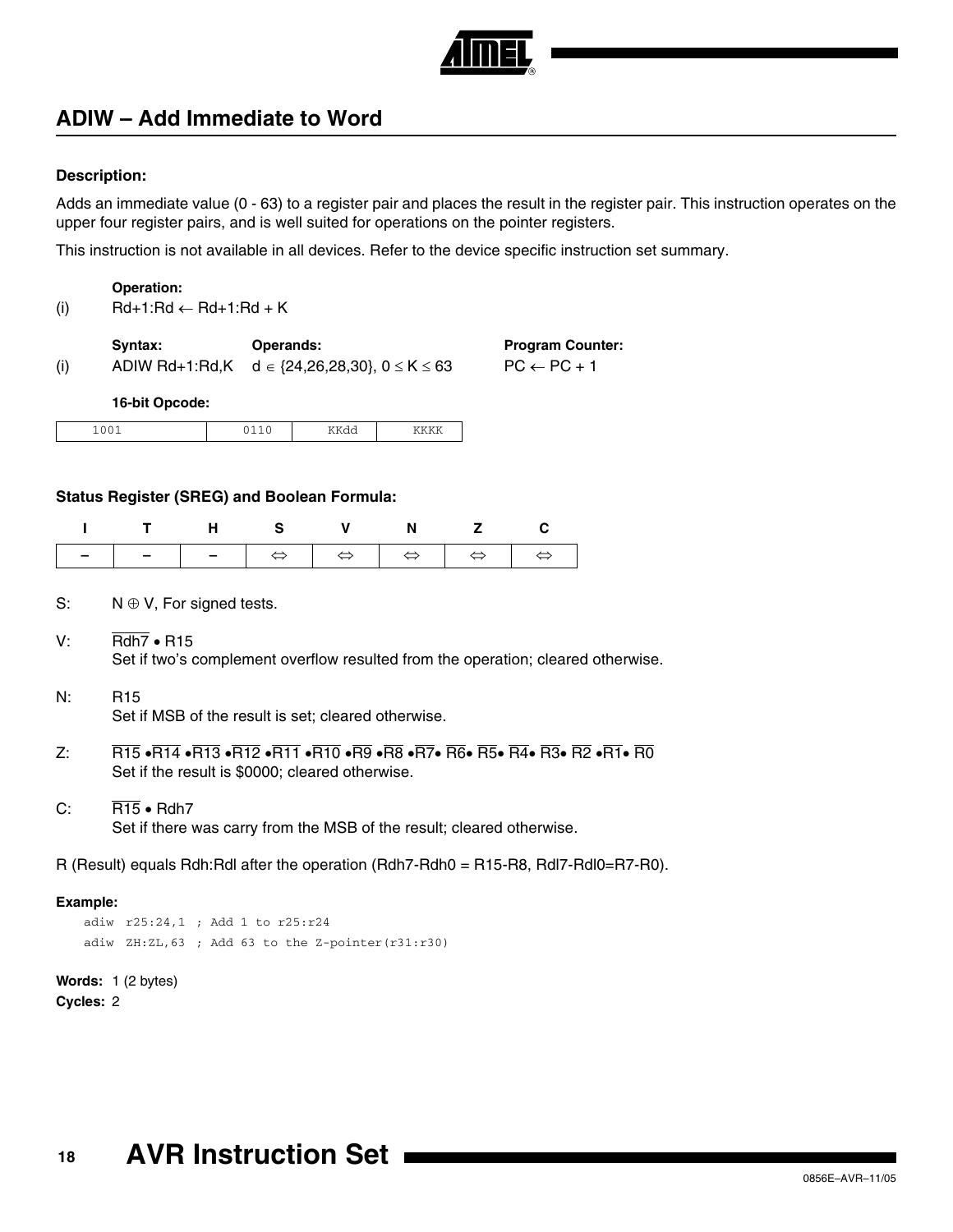# **ADIW – Add Immediate to Word**

#### **Description:**

Adds an immediate value (0 - 63) to a register pair and places the result in the register pair. This instruction operates on the upper four register pairs, and is well suited for operations on the pointer registers.

This instruction is not available in all devices. Refer to the device specific instruction set summary.

#### **Operation:**

(i)  $Rd+1:Rd \leftarrow Rd+1:Rd + K$ 

| (i) | Syntax:                                                            | <b>Operands:</b><br>ADIW Rd+1:Rd,K $d \in \{24, 26, 28, 30\}$ , $0 \le K \le 63$ | <b>Program Counter:</b><br>$PC \leftarrow PC + 1$ |
|-----|--------------------------------------------------------------------|----------------------------------------------------------------------------------|---------------------------------------------------|
|     | $\overline{AB}$ is the $\overline{AB}$ contract of $\overline{AB}$ |                                                                                  |                                                   |

#### **16-bit Opcode:**

| - |
|---|
|---|

#### **Status Register (SREG) and Boolean Formula:**

| ITHS V N Z C |  |  |  |
|--------------|--|--|--|
|              |  |  |  |

- S:  $N \oplus V$ , For signed tests.
- V:  $\overline{\text{Rdh7}} \cdot \text{R15}$ Set if two's complement overflow resulted from the operation; cleared otherwise.
- N: R15

Set if MSB of the result is set; cleared otherwise.

- Z: R15 •R14 •R13 •R12 •R11 •R10 •R9 •R8 •R7• R6• R5• R4• R3• R2 •R1• R0 Set if the result is \$0000; cleared otherwise.
- C:  $\overline{R15}$  Rdh7 Set if there was carry from the MSB of the result; cleared otherwise.
- R (Result) equals Rdh:Rdl after the operation (Rdh7-Rdh0 = R15-R8, Rdl7-Rdl0=R7-R0).

#### **Example:**

adiw r25:24,1 ; Add 1 to r25:r24 adiw  $ZH:ZL,63$  ; Add 63 to the Z-pointer( $r31:r30$ )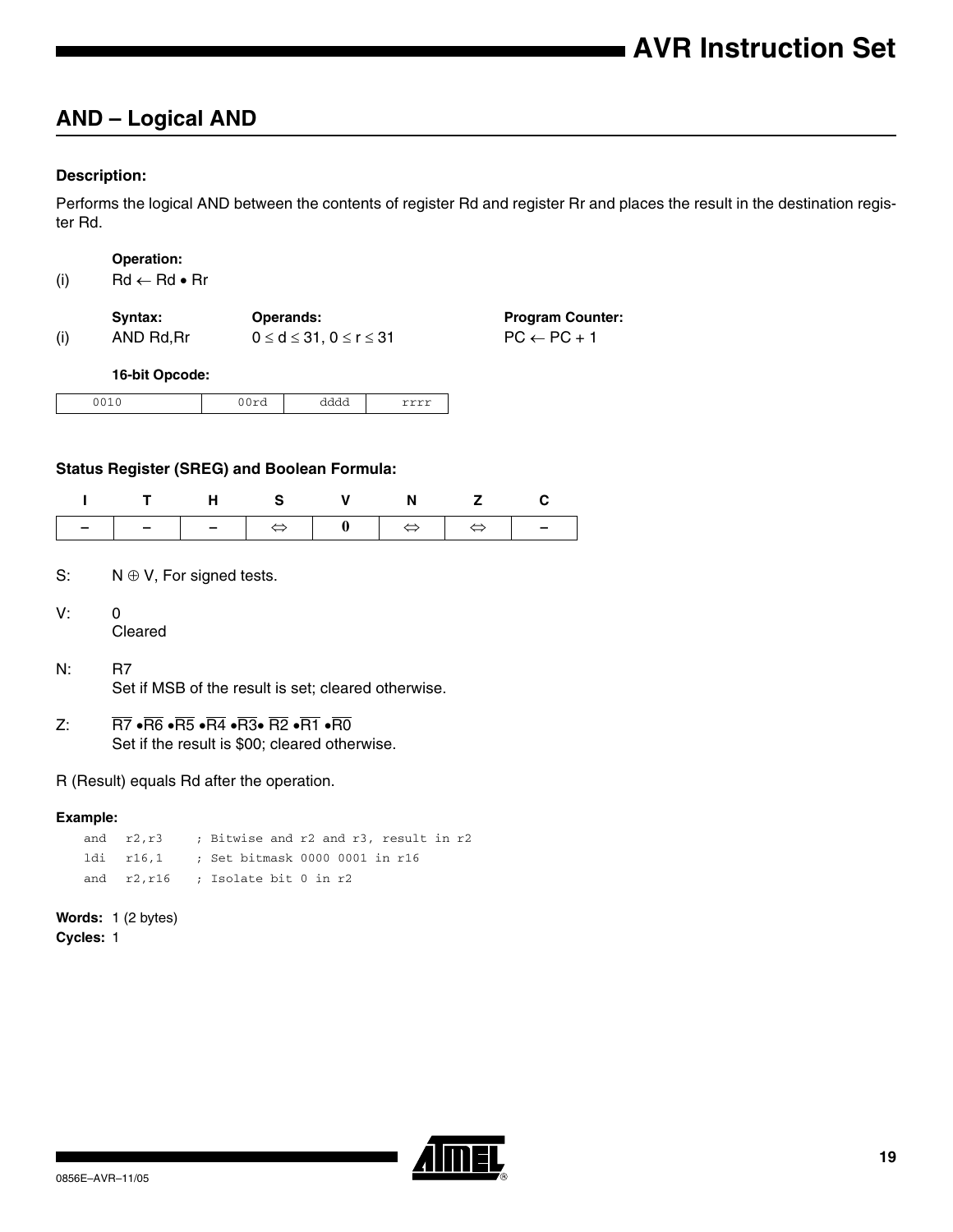# **AND – Logical AND**

# **Description:**

Performs the logical AND between the contents of register Rd and register Rr and places the result in the destination register Rd.

| <b>Operation:</b> |
|-------------------|
|-------------------|

(i) Rd ← Rd • Rr

|     | Syntax:   | <b>Operands:</b>                       | <b>Program Counter:</b> |
|-----|-----------|----------------------------------------|-------------------------|
| (i) | AND Rd.Rr | $0 \leq d \leq 31.$ $0 \leq r \leq 31$ | $PC \leftarrow PC + 1$  |

**16-bit Opcode:**

| ___ | . |  |
|-----|---|--|

### **Status Register (SREG) and Boolean Formula:**

| ITHS V N Z C |  |  |  |
|--------------|--|--|--|
|              |  |  |  |

- S: N ⊕ V, For signed tests.
- V: 0

Cleared

- N: R7 Set if MSB of the result is set; cleared otherwise.
- Z: R7 •R6 •R5 •R4 •R3• R2 •R1 •R0 Set if the result is \$00; cleared otherwise.

R (Result) equals Rd after the operation.

#### **Example:**

|  |  | and $r2, r3$ ; Bitwise and r2 and r3, result in r2 |  |  |  |
|--|--|----------------------------------------------------|--|--|--|
|  |  | ldi r16,1 ; Set bitmask 0000 0001 in r16           |  |  |  |
|  |  | and $r2, r16$ ; Isolate bit 0 in $r2$              |  |  |  |

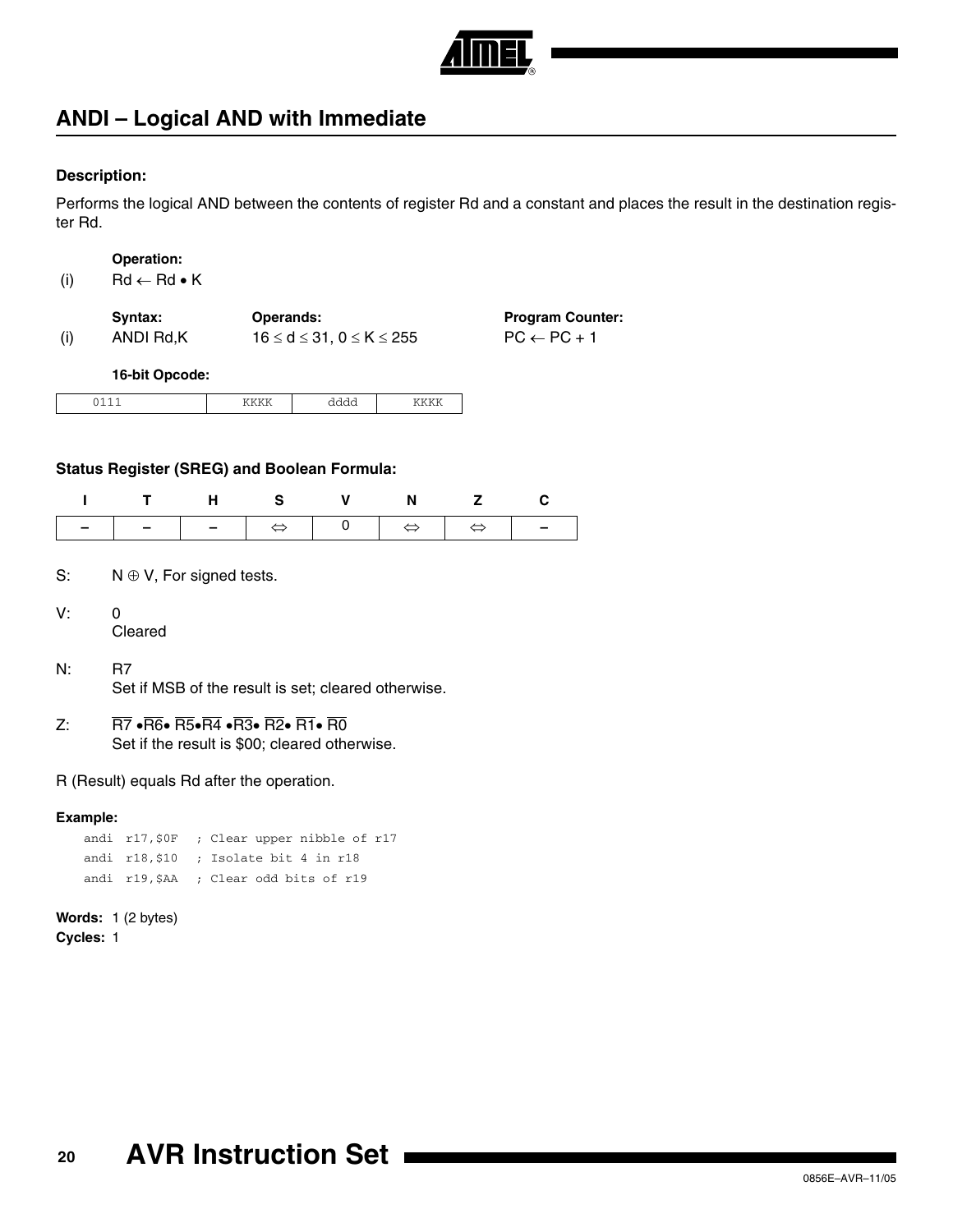

# **ANDI – Logical AND with Immediate**

### **Description:**

Performs the logical AND between the contents of register Rd and a constant and places the result in the destination register Rd.

> **Program Counter:**  $PC \leftarrow PC + 1$

#### **Operation:**

(i) Rd ← Rd • K

|     | Syntax:   | Operands:                                 |
|-----|-----------|-------------------------------------------|
| (i) | ANDI Rd,K | $16 \leq d \leq 31$ , $0 \leq K \leq 255$ |

**16-bit Opcode:**

| .<br>-- | . |  |
|---------|---|--|

### **Status Register (SREG) and Boolean Formula:**

|  | ITHS V N Z C |  |  |
|--|--------------|--|--|
|  |              |  |  |

- S: N ⊕ V, For signed tests.
- $V: 0$

 $\lceil$ 

Cleared

- N: R7 Set if MSB of the result is set; cleared otherwise.
- Z: R7 •R6• R5•R4 •R3• R2• R1• R0 Set if the result is \$00; cleared otherwise.

R (Result) equals Rd after the operation.

#### **Example:**

|  | andi $r17,50F$ ; Clear upper nibble of r17 |
|--|--------------------------------------------|
|  | andi $r18,510$ ; Isolate bit 4 in r18      |
|  | andi r19, \$AA ; Clear odd bits of r19     |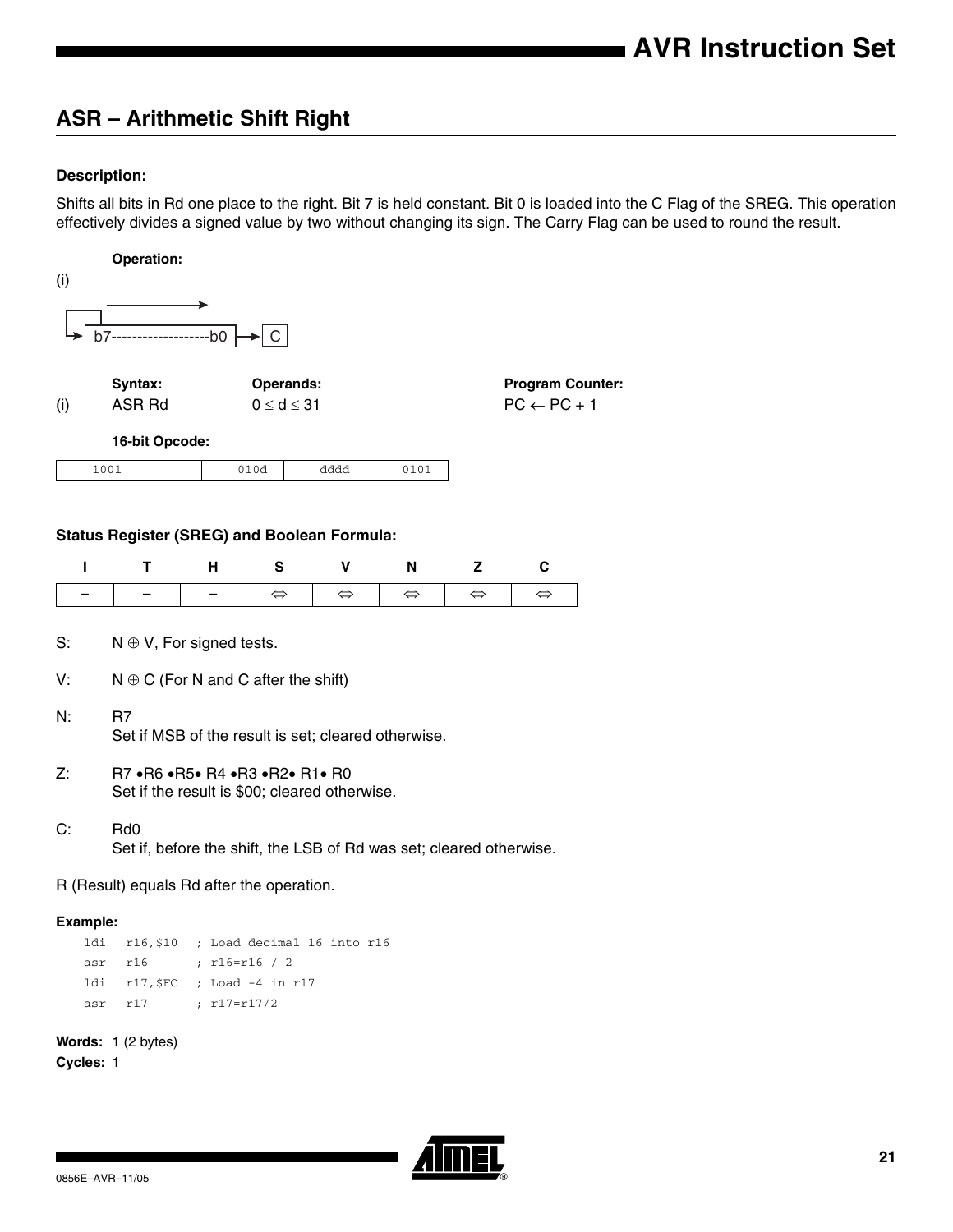# **ASR – Arithmetic Shift Right**

# **Description:**

Shifts all bits in Rd one place to the right. Bit 7 is held constant. Bit 0 is loaded into the C Flag of the SREG. This operation effectively divides a signed value by two without changing its sign. The Carry Flag can be used to round the result.

|                                           | Operation:                                                                                                                                                                                            |                 |                                                 |                   |                   |                   |                         |  |
|-------------------------------------------|-------------------------------------------------------------------------------------------------------------------------------------------------------------------------------------------------------|-----------------|-------------------------------------------------|-------------------|-------------------|-------------------|-------------------------|--|
| (i)                                       |                                                                                                                                                                                                       |                 |                                                 |                   |                   |                   |                         |  |
|                                           |                                                                                                                                                                                                       |                 |                                                 |                   |                   |                   |                         |  |
|                                           | b7---                                                                                                                                                                                                 | --h0            | C.                                              |                   |                   |                   |                         |  |
|                                           |                                                                                                                                                                                                       |                 |                                                 |                   |                   |                   |                         |  |
|                                           | Syntax:                                                                                                                                                                                               |                 | Operands:                                       |                   |                   |                   | <b>Program Counter:</b> |  |
| (i)                                       | ASR Rd                                                                                                                                                                                                |                 | $0 \leq d \leq 31$                              |                   |                   |                   | $PC \leftarrow PC + 1$  |  |
|                                           | 16-bit Opcode:                                                                                                                                                                                        |                 |                                                 |                   |                   |                   |                         |  |
|                                           | 1001                                                                                                                                                                                                  |                 | 010d                                            | dddd              | 0101              |                   |                         |  |
|                                           |                                                                                                                                                                                                       |                 |                                                 |                   |                   |                   |                         |  |
|                                           |                                                                                                                                                                                                       |                 |                                                 |                   |                   |                   |                         |  |
|                                           | <b>Status Register (SREG) and Boolean Formula:</b>                                                                                                                                                    |                 |                                                 |                   |                   |                   |                         |  |
| I                                         | т                                                                                                                                                                                                     | н               | S                                               | ٧                 | N                 | z                 | С                       |  |
|                                           |                                                                                                                                                                                                       |                 | $\Leftrightarrow$                               | $\Leftrightarrow$ | $\Leftrightarrow$ | $\Leftrightarrow$ | $\Leftrightarrow$       |  |
|                                           |                                                                                                                                                                                                       |                 |                                                 |                   |                   |                   |                         |  |
| S.                                        | $N \oplus V$ , For signed tests.                                                                                                                                                                      |                 |                                                 |                   |                   |                   |                         |  |
| V.                                        | $N \oplus C$ (For N and C after the shift)                                                                                                                                                            |                 |                                                 |                   |                   |                   |                         |  |
|                                           |                                                                                                                                                                                                       |                 |                                                 |                   |                   |                   |                         |  |
| N:                                        | R7<br>Set if MSB of the result is set; cleared otherwise.                                                                                                                                             |                 |                                                 |                   |                   |                   |                         |  |
|                                           |                                                                                                                                                                                                       |                 |                                                 |                   |                   |                   |                         |  |
| Z:                                        | $\overline{\text{R7}}$ • $\overline{\text{R6}}$ • $\overline{\text{R5}}$ • $\overline{\text{R4}}$ • $\overline{\text{R3}}$ • $\overline{\text{R2}}$ • $\overline{\text{R1}}$ • $\overline{\text{R0}}$ |                 |                                                 |                   |                   |                   |                         |  |
|                                           | Set if the result is \$00; cleared otherwise.                                                                                                                                                         |                 |                                                 |                   |                   |                   |                         |  |
| C:                                        | R <sub>d</sub> 0                                                                                                                                                                                      |                 |                                                 |                   |                   |                   |                         |  |
|                                           | Set if, before the shift, the LSB of Rd was set; cleared otherwise.                                                                                                                                   |                 |                                                 |                   |                   |                   |                         |  |
| R (Result) equals Rd after the operation. |                                                                                                                                                                                                       |                 |                                                 |                   |                   |                   |                         |  |
|                                           |                                                                                                                                                                                                       |                 |                                                 |                   |                   |                   |                         |  |
| Example:<br>ldi                           |                                                                                                                                                                                                       |                 |                                                 |                   |                   |                   |                         |  |
| asr                                       | r16, \$10<br>r16                                                                                                                                                                                      |                 | ; Load decimal 16 into r16<br>; $r16 = r16 / 2$ |                   |                   |                   |                         |  |
| ldi                                       | $r17,$ \$FC                                                                                                                                                                                           |                 | ; Load -4 in r17                                |                   |                   |                   |                         |  |
| asr                                       | r17                                                                                                                                                                                                   | ; $r17 = r17/2$ |                                                 |                   |                   |                   |                         |  |
|                                           |                                                                                                                                                                                                       |                 |                                                 |                   |                   |                   |                         |  |
|                                           | Words: 1 (2 bytes)                                                                                                                                                                                    |                 |                                                 |                   |                   |                   |                         |  |

**Cycles:** 1

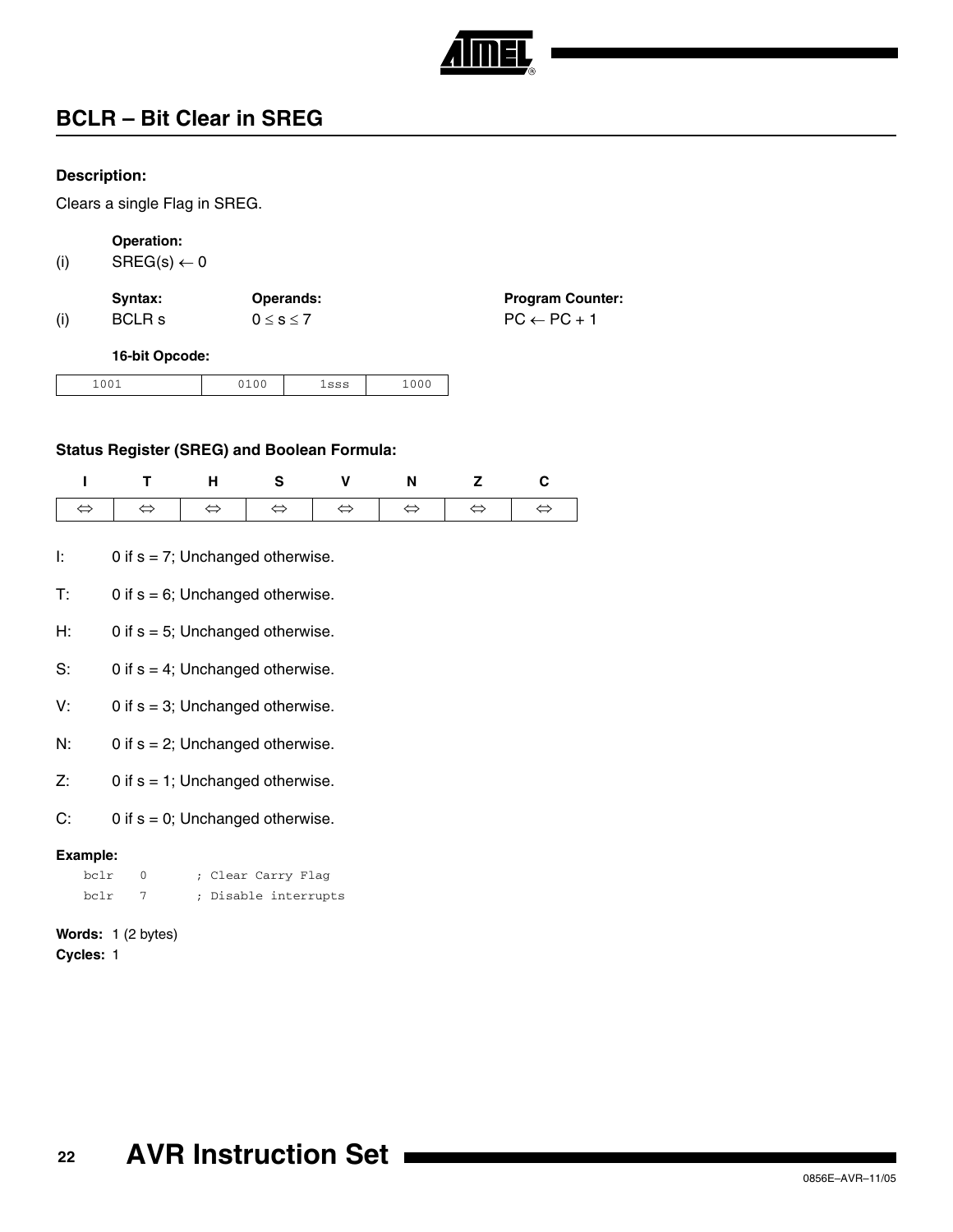# **BCLR – Bit Clear in SREG**

#### **Description:**

Clears a single Flag in SREG.

# **Operation:**

(i)  $SREG(s) \leftarrow 0$ 

|     | Syntax:       | <b>Operands:</b>  | <b>Program Counter:</b> |
|-----|---------------|-------------------|-------------------------|
| (i) | <b>BCLR s</b> | $0 \leq s \leq 7$ | $PC \leftarrow PC + 1$  |

#### **16-bit Opcode:**

| 100 <sup>2</sup><br>$\cap$<br>ددد<br>◡<br>$-0$<br>$ -$<br>----<br>. |
|---------------------------------------------------------------------|
|---------------------------------------------------------------------|

### **Status Register (SREG) and Boolean Formula:**

| ITHS V N Z C |  |  |  |
|--------------|--|--|--|
|              |  |  |  |

- I:  $0$  if  $s = 7$ ; Unchanged otherwise.
- $T: 0$  if  $s = 6$ ; Unchanged otherwise.
- H:  $0$  if  $s = 5$ ; Unchanged otherwise.
- S:  $0$  if  $s = 4$ ; Unchanged otherwise.
- $V: 0$  if  $s = 3$ ; Unchanged otherwise.
- N:  $0$  if  $s = 2$ ; Unchanged otherwise.
- $Z: 0$  if  $s = 1$ ; Unchanged otherwise.
- C:  $0$  if  $s = 0$ ; Unchanged otherwise.

#### **Example:**

| bclr |  | ; Clear Carry Flag   |
|------|--|----------------------|
| bclr |  | ; Disable interrupts |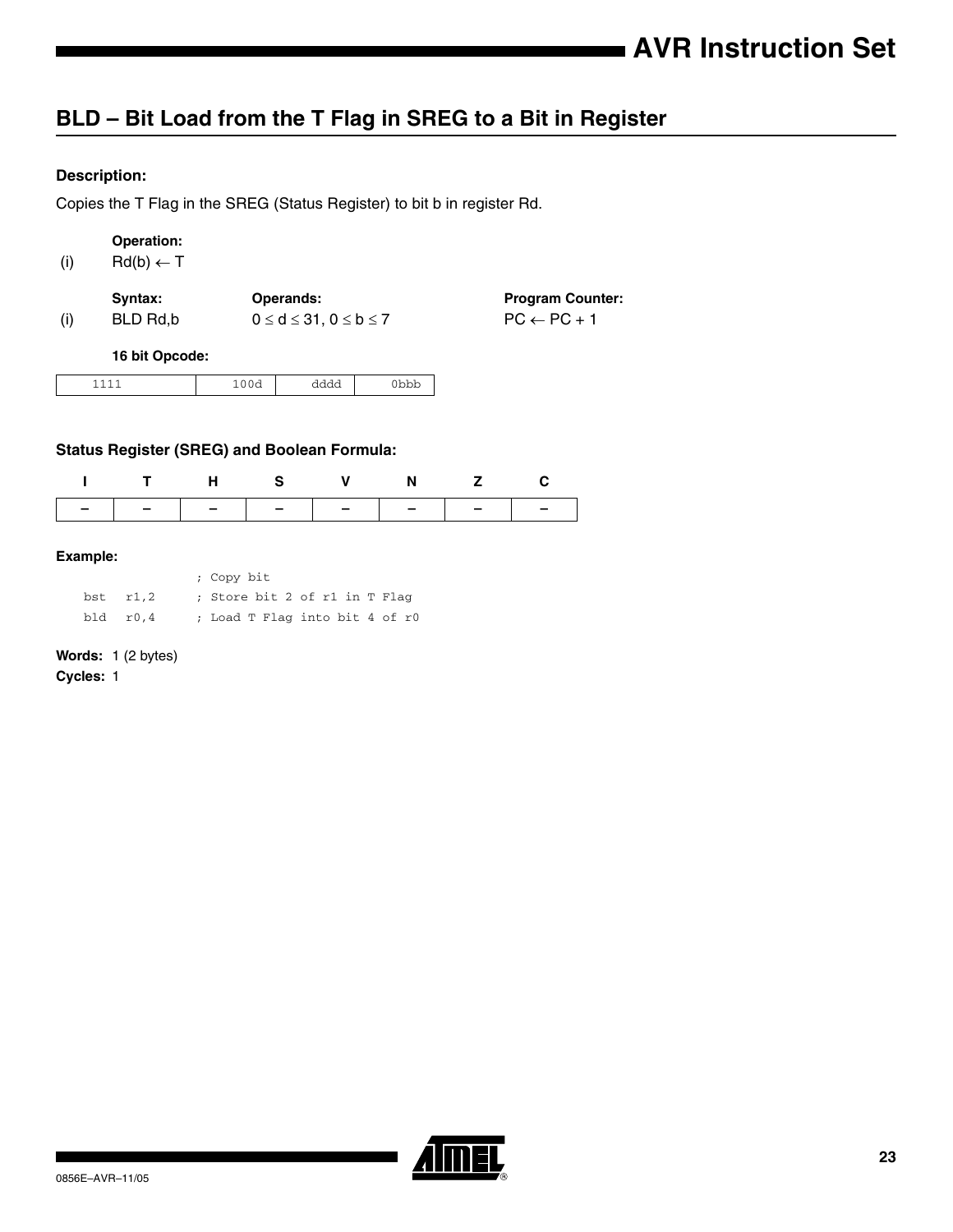# **BLD – Bit Load from the T Flag in SREG to a Bit in Register**

### **Description:**

Copies the T Flag in the SREG (Status Register) to bit b in register Rd.

# **Operation:**

(i)  $Rd(b) \leftarrow T$ 

|     | Syntax:  | Operands:                              | <b>Program Counter:</b> |
|-----|----------|----------------------------------------|-------------------------|
| (i) | BLD Rd.b | $0 \leq d \leq 31$ , $0 \leq b \leq 7$ | $PC \leftarrow PC + 1$  |

**16 bit Opcode:**

| - | ∽<br>. | uuu<br>. | ш.<br>תממו<br>------ |
|---|--------|----------|----------------------|
|---|--------|----------|----------------------|

# **Status Register (SREG) and Boolean Formula:**

|                               |  | THS V N Z |  |
|-------------------------------|--|-----------|--|
| -   -   -   -   -   -   -   - |  |           |  |

### **Example:**

|              |  | ; Copy bit                     |  |  |  |
|--------------|--|--------------------------------|--|--|--|
| $bst$ $r1.2$ |  | ; Store bit 2 of r1 in T Flag  |  |  |  |
| bld r0.4     |  | ; Load T Flag into bit 4 of r0 |  |  |  |

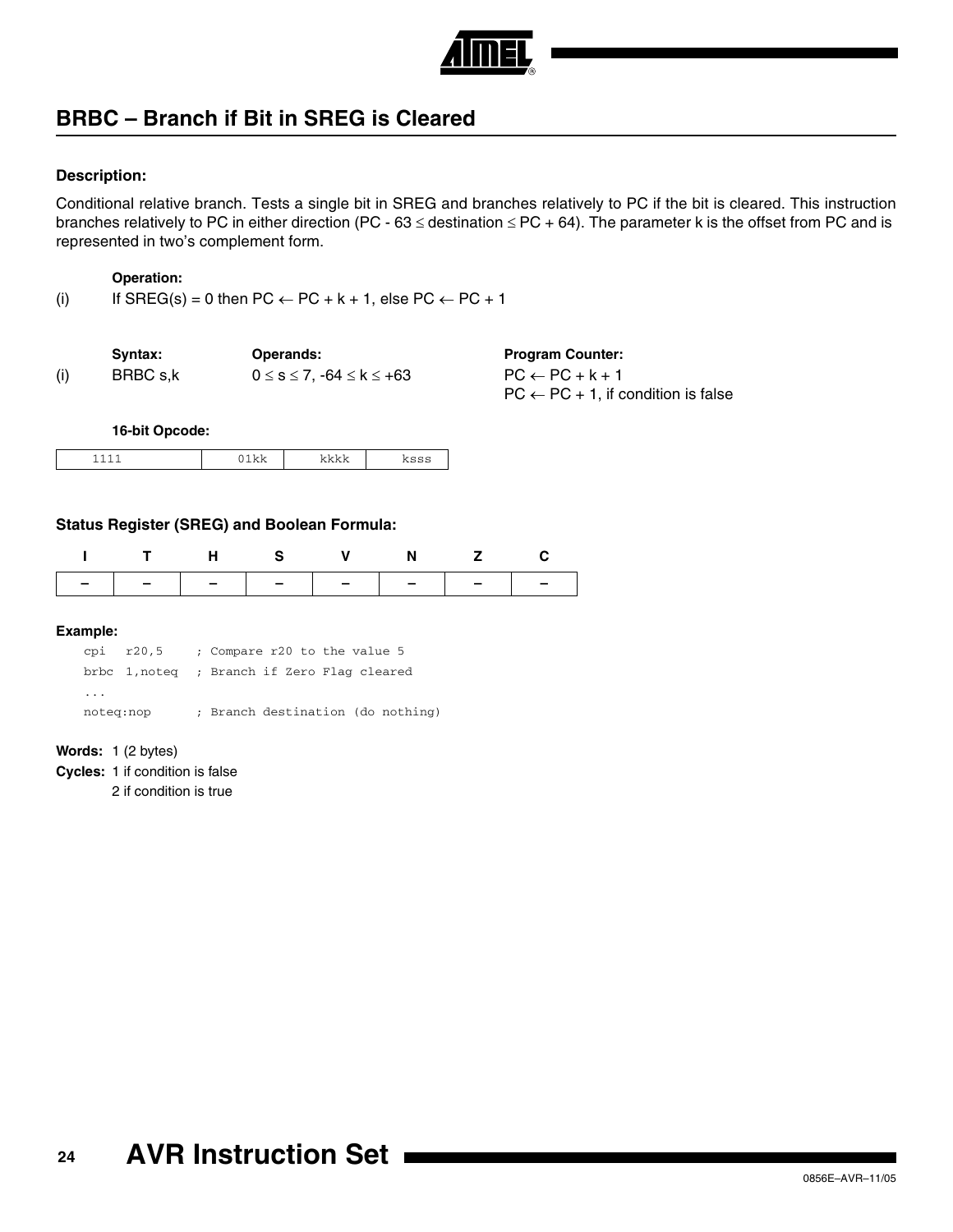

# **BRBC – Branch if Bit in SREG is Cleared**

### **Description:**

Conditional relative branch. Tests a single bit in SREG and branches relatively to PC if the bit is cleared. This instruction branches relatively to PC in either direction (PC - 63  $\le$  destination  $\le$  PC + 64). The parameter k is the offset from PC and is represented in two's complement form.

#### **Operation:**

(i) If SREG(s) = 0 then  $PC \leftarrow PC + k + 1$ , else  $PC \leftarrow PC + 1$ 

| Syntax:  | <b>Operands:</b>                            | <b>Program Counter:</b>    |
|----------|---------------------------------------------|----------------------------|
| BRBC s,k | $0 \leq s \leq 7$ , -64 $\leq$ k $\leq$ +63 | $PC \leftarrow PC + k + 1$ |

**Syntands:** Program Counter:  $PC \leftarrow PC + 1$ , if condition is false

**16-bit Opcode:**

|--|--|--|--|

### **Status Register (SREG) and Boolean Formula:**

|                               | T H S V |  | $\mathsf{Z}$ |  |
|-------------------------------|---------|--|--------------|--|
| -   -   -   -   -   -   -   - |         |  |              |  |

#### **Example:**

cpi r20,5 ; Compare r20 to the value 5 brbc 1,noteq ; Branch if Zero Flag cleared ... noteq:nop ; Branch destination (do nothing)

**Words:** 1 (2 bytes)

**Cycles:** 1 if condition is false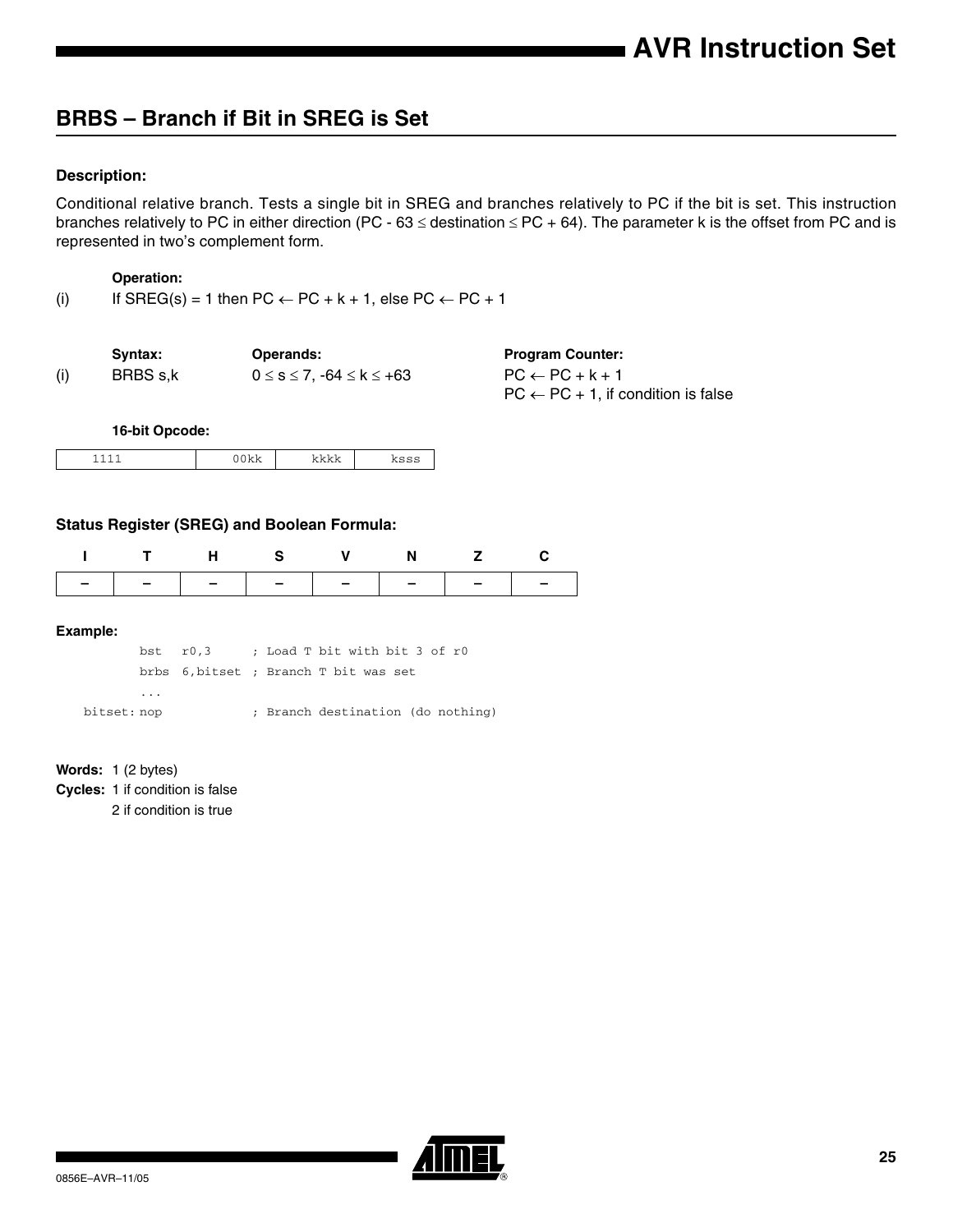# **BRBS – Branch if Bit in SREG is Set**

### **Description:**

Conditional relative branch. Tests a single bit in SREG and branches relatively to PC if the bit is set. This instruction branches relatively to PC in either direction (PC - 63  $\le$  destination  $\le$  PC + 64). The parameter k is the offset from PC and is represented in two's complement form.

### **Operation:**

(i) If SREG(s) = 1 then  $PC \leftarrow PC + k + 1$ , else  $PC \leftarrow PC + 1$ 

|     | Syntax:  | <b>Operands:</b>                            |
|-----|----------|---------------------------------------------|
| (i) | BRBS s,k | $0 \leq s \leq 7$ , -64 $\leq$ k $\leq$ +63 |

**Program Counter:**  $PC \leftarrow PC + k + 1$  $PC \leftarrow PC + 1$ , if condition is false

**16-bit Opcode:**

|--|--|--|--|

### **Status Register (SREG) and Boolean Formula:**

|  |                   | N |  |
|--|-------------------|---|--|
|  | ----------------- |   |  |

#### **Example:**

bst r0,3 ; Load T bit with bit 3 of r0 brbs 6,bitset ; Branch T bit was set ... bitset: nop ; Branch destination (do nothing)

#### **Words:** 1 (2 bytes)

**Cycles:** 1 if condition is false

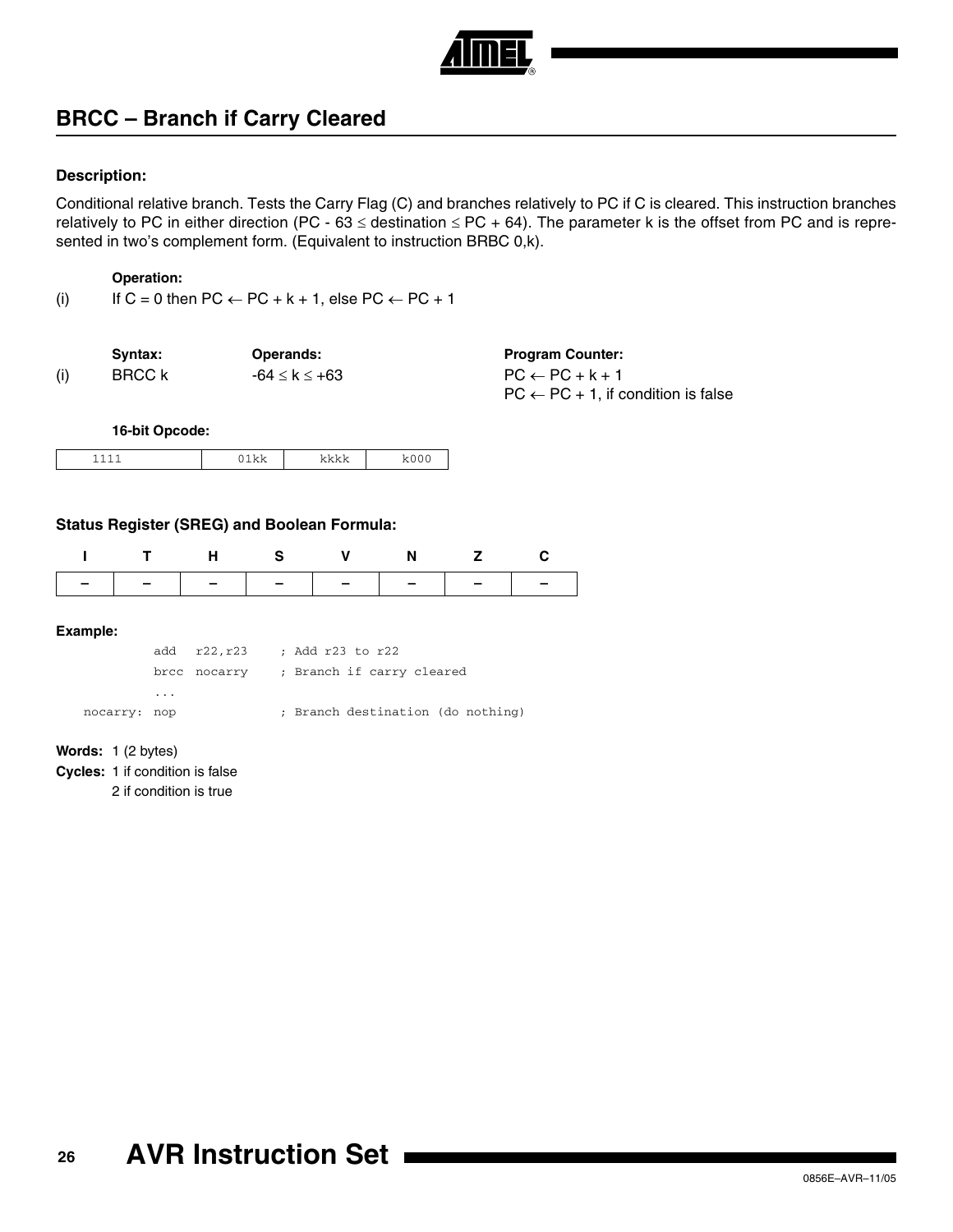# **BRCC – Branch if Carry Cleared**

#### **Description:**

Conditional relative branch. Tests the Carry Flag (C) and branches relatively to PC if C is cleared. This instruction branches relatively to PC in either direction (PC - 63  $\le$  destination  $\le$  PC + 64). The parameter k is the offset from PC and is represented in two's complement form. (Equivalent to instruction BRBC 0,k).

#### **Operation:**

(i) If  $C = 0$  then  $PC \leftarrow PC + k + 1$ , else  $PC \leftarrow PC + 1$ 

|     | Svntax: | <b>Operands:</b> | <b>Program Counter:</b>                        |
|-----|---------|------------------|------------------------------------------------|
| (i) | BRCC k  | -64 ≤ k ≤ +63    | $PC \leftarrow PC + k + 1$                     |
|     |         |                  | $PC \leftarrow PC + 1$ , if condition is false |

#### **16-bit Opcode:**

|--|--|--|--|

#### **Status Register (SREG) and Boolean Formula:**

|  |                   | N |  |
|--|-------------------|---|--|
|  | ----------------- |   |  |

#### **Example:**

add r22,r23 ; Add r23 to r22 brcc nocarry ; Branch if carry cleared ... nocarry: nop  $\hspace{1cm}$ ; Branch destination (do nothing)

#### **Words:** 1 (2 bytes)

**Cycles:** 1 if condition is false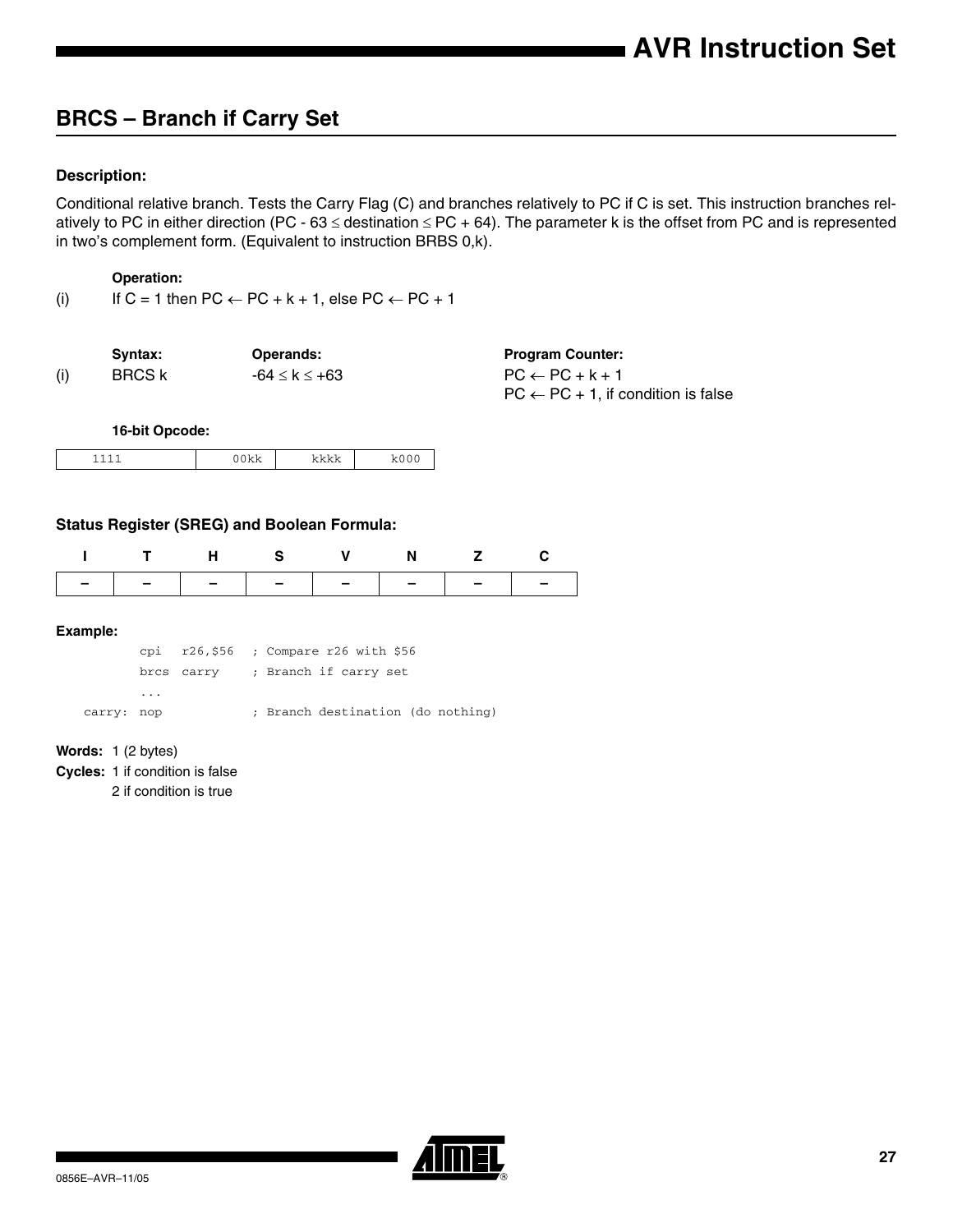# **BRCS – Branch if Carry Set**

### **Description:**

Conditional relative branch. Tests the Carry Flag (C) and branches relatively to PC if C is set. This instruction branches relatively to PC in either direction (PC - 63  $\le$  destination  $\le$  PC + 64). The parameter k is the offset from PC and is represented in two's complement form. (Equivalent to instruction BRBS 0,k).

#### **Operation:**

(i) If  $C = 1$  then  $PC \leftarrow PC + k + 1$ , else  $PC \leftarrow PC + 1$ 

|     | Svntax: | <b>Operands:</b> | <b>Program Counter:</b>                        |
|-----|---------|------------------|------------------------------------------------|
| (i) | BRCS k  | -64 ≤ k ≤ +63    | $PC \leftarrow PC + k + 1$                     |
|     |         |                  | $PC \leftarrow PC + 1$ , if condition is false |

**16-bit Opcode:**

| — —<br>-- - |  | <br>.<br>. | __ |
|-------------|--|------------|----|
|-------------|--|------------|----|

### **Status Register (SREG) and Boolean Formula:**

|  |                   | N |  |
|--|-------------------|---|--|
|  | ----------------- |   |  |

#### **Example:**

cpi r26,\$56 ; Compare r26 with \$56 brcs carry ; Branch if carry set ... carry: nop ; Branch destination (do nothing)

#### **Words:** 1 (2 bytes)

**Cycles:** 1 if condition is false

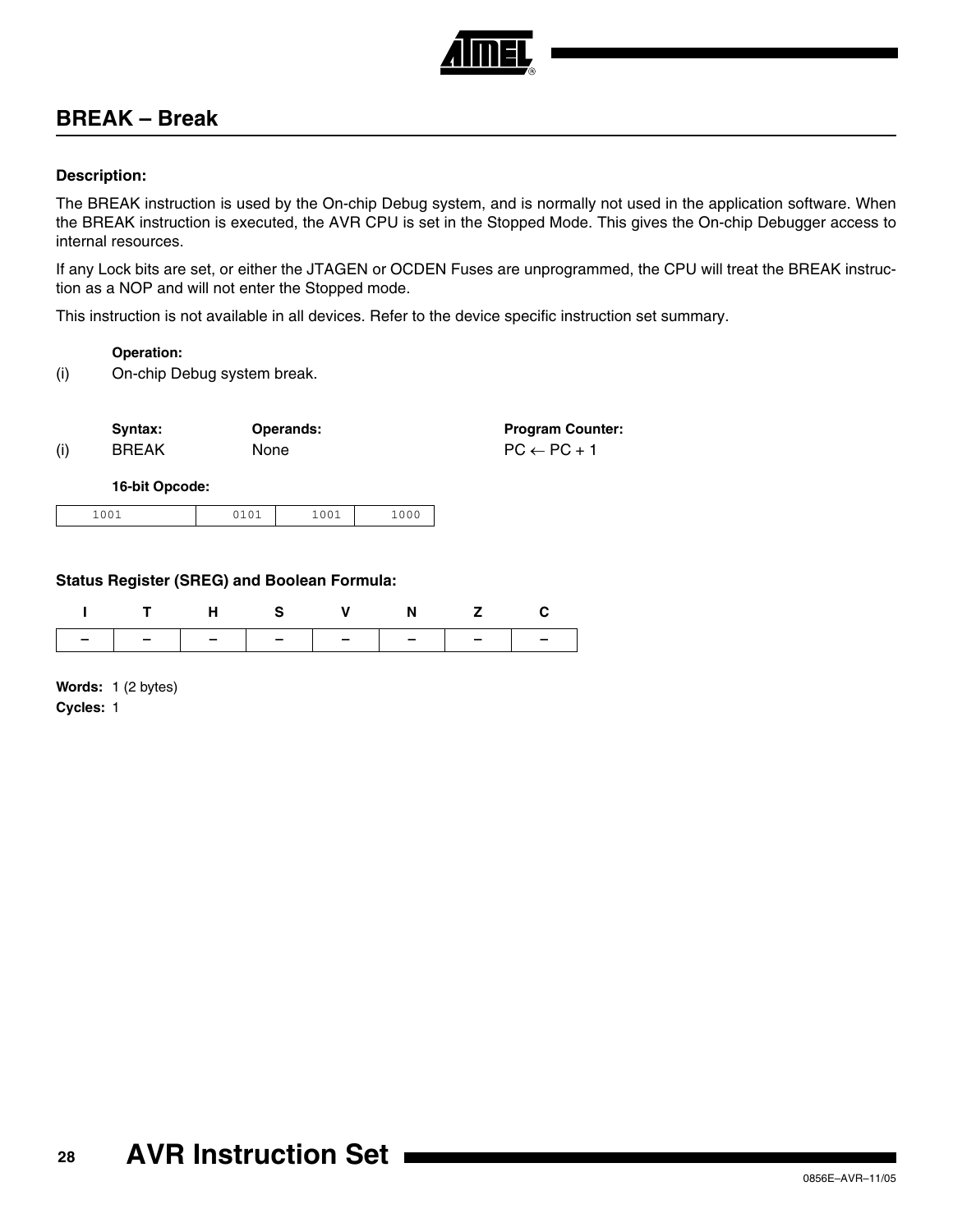

# **BREAK – Break**

### **Description:**

The BREAK instruction is used by the On-chip Debug system, and is normally not used in the application software. When the BREAK instruction is executed, the AVR CPU is set in the Stopped Mode. This gives the On-chip Debugger access to internal resources.

If any Lock bits are set, or either the JTAGEN or OCDEN Fuses are unprogrammed, the CPU will treat the BREAK instruction as a NOP and will not enter the Stopped mode.

This instruction is not available in all devices. Refer to the device specific instruction set summary.

#### **Operation:**

(i) On-chip Debug system break.

|     | Syntax:      | Operands:   | <b>Program Counter:</b> |
|-----|--------------|-------------|-------------------------|
| (i) | <b>BREAK</b> | <b>None</b> | $PC \leftarrow PC + 1$  |
|     |              |             |                         |

### **16-bit Opcode:**

| 0.04 | $A \cap A$ | $\sim$ $\sim$ |  |
|------|------------|---------------|--|
| ---- |            | $-0$          |  |

### **Status Register (SREG) and Boolean Formula:**

|                               | T H S V N |  |  |
|-------------------------------|-----------|--|--|
| -   -   -   -   -   -   -   - |           |  |  |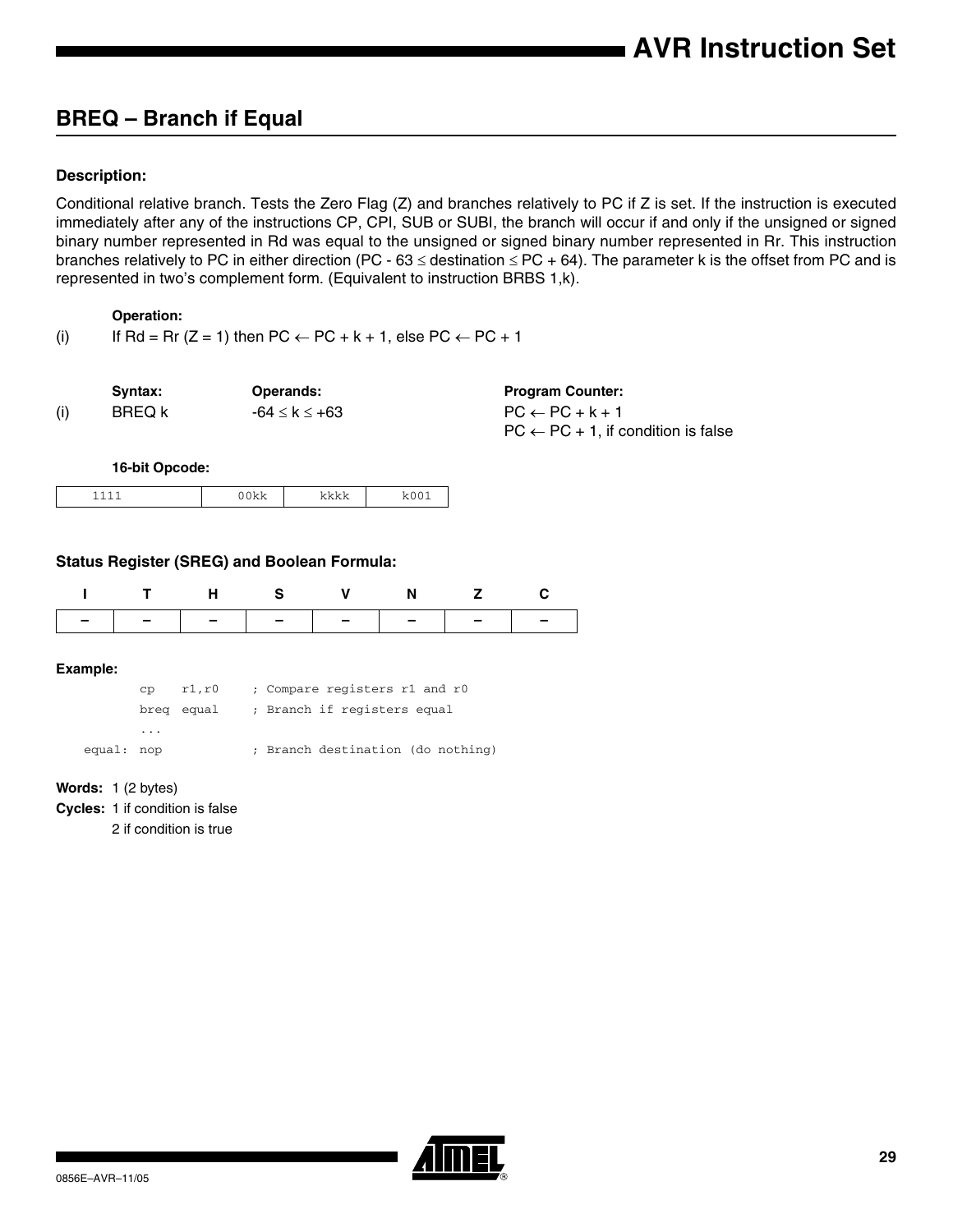# **BREQ – Branch if Equal**

# **Description:**

Conditional relative branch. Tests the Zero Flag (Z) and branches relatively to PC if Z is set. If the instruction is executed immediately after any of the instructions CP, CPI, SUB or SUBI, the branch will occur if and only if the unsigned or signed binary number represented in Rd was equal to the unsigned or signed binary number represented in Rr. This instruction branches relatively to PC in either direction (PC - 63  $\le$  destination  $\le$  PC + 64). The parameter k is the offset from PC and is represented in two's complement form. (Equivalent to instruction BRBS 1,k).

#### **Operation:**

(i) If Rd = Rr (Z = 1) then PC  $\leftarrow$  PC + k + 1, else PC  $\leftarrow$  PC + 1

|     | Syntax:       | <b>Operands:</b>      | Progi           |
|-----|---------------|-----------------------|-----------------|
| (i) | <b>BREQ k</b> | $-64 \leq k \leq +63$ | $PC \leftarrow$ |
|     |               |                       | DO 2            |

ram Counter:  $-PC + k + 1$  $PC \leftarrow PC + 1$ , if condition is false

**16-bit Opcode:**

|  | __ |
|--|----|

### **Status Register (SREG) and Boolean Formula:**

|  |  | ITHS V N Z C                  |  |
|--|--|-------------------------------|--|
|  |  | -   -   -   -   -   -   -   - |  |

#### **Example:**

|            | CD.                     | r1.r0      |  | ; Compare registers r1 and r0     |  |
|------------|-------------------------|------------|--|-----------------------------------|--|
|            |                         | breg equal |  | ; Branch if registers equal       |  |
|            | $\cdot$ $\cdot$ $\cdot$ |            |  |                                   |  |
| equal: nop |                         |            |  | ; Branch destination (do nothing) |  |

#### **Words:** 1 (2 bytes)

**Cycles:** 1 if condition is false

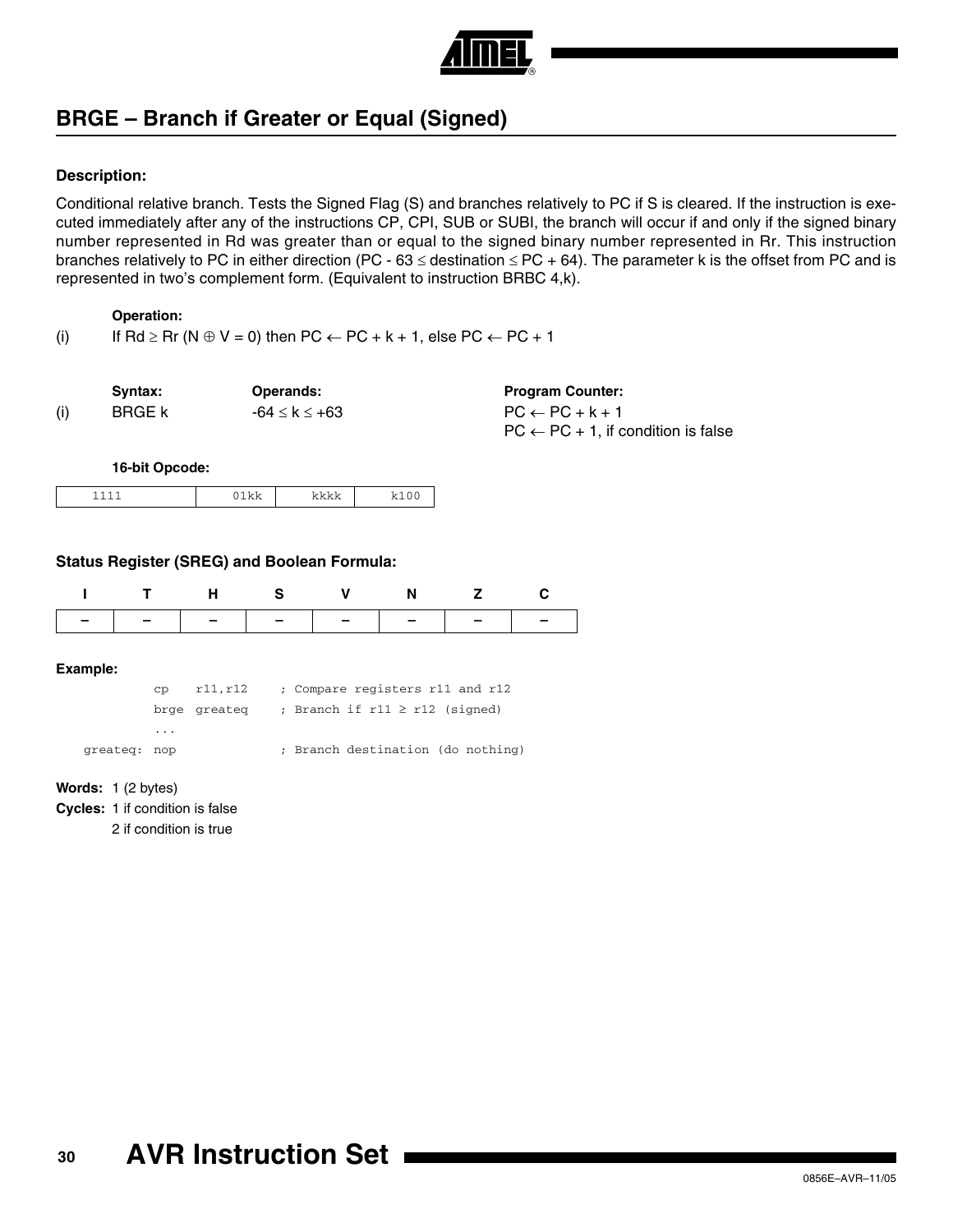

# **BRGE – Branch if Greater or Equal (Signed)**

### **Description:**

Conditional relative branch. Tests the Signed Flag (S) and branches relatively to PC if S is cleared. If the instruction is executed immediately after any of the instructions CP, CPI, SUB or SUBI, the branch will occur if and only if the signed binary number represented in Rd was greater than or equal to the signed binary number represented in Rr. This instruction branches relatively to PC in either direction (PC - 63  $\le$  destination  $\le$  PC + 64). The parameter k is the offset from PC and is represented in two's complement form. (Equivalent to instruction BRBC 4,k).

#### **Operation:**

(i) If Rd  $\geq$  Rr (N  $\oplus$  V = 0) then PC  $\leftarrow$  PC + k + 1, else PC  $\leftarrow$  PC + 1

| Syntax:       | <b>Operands:</b>      | <b>Program Counter:</b>                        |
|---------------|-----------------------|------------------------------------------------|
| <b>BRGE k</b> | $-64 \leq k \leq +63$ | $PC \leftarrow PC + k + 1$                     |
|               |                       | $PC \leftarrow PC + 1$ , if condition is false |

**16-bit Opcode:**

| - 12<br>$\sim$ |
|----------------|
|----------------|

#### **Status Register (SREG) and Boolean Formula:**

|          |          | н                                          | s | v                                          | N |  | С |  |  |  |
|----------|----------|--------------------------------------------|---|--------------------------------------------|---|--|---|--|--|--|
|          |          |                                            |   |                                            |   |  |   |  |  |  |
| Example: |          |                                            |   |                                            |   |  |   |  |  |  |
|          | cp       | ; Compare registers r11 and r12<br>r11,r12 |   |                                            |   |  |   |  |  |  |
|          | brge     |                                            |   | greated ; Branch if $r11 \ge r12$ (signed) |   |  |   |  |  |  |
|          | $\cdots$ |                                            |   |                                            |   |  |   |  |  |  |

greateq: nop (a) ; Branch destination (do nothing)

**Words:** 1 (2 bytes)

**Cycles:** 1 if condition is false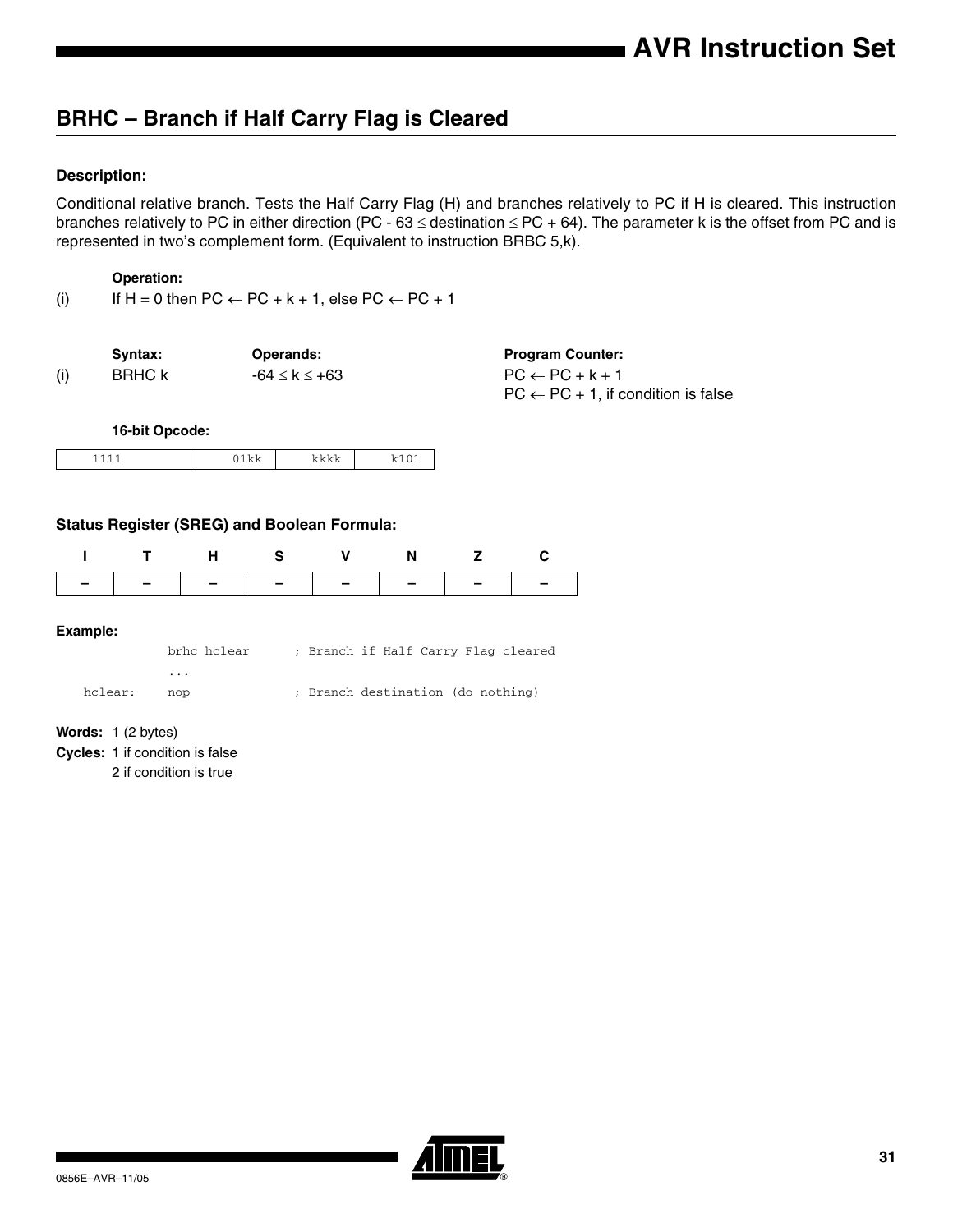# **BRHC – Branch if Half Carry Flag is Cleared**

# **Description:**

Conditional relative branch. Tests the Half Carry Flag (H) and branches relatively to PC if H is cleared. This instruction branches relatively to PC in either direction (PC - 63  $\le$  destination  $\le$  PC + 64). The parameter k is the offset from PC and is represented in two's complement form. (Equivalent to instruction BRBC 5,k).

### **Operation:**

(i) If  $H = 0$  then  $PC \leftarrow PC + k + 1$ , else  $PC \leftarrow PC + 1$ 

|                      | Svntax:               | <b>Operands:</b>           | <b>Program Counter:</b>                        |
|----------------------|-----------------------|----------------------------|------------------------------------------------|
| (i)<br><b>BRHC k</b> | $-64 \leq k \leq +63$ | $PC \leftarrow PC + k + 1$ |                                                |
|                      |                       |                            | $PC \leftarrow PC + 1$ , if condition is false |

**16-bit Opcode:**

| - | . . | $\sim$ 1 $\sim$ |  |
|---|-----|-----------------|--|
|   |     |                 |  |

### **Status Register (SREG) and Boolean Formula:**

|                                 |  | THS V N Z C |  |
|---------------------------------|--|-------------|--|
| l – l – l – l – l – l – l – l – |  |             |  |

#### **Example:**

|         | brhc hclear |  |                                   |  |  | ; Branch if Half Carry Flag cleared |
|---------|-------------|--|-----------------------------------|--|--|-------------------------------------|
|         | .           |  |                                   |  |  |                                     |
| hclear: | nop         |  | ; Branch destination (do nothing) |  |  |                                     |

**Words:** 1 (2 bytes)

**Cycles:** 1 if condition is false

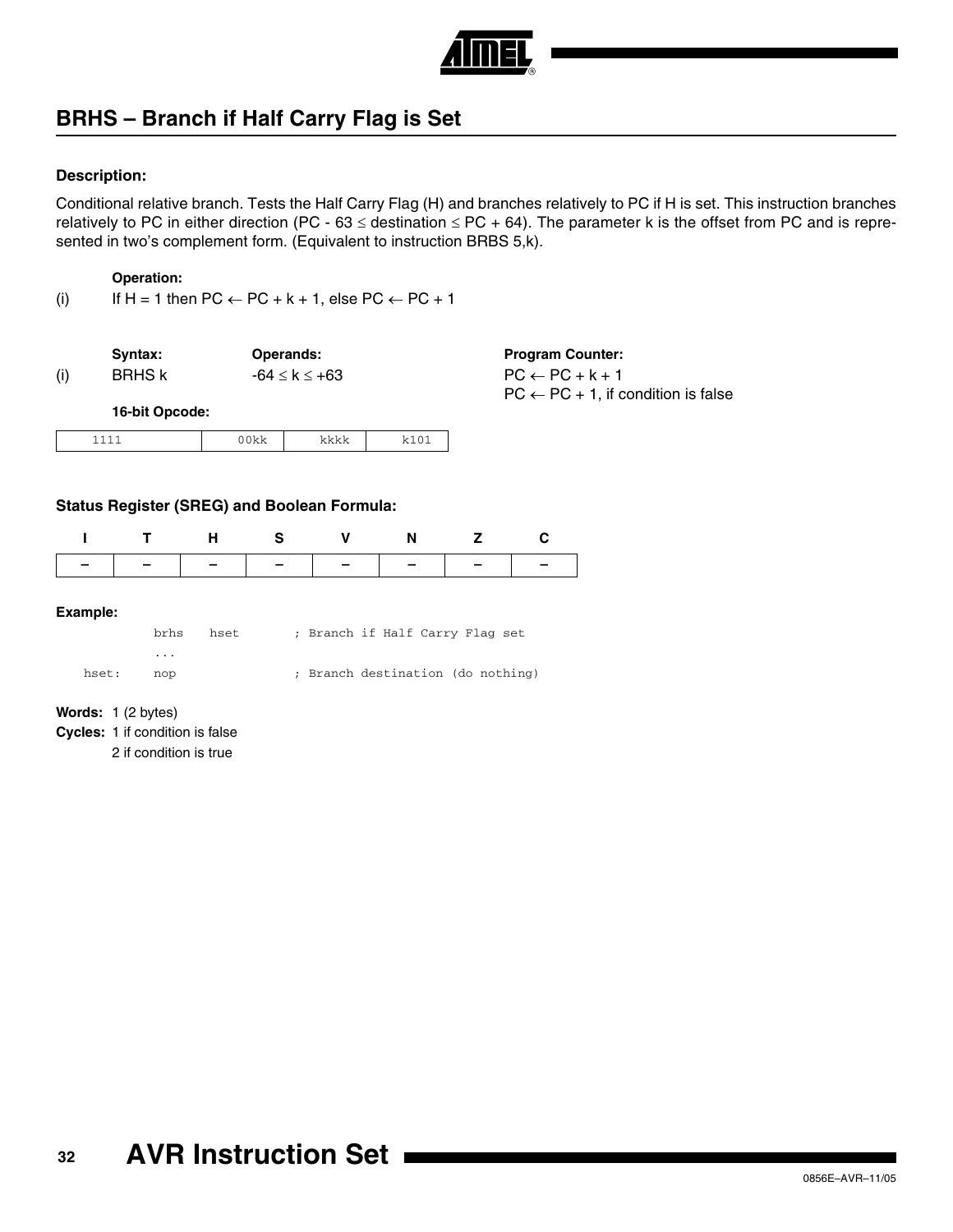

# **BRHS – Branch if Half Carry Flag is Set**

### **Description:**

Conditional relative branch. Tests the Half Carry Flag (H) and branches relatively to PC if H is set. This instruction branches relatively to PC in either direction (PC - 63  $\le$  destination  $\le$  PC + 64). The parameter k is the offset from PC and is represented in two's complement form. (Equivalent to instruction BRBS 5,k).

#### **Operation:**

(i) If H = 1 then  $PC \leftarrow PC + k + 1$ , else  $PC \leftarrow PC + 1$ 

|     | Syntax:        | <b>Operands:</b> | <b>Program Counter:</b>                        |
|-----|----------------|------------------|------------------------------------------------|
| (i) | <b>BRHS k</b>  | -64 ≤ k ≤ +63    | $PC \leftarrow PC + k + 1$                     |
|     |                |                  | $PC \leftarrow PC + 1$ , if condition is false |
|     | 16-bit Opcode: |                  |                                                |

|--|--|--|--|--|

### **Status Register (SREG) and Boolean Formula:**

|          |          | н    |  | N                               |  |
|----------|----------|------|--|---------------------------------|--|
|          |          |      |  |                                 |  |
|          |          |      |  |                                 |  |
| Example: |          |      |  |                                 |  |
|          | brhs     | hset |  | ; Branch if Half Carry Flag set |  |
|          | $\cdots$ |      |  |                                 |  |
| hset:    | nop      |      |  | Branch destination (do nothing) |  |

**Words:** 1 (2 bytes)

**Cycles:** 1 if condition is false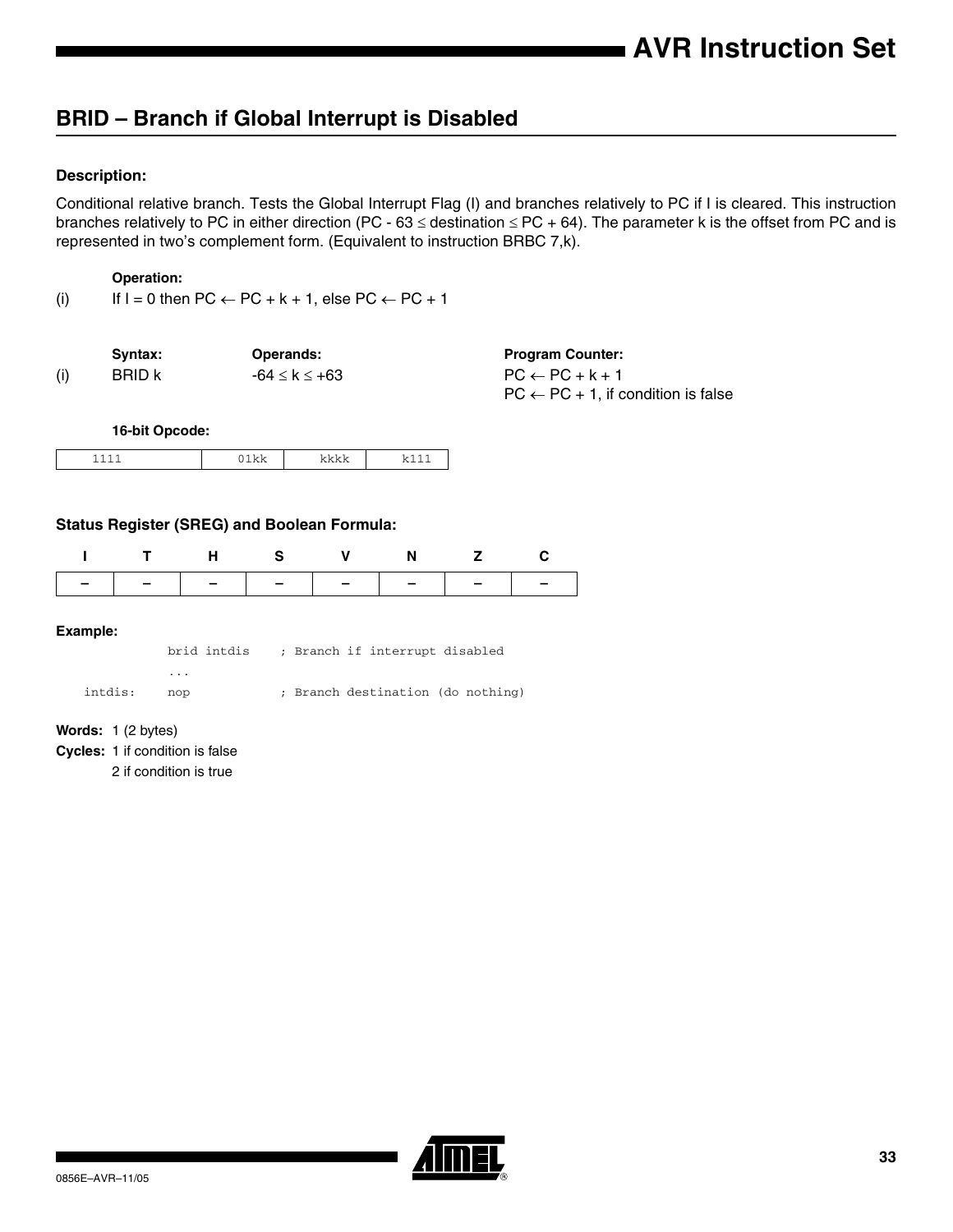# **BRID – Branch if Global Interrupt is Disabled**

# **Description:**

Conditional relative branch. Tests the Global Interrupt Flag (I) and branches relatively to PC if I is cleared. This instruction branches relatively to PC in either direction (PC - 63  $\le$  destination  $\le$  PC + 64). The parameter k is the offset from PC and is represented in two's complement form. (Equivalent to instruction BRBC 7,k).

#### **Operation:**

(i) If  $I = 0$  then  $PC \leftarrow PC + k + 1$ , else  $PC \leftarrow PC + 1$ 

|     | Svntax:       | <b>Operands:</b> | <b>Program Counter:</b>                        |
|-----|---------------|------------------|------------------------------------------------|
| (i) | <b>BRID K</b> | -64 ≤ k ≤ +63    | $PC \leftarrow PC + k + 1$                     |
|     |               |                  | $PC \leftarrow PC + 1$ , if condition is false |

**16-bit Opcode:**

|--|--|--|--|

### **Status Register (SREG) and Boolean Formula:**

|                                 | THS V N Z C |  |  |
|---------------------------------|-------------|--|--|
| I – I – I – I – I – I – I – I – |             |  |  |

#### **Example:**

brid intdis ; Branch if interrupt disabled ... intdis: nop ; Branch destination (do nothing)

**Words:** 1 (2 bytes)

**Cycles:** 1 if condition is false

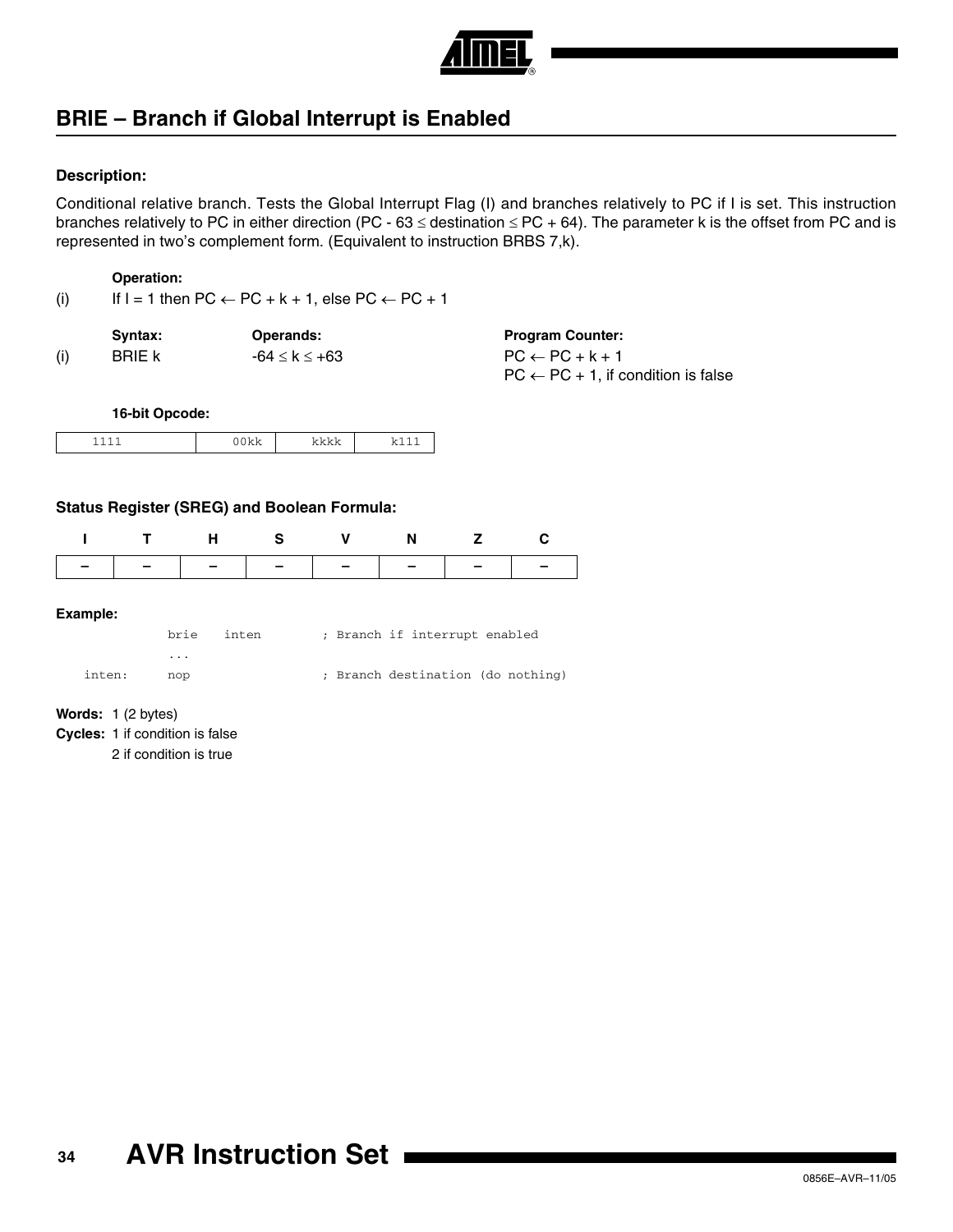

# **BRIE – Branch if Global Interrupt is Enabled**

### **Description:**

Conditional relative branch. Tests the Global Interrupt Flag (I) and branches relatively to PC if I is set. This instruction branches relatively to PC in either direction (PC - 63  $\le$  destination  $\le$  PC + 64). The parameter k is the offset from PC and is represented in two's complement form. (Equivalent to instruction BRBS 7,k).

### **Operation:**

(i) If  $I = 1$  then  $PC \leftarrow PC + k + 1$ , else  $PC \leftarrow PC + 1$ 

|     | Svntax:       | <b>Operands:</b>      | <b>Program Counter:</b>                        |
|-----|---------------|-----------------------|------------------------------------------------|
| (i) | <b>BRIE k</b> | $-64 \leq k \leq +63$ | $PC \leftarrow PC + k + 1$                     |
|     |               |                       | $PC \leftarrow PC + 1$ , if condition is false |

**16-bit Opcode:**

| . . | -- - |
|-----|------|

### **Status Register (SREG) and Boolean Formula:**

| THS V N Z C                   |  |  |  |
|-------------------------------|--|--|--|
| -   -   -   -   -   -   -   - |  |  |  |

#### **Example:**

 $\overline{\phantom{a}}$ 

|        | brie inten |  |  | ; Branch if interrupt enabled     |  |
|--------|------------|--|--|-----------------------------------|--|
|        | $\cdots$   |  |  |                                   |  |
| inten: | nop        |  |  | ; Branch destination (do nothing) |  |

**Words:** 1 (2 bytes)

**Cycles:** 1 if condition is false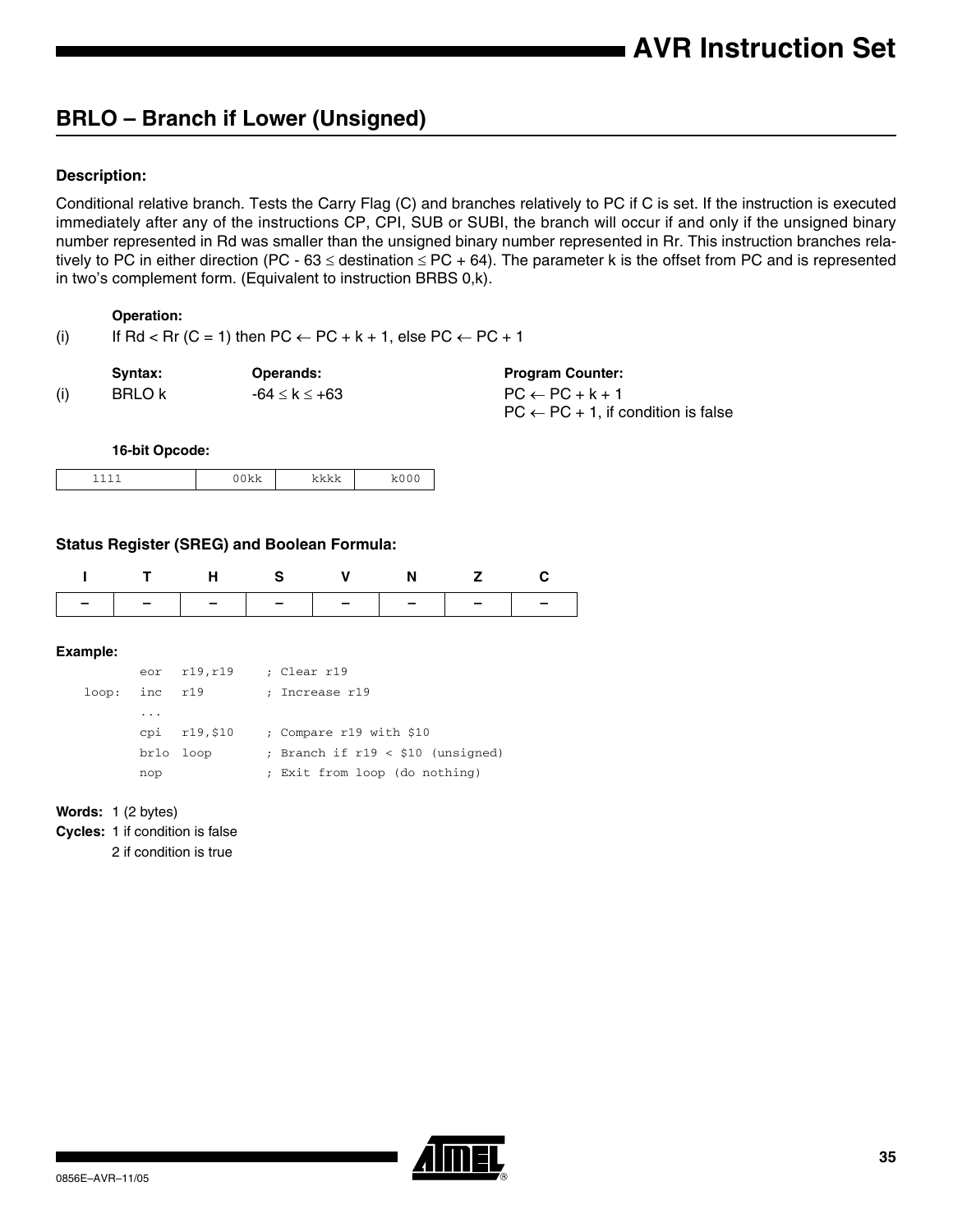# **BRLO – Branch if Lower (Unsigned)**

# **Description:**

Conditional relative branch. Tests the Carry Flag (C) and branches relatively to PC if C is set. If the instruction is executed immediately after any of the instructions CP, CPI, SUB or SUBI, the branch will occur if and only if the unsigned binary number represented in Rd was smaller than the unsigned binary number represented in Rr. This instruction branches relatively to PC in either direction (PC - 63  $\le$  destination  $\le$  PC + 64). The parameter k is the offset from PC and is represented in two's complement form. (Equivalent to instruction BRBS 0,k).

#### **Operation:**

| (i) |  | If Rd < Rr (C = 1) then PC $\leftarrow$ PC + k + 1, else PC $\leftarrow$ PC + 1 |  |  |
|-----|--|---------------------------------------------------------------------------------|--|--|
|     |  |                                                                                 |  |  |

|     | Svntax: | Operands:     | <b>Program Counter:</b>                        |
|-----|---------|---------------|------------------------------------------------|
| (i) | BRLO k  | -64 ≤ k ≤ +63 | $PC \leftarrow PC + k + 1$                     |
|     |         |               | $PC \leftarrow PC + 1$ , if condition is false |

**16-bit Opcode:**

| - | . . | . .<br>. . | __ |
|---|-----|------------|----|

### **Status Register (SREG) and Boolean Formula:**

| THS V N Z C                   |  |  |  |
|-------------------------------|--|--|--|
| -   -   -   -   -   -   -   - |  |  |  |

#### **Example:**

|       |          | $e$ or $r$ 19. $r$ 19 | ; Clear r19                        |
|-------|----------|-----------------------|------------------------------------|
| loop: | inc r19  |                       | : Increase r19                     |
|       | $\cdots$ |                       |                                    |
|       |          | cpi r19,\$10          | : Compare r19 with \$10            |
|       |          | brlo loop             | ; Branch if $r19 < $10$ (unsigned) |
|       | nop      |                       | ; Exit from loop (do nothing)      |

#### **Words:** 1 (2 bytes)

**Cycles:** 1 if condition is false

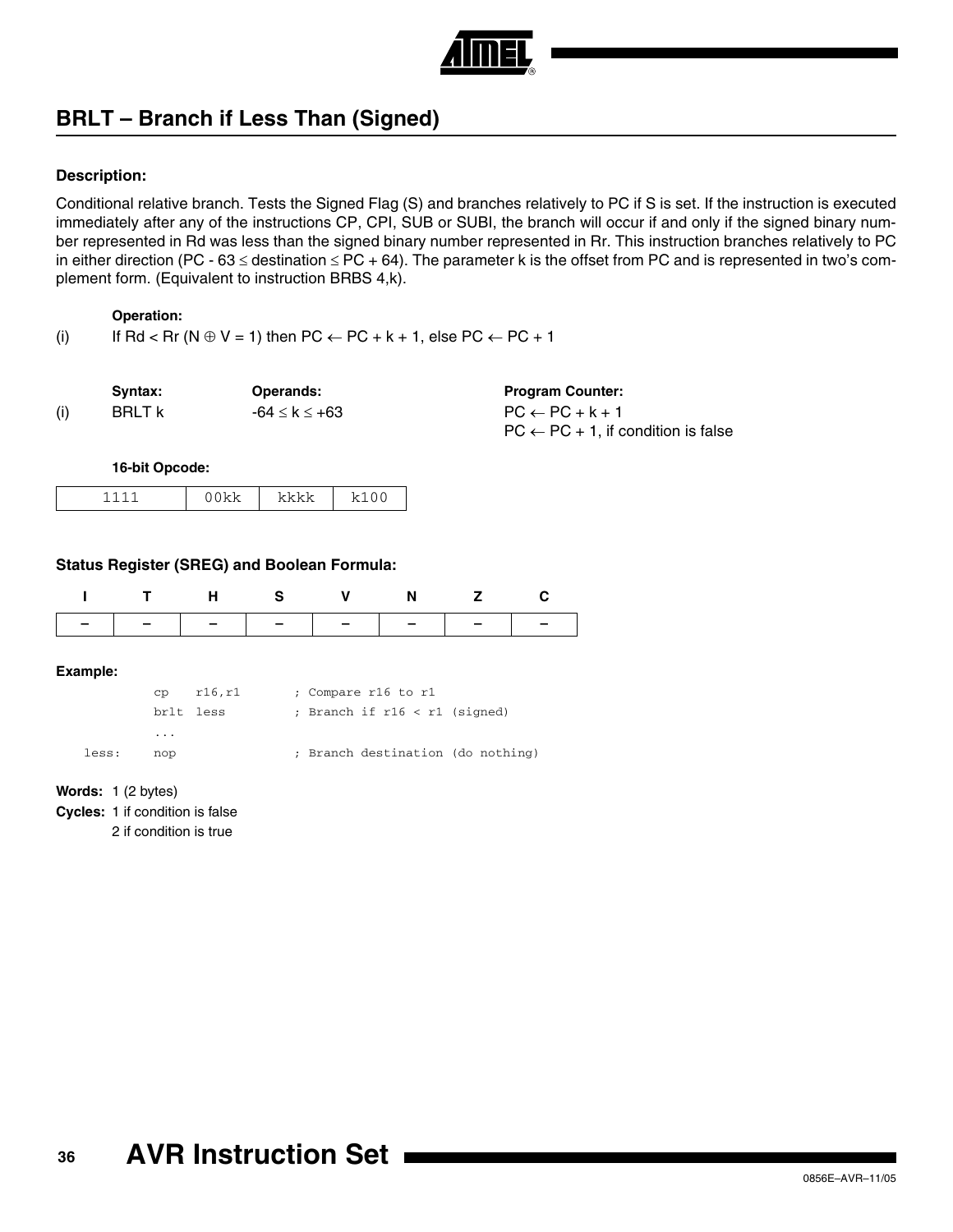# **BRLT – Branch if Less Than (Signed)**

# **Description:**

Conditional relative branch. Tests the Signed Flag (S) and branches relatively to PC if S is set. If the instruction is executed immediately after any of the instructions CP, CPI, SUB or SUBI, the branch will occur if and only if the signed binary number represented in Rd was less than the signed binary number represented in Rr. This instruction branches relatively to PC in either direction (PC - 63  $\le$  destination  $\le$  PC + 64). The parameter k is the offset from PC and is represented in two's complement form. (Equivalent to instruction BRBS 4,k).

### **Operation:**

(i) If Rd < Rr (N  $\oplus$  V = 1) then PC  $\leftarrow$  PC + k + 1, else PC  $\leftarrow$  PC + 1

|     | Svntax:       | <b>Operands:</b>      | <b>Program Counter:</b>                        |
|-----|---------------|-----------------------|------------------------------------------------|
| (i) | <b>BRLT k</b> | $-64 \leq k \leq +63$ | $PC \leftarrow PC + k + 1$                     |
|     |               |                       | $PC \leftarrow PC + 1$ , if condition is false |

**16-bit Opcode:**

| ---- |  |  |
|------|--|--|

### **Status Register (SREG) and Boolean Formula:**

**Example:**

|       |           | $cp$ $r16.r1$ | ; Compare r16 to r1               |
|-------|-----------|---------------|-----------------------------------|
|       | brlt less |               | ; Branch if $r16 < r1$ (signed)   |
|       | $\cdots$  |               |                                   |
| less: | nop       |               | ; Branch destination (do nothing) |

**Words:** 1 (2 bytes)

**Cycles:** 1 if condition is false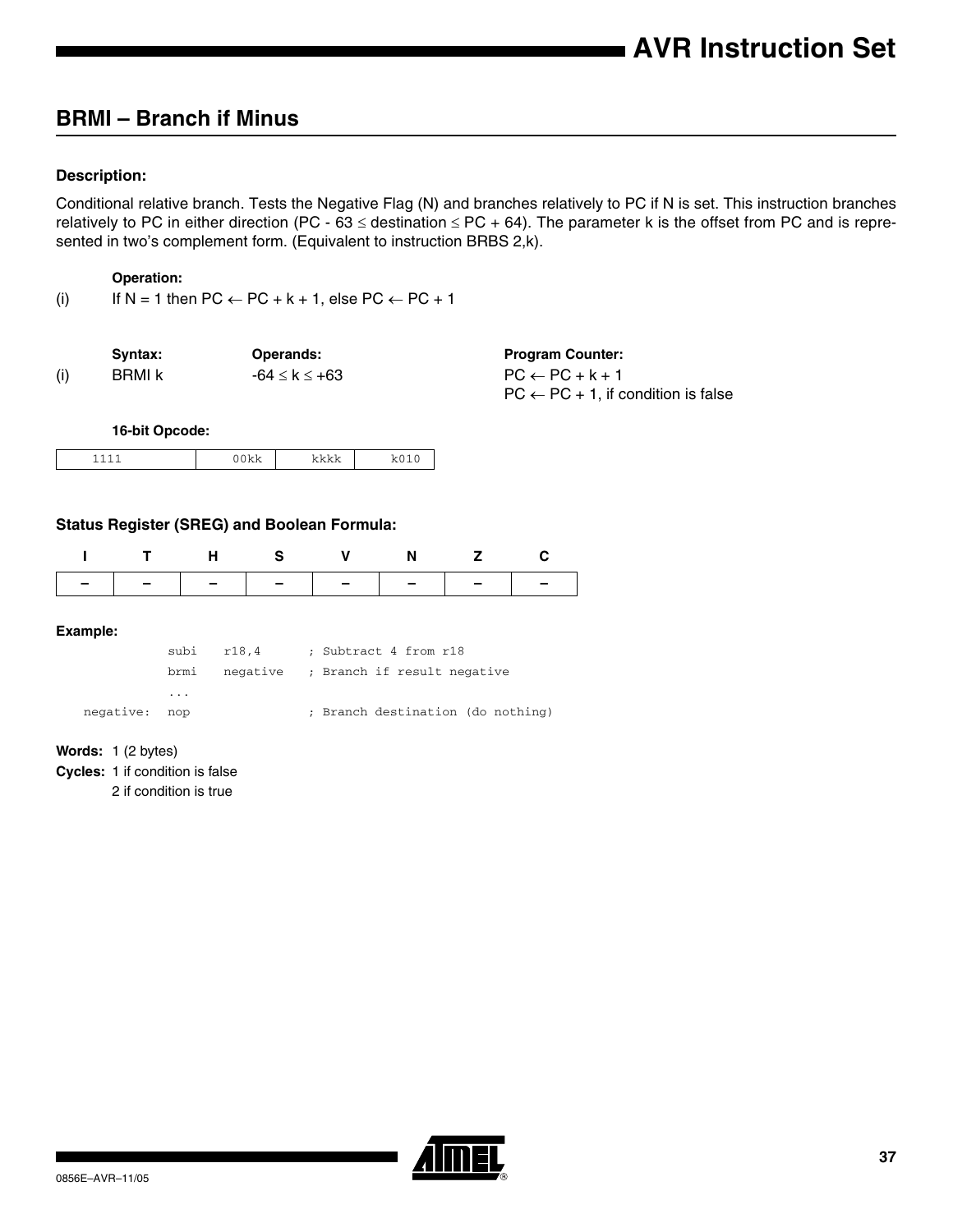### **BRMI – Branch if Minus**

#### **Description:**

Conditional relative branch. Tests the Negative Flag (N) and branches relatively to PC if N is set. This instruction branches relatively to PC in either direction (PC - 63  $\le$  destination  $\le$  PC + 64). The parameter k is the offset from PC and is represented in two's complement form. (Equivalent to instruction BRBS 2,k).

#### **Operation:**

(i) If  $N = 1$  then  $PC \leftarrow PC + k + 1$ , else  $PC \leftarrow PC + 1$ 

|     | Svntax: | Operands:     | <b>Program Counter:</b>                        |
|-----|---------|---------------|------------------------------------------------|
| (i) | BRMI k  | -64 ≤ k ≤ +63 | $PC \leftarrow PC + k + 1$                     |
|     |         |               | $PC \leftarrow PC + 1$ , if condition is false |

**16-bit Opcode:**

|  |  | . |  |
|--|--|---|--|
|--|--|---|--|

#### **Status Register (SREG) and Boolean Formula:**

| I = I = I = I = I = I = I = I = |  |  |  |
|---------------------------------|--|--|--|

#### **Example:**

|               |                         | subi r18,4 | ; Subtract 4 from r18 |                                      |
|---------------|-------------------------|------------|-----------------------|--------------------------------------|
|               | brmi                    |            |                       | negative ; Branch if result negative |
|               | $\cdot$ $\cdot$ $\cdot$ |            |                       |                                      |
| negative: nop |                         |            |                       | ; Branch destination (do nothing)    |

#### **Words:** 1 (2 bytes)

**Cycles:** 1 if condition is false

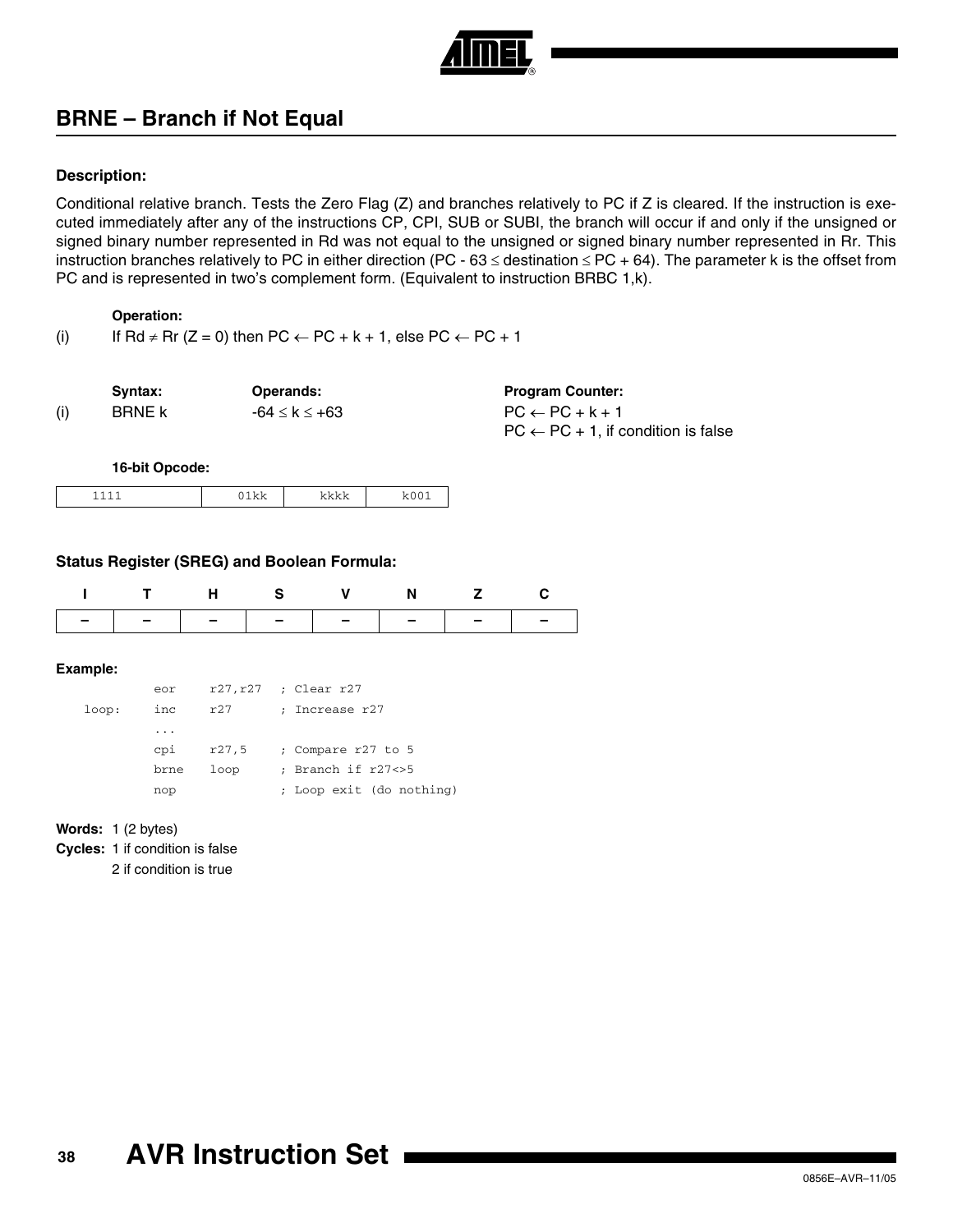## **BRNE – Branch if Not Equal**

#### **Description:**

Conditional relative branch. Tests the Zero Flag (Z) and branches relatively to PC if Z is cleared. If the instruction is executed immediately after any of the instructions CP, CPI, SUB or SUBI, the branch will occur if and only if the unsigned or signed binary number represented in Rd was not equal to the unsigned or signed binary number represented in Rr. This instruction branches relatively to PC in either direction (PC - 63  $\le$  destination  $\le$  PC + 64). The parameter k is the offset from PC and is represented in two's complement form. (Equivalent to instruction BRBC 1,k).

#### **Operation:**

(i) If Rd  $\neq$  Rr (Z = 0) then PC  $\leftarrow$  PC + k + 1, else PC  $\leftarrow$  PC + 1

|     | Syntax:       | <b>Operands:</b>      | <b>Program Counter:</b>                        |
|-----|---------------|-----------------------|------------------------------------------------|
| (i) | <b>BRNE k</b> | $-64 \leq k \leq +63$ | $PC \leftarrow PC + k + 1$                     |
|     |               |                       | $PC \leftarrow PC + 1$ . if condition is false |

#### **16-bit Opcode:**

#### **Status Register (SREG) and Boolean Formula:**

|  |  | ITHS V N Z C                  |  |
|--|--|-------------------------------|--|
|  |  | -   -   -   -   -   -   -   - |  |

#### **Example:**

|       | eor      | r27,r27 | ; Clear r27              |
|-------|----------|---------|--------------------------|
| loop: | inc      | r27     | : Increase r27           |
|       | $\cdots$ |         |                          |
|       | cpi      | r27.5   | ; Compare r27 to 5       |
|       | brne     | loop    | ; Branch if r27<>5       |
|       | nop      |         | ; Loop exit (do nothing) |

#### **Words:** 1 (2 bytes)

**Cycles:** 1 if condition is false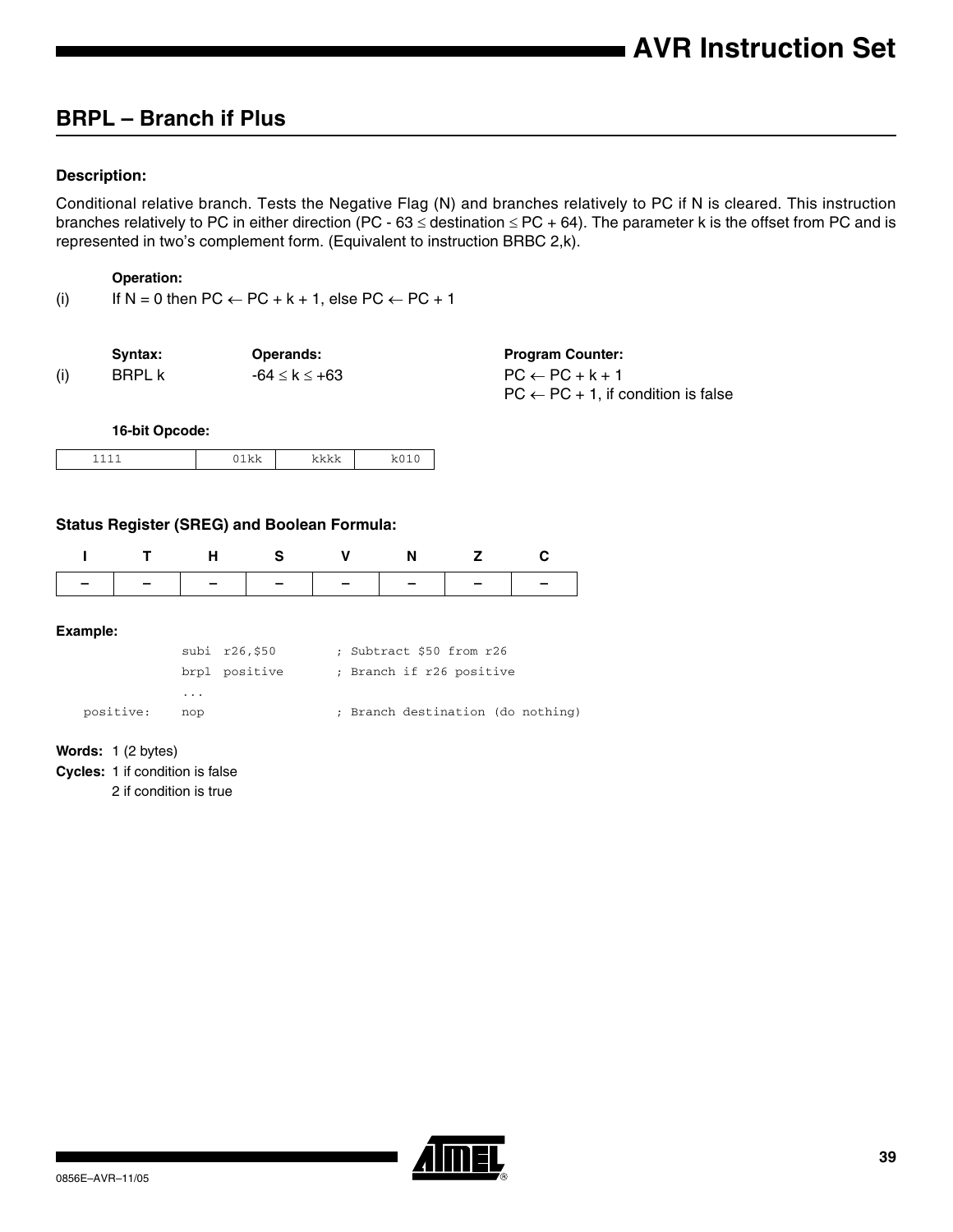### **BRPL – Branch if Plus**

#### **Description:**

Conditional relative branch. Tests the Negative Flag (N) and branches relatively to PC if N is cleared. This instruction branches relatively to PC in either direction (PC - 63  $\le$  destination  $\le$  PC + 64). The parameter k is the offset from PC and is represented in two's complement form. (Equivalent to instruction BRBC 2,k).

#### **Operation:**

(i) If  $N = 0$  then  $PC \leftarrow PC + k + 1$ , else  $PC \leftarrow PC + 1$ 

|     | Syntax: | <b>Operands:</b> | <b>Program Counter:</b>                        |
|-----|---------|------------------|------------------------------------------------|
| (i) | BRPL k  | -64 ≤ k ≤ +63    | $PC \leftarrow PC + k + 1$                     |
|     |         |                  | $PC \leftarrow PC + 1$ , if condition is false |

**16-bit Opcode:**

|--|

#### **Status Register (SREG) and Boolean Formula:**

|  | ITHS V N Z C |  |  |  |
|--|--------------|--|--|--|
|  |              |  |  |  |
|  |              |  |  |  |

#### **Example:**

|           |                         | subi r26,\$50 | ; Subtract \$50 from r26          |
|-----------|-------------------------|---------------|-----------------------------------|
|           |                         | brpl positive | ; Branch if r26 positive          |
|           | $\cdot$ $\cdot$ $\cdot$ |               |                                   |
| positive: | nop                     |               | ; Branch destination (do nothing) |

#### **Words:** 1 (2 bytes)

**Cycles:** 1 if condition is false

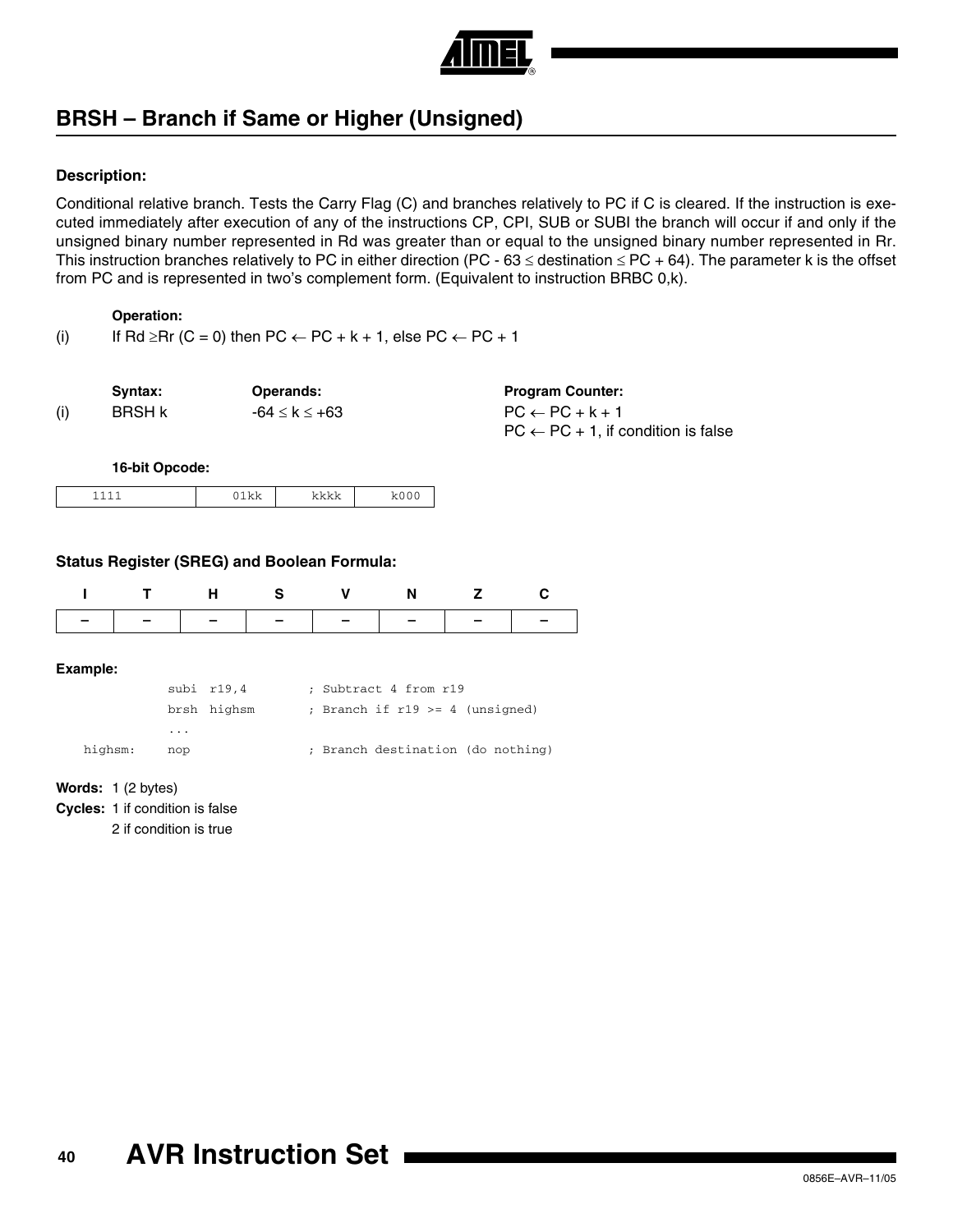

## **BRSH – Branch if Same or Higher (Unsigned)**

#### **Description:**

Conditional relative branch. Tests the Carry Flag (C) and branches relatively to PC if C is cleared. If the instruction is executed immediately after execution of any of the instructions CP, CPI, SUB or SUBI the branch will occur if and only if the unsigned binary number represented in Rd was greater than or equal to the unsigned binary number represented in Rr. This instruction branches relatively to PC in either direction (PC - 63  $\le$  destination  $\le$  PC + 64). The parameter k is the offset from PC and is represented in two's complement form. (Equivalent to instruction BRBC 0,k).

#### **Operation:**

(i) If Rd  $\geq$ Rr (C = 0) then PC  $\leftarrow$  PC + k + 1, else PC  $\leftarrow$  PC + 1

| Svntax:       | <b>Operands:</b>      | <b>Program Counter:</b>                        |
|---------------|-----------------------|------------------------------------------------|
| <b>BRSH k</b> | $-64 \leq k \leq +63$ | $PC \leftarrow PC + k + 1$                     |
|               |                       | $PC \leftarrow PC + 1$ , if condition is false |

**16-bit Opcode:**

|  |  |  | __ |
|--|--|--|----|
|--|--|--|----|

#### **Status Register (SREG) and Boolean Formula:**

|          | н | э |  | c |
|----------|---|---|--|---|
|          |   |   |  |   |
|          |   |   |  |   |
| Example: |   |   |  |   |

|         |                         | subi r19,4  | ; Subtract 4 from r19               |
|---------|-------------------------|-------------|-------------------------------------|
|         |                         | brsh highsm | ; Branch if $r19 \geq 4$ (unsigned) |
|         | $\cdot$ $\cdot$ $\cdot$ |             |                                     |
| highsm: | nop                     |             | ; Branch destination (do nothing)   |

**Words:** 1 (2 bytes)

**Cycles:** 1 if condition is false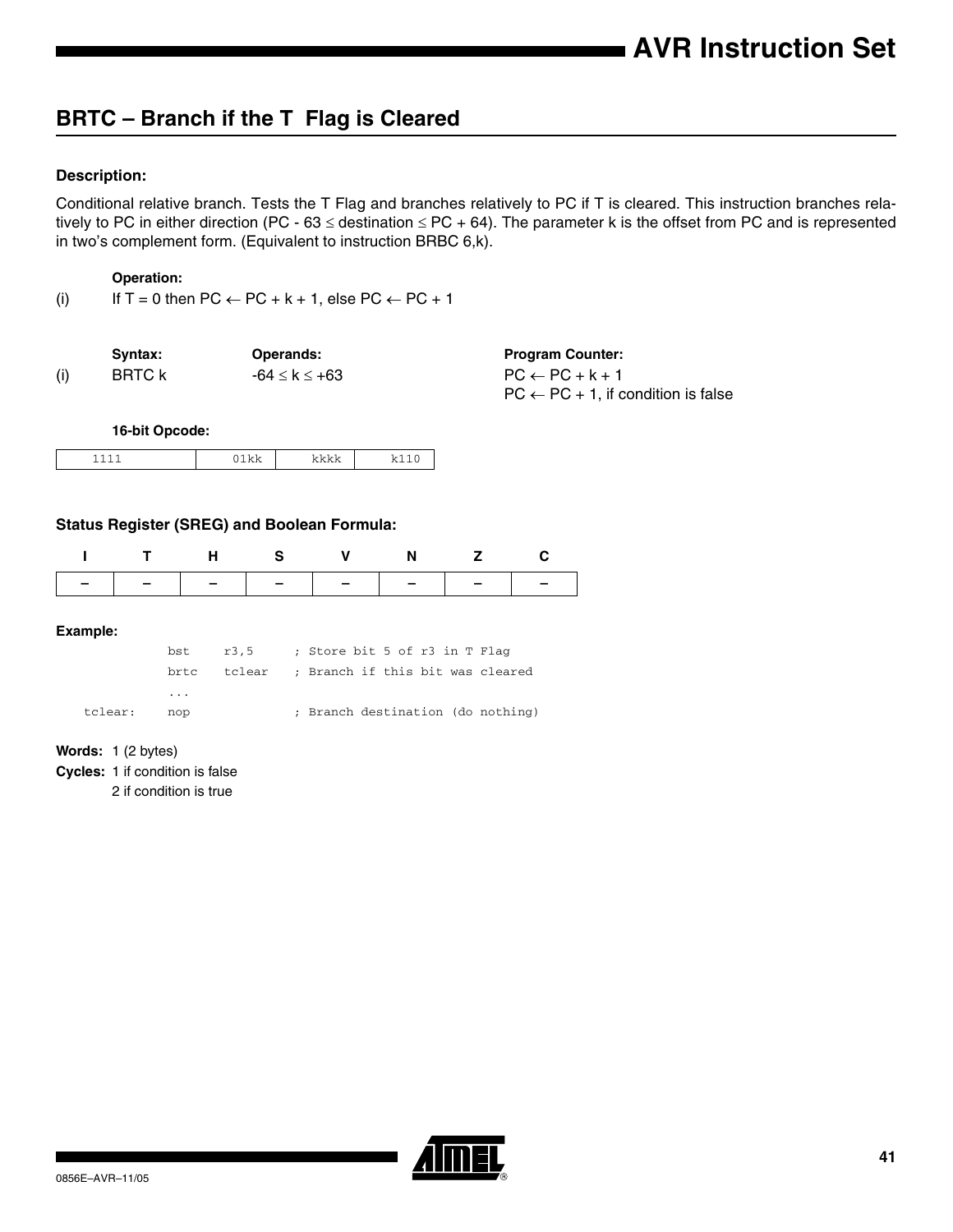### **BRTC – Branch if the T Flag is Cleared**

#### **Description:**

Conditional relative branch. Tests the T Flag and branches relatively to PC if T is cleared. This instruction branches relatively to PC in either direction (PC - 63  $\le$  destination  $\le$  PC + 64). The parameter k is the offset from PC and is represented in two's complement form. (Equivalent to instruction BRBC 6,k).

#### **Operation:**

(i) If  $T = 0$  then  $PC \leftarrow PC + k + 1$ , else  $PC \leftarrow PC + 1$ 

|     | Svntax: | <b>Operands:</b> | <b>Program Counter:</b>                        |
|-----|---------|------------------|------------------------------------------------|
| (i) | BRTC k  | -64 ≤ k ≤ +63    | $PC \leftarrow PC + k + 1$                     |
|     |         |                  | $PC \leftarrow PC + 1$ , if condition is false |

**16-bit Opcode:**

|  |  |  | the contract of the contract of the contract of the contract of the contract of |
|--|--|--|---------------------------------------------------------------------------------|
|--|--|--|---------------------------------------------------------------------------------|

#### **Status Register (SREG) and Boolean Formula:**

|                                 |  | THS V N Z C |  |
|---------------------------------|--|-------------|--|
| l – l – l – l – l – l – l – l – |  |             |  |

#### **Example:**

|         | $bst$ $r3.5$ |  | ; Store bit 5 of r3 in T Flag                |  |  |
|---------|--------------|--|----------------------------------------------|--|--|
|         |              |  | brtc tclear ; Branch if this bit was cleared |  |  |
|         | .            |  |                                              |  |  |
| tclear: | nop          |  | ; Branch destination (do nothing)            |  |  |

#### **Words:** 1 (2 bytes)

**Cycles:** 1 if condition is false

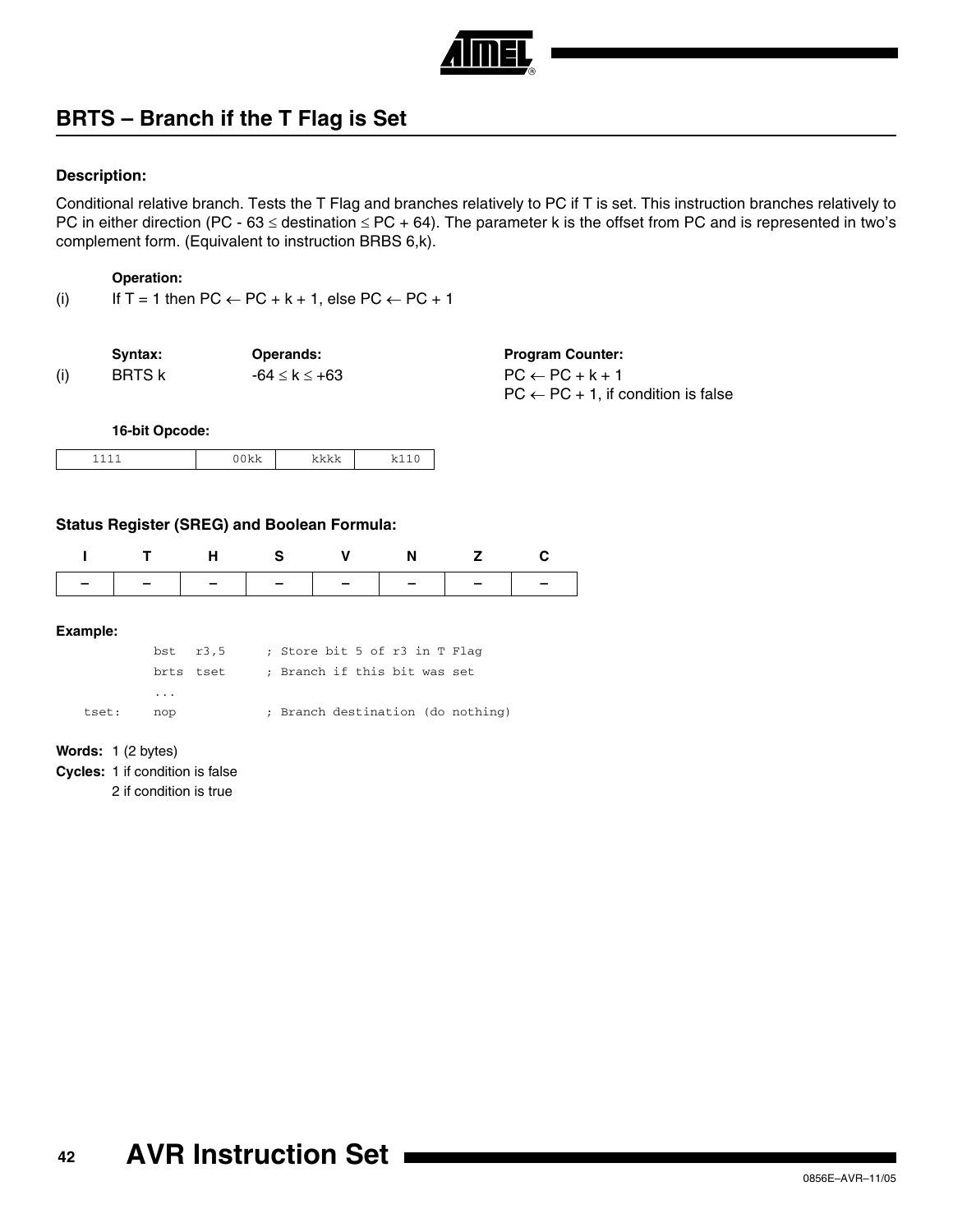# **BRTS – Branch if the T Flag is Set**

#### **Description:**

Conditional relative branch. Tests the T Flag and branches relatively to PC if T is set. This instruction branches relatively to PC in either direction (PC - 63  $\le$  destination  $\le$  PC + 64). The parameter k is the offset from PC and is represented in two's complement form. (Equivalent to instruction BRBS 6,k).

#### **Operation:**

(i) If  $T = 1$  then  $PC \leftarrow PC + k + 1$ , else  $PC \leftarrow PC + 1$ 

|     | Syntax:       | <b>Operands:</b> | <b>Program Counter:</b>                        |
|-----|---------------|------------------|------------------------------------------------|
| (i) | <b>BRTS k</b> | -64 ≤ k ≤ +63    | $PC \leftarrow PC + k + 1$                     |
|     |               |                  | $PC \leftarrow PC + 1$ , if condition is false |

**16-bit Opcode:**

|--|

#### **Status Register (SREG) and Boolean Formula:**

|                               | H S V | N. |  |
|-------------------------------|-------|----|--|
| -   -   -   -   -   -   -   - |       |    |  |

#### **Example:**

|       |                         | bst r3.5 | ; Store bit 5 of r3 in T Flag |  |  |                                   |
|-------|-------------------------|----------|-------------------------------|--|--|-----------------------------------|
|       | brts tset               |          | ; Branch if this bit was set  |  |  |                                   |
|       | $\cdot$ $\cdot$ $\cdot$ |          |                               |  |  |                                   |
| tset: | nop                     |          |                               |  |  | ; Branch destination (do nothing) |

#### **Words:** 1 (2 bytes)

**Cycles:** 1 if condition is false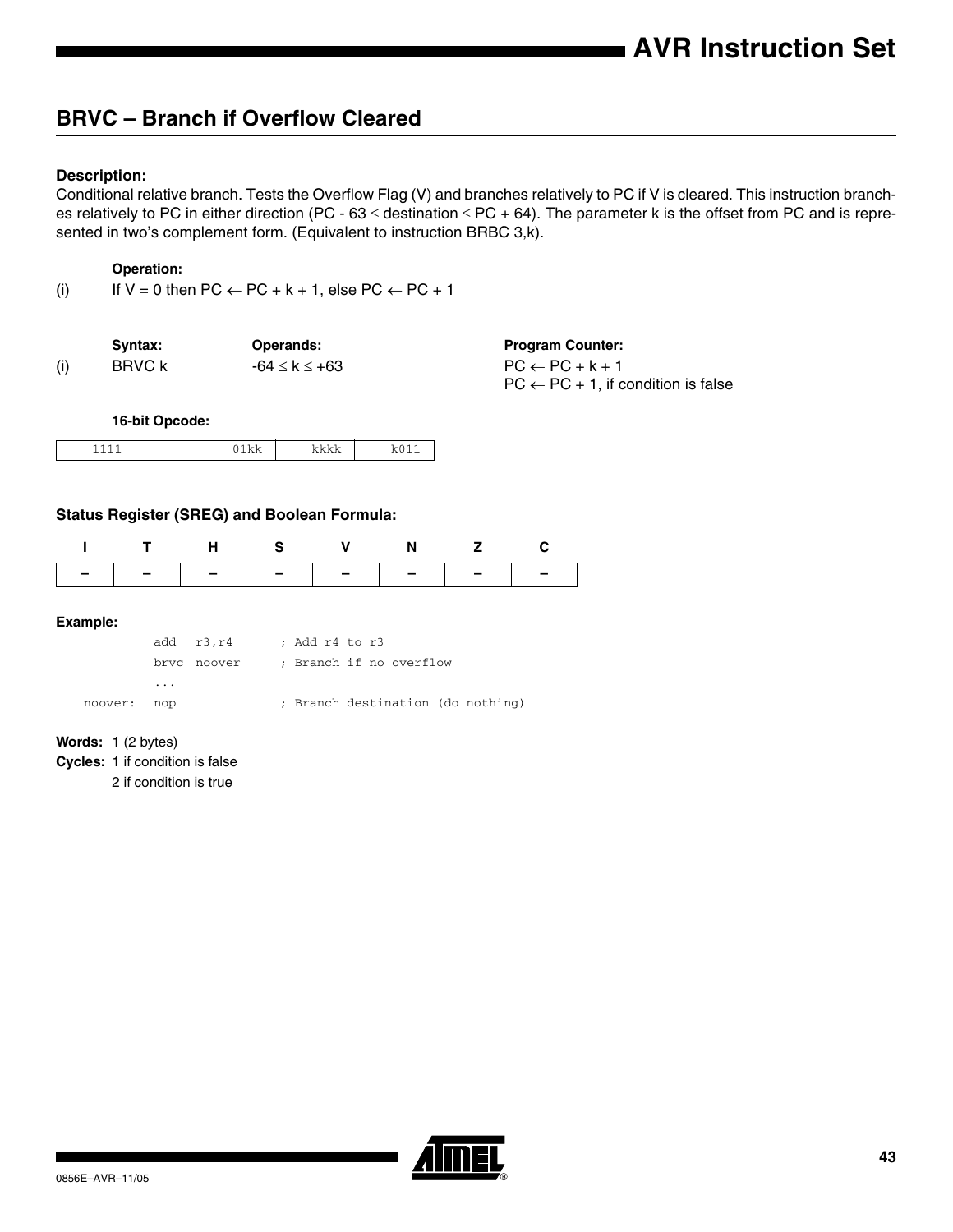### **BRVC – Branch if Overflow Cleared**

#### **Description:**

Conditional relative branch. Tests the Overflow Flag (V) and branches relatively to PC if V is cleared. This instruction branches relatively to PC in either direction (PC - 63 ≤ destination ≤ PC + 64). The parameter k is the offset from PC and is represented in two's complement form. (Equivalent to instruction BRBC 3,k).

#### **Operation:**

(i) If  $V = 0$  then  $PC \leftarrow PC + k + 1$ , else  $PC \leftarrow PC + 1$ 

|     | Svntax: | <b>Operands:</b>      | <b>Program Counter:</b>                        |
|-----|---------|-----------------------|------------------------------------------------|
| (i) | BRVC k  | $-64 \leq k \leq +63$ | $PC \leftarrow PC + k + 1$                     |
|     |         |                       | $PC \leftarrow PC + 1$ , if condition is false |

**16-bit Opcode:**

| $\sim$ 1 $\sim$ | ∼ | $\epsilon$ and<br>- |
|-----------------|---|---------------------|

#### **Status Register (SREG) and Boolean Formula:**

| ITHS V N Z C                  |  |  |  |
|-------------------------------|--|--|--|
| -   -   -   -   -   -   -   - |  |  |  |

#### **Example:**

|             |   | add $r3.r4$ ; Add $r4$ to $r3$      |  |  |  |                                   |
|-------------|---|-------------------------------------|--|--|--|-----------------------------------|
|             |   | brvc noover ; Branch if no overflow |  |  |  |                                   |
|             | . |                                     |  |  |  |                                   |
| noover: nop |   |                                     |  |  |  | ; Branch destination (do nothing) |

#### **Words:** 1 (2 bytes)

**Cycles:** 1 if condition is false

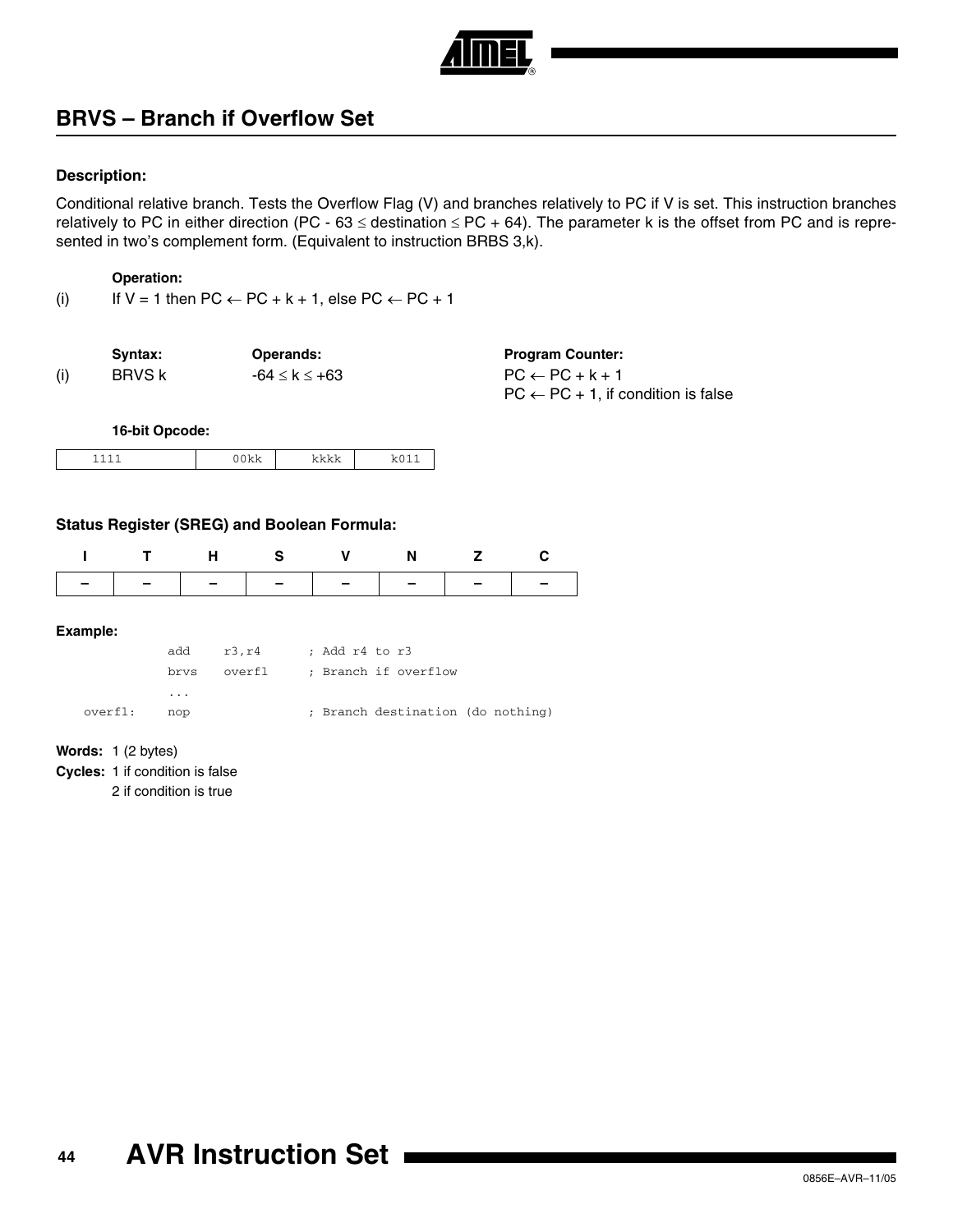### **BRVS – Branch if Overflow Set**

#### **Description:**

Conditional relative branch. Tests the Overflow Flag (V) and branches relatively to PC if V is set. This instruction branches relatively to PC in either direction (PC - 63  $\le$  destination  $\le$  PC + 64). The parameter k is the offset from PC and is represented in two's complement form. (Equivalent to instruction BRBS 3,k).

#### **Operation:**

(i) If  $V = 1$  then  $PC \leftarrow PC + k + 1$ , else  $PC \leftarrow PC + 1$ 

|     | Syntax: | <b>Operands:</b> | <b>Program Counter:</b>                        |
|-----|---------|------------------|------------------------------------------------|
| (i) | BRVS k  | -64 ≤ k ≤ +63    | $PC \leftarrow PC + k + 1$                     |
|     |         |                  | $PC \leftarrow PC + 1$ , if condition is false |

**16-bit Opcode:**

|--|--|--|--|

#### **Status Register (SREG) and Boolean Formula:**

|                 | HS V N Z C |  |  |
|-----------------|------------|--|--|
| --------------- |            |  |  |

#### **Example:**

add r3,r4 ; Add r4 to r3 brvs overfl ; Branch if overflow ... overfl: nop ; Branch destination (do nothing)

#### **Words:** 1 (2 bytes)

**Cycles:** 1 if condition is false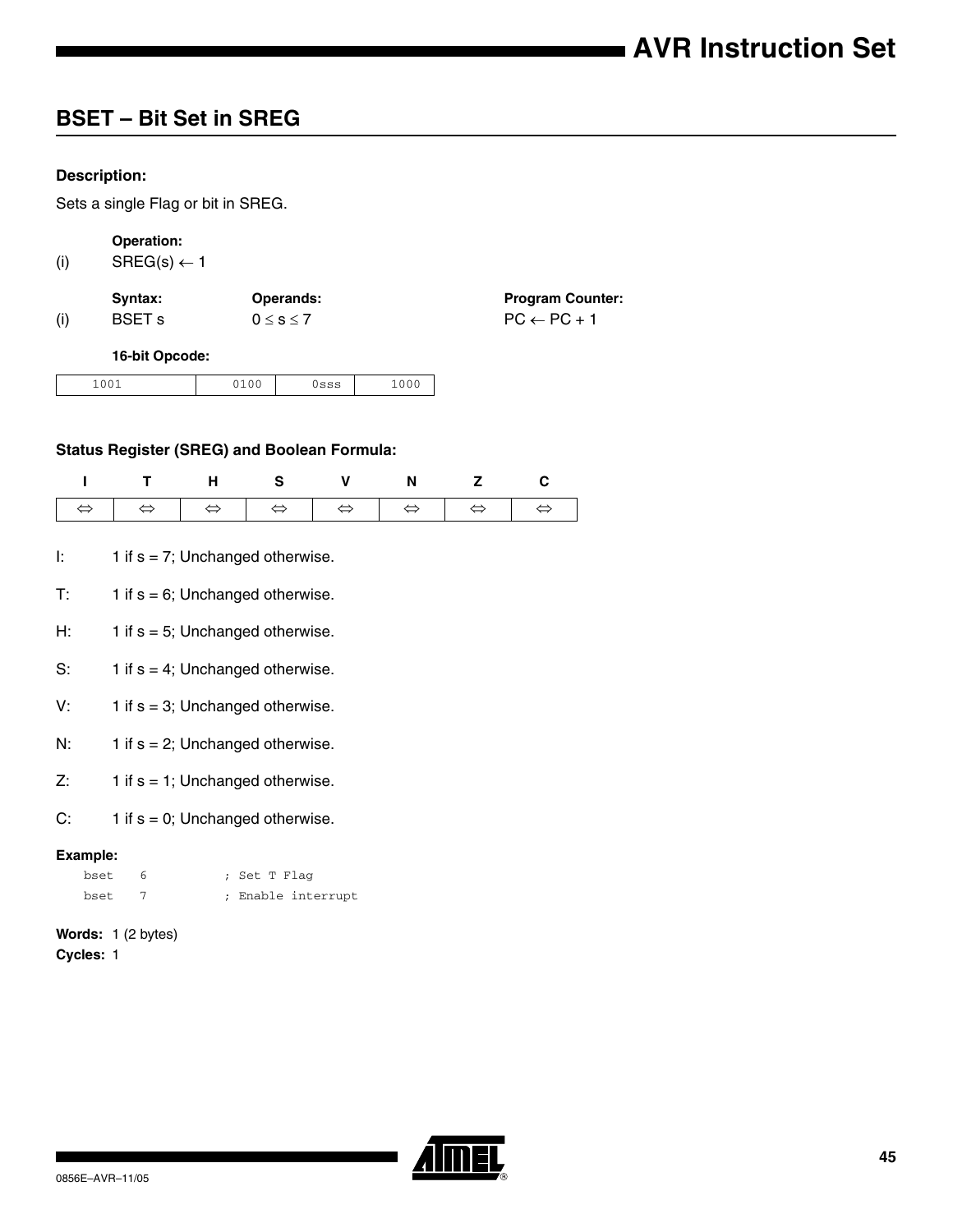### **BSET – Bit Set in SREG**

#### **Description:**

Sets a single Flag or bit in SREG.

### **Operation:**

(i)  $SREG(s) \leftarrow 1$ 

|     | Syntax:       | <b>Operands:</b>  | <b>Program Counter:</b> |
|-----|---------------|-------------------|-------------------------|
| (i) | <b>BSET s</b> | $0 \leq s \leq 7$ | $PC \leftarrow PC + 1$  |

#### **16-bit Opcode:**

| 1 0 0 1<br>$+00+$ | $\sim$ $\sim$ $\sim$ | - ה | 200 <sub>1</sub><br>$\sim$ |
|-------------------|----------------------|-----|----------------------------|
|-------------------|----------------------|-----|----------------------------|

#### **Status Register (SREG) and Boolean Formula:**

|  |  | ITHS V N Z C |  |
|--|--|--------------|--|
|  |  |              |  |

- I:  $1$  if  $s = 7$ ; Unchanged otherwise.
- $T: 1$  if  $s = 6$ ; Unchanged otherwise.
- H:  $1$  if  $s = 5$ ; Unchanged otherwise.
- S:  $1$  if  $s = 4$ ; Unchanged otherwise.
- V:  $1$  if  $s = 3$ ; Unchanged otherwise.
- N:  $1$  if  $s = 2$ ; Unchanged otherwise.
- $Z: 1$  if  $s = 1$ ; Unchanged otherwise.
- C:  $1$  if  $s = 0$ ; Unchanged otherwise.

#### **Example:**

| bset  | ; Set T Flaq       |
|-------|--------------------|
| bset. | ; Enable interrupt |

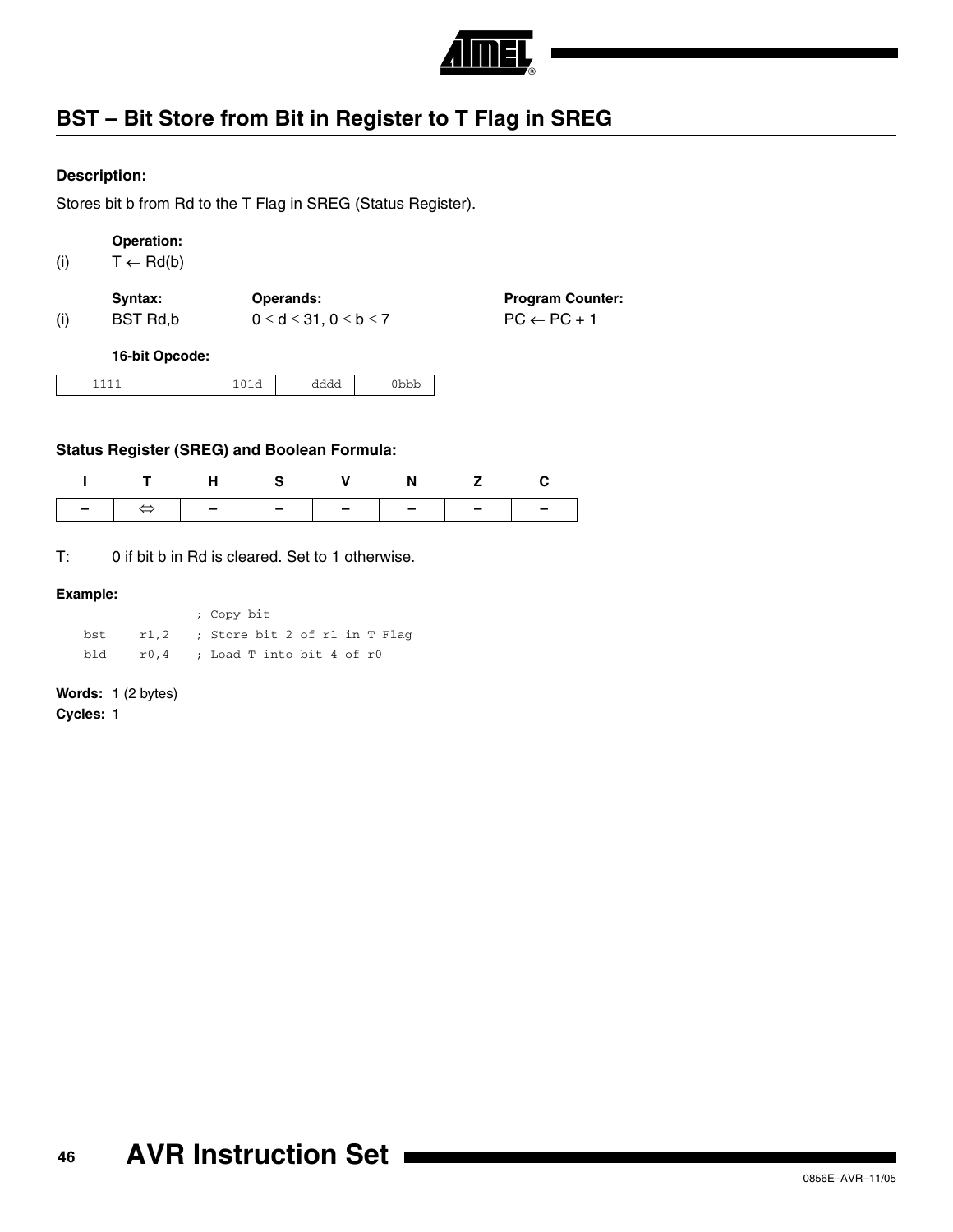

## **BST – Bit Store from Bit in Register to T Flag in SREG**

#### **Description:**

Stores bit b from Rd to the T Flag in SREG (Status Register).

| <b>Operation:</b> |
|-------------------|
|-------------------|

```
(i) T \leftarrow Rd(b)
```

| Svntax:  | <b>Operands:</b>                    | <b>Program Counter:</b> |
|----------|-------------------------------------|-------------------------|
| BST Rd,b | $0 \leq d \leq 31, 0 \leq b \leq 7$ | $PC \leftarrow PC + 1$  |

**16-bit Opcode:**

| - - | ◡ | . . | <u>uu</u> |
|-----|---|-----|-----------|
|     |   | .   | .         |

#### **Status Register (SREG) and Boolean Formula:**

|  |  | THS V N Z |  |
|--|--|-----------|--|
|  |  |           |  |

T: 0 if bit b in Rd is cleared. Set to 1 otherwise.

#### **Example:**

|     | ; Copy bit                            |
|-----|---------------------------------------|
|     | bst r1,2; Store bit 2 of r1 in T Flag |
| bld | r0,4, ; Load T into bit 4 of r0       |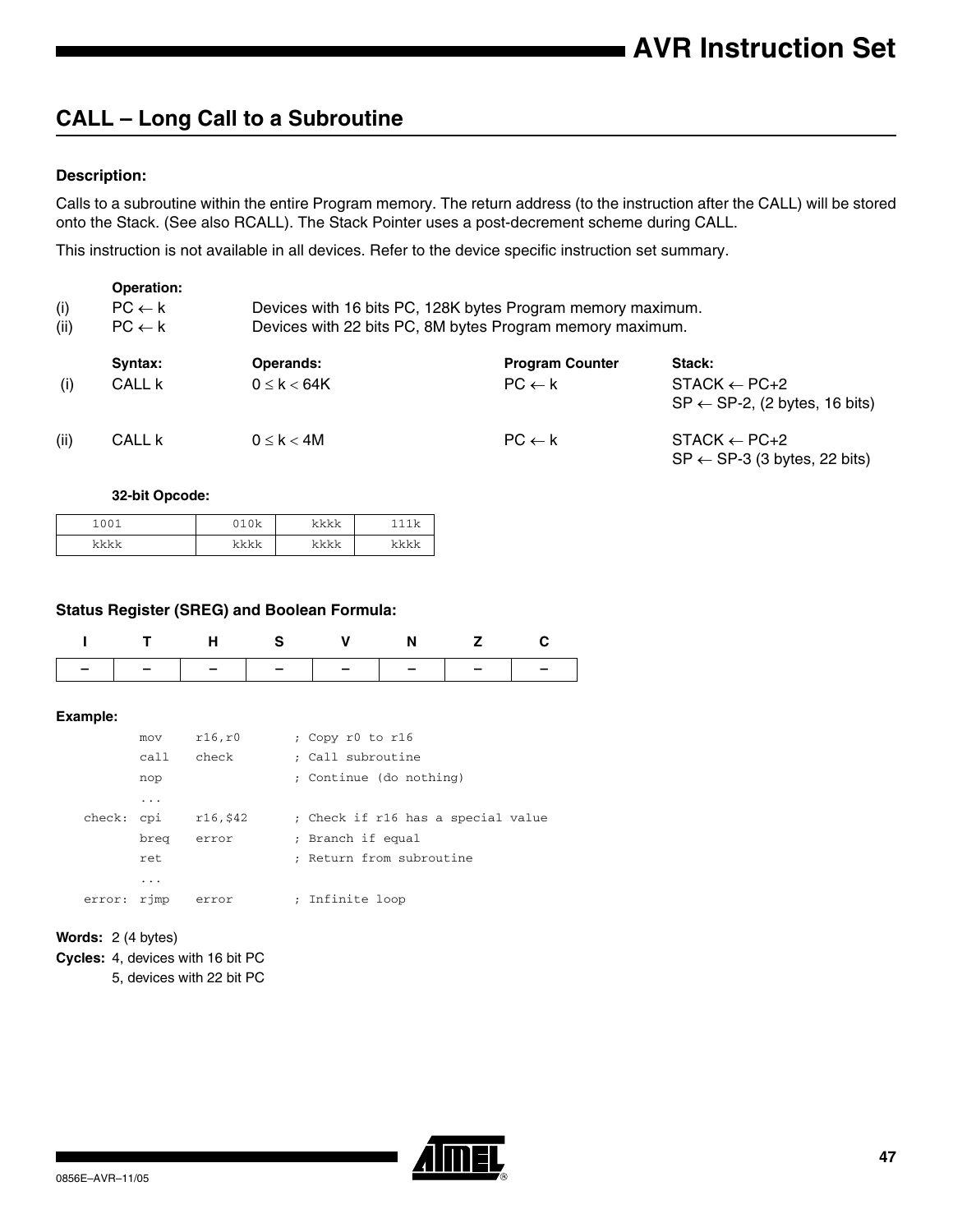## **CALL – Long Call to a Subroutine**

#### **Description:**

Calls to a subroutine within the entire Program memory. The return address (to the instruction after the CALL) will be stored onto the Stack. (See also RCALL). The Stack Pointer uses a post-decrement scheme during CALL.

This instruction is not available in all devices. Refer to the device specific instruction set summary.

|      | <b>Operation:</b> |                 |                                                             |                                           |
|------|-------------------|-----------------|-------------------------------------------------------------|-------------------------------------------|
| (i)  | $PC \leftarrow k$ |                 | Devices with 16 bits PC, 128K bytes Program memory maximum. |                                           |
| (ii) | $PC \leftarrow k$ |                 | Devices with 22 bits PC, 8M bytes Program memory maximum.   |                                           |
|      | Syntax:           | Operands:       | <b>Program Counter</b>                                      | Stack:                                    |
| (i)  | CALL k            | $0 \le k < 64K$ | $PC \leftarrow k$                                           | $STACK \leftarrow PC+2$                   |
|      |                   |                 |                                                             | $SP \leftarrow SP-2$ , (2 bytes, 16 bits) |
| (ii) | CALL k            | $0 \le k < 4M$  | $PC \leftarrow k$                                           | $STACK \leftarrow PC+2$                   |
|      |                   |                 |                                                             | $SP \leftarrow SP-3$ (3 bytes, 22 bits)   |

#### **32-bit Opcode:**

| 1001<br>ັ<br>ັ<br><b>__</b> | $0101 -$<br>◡ | ما ما ما ما<br>. | × |
|-----------------------------|---------------|------------------|---|
| $1 - 1 - 1 - 1 -$           | レレレレ          | ما ما ما ما      |   |
| . .                         | . .           | .                |   |

#### **Status Register (SREG) and Boolean Formula:**

|                               | T H S V N |  |  |
|-------------------------------|-----------|--|--|
| -   -   -   -   -   -   -   - |           |  |  |

#### **Example:**

|        | mov  | r16.r0   | ; Copy r0 to r16                   |
|--------|------|----------|------------------------------------|
|        | ca11 | check    | : Call subroutine                  |
|        | nop  |          | ; Continue (do nothing)            |
|        | .    |          |                                    |
| check: | cpi  | r16,\$42 | ; Check if r16 has a special value |
|        | breg | error    | ; Branch if equal                  |
|        | ret. |          | : Return from subroutine           |
|        | .    |          |                                    |
| error: | rimp | error    | ; Infinite loop                    |

#### **Words:** 2 (4 bytes)

**Cycles:** 4, devices with 16 bit PC

5, devices with 22 bit PC

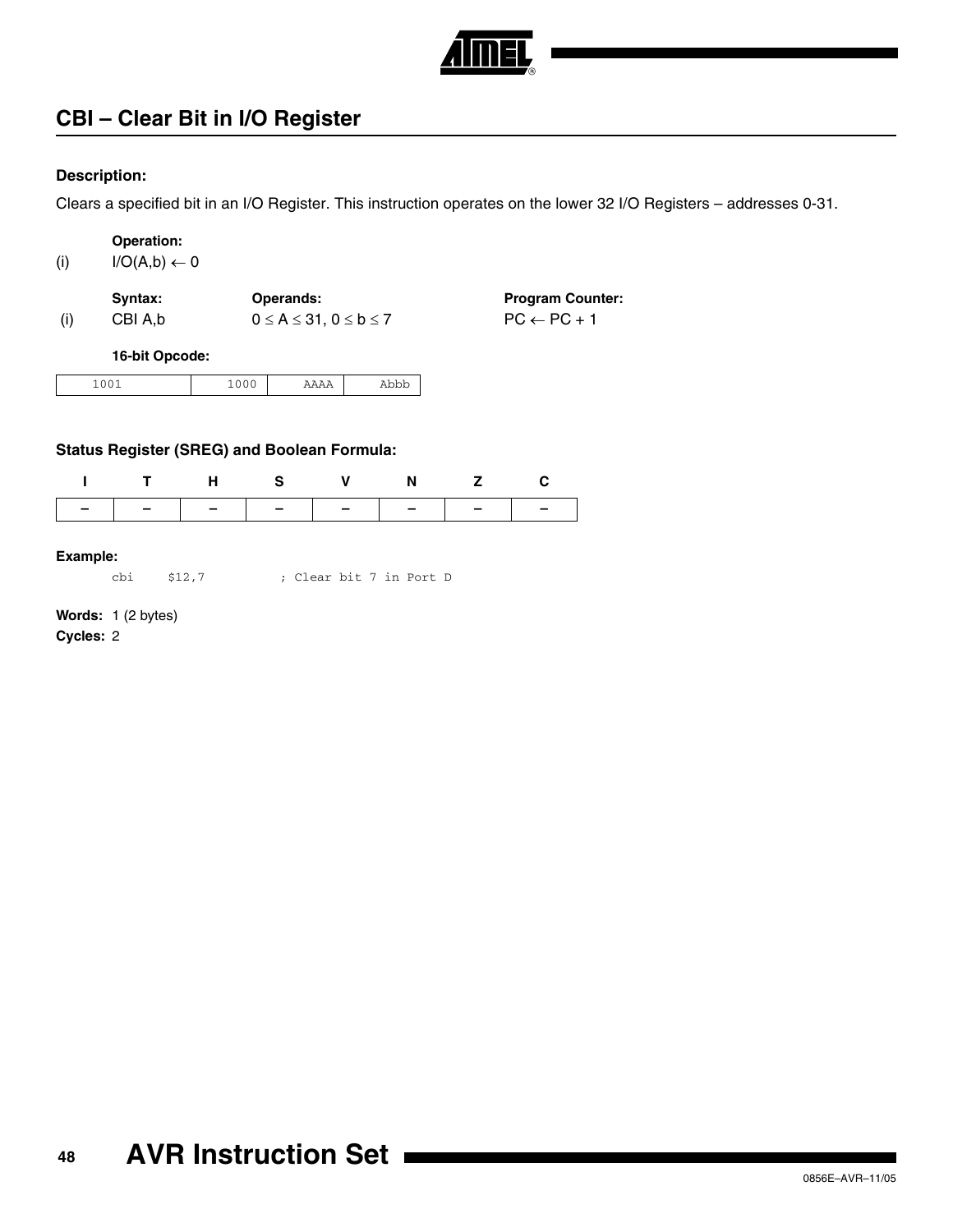# **CBI – Clear Bit in I/O Register**

### **Description:**

Clears a specified bit in an I/O Register. This instruction operates on the lower 32 I/O Registers – addresses 0-31.

| <b>Operation:</b> |  |
|-------------------|--|
| .                 |  |

| (i) | $I/O(A,b) \leftarrow 0$ |
|-----|-------------------------|
|     |                         |

| Svntax: | <b>Operands:</b>                    | <b>Program Counter:</b> |
|---------|-------------------------------------|-------------------------|
| CBI A.b | $0 \leq A \leq 31, 0 \leq b \leq 7$ | $PC \leftarrow PC + 1$  |

**16-bit Opcode:**

|--|--|--|--|

#### **Status Register (SREG) and Boolean Formula:**

|                               |  | T H S V N Z |  |
|-------------------------------|--|-------------|--|
| _   _   _   _   _   _   _   _ |  |             |  |

#### **Example:**

cbi \$12,7 ; Clear bit 7 in Port D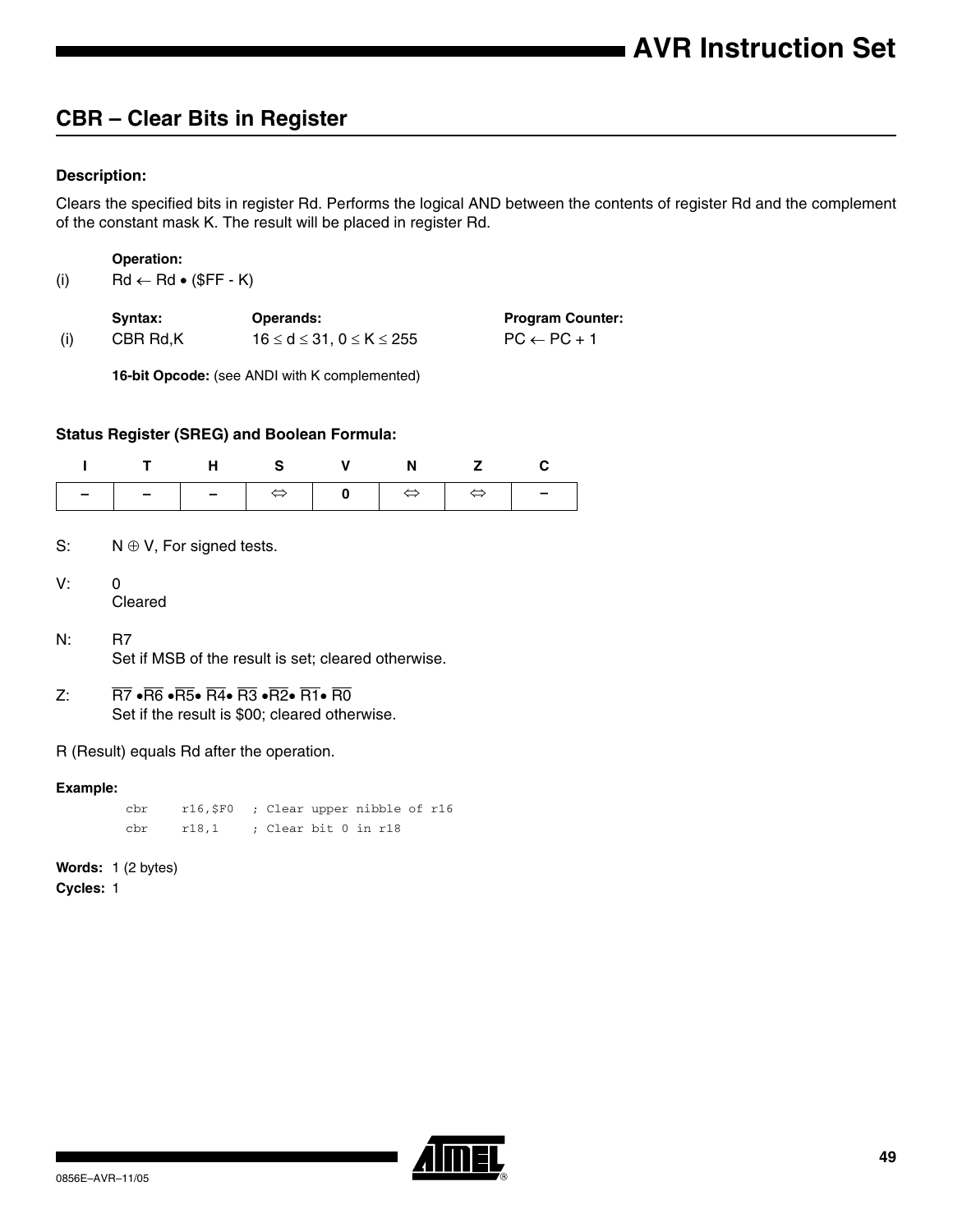### **CBR – Clear Bits in Register**

#### **Description:**

Clears the specified bits in register Rd. Performs the logical AND between the contents of register Rd and the complement of the constant mask K. The result will be placed in register Rd.

**Operation:**

(i)  $Rd \leftarrow Rd \bullet (\$ FF - K)$ 

|     | Syntax:  | Operands:                             | <b>Program Counter:</b> |
|-----|----------|---------------------------------------|-------------------------|
| (i) | CBR Rd.K | $16 \le d \le 31$ . $0 \le K \le 255$ | $PC \leftarrow PC + 1$  |

**16-bit Opcode:** (see ANDI with K complemented)

#### **Status Register (SREG) and Boolean Formula:**

| ITHS V N Z C |  |  |  |
|--------------|--|--|--|
|              |  |  |  |

- S: N ⊕ V, For signed tests.
- V: 0 Cleared
- N: R7 Set if MSB of the result is set; cleared otherwise.
- Z:  $\overline{R7}$   $\overline{R6}$   $\overline{R5}$   $\overline{R4}$   $\overline{R3}$   $\overline{R2}$   $\overline{R1}$   $\overline{R0}$ Set if the result is \$00; cleared otherwise.
- R (Result) equals Rd after the operation.

#### **Example:**

cbr r16,\$F0 ; Clear upper nibble of r16 cbr r18,1 ; Clear bit 0 in r18

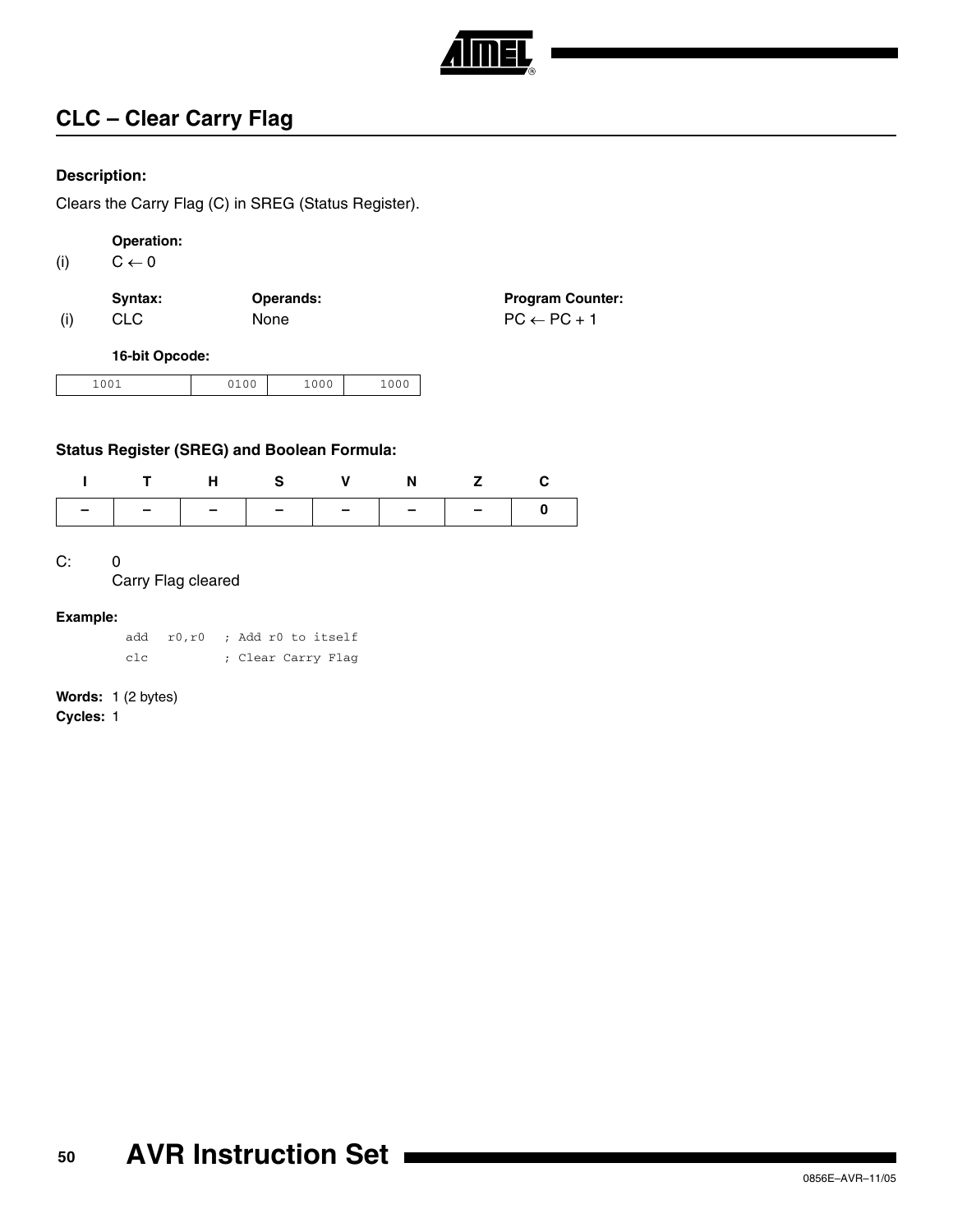# **CLC – Clear Carry Flag**

#### **Description:**

Clears the Carry Flag (C) in SREG (Status Register).

### **Operation:**

(i)  $C \leftarrow 0$ 

|     | Syntax: | <b>Operands:</b> | <b>Program Counter:</b> |
|-----|---------|------------------|-------------------------|
| (i) | CLC.    | None             | $PC \leftarrow PC + 1$  |

#### **16-bit Opcode:**

| 1001   | 2400 | 1 N N N | $\sim$ $\sim$ $\sim$ |
|--------|------|---------|----------------------|
| $+00+$ |      | ∸∪∪     | <u>-</u> v v         |

#### **Status Register (SREG) and Boolean Formula:**

|                               |  | T H S V N Z C |  |
|-------------------------------|--|---------------|--|
| -   -   -   -   -   -   -   0 |  |               |  |

C: 0

Carry Flag cleared

#### **Example:**

|     | add r0, r0 ; Add r0 to itself |  |  |                    |
|-----|-------------------------------|--|--|--------------------|
| c1c |                               |  |  | ; Clear Carry Flag |

### **Words:** 1 (2 bytes)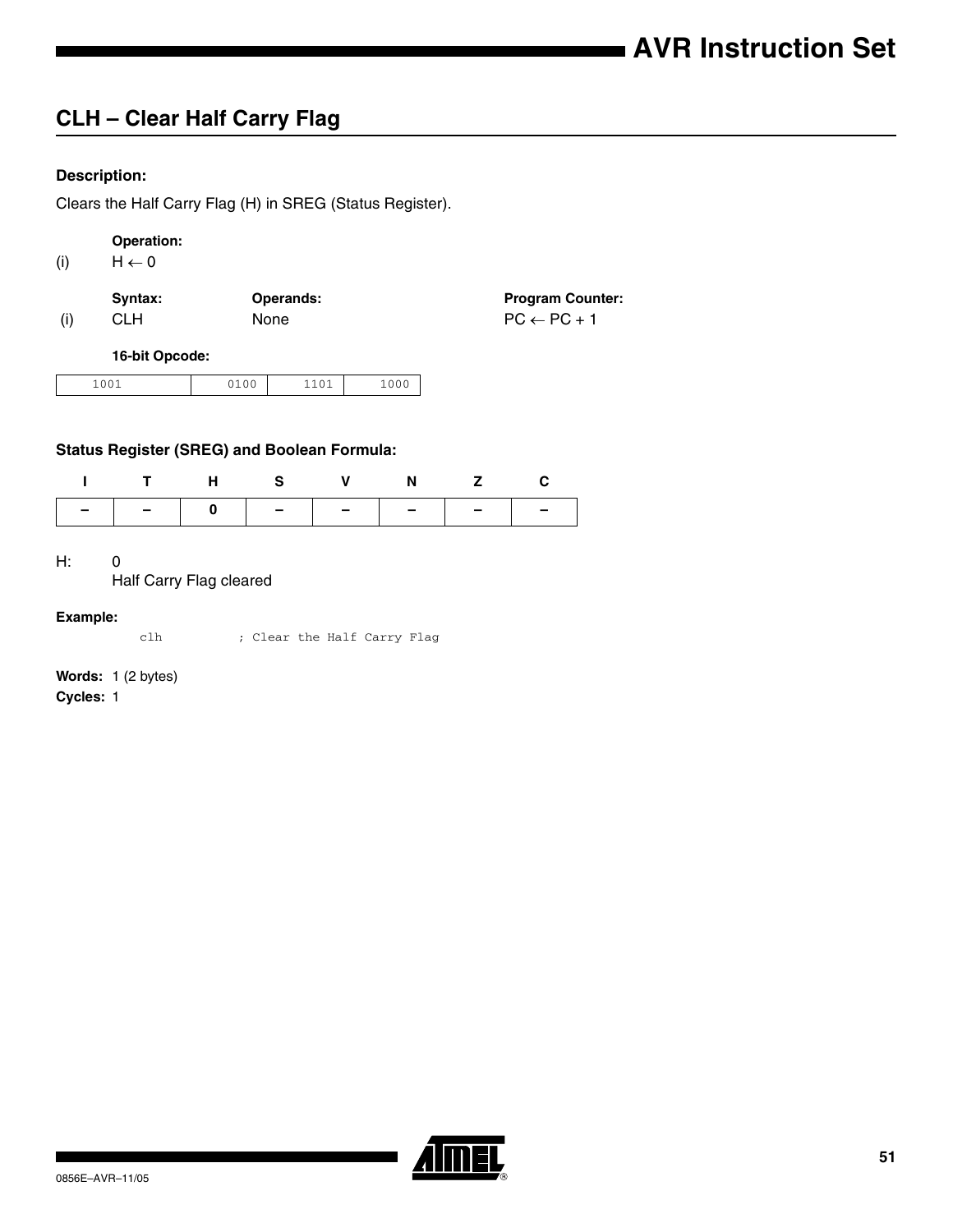## **CLH – Clear Half Carry Flag**

#### **Description:**

Clears the Half Carry Flag (H) in SREG (Status Register).

### **Operation:**

 $(i)$   $H \leftarrow 0$ 

|     | Syntax: | Operands: | <b>Program Counter:</b> |
|-----|---------|-----------|-------------------------|
| (i) | CLH.    | None      | $PC \leftarrow PC + 1$  |

#### **16-bit Opcode:**

| 001<br>$+00+$ | .<br>۱ | 1.1.0.1<br>ັ<br>$-$ | - -<br>∸∽ |
|---------------|--------|---------------------|-----------|
|               |        |                     |           |

#### **Status Register (SREG) and Boolean Formula:**

| ITHS V N Z C |  |  |  |
|--------------|--|--|--|
|              |  |  |  |

H: 0

Half Carry Flag cleared

#### **Example:**

clh ; Clear the Half Carry Flag

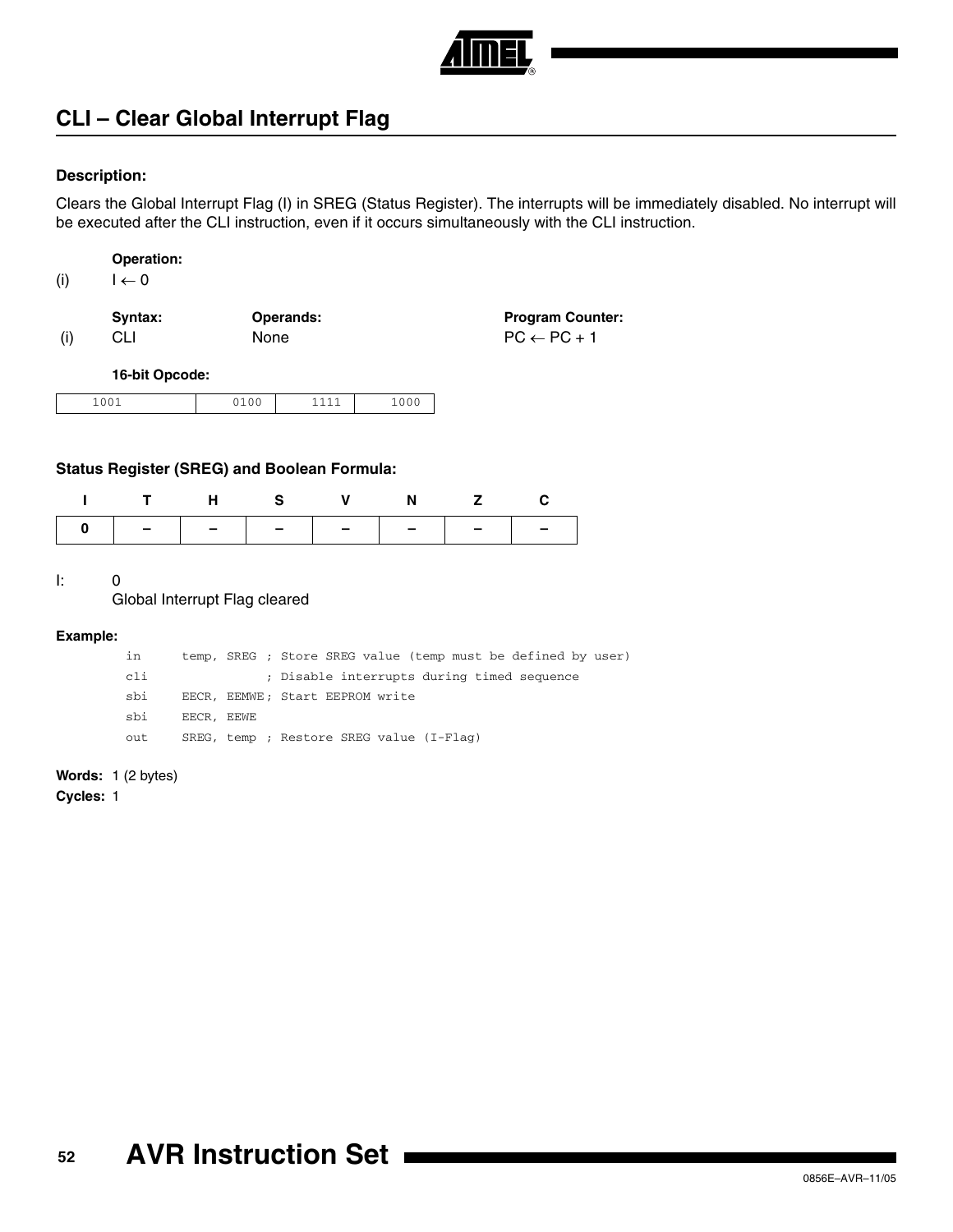# **CLI – Clear Global Interrupt Flag**

#### **Description:**

Clears the Global Interrupt Flag (I) in SREG (Status Register). The interrupts will be immediately disabled. No interrupt will be executed after the CLI instruction, even if it occurs simultaneously with the CLI instruction.

#### **Operation:**

| (i) | $\leftarrow 0$ |  |
|-----|----------------|--|
|     |                |  |

|     | Syntax: | <b>Operands:</b> | <b>Program Counter:</b> |
|-----|---------|------------------|-------------------------|
| (i) | CLI     | None             | $PC \leftarrow PC + 1$  |

**16-bit Opcode:**

| 1 0 0 1<br>$-0$ $-$ |  | -- |
|---------------------|--|----|
|                     |  |    |

#### **Status Register (SREG) and Boolean Formula:**

|                               |  | T H S V N Z C |  |
|-------------------------------|--|---------------|--|
| 0   -   -   -   -   -   -   - |  |               |  |

I: 0

 $\Box$ 

Global Interrupt Flag cleared

#### **Example:**

| ın  |            | temp, SREG ; Store SREG value (temp must be defined by user) |
|-----|------------|--------------------------------------------------------------|
| c1i |            | ; Disable interrupts during timed sequence                   |
| sbi |            | EECR, EEMWE; Start EEPROM write                              |
| sbi | EECR, EEWE |                                                              |
| out |            | SREG, temp; Restore SREG value (I-Flaq)                      |

**Words:** 1 (2 bytes)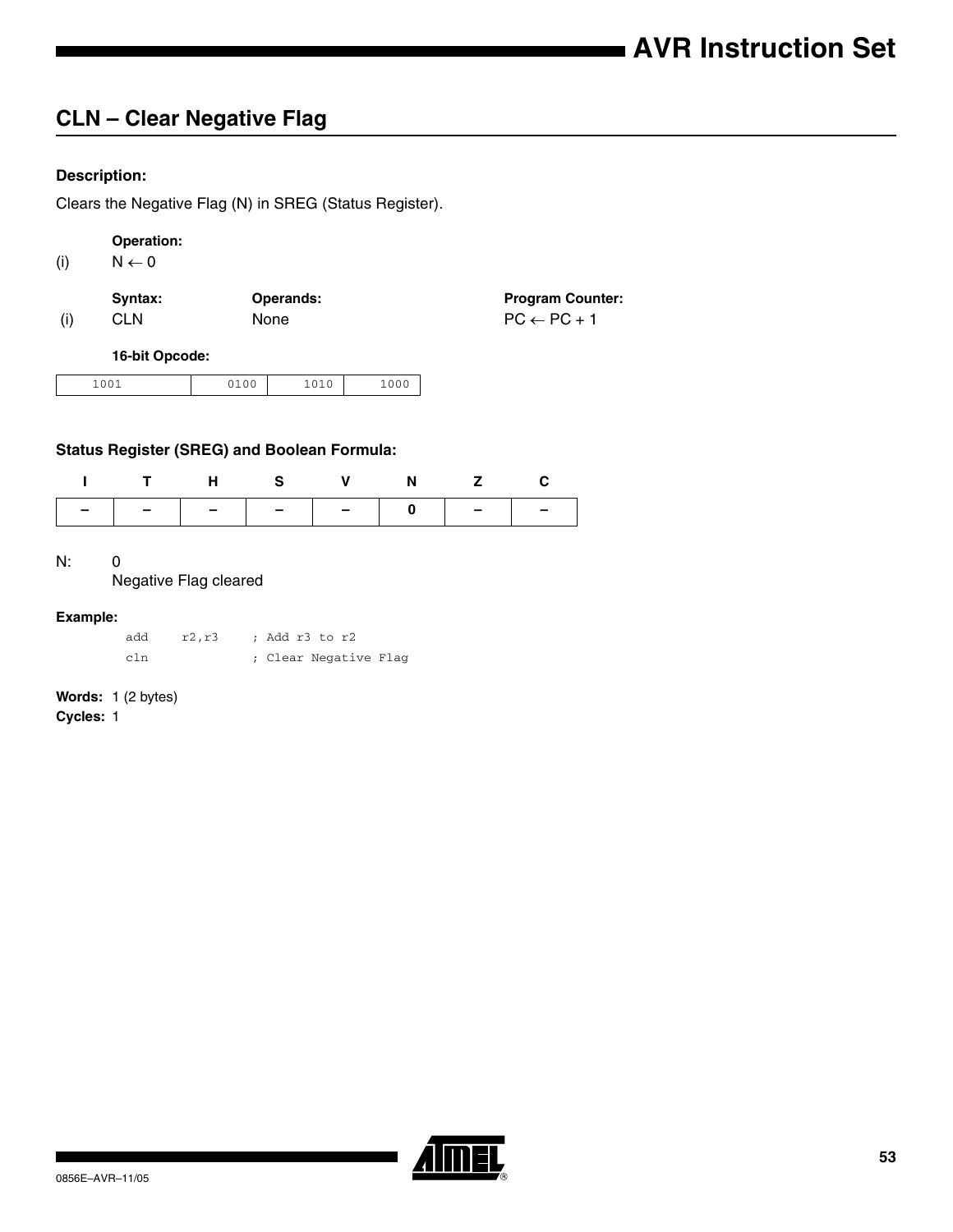# **CLN – Clear Negative Flag**

#### **Description:**

Clears the Negative Flag (N) in SREG (Status Register).

### **Operation:**

(i)  $N \leftarrow 0$ 

|     | Syntax: | Operands:   | <b>Program Counter:</b> |
|-----|---------|-------------|-------------------------|
| (i) | CLN.    | <b>None</b> | $PC \leftarrow PC + 1$  |

#### **16-bit Opcode:**

| 1001 | 2400 | 010      | $\sim$ $\sim$ |
|------|------|----------|---------------|
| $-0$ |      | $-0$ $-$ | $ -$          |

#### **Status Register (SREG) and Boolean Formula:**

| ITHS V N Z C |  |  |  |
|--------------|--|--|--|
|              |  |  |  |

N: 0

#### Negative Flag cleared

#### **Example:**

| add | r2.r3 | ; Add r3 to r2        |
|-----|-------|-----------------------|
| cln |       | ; Clear Negative Flag |

## **Words:** 1 (2 bytes)

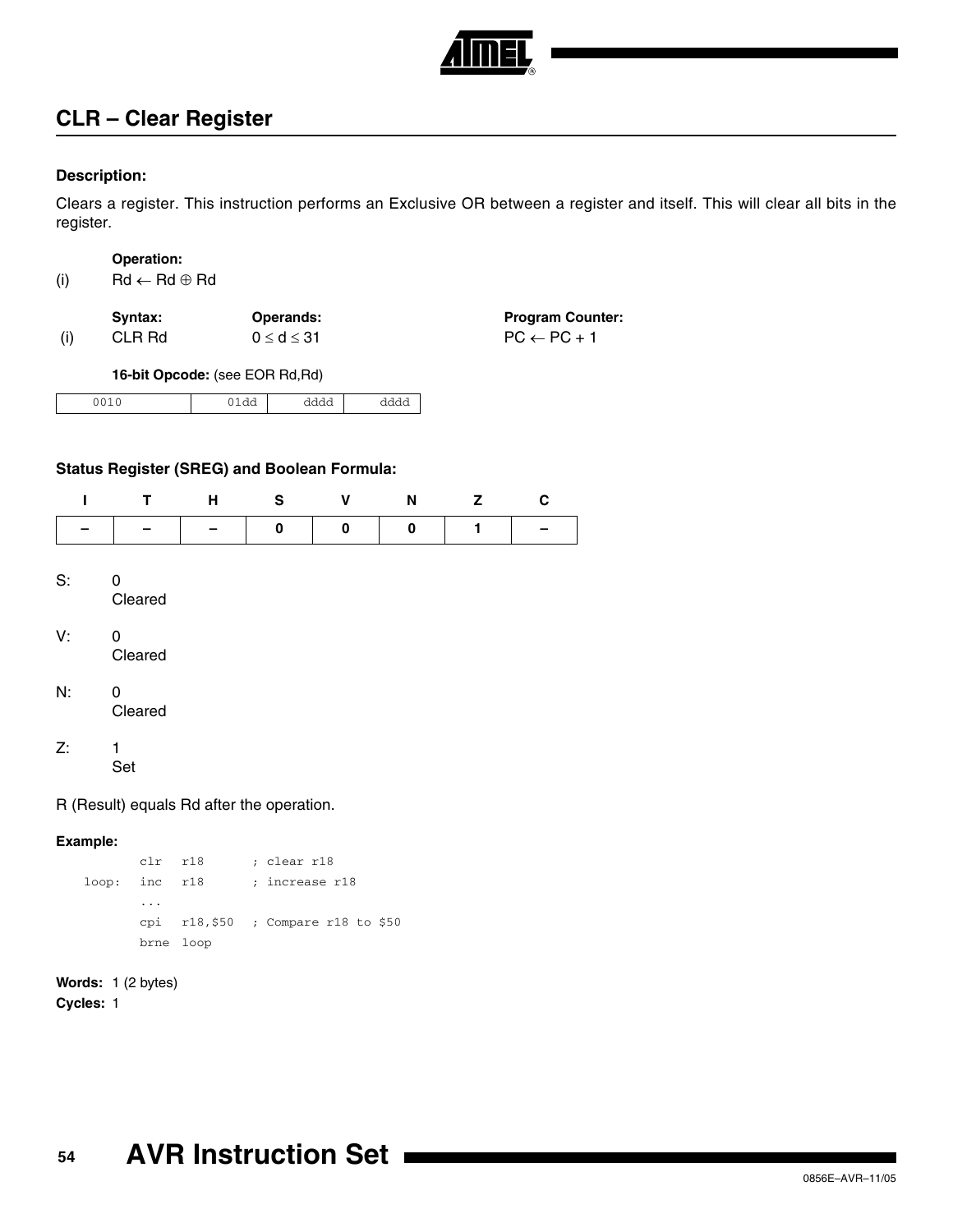# **CLR – Clear Register**

#### **Description:**

Clears a register. This instruction performs an Exclusive OR between a register and itself. This will clear all bits in the register.

#### **Operation:**

| (i) | $Rd \leftarrow Rd \oplus Rd$ |  |  |
|-----|------------------------------|--|--|
|     |                              |  |  |

|     | Svntax: | Operands:        | <b>Program Counter:</b> |
|-----|---------|------------------|-------------------------|
| (i) | CLR Rd  | $0 \le d \le 31$ | $PC \leftarrow PC + 1$  |

**16-bit Opcode:** (see EOR Rd,Rd)

| . .<br>້<br>----<br>.<br>. |
|----------------------------|
|----------------------------|

#### **Status Register (SREG) and Boolean Formula:**

| ı  | т                                         | н | S         | v | N | Z | С |  |
|----|-------------------------------------------|---|-----------|---|---|---|---|--|
|    |                                           |   | $\pmb{0}$ | 0 | 0 | 1 |   |  |
| S: | 0<br>Cleared                              |   |           |   |   |   |   |  |
| V. | 0<br>Cleared                              |   |           |   |   |   |   |  |
| N: | 0<br>Cleared                              |   |           |   |   |   |   |  |
| Z: | 1<br>Set                                  |   |           |   |   |   |   |  |
|    | R (Result) equals Rd after the operation. |   |           |   |   |   |   |  |

#### **Example:**

clr r18 ; clear r18 loop: inc r18 ; increase r18 ... cpi r18,\$50 ; Compare r18 to \$50 brne loop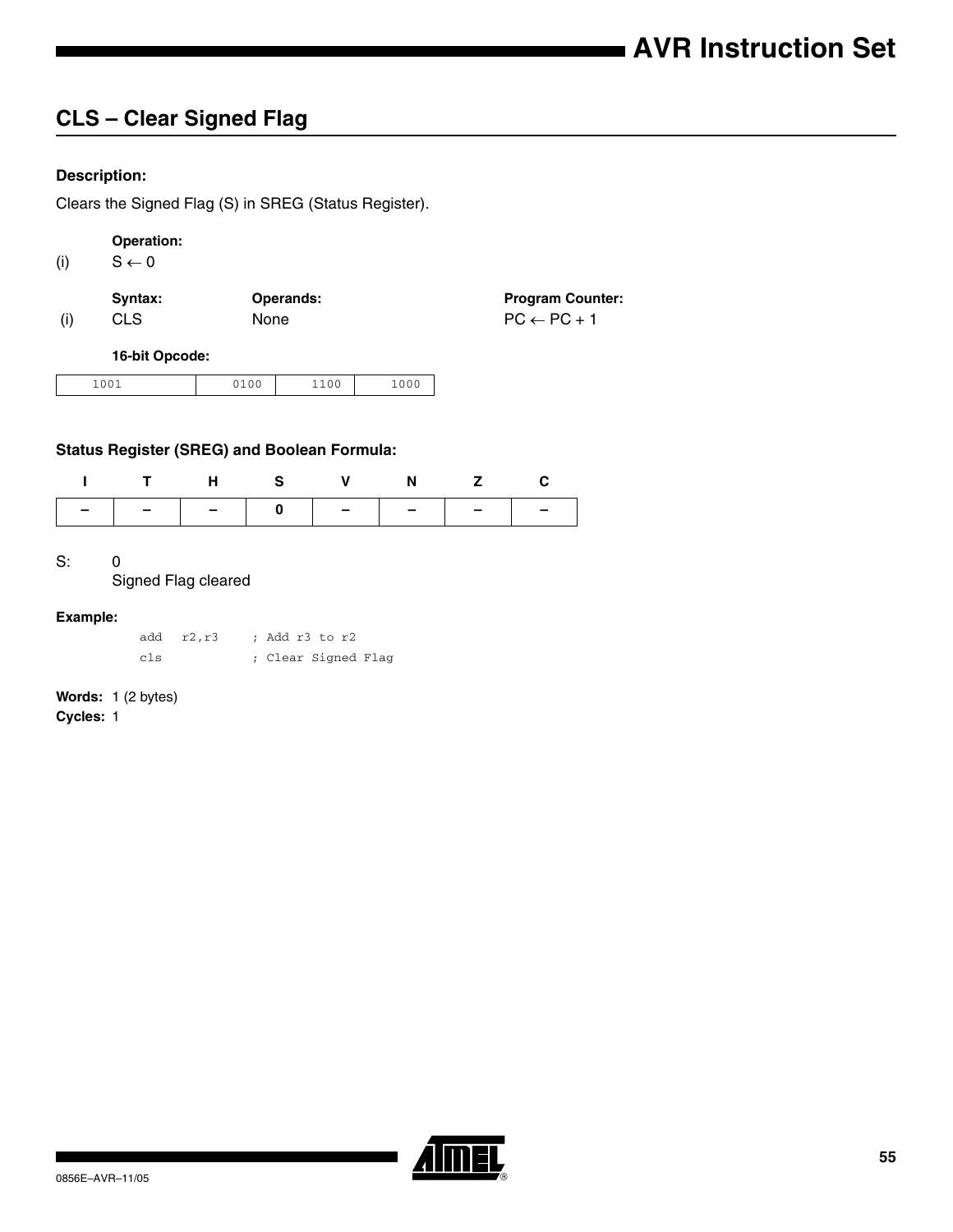# **CLS – Clear Signed Flag**

#### **Description:**

Clears the Signed Flag (S) in SREG (Status Register).

### **Operation:**

(i)  $S \leftarrow 0$ 

|     | Syntax:    | <b>Operands:</b> | <b>Program Counter:</b> |
|-----|------------|------------------|-------------------------|
| (i) | <b>CLS</b> | <b>None</b>      | $PC \leftarrow PC + 1$  |

#### **16-bit Opcode:**

| 1.001<br><u>. на с</u><br>◡<br>- | $\sim$ $\sim$<br>. | $\sim$ $\sim$ $\sim$<br>$   -$ | $\sim$ $\sim$ $\sim$ |
|----------------------------------|--------------------|--------------------------------|----------------------|
|----------------------------------|--------------------|--------------------------------|----------------------|

#### **Status Register (SREG) and Boolean Formula:**

| ITHS V N Z C                  |  |  |  |
|-------------------------------|--|--|--|
| -   -   -   0   -   -   -   - |  |  |  |

#### S: 0

#### Signed Flag cleared

#### **Example:**

|     | add r2,r3 | ; Add r3 to r2 |  |                     |
|-----|-----------|----------------|--|---------------------|
| cls |           |                |  | ; Clear Signed Flag |

## **Words:** 1 (2 bytes)

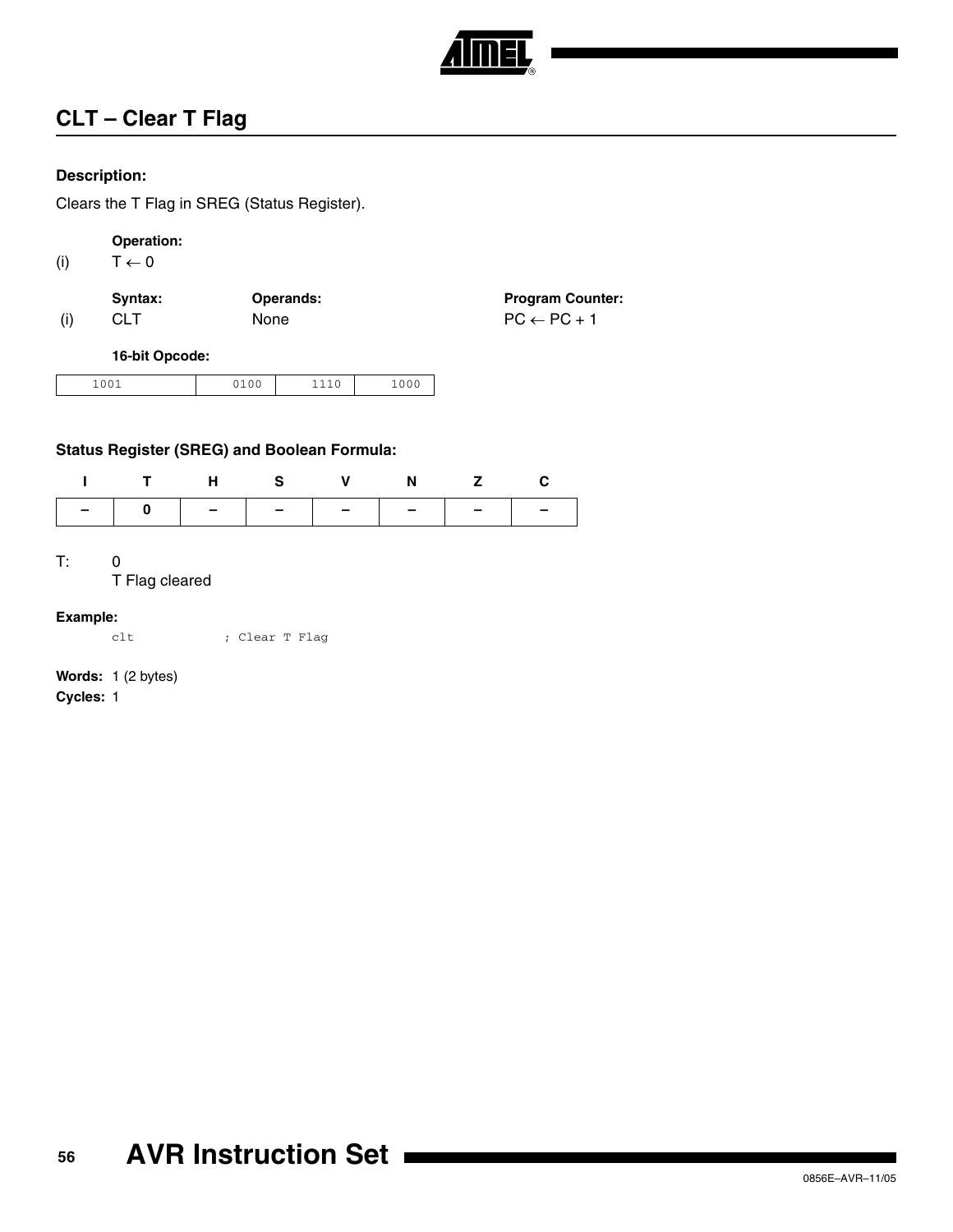# **CLT – Clear T Flag**

#### **Description:**

Clears the T Flag in SREG (Status Register).

### **Operation:**

(i)  $T \leftarrow 0$ 

| Syntax: | <b>Operands:</b> | <b>Program Counter:</b> |
|---------|------------------|-------------------------|
| CLT     | None             | $PC \leftarrow PC + 1$  |

**16-bit Opcode:**

| $\sim$ $\sim$<br>- | . |  | --- |
|--------------------|---|--|-----|
|--------------------|---|--|-----|

#### **Status Register (SREG) and Boolean Formula:**

| THS V N Z C                   |  |  |  |
|-------------------------------|--|--|--|
| -   0   -   -   -   -   -   - |  |  |  |

T: 0

T Flag cleared

#### **Example:**

clt ; Clear T Flag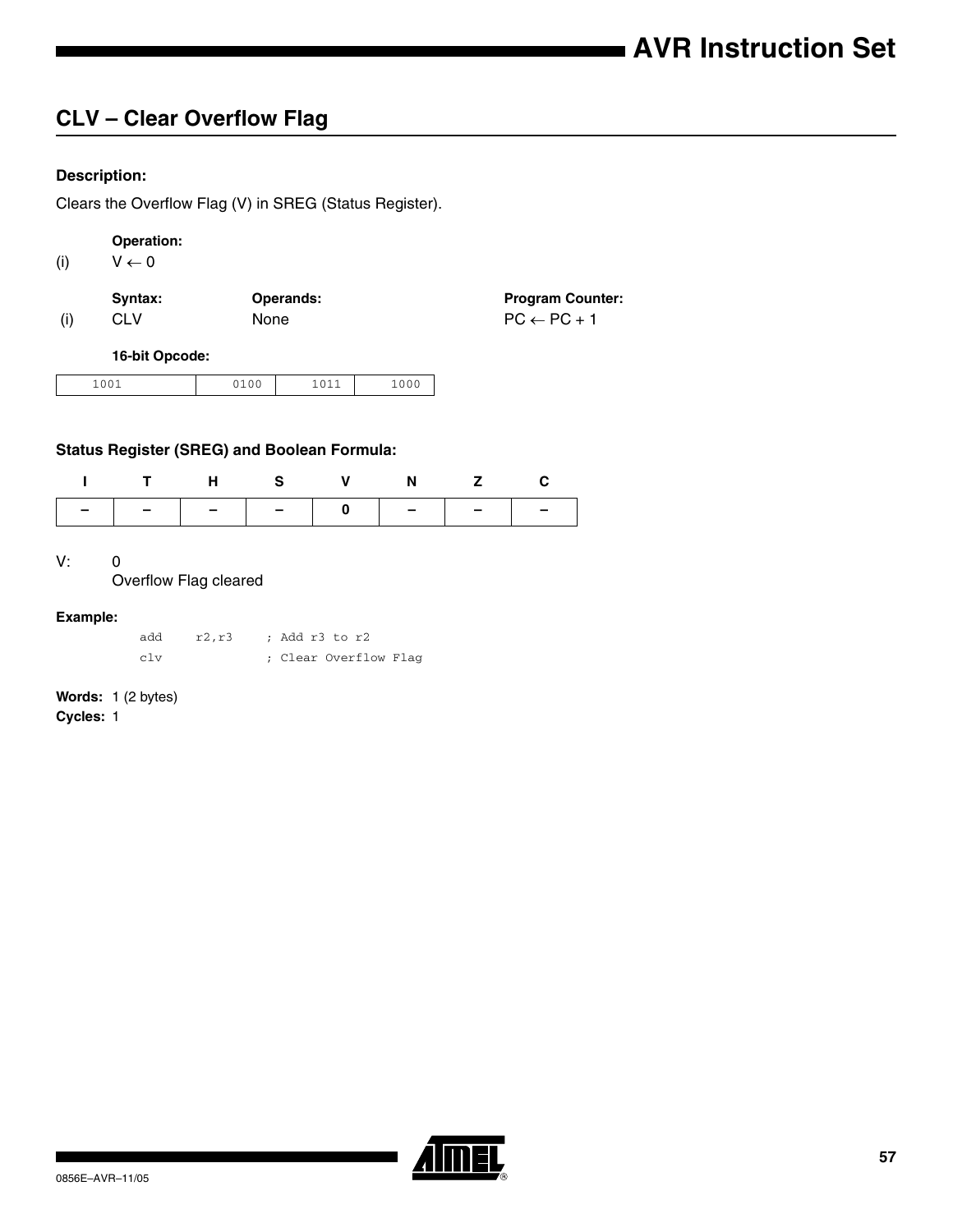### **CLV – Clear Overflow Flag**

#### **Description:**

Clears the Overflow Flag (V) in SREG (Status Register).

### **Operation:**

(i)  $V \leftarrow 0$ 

|     | Syntax: | <b>Operands:</b> | <b>Program Counter:</b> |
|-----|---------|------------------|-------------------------|
| (i) | CLV.    | None             | $PC \leftarrow PC + 1$  |

#### **16-bit Opcode:**

| $\sim$ $\sim$ $\sim$<br><b>__</b><br>ີ<br>- | $\sim$ $\sim$<br>. | .<br>-- | $\sim$ $\sim$ $\sim$<br>$ \sim$ |
|---------------------------------------------|--------------------|---------|---------------------------------|
|---------------------------------------------|--------------------|---------|---------------------------------|

#### **Status Register (SREG) and Boolean Formula:**

|                               | T H |  | S V N Z |  |
|-------------------------------|-----|--|---------|--|
| -   -   -   -   0   -   -   - |     |  |         |  |

#### V: 0

Overflow Flag cleared

#### **Example:**

add r2,r3 ; Add r3 to r2 clv ; Clear Overflow Flag

## **Words:** 1 (2 bytes)

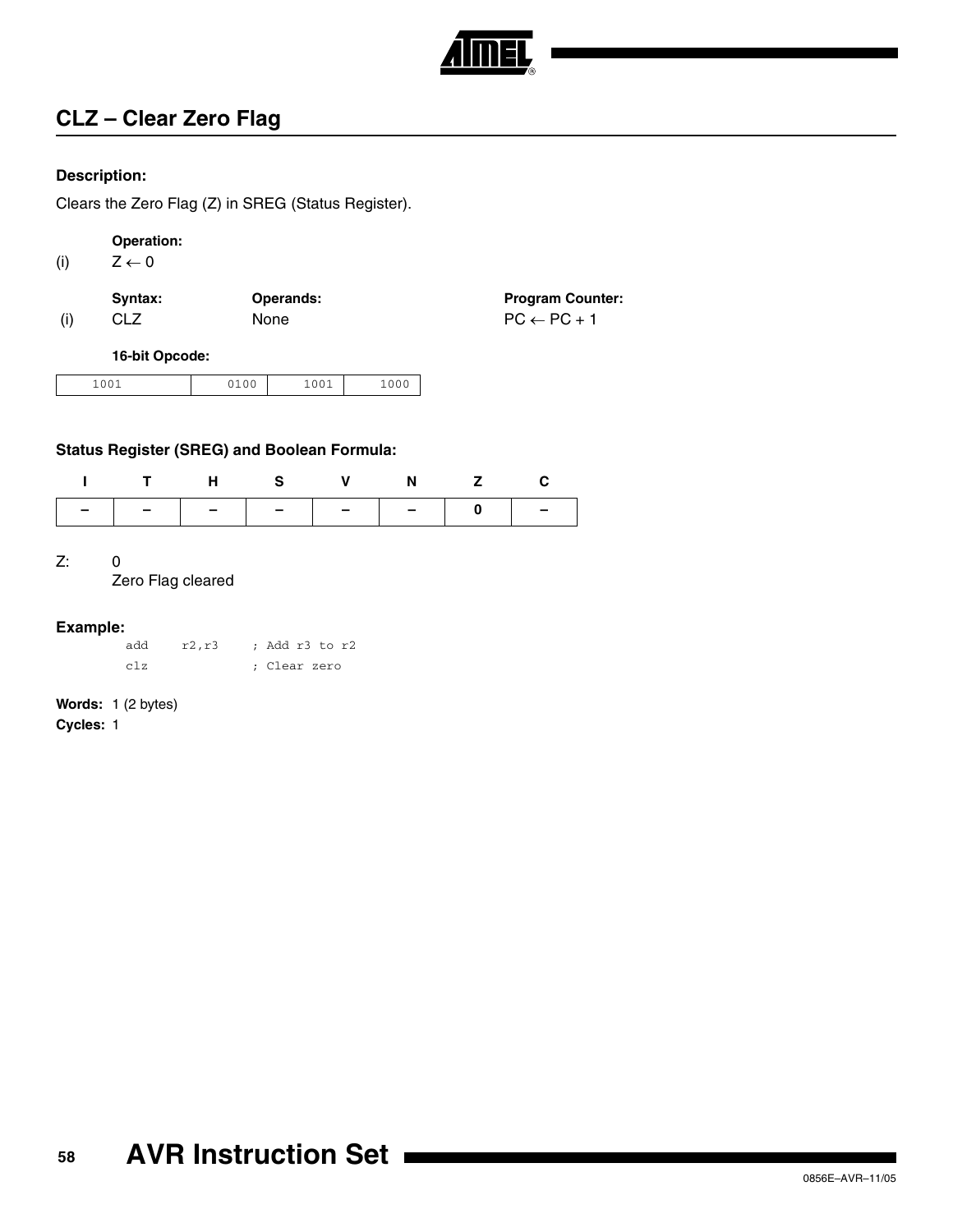## **CLZ – Clear Zero Flag**

#### **Description:**

Clears the Zero Flag (Z) in SREG (Status Register).

### **Operation:**

(i)  $Z \leftarrow 0$ 

|     | Syntax: | <b>Operands:</b> | <b>Program Counter:</b> |
|-----|---------|------------------|-------------------------|
| (i) | CLZ.    | None             | $PC \leftarrow PC + 1$  |

#### **16-bit Opcode:**

| $-00-$<br>$+00+$ |
|------------------|
|------------------|

#### **Status Register (SREG) and Boolean Formula:**

|  | ITHS V N Z C |  |  |
|--|--------------|--|--|
|  |              |  |  |

#### Z: 0

Zero Flag cleared

### **Example:**

| add | r2,r3 | ; Add r3 to r2 |  |  |
|-----|-------|----------------|--|--|
| c1z |       | ; Clear zero   |  |  |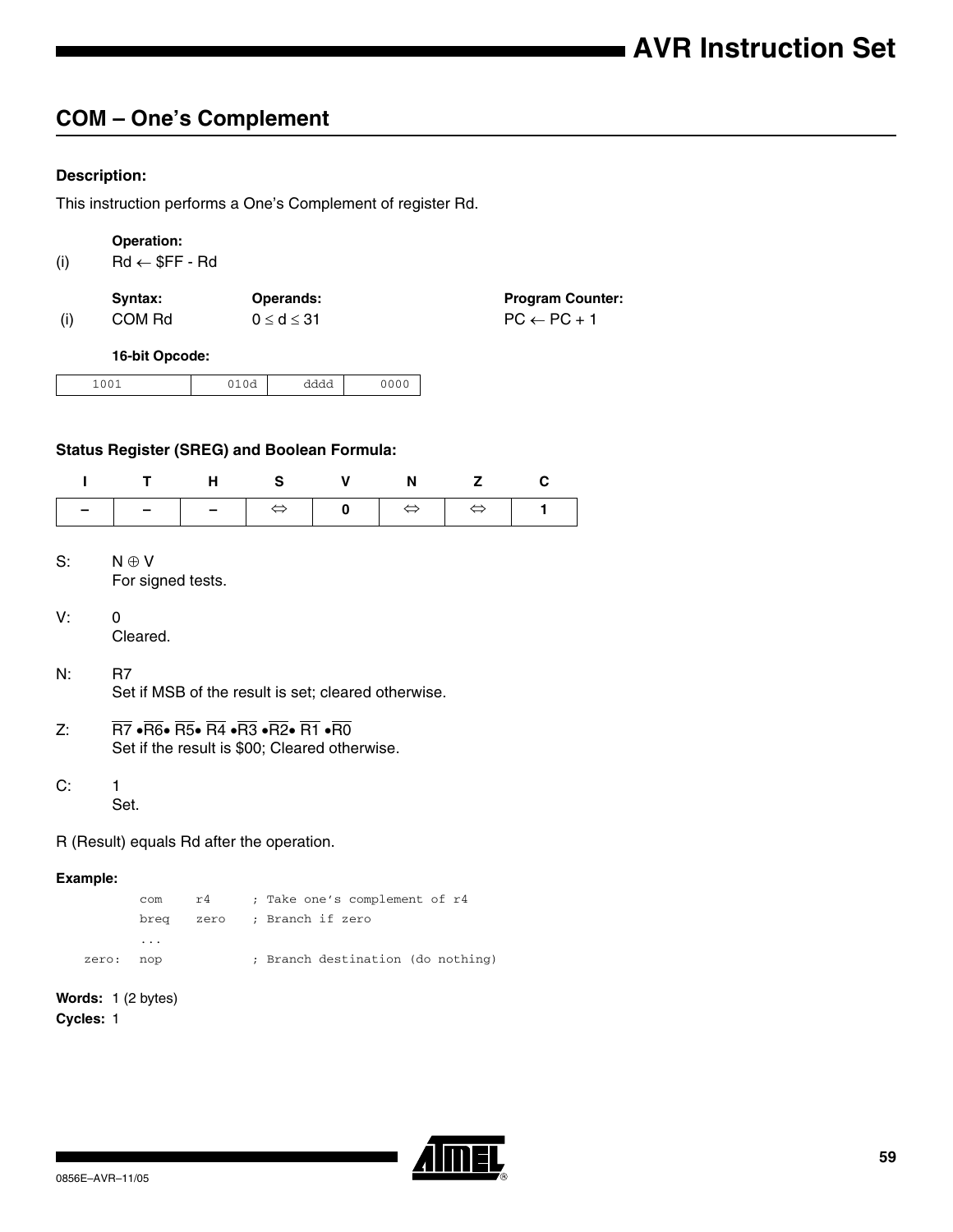# **COM – One's Complement**

### **Description:**

This instruction performs a One's Complement of register Rd.

| (i)      | Operation:<br>$Rd \leftarrow$ \$FF - Rd                                             |            |                                 |                  |                                   |                   |                                                   |  |
|----------|-------------------------------------------------------------------------------------|------------|---------------------------------|------------------|-----------------------------------|-------------------|---------------------------------------------------|--|
| (i)      | Syntax:<br>COM Rd                                                                   |            | Operands:<br>$0 \leq d \leq 31$ |                  |                                   |                   | <b>Program Counter:</b><br>$PC \leftarrow PC + 1$ |  |
|          | 16-bit Opcode:                                                                      |            |                                 |                  |                                   |                   |                                                   |  |
|          | 1001                                                                                | 010d       |                                 | dddd             | 0000                              |                   |                                                   |  |
|          | <b>Status Register (SREG) and Boolean Formula:</b>                                  |            |                                 |                  |                                   |                   |                                                   |  |
| L        | т                                                                                   | н          | s                               | v                | N                                 | z                 | C                                                 |  |
|          |                                                                                     | —          | $\Leftrightarrow$               | 0                | $\Leftrightarrow$                 | $\Leftrightarrow$ | 1                                                 |  |
| S:       | $N \oplus V$<br>For signed tests.                                                   |            |                                 |                  |                                   |                   |                                                   |  |
| V.       | 0<br>Cleared.                                                                       |            |                                 |                  |                                   |                   |                                                   |  |
| N:       | R7<br>Set if MSB of the result is set; cleared otherwise.                           |            |                                 |                  |                                   |                   |                                                   |  |
| Z:       | R7 • R6• R5• R4 • R3 • R2• R1 • R0<br>Set if the result is \$00; Cleared otherwise. |            |                                 |                  |                                   |                   |                                                   |  |
| C:       | 1<br>Set.                                                                           |            |                                 |                  |                                   |                   |                                                   |  |
|          | R (Result) equals Rd after the operation.                                           |            |                                 |                  |                                   |                   |                                                   |  |
| Example: |                                                                                     |            |                                 |                  |                                   |                   |                                                   |  |
|          | com<br>breg                                                                         | r4<br>zero |                                 | ; Branch if zero | ; Take one's complement of r4     |                   |                                                   |  |
|          | nop<br>zero:                                                                        |            |                                 |                  | ; Branch destination (do nothing) |                   |                                                   |  |
|          | Words: 1 (2 bytes)                                                                  |            |                                 |                  |                                   |                   |                                                   |  |

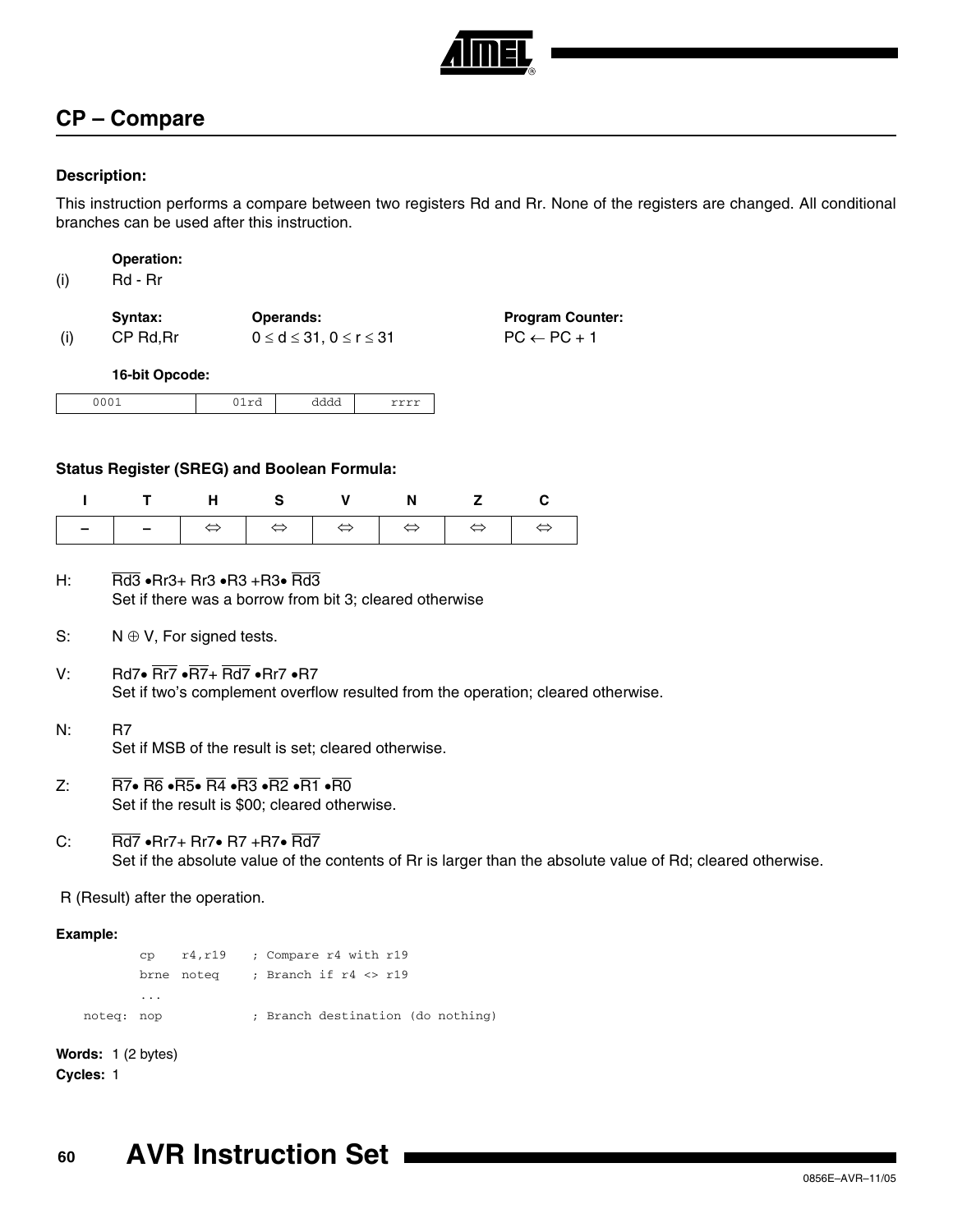### **CP – Compare**

#### **Description:**

This instruction performs a compare between two registers Rd and Rr. None of the registers are changed. All conditional branches can be used after this instruction.

| Operation: |
|------------|
|------------|

| (i) | Rd - Rr |
|-----|---------|
|-----|---------|

|     | Svntax:  | <b>Operands:</b>                     | <b>Program Counter:</b> |
|-----|----------|--------------------------------------|-------------------------|
| (i) | CP Rd.Rr | $0 \leq d \leq 31, 0 \leq r \leq 31$ | $PC \leftarrow PC + 1$  |

#### **16-bit Opcode:**

| 0.001<br><u>—</u> | ---<br>ີ<br>-- -<br>$- -$ | uuuu<br>------- | ------ |
|-------------------|---------------------------|-----------------|--------|

#### **Status Register (SREG) and Boolean Formula:**

| ITHS V N Z C |  |  |  |
|--------------|--|--|--|
|              |  |  |  |

- H: Rd3 •Rr3+ Rr3 •R3 +R3• Rd3 Set if there was a borrow from bit 3; cleared otherwise
- S: N ⊕ V, For signed tests.
- V: Rd7• Rr7 •R7+ Rd7 •Rr7 •R7 Set if two's complement overflow resulted from the operation; cleared otherwise.
- N: R7 Set if MSB of the result is set; cleared otherwise.
- Z:  $\overline{R7}$   $\overline{R6}$   $\overline{R5}$   $\overline{R4}$   $\overline{R3}$   $\overline{R2}$   $\overline{R1}$   $\overline{R0}$ Set if the result is \$00; cleared otherwise.
- C:  $\overline{Rd7}$  Rr7 + Rr7 R7 + R7 Rd7 Set if the absolute value of the contents of Rr is larger than the absolute value of Rd; cleared otherwise.

R (Result) after the operation.

#### **Example:**

cp r4,r19 ; Compare r4 with r19 brne noteq ; Branch if r4 <> r19 ... noteq: nop ; Branch destination (do nothing)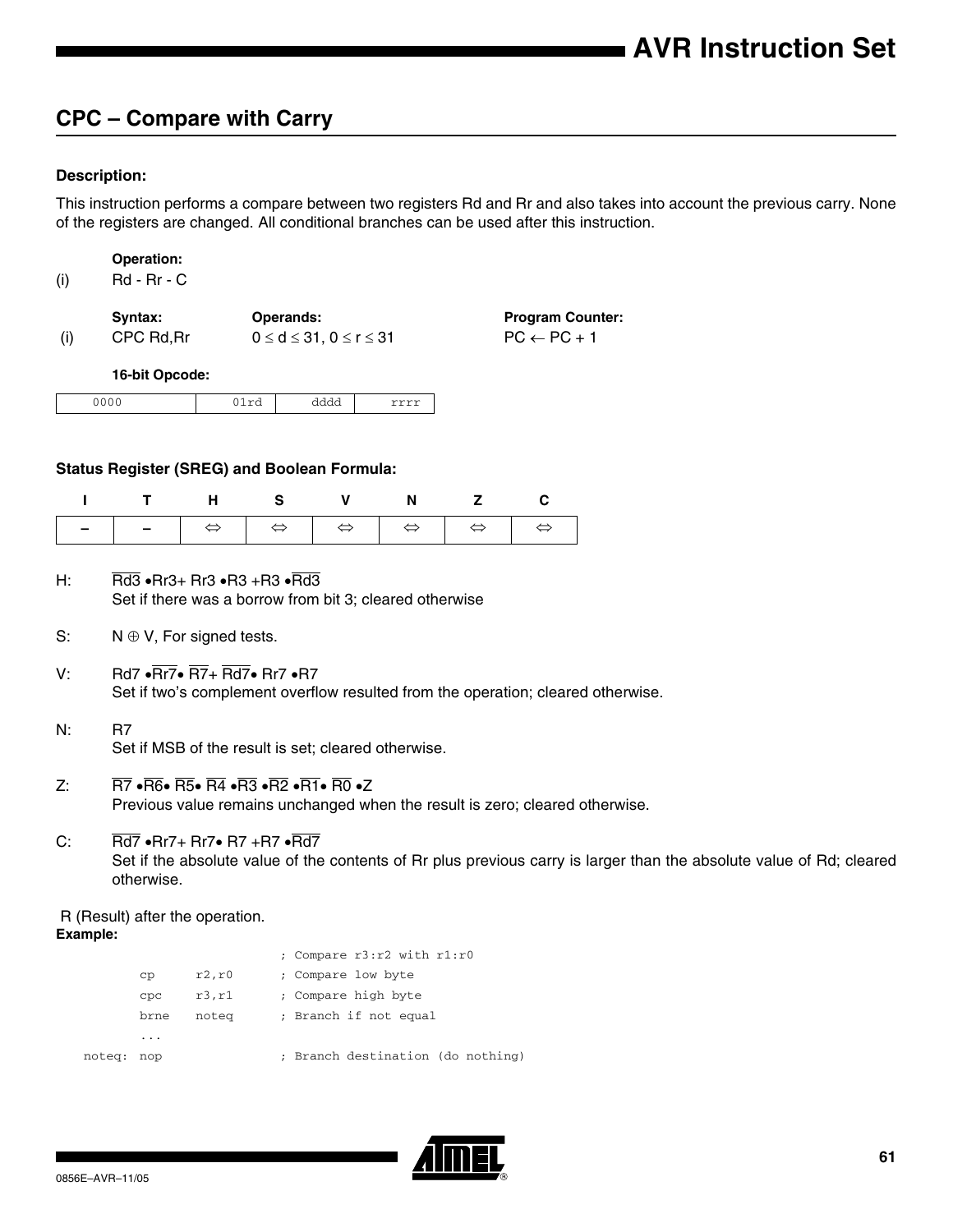### **CPC – Compare with Carry**

#### **Description:**

This instruction performs a compare between two registers Rd and Rr and also takes into account the previous carry. None of the registers are changed. All conditional branches can be used after this instruction.

| (i) | Rd - Rr - C |                                      |                         |
|-----|-------------|--------------------------------------|-------------------------|
| (i) | Syntax:     | <b>Operands:</b>                     | <b>Program Counter:</b> |
|     | CPC Rd, Rr  | $0 \leq d \leq 31, 0 \leq r \leq 31$ | $PC \leftarrow PC + 1$  |

**16-bit Opcode:**

**Operation:**

| --<br>--- - | aaaa |  |
|-------------|------|--|

#### **Status Register (SREG) and Boolean Formula:**

|  |  | ITHS V N Z C |  |
|--|--|--------------|--|
|  |  |              |  |

- H: Rd3 •Rr3+ Rr3 •R3 +R3 •Rd3 Set if there was a borrow from bit 3; cleared otherwise
- S: N ⊕ V, For signed tests.
- V: Rd7  $\overline{RT}$   $\overline{R7}$ +  $\overline{Rd7}$   $\overline{R17}$   $\overline{R7}$ Set if two's complement overflow resulted from the operation; cleared otherwise.
- N: R7 Set if MSB of the result is set; cleared otherwise.
- Z:  $\overline{R7}$   $\overline{R6}$   $\overline{R5}$   $\overline{R4}$   $\overline{R3}$   $\overline{R2}$   $\overline{R1}$   $\overline{R0}$  Z Previous value remains unchanged when the result is zero; cleared otherwise.
- C:  $\overline{Rd7}$  Rr7 + Rr7 R7 + R7  $\overline{Rd7}$ Set if the absolute value of the contents of Rr plus previous carry is larger than the absolute value of Rd; cleared otherwise.

 R (Result) after the operation. **Example:**

|        |      |        | : Compare r3:r2 with r1:r0        |
|--------|------|--------|-----------------------------------|
|        | CD   | r2, r0 | ; Compare low byte                |
|        | CDC  | r3, r1 | ; Compare high byte               |
|        | brne | noteg  | ; Branch if not equal             |
|        | .    |        |                                   |
| noteg: | nop  |        | ; Branch destination (do nothing) |
|        |      |        |                                   |

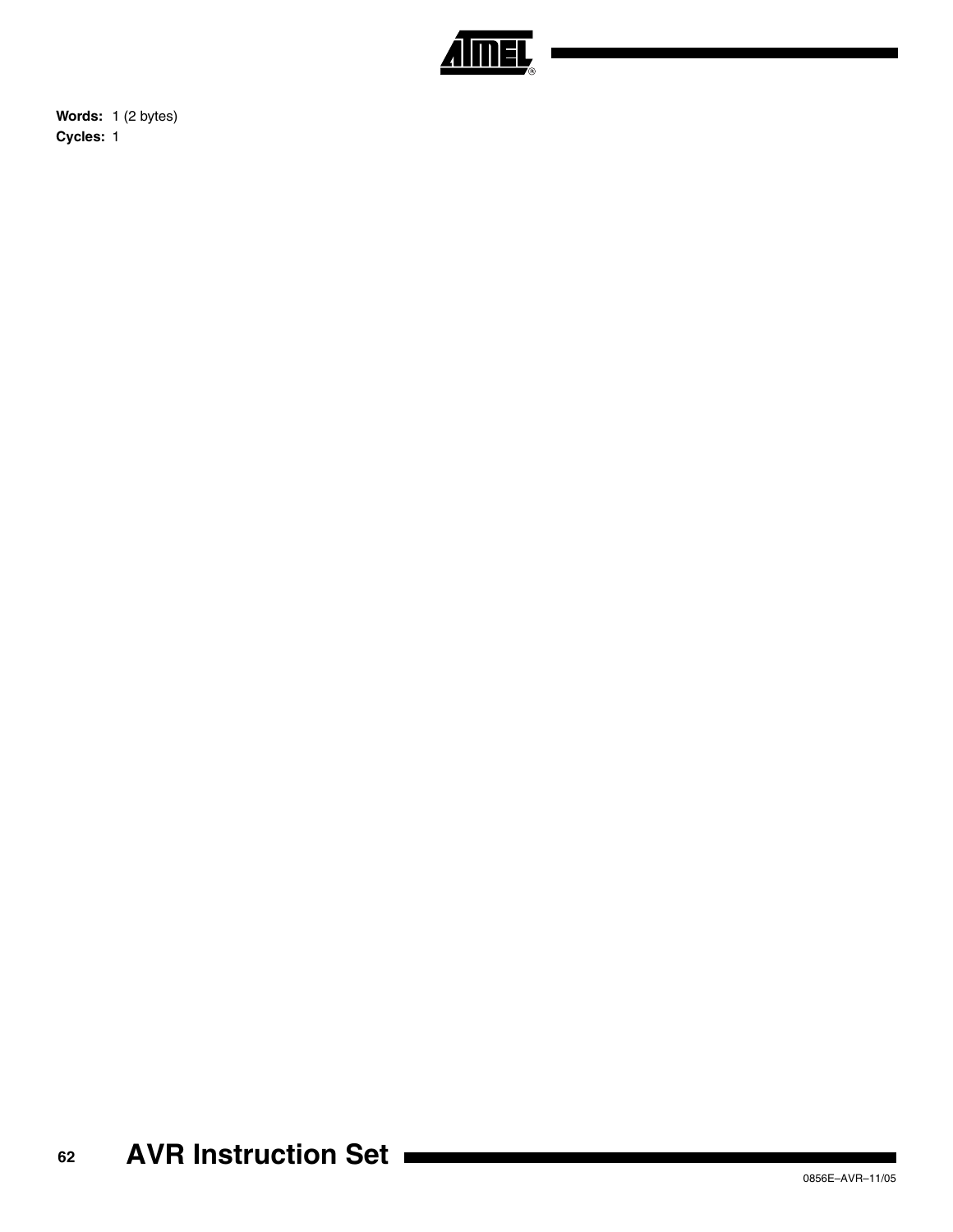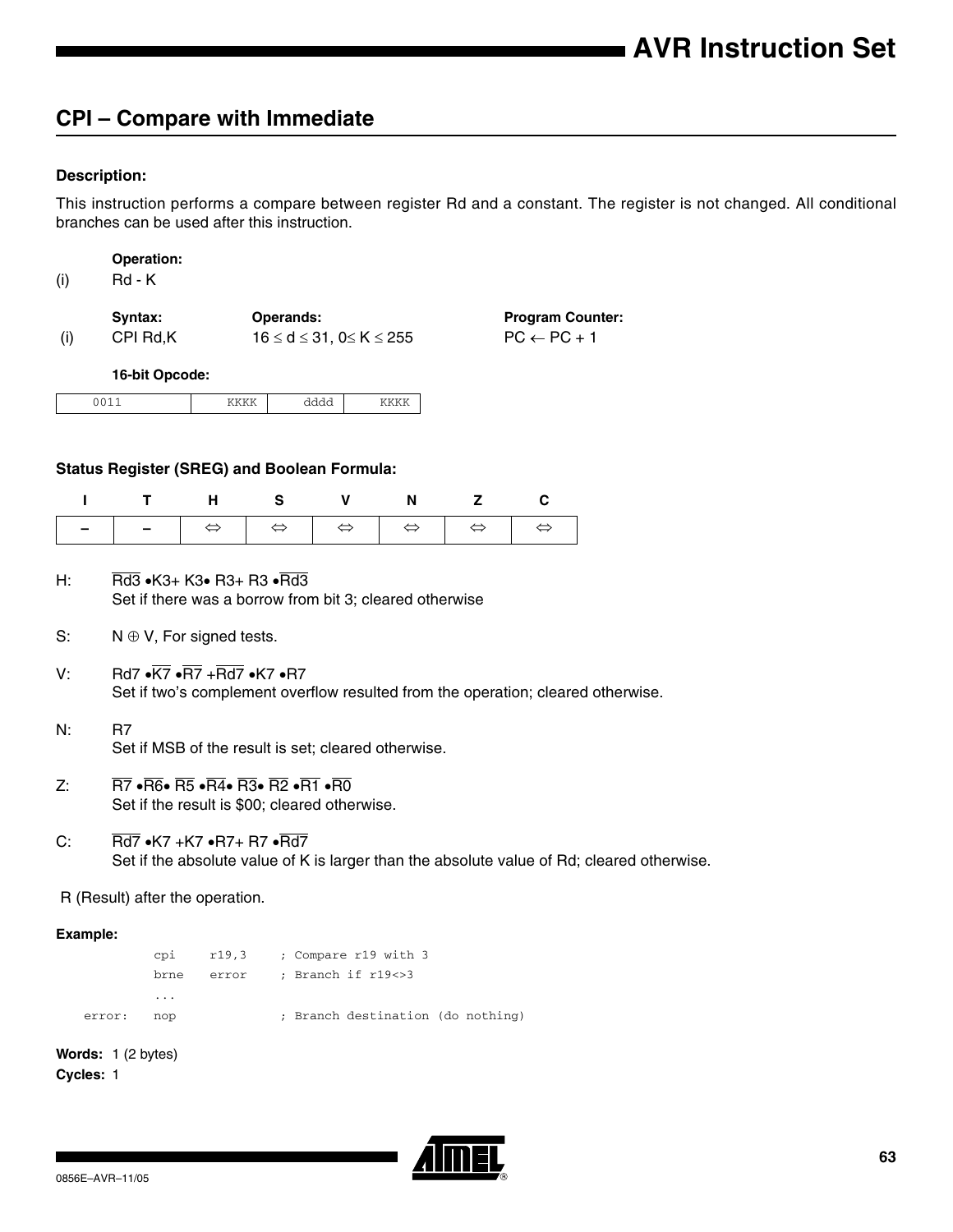### **CPI – Compare with Immediate**

#### **Description:**

This instruction performs a compare between register Rd and a constant. The register is not changed. All conditional branches can be used after this instruction.

|     | Svntax:  | Operands:                                 | <b>Program Counter:</b> |
|-----|----------|-------------------------------------------|-------------------------|
| (i) | CPI Rd,K | $16 \leq d \leq 31$ , $0 \leq K \leq 255$ | $PC \leftarrow PC + 1$  |

**16-bit Opcode:**

| . .<br>. .<br>u | . | . . |
|-----------------|---|-----|

#### **Status Register (SREG) and Boolean Formula:**

| ITHS V N Z C |  |  |  |
|--------------|--|--|--|
|              |  |  |  |

- H: Rd3 •K3+ K3• R3+ R3 •Rd3 Set if there was a borrow from bit 3; cleared otherwise
- S: N ⊕ V, For signed tests.
- V: Rd7  $\cdot$   $\overline{K7}$   $\cdot$   $\overline{RT}$   $\cdot$   $\overline{Rd7}$   $\cdot$  K7  $\cdot$  R7 Set if two's complement overflow resulted from the operation; cleared otherwise.
- N: R7 Set if MSB of the result is set; cleared otherwise.
- Z:  $\overline{RT}$   $\overline{R6}$   $\overline{R5}$   $\overline{R4}$   $\overline{R3}$   $\overline{R2}$   $\overline{R1}$   $\overline{R0}$ Set if the result is \$00; cleared otherwise.
- C:  $\overline{Rd7}$  K7 + K7 R7 + R7  $\overline{Rd7}$ Set if the absolute value of K is larger than the absolute value of Rd; cleared otherwise.

R (Result) after the operation.

#### **Example:**

cpi r19,3 ; Compare r19 with 3 brne error ; Branch if r19<>3 ... error: nop ; Branch destination (do nothing)

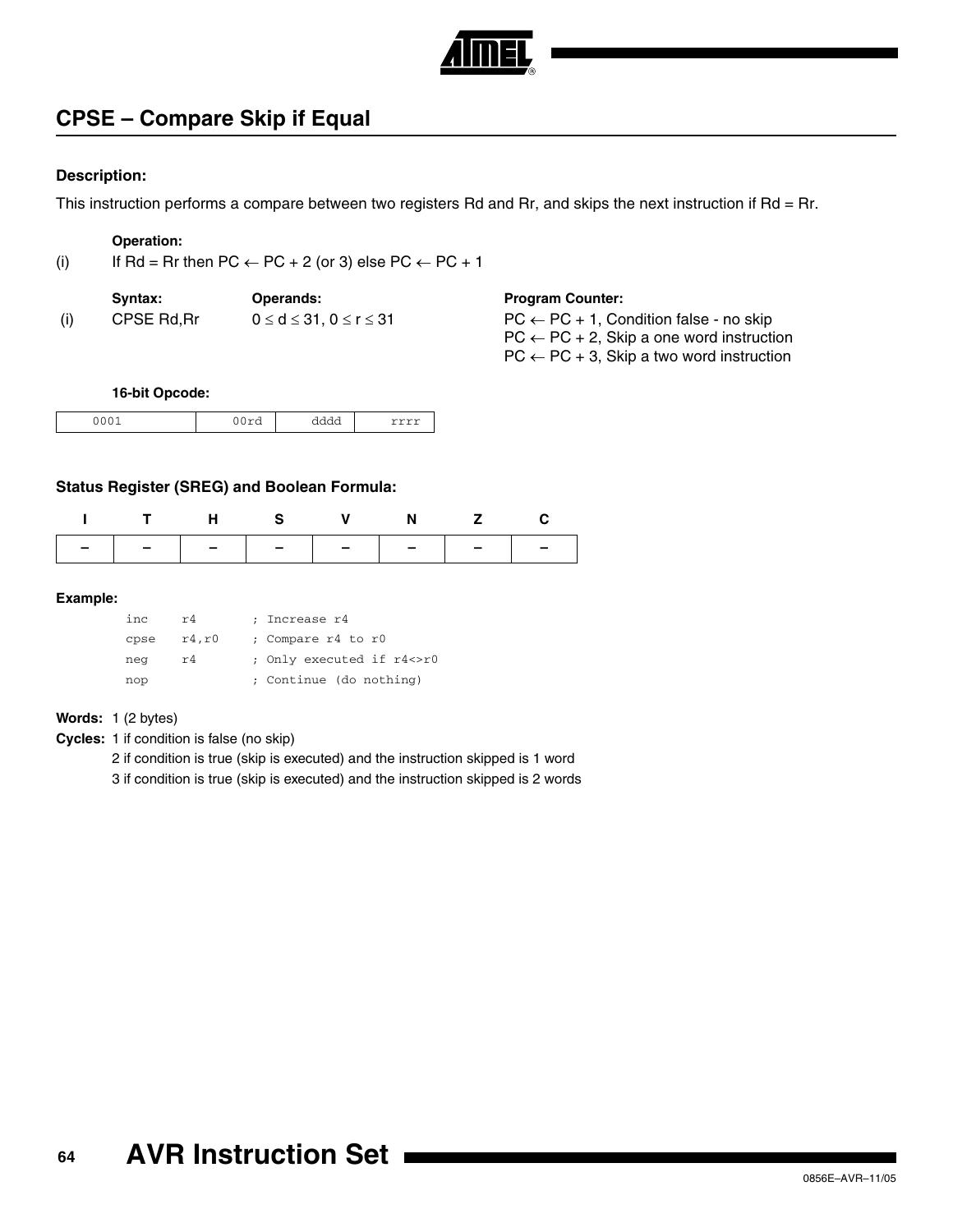# **CPSE – Compare Skip if Equal**

#### **Description:**

This instruction performs a compare between two registers Rd and Rr, and skips the next instruction if Rd = Rr.

#### **Operation:**

(i) If Rd = Rr then  $PC \leftarrow PC + 2$  (or 3) else  $PC \leftarrow PC + 1$ 

| Svntax:     | <b>Operands:</b>                     | <b>Program Counter:</b>     |
|-------------|--------------------------------------|-----------------------------|
| CPSE Rd, Rr | $0 \leq d \leq 31, 0 \leq r \leq 31$ | $PC \leftarrow PC + 1$ , Co |

| <b>Program Counter:</b> |  |
|-------------------------|--|
|-------------------------|--|

 $PC \leftarrow PC + 1$ , Condition false - no skip  $PC \leftarrow PC + 2$ , Skip a one word instruction  $PC \leftarrow PC + 3$ , Skip a two word instruction

#### **16-bit Opcode:**

|--|

#### **Status Register (SREG) and Boolean Formula:**

| THS V N Z C   |  |  |  |
|---------------|--|--|--|
| ------------- |  |  |  |

#### **Example:**

| inc. | r4     | ; Increase r4             |
|------|--------|---------------------------|
| cpse | r4, r0 | ; Compare r4 to r0        |
| neg  | r4     | ; Only executed if r4<>r0 |
| nop  |        | ; Continue (do nothing)   |

#### **Words:** 1 (2 bytes)

**Cycles:** 1 if condition is false (no skip)

2 if condition is true (skip is executed) and the instruction skipped is 1 word

3 if condition is true (skip is executed) and the instruction skipped is 2 words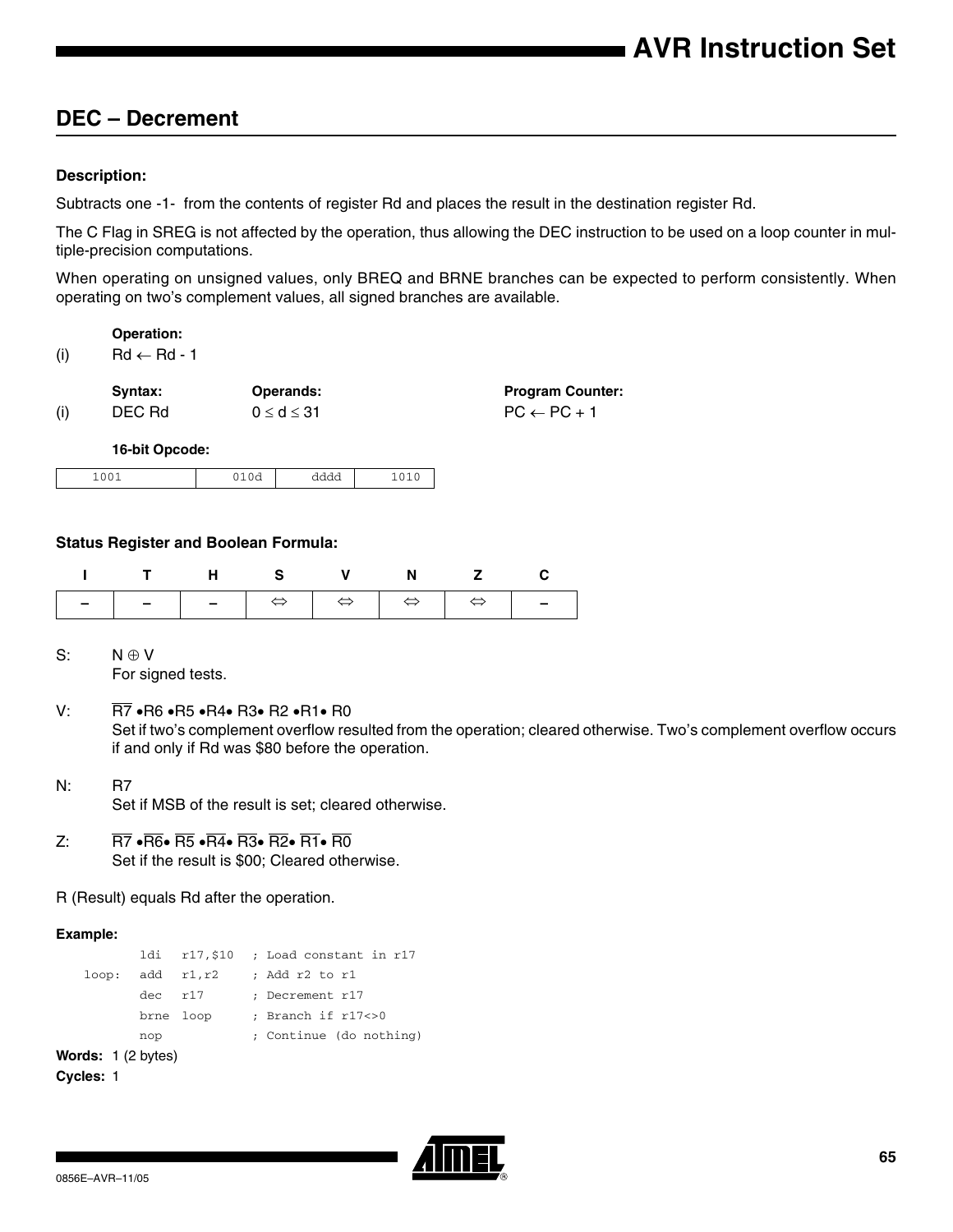### **DEC – Decrement**

#### **Description:**

Subtracts one -1- from the contents of register Rd and places the result in the destination register Rd.

The C Flag in SREG is not affected by the operation, thus allowing the DEC instruction to be used on a loop counter in multiple-precision computations.

When operating on unsigned values, only BREQ and BRNE branches can be expected to perform consistently. When operating on two's complement values, all signed branches are available.

**Operation:** (i)  $Rd \leftarrow Rd - 1$ 

|     | Syntax: | <b>Operands:</b> | <b>Program Cour</b>    |
|-----|---------|------------------|------------------------|
| (i) | DEC Rd  | $0 \le d \le 31$ | $PC \leftarrow PC + 1$ |

**Program Counter:** 

**16-bit Opcode:**

| $\sim$ $\sim$ $\sim$ $\sim$<br>$+00+$ | $\sim$<br>-<br>∪⊥∪u | --<br>uuuu | _____ |
|---------------------------------------|---------------------|------------|-------|
|---------------------------------------|---------------------|------------|-------|

#### **Status Register and Boolean Formula:**

| ITHS V N Z C |  |  |  |
|--------------|--|--|--|
|              |  |  |  |

- S: N ⊕ V For signed tests.
- V: R7 •R6 •R5 •R4• R3• R2 •R1• R0 Set if two's complement overflow resulted from the operation; cleared otherwise. Two's complement overflow occurs if and only if Rd was \$80 before the operation.
- N: R7 Set if MSB of the result is set; cleared otherwise.
- Z:  $\overline{R7}$   $\overline{R6}$   $\overline{R5}$   $\overline{R4}$   $\overline{R3}$   $\overline{R2}$   $\overline{R1}$   $\overline{R0}$ Set if the result is \$00; Cleared otherwise.
- R (Result) equals Rd after the operation.

#### **Example:**

```
ldi r17,$10 ; Load constant in r17
   loop: add r1, r2 ; Add r2 to r1
         dec r17 ; Decrement r17
         brne loop ; Branch if r17<>0
         nop ; Continue (do nothing)
Words: 1 (2 bytes)
Cycles: 1
```
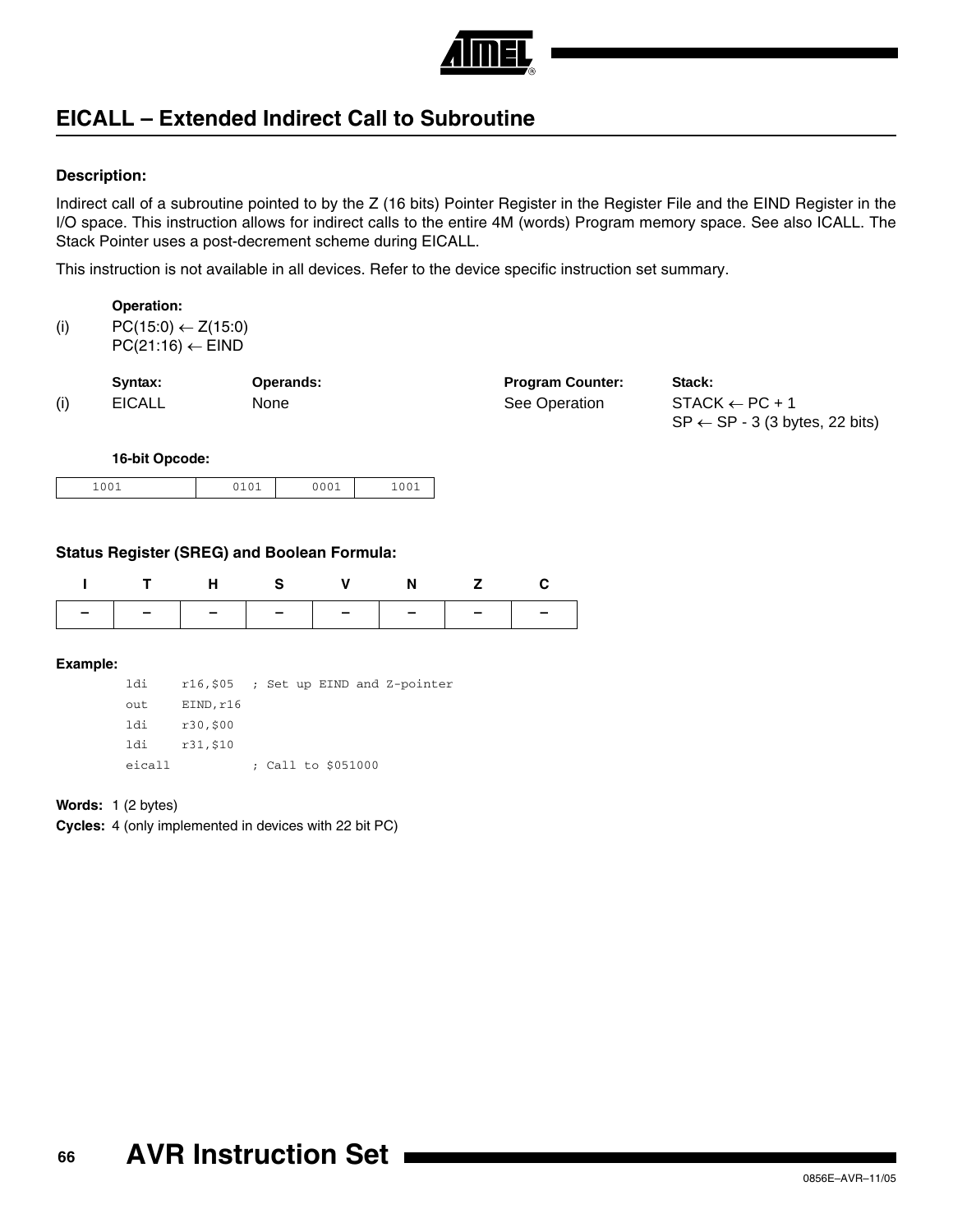

### **EICALL – Extended Indirect Call to Subroutine**

#### **Description:**

Indirect call of a subroutine pointed to by the Z (16 bits) Pointer Register in the Register File and the EIND Register in the I/O space. This instruction allows for indirect calls to the entire 4M (words) Program memory space. See also ICALL. The Stack Pointer uses a post-decrement scheme during EICALL.

This instruction is not available in all devices. Refer to the device specific instruction set summary.

|     | <b>Operation:</b>             |
|-----|-------------------------------|
| (i) | $PC(15:0) \leftarrow Z(15:0)$ |
|     | $PC(21:16) \leftarrow EIND$   |

| Svntax:       | <b>Operands:</b> | <b>Program Counter:</b> | Stack:                                    |
|---------------|------------------|-------------------------|-------------------------------------------|
| <b>EICALL</b> | None             | See Operation           | $STACK \leftarrow PC + 1$                 |
|               |                  |                         | $SP \leftarrow SP - 3$ (3 bytes, 22 bits) |

#### **16-bit Opcode:**

| $. \cap \cap \gamma$<br>---- | 101<br>ັ<br>---- | 000 <sup>2</sup> | 00 <sup>2</sup><br>$+00+$ |
|------------------------------|------------------|------------------|---------------------------|

#### **Status Register (SREG) and Boolean Formula:**

|                               | HS V N Z |  |  |
|-------------------------------|----------|--|--|
| - - - - - - - - - - - - - - - |          |  |  |

#### **Example:**

ldi r16,\$05 ; Set up EIND and Z-pointer out EIND,r16 ldi r30,\$00 ldi r31,\$10 eicall ; Call to \$051000

#### **Words:** 1 (2 bytes)

**Cycles:** 4 (only implemented in devices with 22 bit PC)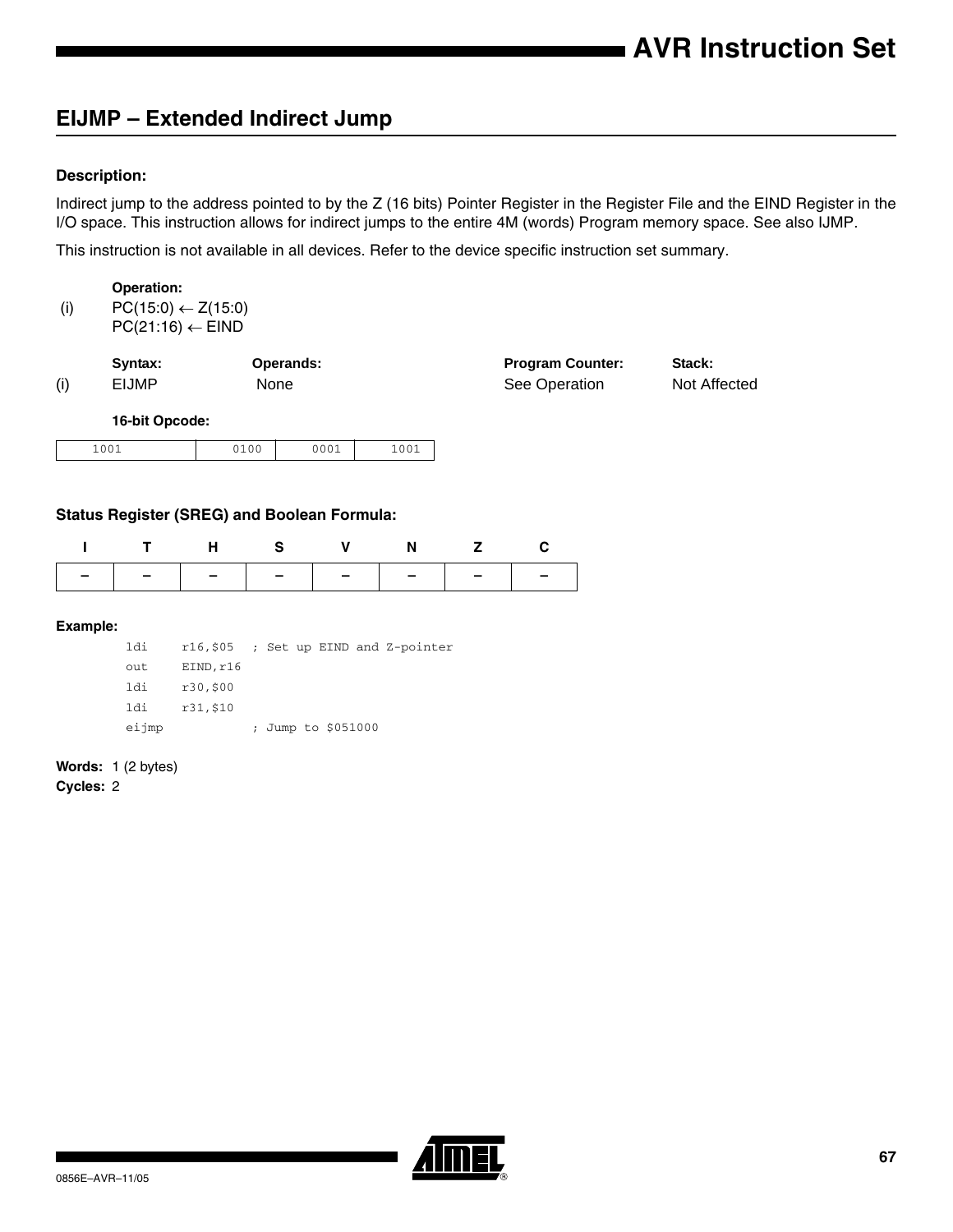### **EIJMP – Extended Indirect Jump**

#### **Description:**

Indirect jump to the address pointed to by the Z (16 bits) Pointer Register in the Register File and the EIND Register in the I/O space. This instruction allows for indirect jumps to the entire 4M (words) Program memory space. See also IJMP.

This instruction is not available in all devices. Refer to the device specific instruction set summary.

|     | Operation:                    |
|-----|-------------------------------|
| (i) | $PC(15:0) \leftarrow Z(15:0)$ |

 $PC(21:16) \leftarrow EIND$ 

|     | Syntax:      | Operands: | <b>Program Counter:</b> | Stack:       |
|-----|--------------|-----------|-------------------------|--------------|
| (i) | <b>EIJMP</b> | None      | See Operation           | Not Affected |
|     |              |           |                         |              |

**16-bit Opcode:**

| 001<br>$+00+$ | 010c<br>◡<br><b>__</b> | 0001 | 1001 |
|---------------|------------------------|------|------|

#### **Status Register (SREG) and Boolean Formula:**

| THS V N Z C                   |  |  |  |
|-------------------------------|--|--|--|
| -   -   -   -   -   -   -   - |  |  |  |

#### **Example:**

| ldi   |           |  |                    | $r16,505$ ; Set up EIND and Z-pointer |
|-------|-----------|--|--------------------|---------------------------------------|
| out   | EIND, r16 |  |                    |                                       |
| ldi   | r30,500   |  |                    |                                       |
| ldi   | r31,\$10  |  |                    |                                       |
| eijmp |           |  | ; Jump to \$051000 |                                       |

#### **Words:** 1 (2 bytes)

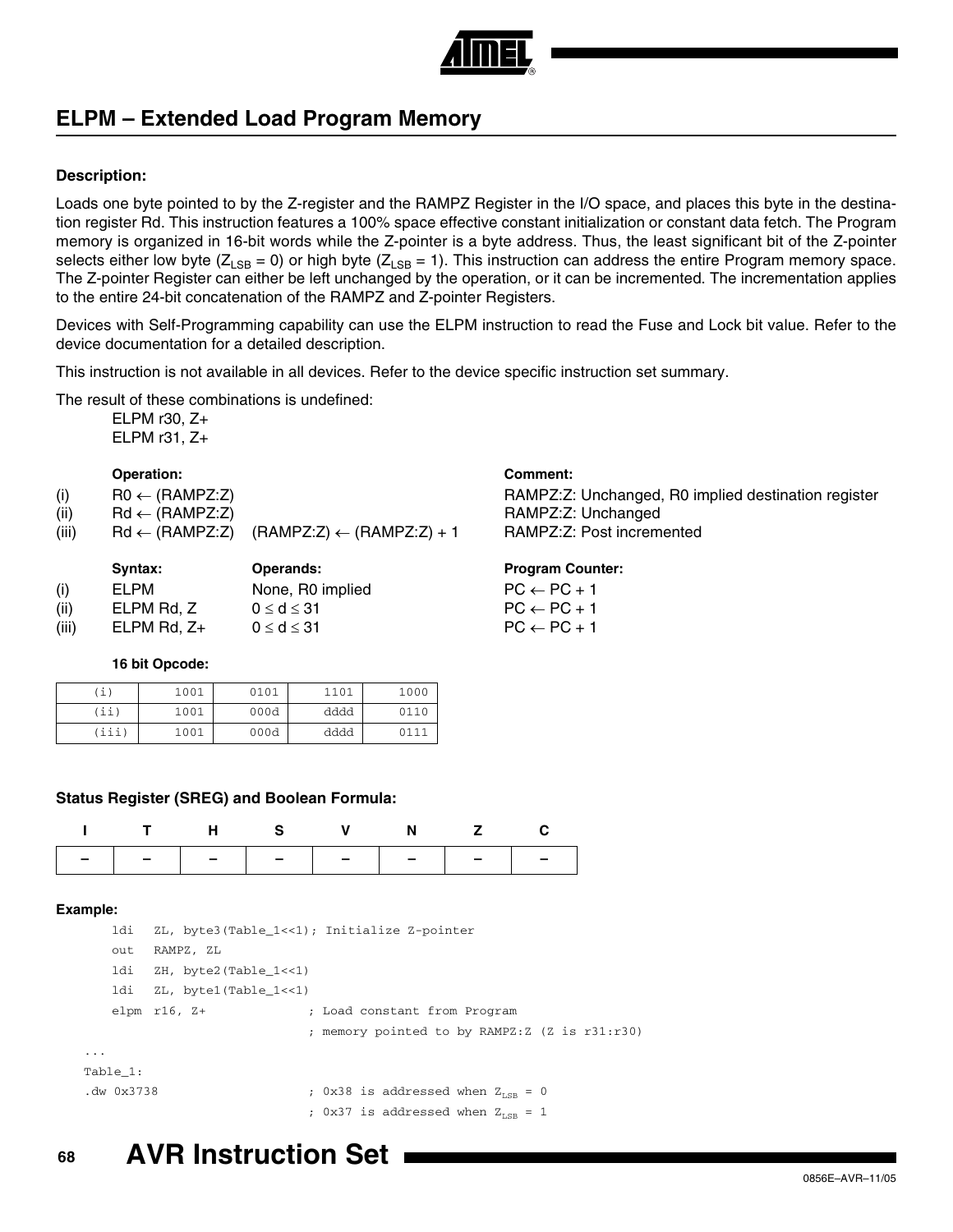

### **ELPM – Extended Load Program Memory**

#### **Description:**

Loads one byte pointed to by the Z-register and the RAMPZ Register in the I/O space, and places this byte in the destination register Rd. This instruction features a 100% space effective constant initialization or constant data fetch. The Program memory is organized in 16-bit words while the Z-pointer is a byte address. Thus, the least significant bit of the Z-pointer selects either low byte ( $Z_{LSB} = 0$ ) or high byte ( $Z_{LSB} = 1$ ). This instruction can address the entire Program memory space. The Z-pointer Register can either be left unchanged by the operation, or it can be incremented. The incrementation applies to the entire 24-bit concatenation of the RAMPZ and Z-pointer Registers.

Devices with Self-Programming capability can use the ELPM instruction to read the Fuse and Lock bit value. Refer to the device documentation for a detailed description.

RAMPZ:Z: Unchanged, R0 implied destination register

RAMPZ:Z: Unchanged RAMPZ:Z: Post incremented

**Program Counter:**  $PC \leftarrow PC + 1$  $PC \leftarrow PC + 1$  $PC \leftarrow PC + 1$ 

This instruction is not available in all devices. Refer to the device specific instruction set summary.

The result of these combinations is undefined:

ELPM r30, Z+ ELPM r31, Z+

#### **Operation: Comment:**

| (i) |  | $RO \leftarrow (RAMPZ:Z)$ |
|-----|--|---------------------------|
|     |  |                           |

| (ii)<br>$Rd \leftarrow (RAMPZ:Z)$ |  |
|-----------------------------------|--|
|-----------------------------------|--|

|       | $\sqrt{2}$ $\sqrt{2}$ $\sqrt{2}$ $\sqrt{2}$ $\sqrt{2}$ $\sqrt{2}$ $\sqrt{2}$ $\sqrt{2}$ $\sqrt{2}$ $\sqrt{2}$ $\sqrt{2}$ $\sqrt{2}$ $\sqrt{2}$ $\sqrt{2}$ $\sqrt{2}$ $\sqrt{2}$ $\sqrt{2}$ $\sqrt{2}$ $\sqrt{2}$ $\sqrt{2}$ $\sqrt{2}$ $\sqrt{2}$ $\sqrt{2}$ $\sqrt{2}$ $\sqrt{2}$ $\sqrt{2}$ $\sqrt{2}$ $\sqrt{2$ |                                                                                                        |
|-------|--------------------------------------------------------------------------------------------------------------------------------------------------------------------------------------------------------------------------------------------------------------------------------------------------------------------|--------------------------------------------------------------------------------------------------------|
| (iii) |                                                                                                                                                                                                                                                                                                                    | $\mathsf{Rd} \leftarrow (\mathsf{RAMPZ:Z}) \quad (\mathsf{RAMPZ:Z}) \leftarrow (\mathsf{RAMPZ:Z}) + 2$ |

|       | Syntax:       | Operands:        |  |
|-------|---------------|------------------|--|
| (i)   | ELPM          | None, R0 implied |  |
| (ii)  | ELPM Rd. Z    | $0 \le d \le 31$ |  |
| (iii) | $ELPM Rd, Z+$ | $0 \le d \le 31$ |  |

#### **16 bit Opcode:**

| 'i)  | 1001 | 0101 | 1101 | 1000 |
|------|------|------|------|------|
| .ii' | 1001 | 000d | dddd | 0110 |
| 'iii | 1001 | 000d | dddd | 0111 |

#### **Status Register (SREG) and Boolean Formula:**

| ITHS V N Z C                  |  |  |  |
|-------------------------------|--|--|--|
| -   -   -   -   -   -   -   - |  |  |  |

#### **Example:**

|            | ldi        |                       | ZL, byte3(Table 1<<1); Initialize Z-pointer     |
|------------|------------|-----------------------|-------------------------------------------------|
|            | out        | RAMPZ, ZL             |                                                 |
|            | ldi        | ZH, byte2(Table 1<<1) |                                                 |
|            | ldi        | ZL, byte1(Table 1<<1) |                                                 |
|            |            | elpm $r16$ , $Z+$     | ; Load constant from Program                    |
|            |            |                       | ; memory pointed to by RAMPZ: Z (Z is r31:r30)  |
| $\ddots$ . |            |                       |                                                 |
|            | Table 1:   |                       |                                                 |
|            | .dw 0x3738 |                       | ; 0x38 is addressed when $Z_{\text{res}} = 0$   |
|            |            |                       | : $0x37$ is addressed when $Z_{\text{ren}} = 1$ |

# **<sup>68</sup> AVR Instruction Set**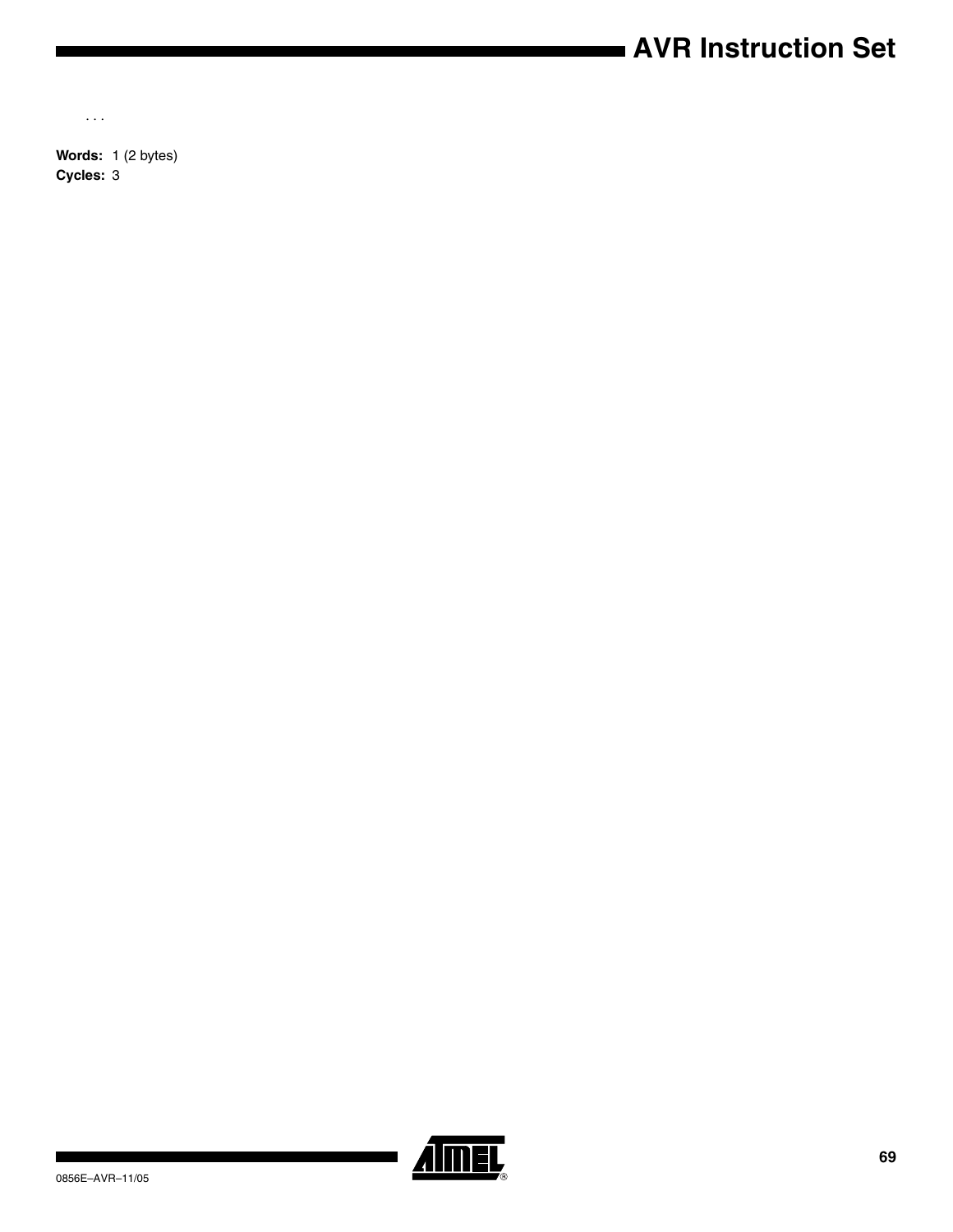# **AVR Instruction Set**

...

**Words:** 1 (2 bytes) **Cycles:** 3

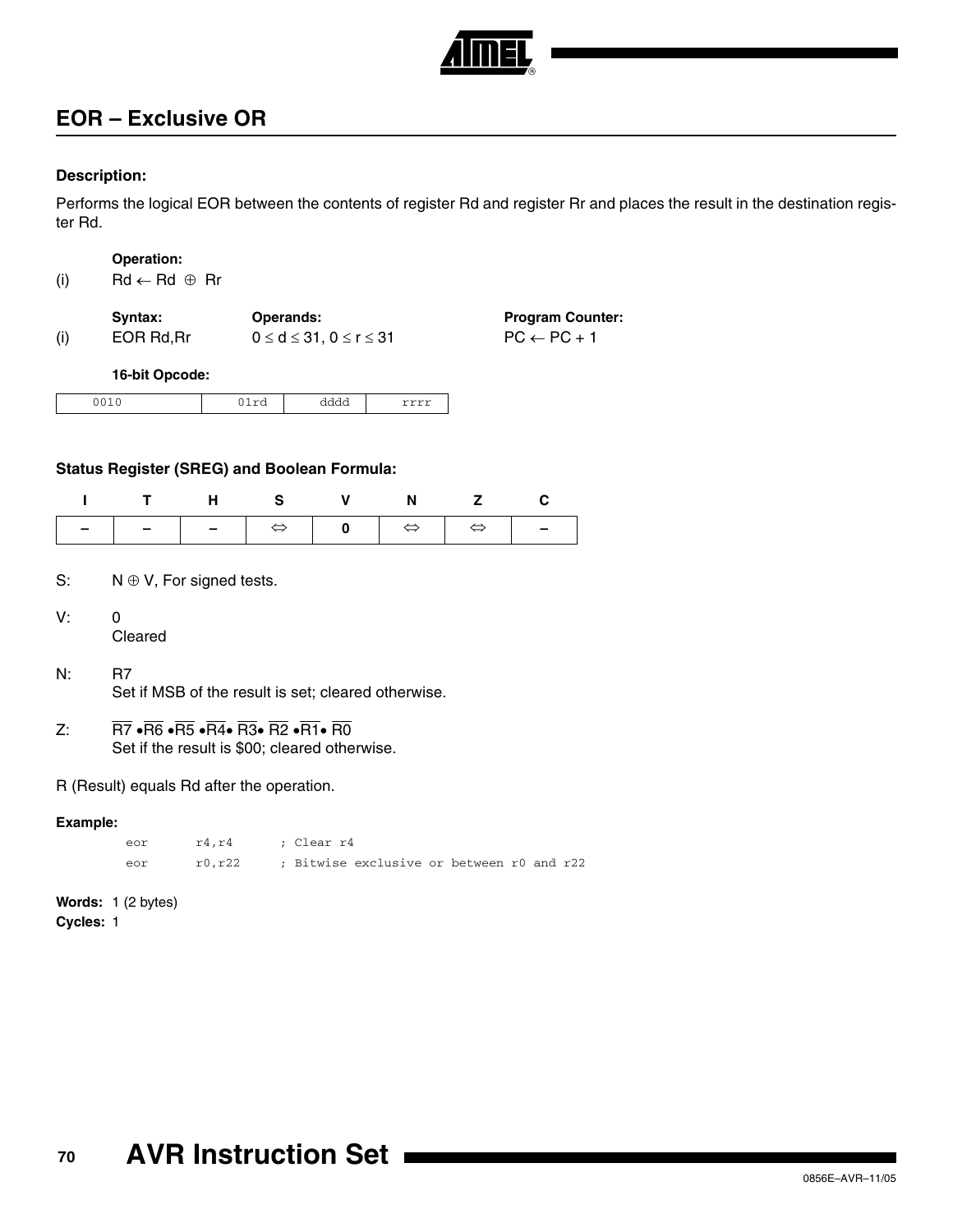### **EOR – Exclusive OR**

#### **Description:**

Performs the logical EOR between the contents of register Rd and register Rr and places the result in the destination register Rd.

**Operation:**

(i)  $Rd \leftarrow Rd$  ⊕ Rr

|     | Syntax:    | <b>Operands:</b>                     | <b>Program Counter:</b> |
|-----|------------|--------------------------------------|-------------------------|
| (i) | EOR Rd, Rr | $0 \leq d \leq 31, 0 \leq r \leq 31$ | $PC \leftarrow PC + 1$  |

**16-bit Opcode:**

#### **Status Register (SREG) and Boolean Formula:**

|  | ITHS V N Z C |  |  |
|--|--------------|--|--|
|  |              |  |  |

- S: N ⊕ V, For signed tests.
- V: 0 Cleared
- N: R7 Set if MSB of the result is set; cleared otherwise.
- Z:  $\overline{R7}$   $\overline{R6}$   $\overline{R5}$   $\overline{R4}$   $\overline{R3}$   $\overline{R2}$   $\overline{R1}$   $\overline{R0}$ Set if the result is \$00; cleared otherwise.

R (Result) equals Rd after the operation.

#### **Example:**

eor r4,r4 ; Clear r4 eor r0,r22 ; Bitwise exclusive or between r0 and r22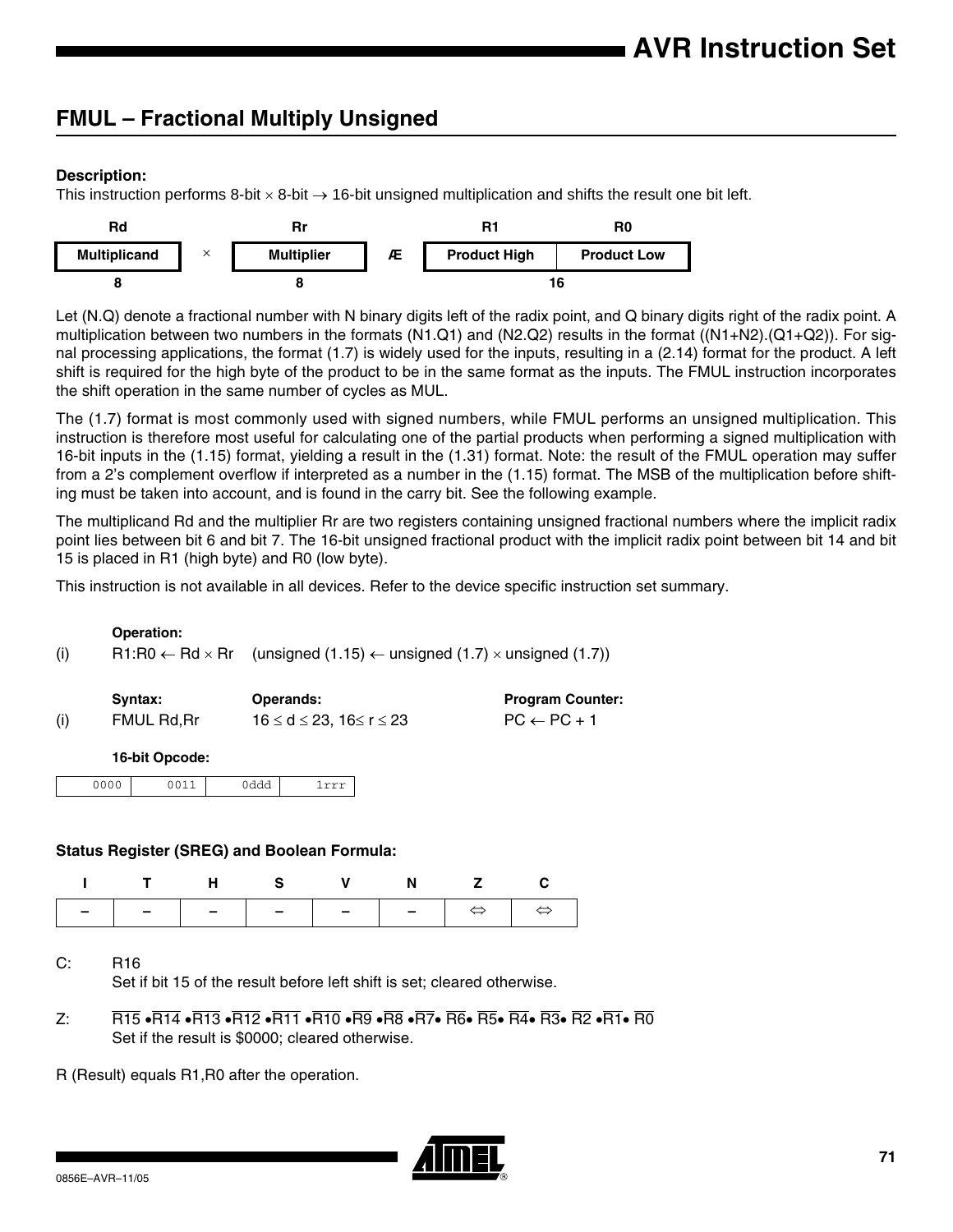## **FMUL – Fractional Multiply Unsigned**

#### **Description:**

This instruction performs 8-bit  $\times$  8-bit  $\rightarrow$  16-bit unsigned multiplication and shifts the result one bit left.



Let (N.Q) denote a fractional number with N binary digits left of the radix point, and Q binary digits right of the radix point. A multiplication between two numbers in the formats (N1.Q1) and (N2.Q2) results in the format ((N1+N2).(Q1+Q2)). For signal processing applications, the format (1.7) is widely used for the inputs, resulting in a (2.14) format for the product. A left shift is required for the high byte of the product to be in the same format as the inputs. The FMUL instruction incorporates the shift operation in the same number of cycles as MUL.

The (1.7) format is most commonly used with signed numbers, while FMUL performs an unsigned multiplication. This instruction is therefore most useful for calculating one of the partial products when performing a signed multiplication with 16-bit inputs in the (1.15) format, yielding a result in the (1.31) format. Note: the result of the FMUL operation may suffer from a 2's complement overflow if interpreted as a number in the (1.15) format. The MSB of the multiplication before shifting must be taken into account, and is found in the carry bit. See the following example.

The multiplicand Rd and the multiplier Rr are two registers containing unsigned fractional numbers where the implicit radix point lies between bit 6 and bit 7. The 16-bit unsigned fractional product with the implicit radix point between bit 14 and bit 15 is placed in R1 (high byte) and R0 (low byte).

This instruction is not available in all devices. Refer to the device specific instruction set summary.

|     | <b>Operation:</b> |                                                                                                         |
|-----|-------------------|---------------------------------------------------------------------------------------------------------|
| (i) |                   | R1:R0 $\leftarrow$ Rd $\times$ Rr (unsigned (1.15) $\leftarrow$ unsigned (1.7) $\times$ unsigned (1.7)) |

|     | Syntax:     | Operands:                                 | <b>Program Counter:</b> |
|-----|-------------|-------------------------------------------|-------------------------|
| (i) | FMUL Rd, Rr | $16 \leq d \leq 23$ , $16 \leq r \leq 23$ | $PC \leftarrow PC + 1$  |

#### **16-bit Opcode:**

#### **Status Register (SREG) and Boolean Formula:**

| ITHS V N Z C        |  |  |  |
|---------------------|--|--|--|
| - - - - - - - - - 0 |  |  |  |

C: R16

Set if bit 15 of the result before left shift is set; cleared otherwise.

Z: R15 •R14 •R13 •R12 •R11 •R10 •R9 •R8 •R7• R6• R5• R4• R3• R2 •R1• R0 Set if the result is \$0000; cleared otherwise.

R (Result) equals R1,R0 after the operation.

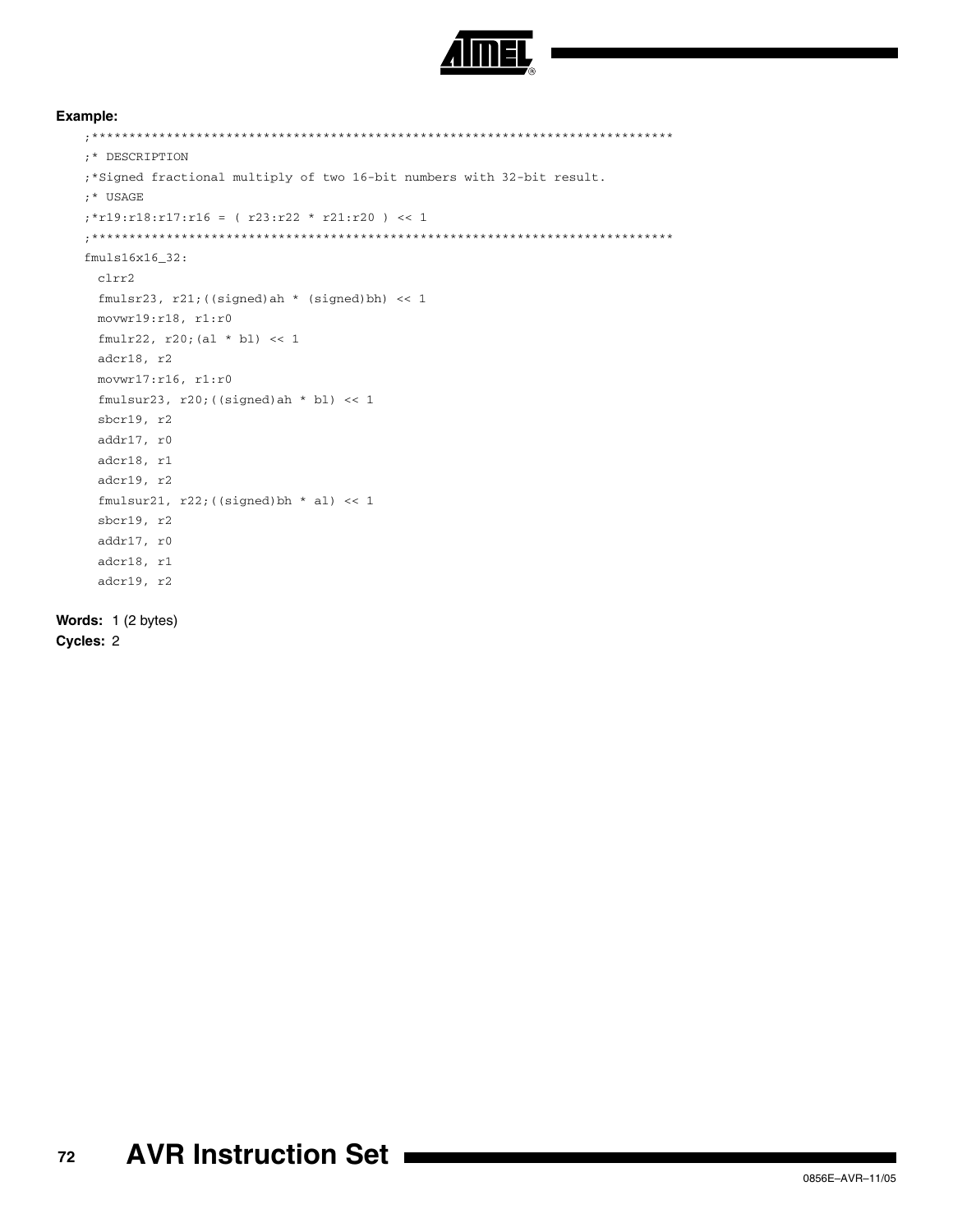

```
Example:
```

```
;******************************************************************************
   ;* DESCRIPTION
   ;*Signed fractional multiply of two 16-bit numbers with 32-bit result.
   ;* USAGE
   ;*r19:r18:r17:r16 = ( r23:r22 * r21:r20 ) << 1
   ;******************************************************************************
   fmuls16x16_32:
     clrr2
     fmulsr23, r21;((signed)ah * (signed)bh) << 1
     movwr19:r18, r1:r0
     fmulr22, r20;(al * bl) << 1
     adcr18, r2
     movwr17:r16, r1:r0
     fmulsur23, r20;((signed)ah * bl) << 1
     sbcr19, r2
     addr17, r0
     adcr18, r1
     adcr19, r2
     fmulsur21, r22; ((signed)bh * al) << 1
     sbcr19, r2
     addr17, r0
     adcr18, r1
     adcr19, r2
Words: 1 (2 bytes)
```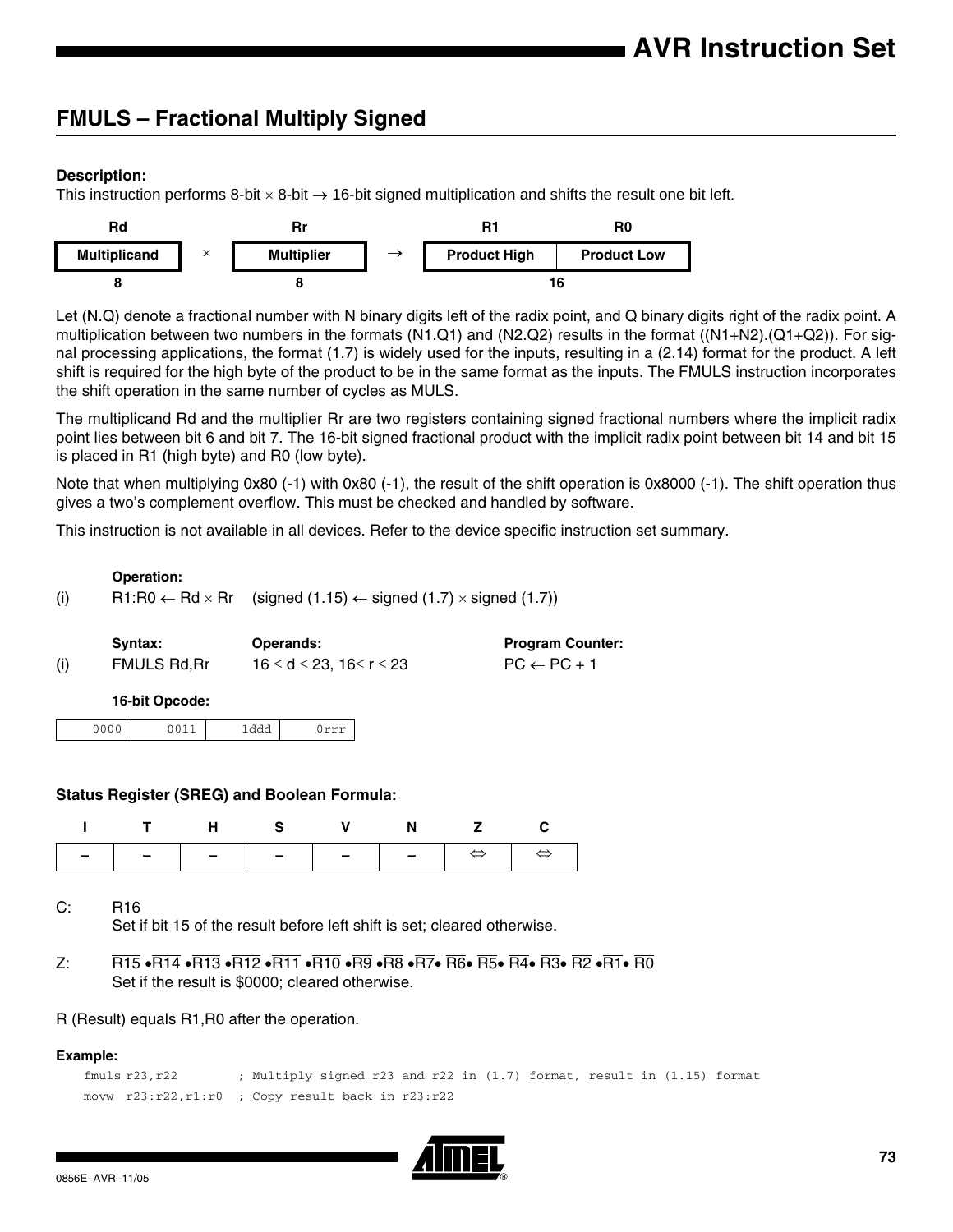# **FMULS – Fractional Multiply Signed**

# **Description:**

This instruction performs 8-bit  $\times$  8-bit  $\rightarrow$  16-bit signed multiplication and shifts the result one bit left.



Let (N.Q) denote a fractional number with N binary digits left of the radix point, and Q binary digits right of the radix point. A multiplication between two numbers in the formats (N1.Q1) and (N2.Q2) results in the format ((N1+N2).(Q1+Q2)). For signal processing applications, the format (1.7) is widely used for the inputs, resulting in a (2.14) format for the product. A left shift is required for the high byte of the product to be in the same format as the inputs. The FMULS instruction incorporates the shift operation in the same number of cycles as MULS.

The multiplicand Rd and the multiplier Rr are two registers containing signed fractional numbers where the implicit radix point lies between bit 6 and bit 7. The 16-bit signed fractional product with the implicit radix point between bit 14 and bit 15 is placed in R1 (high byte) and R0 (low byte).

Note that when multiplying 0x80 (-1) with 0x80 (-1), the result of the shift operation is 0x8000 (-1). The shift operation thus gives a two's complement overflow. This must be checked and handled by software.

This instruction is not available in all devices. Refer to the device specific instruction set summary.

#### **Operation:**

(i)  $R1:R0 \leftarrow Rd \times Rr$  (signed (1.15)  $\leftarrow$  signed (1.7)  $\times$  signed (1.7))

|     | Syntax:             | <b>Operands:</b>        | <b>Program Counter:</b> |
|-----|---------------------|-------------------------|-------------------------|
| (i) | <b>FMULS Rd, Rr</b> | 16 ≤ d ≤ 23, 16≤ r ≤ 23 | $PC \leftarrow PC + 1$  |

#### **16-bit Opcode:**

| 0000 | วก11    | 1ddd |  |
|------|---------|------|--|
|      | - - - - |      |  |

#### **Status Register (SREG) and Boolean Formula:**

| ITHS V N Z C |  |  |  |
|--------------|--|--|--|
|              |  |  |  |

C: R16

Set if bit 15 of the result before left shift is set; cleared otherwise.

Z: R15 •R14 •R13 •R12 •R11 •R10 •R9 •R8 •R7• R6• R5• R4• R3• R2 •R1• R0 Set if the result is \$0000; cleared otherwise.

#### R (Result) equals R1,R0 after the operation.

#### **Example:**

fmuls r23,r22 ; Multiply signed r23 and r22 in (1.7) format, result in (1.15) format movw r23:r22,r1:r0 ; Copy result back in r23:r22

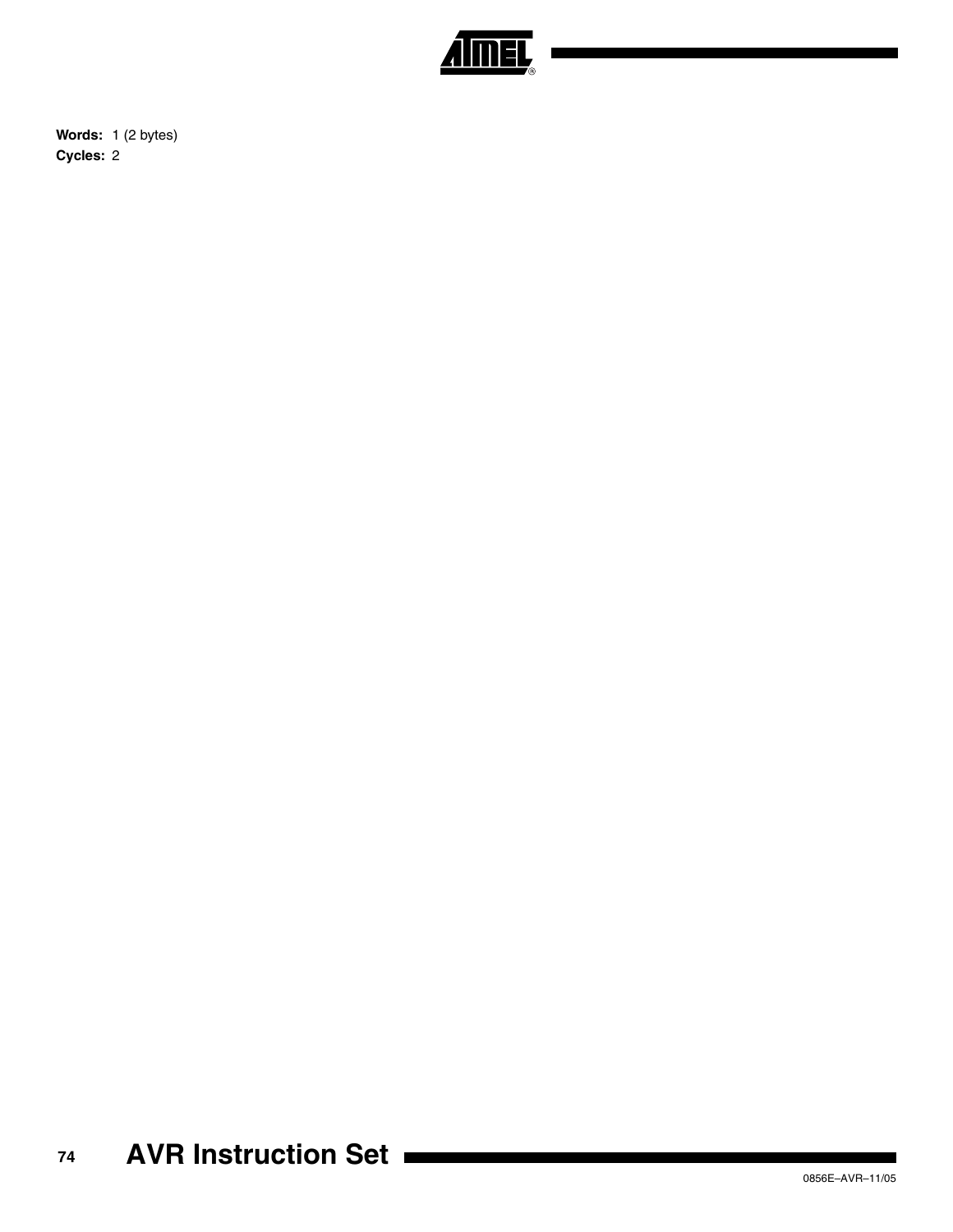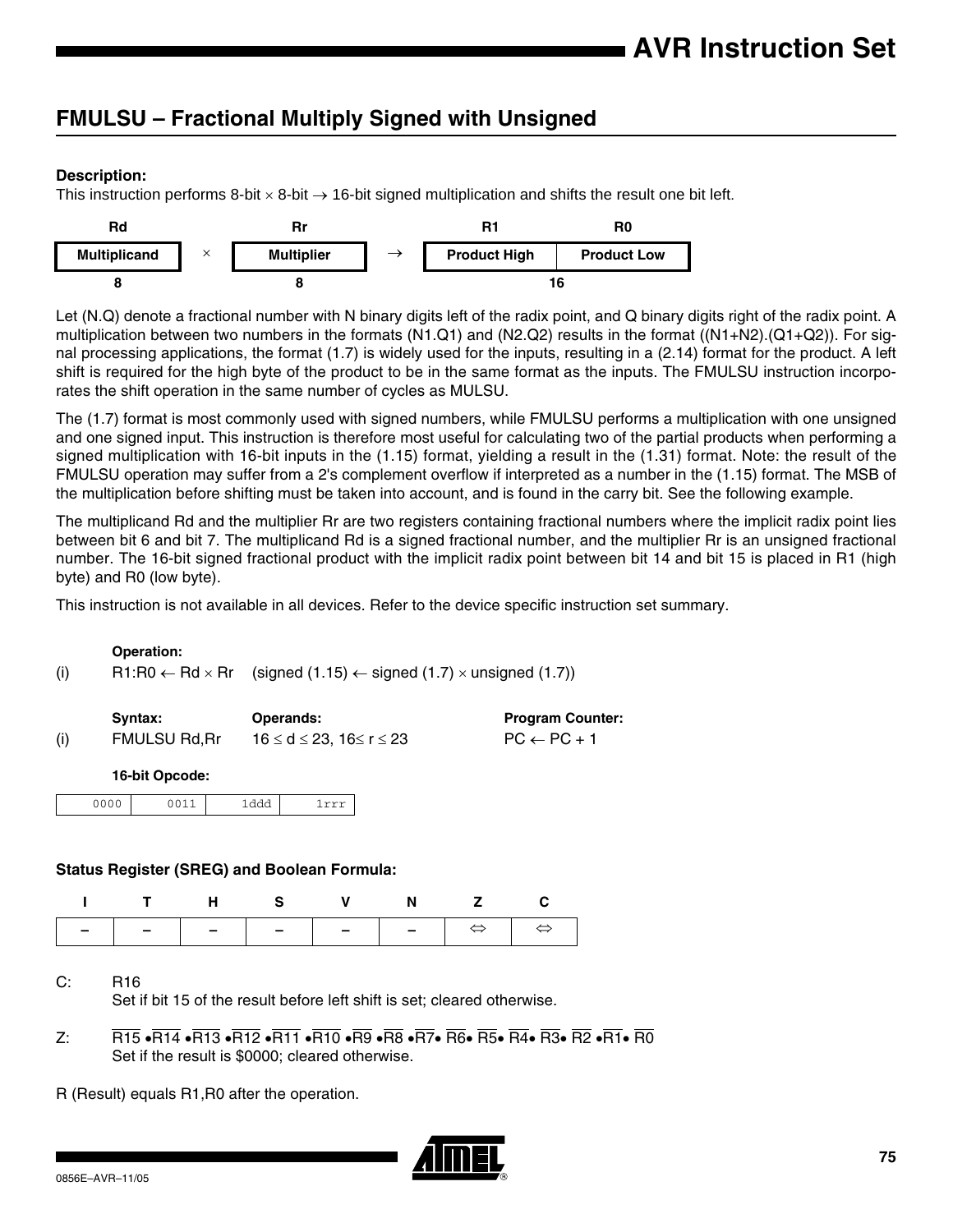# **FMULSU – Fractional Multiply Signed with Unsigned**

# **Description:**

This instruction performs 8-bit  $\times$  8-bit  $\rightarrow$  16-bit signed multiplication and shifts the result one bit left.



Let (N.Q) denote a fractional number with N binary digits left of the radix point, and Q binary digits right of the radix point. A multiplication between two numbers in the formats (N1.Q1) and (N2.Q2) results in the format ((N1+N2).(Q1+Q2)). For signal processing applications, the format (1.7) is widely used for the inputs, resulting in a (2.14) format for the product. A left shift is required for the high byte of the product to be in the same format as the inputs. The FMULSU instruction incorporates the shift operation in the same number of cycles as MULSU.

The (1.7) format is most commonly used with signed numbers, while FMULSU performs a multiplication with one unsigned and one signed input. This instruction is therefore most useful for calculating two of the partial products when performing a signed multiplication with 16-bit inputs in the (1.15) format, yielding a result in the (1.31) format. Note: the result of the FMULSU operation may suffer from a 2's complement overflow if interpreted as a number in the (1.15) format. The MSB of the multiplication before shifting must be taken into account, and is found in the carry bit. See the following example.

The multiplicand Rd and the multiplier Rr are two registers containing fractional numbers where the implicit radix point lies between bit 6 and bit 7. The multiplicand Rd is a signed fractional number, and the multiplier Rr is an unsigned fractional number. The 16-bit signed fractional product with the implicit radix point between bit 14 and bit 15 is placed in R1 (high byte) and R0 (low byte).

This instruction is not available in all devices. Refer to the device specific instruction set summary.

### **Operation:**

(i)  $R1:R0 \leftarrow Rd \times Rr$  (signed (1.15)  $\leftarrow$  signed (1.7)  $\times$  unsigned (1.7))

|     | Syntax:              | Operands:               | <b>Program Counter:</b> |
|-----|----------------------|-------------------------|-------------------------|
| (i) | <b>FMULSU Rd, Rr</b> | 16 ≤ d ≤ 23, 16≤ r ≤ 23 | $PC \leftarrow PC + 1$  |

#### **16-bit Opcode:**

| $-$ <u>aaa</u><br>÷ |
|---------------------|
|---------------------|

# **Status Register (SREG) and Boolean Formula:**

|            | THS V N Z C |  |  |  |
|------------|-------------|--|--|--|
| $\sim$ $-$ |             |  |  |  |

C: R16

Set if bit 15 of the result before left shift is set; cleared otherwise.

Z: R15 •R14 •R13 •R12 •R11 •R10 •R9 •R8 •R7• R6• R5• R4• R3• R2 •R1• R0 Set if the result is \$0000; cleared otherwise.

R (Result) equals R1,R0 after the operation.

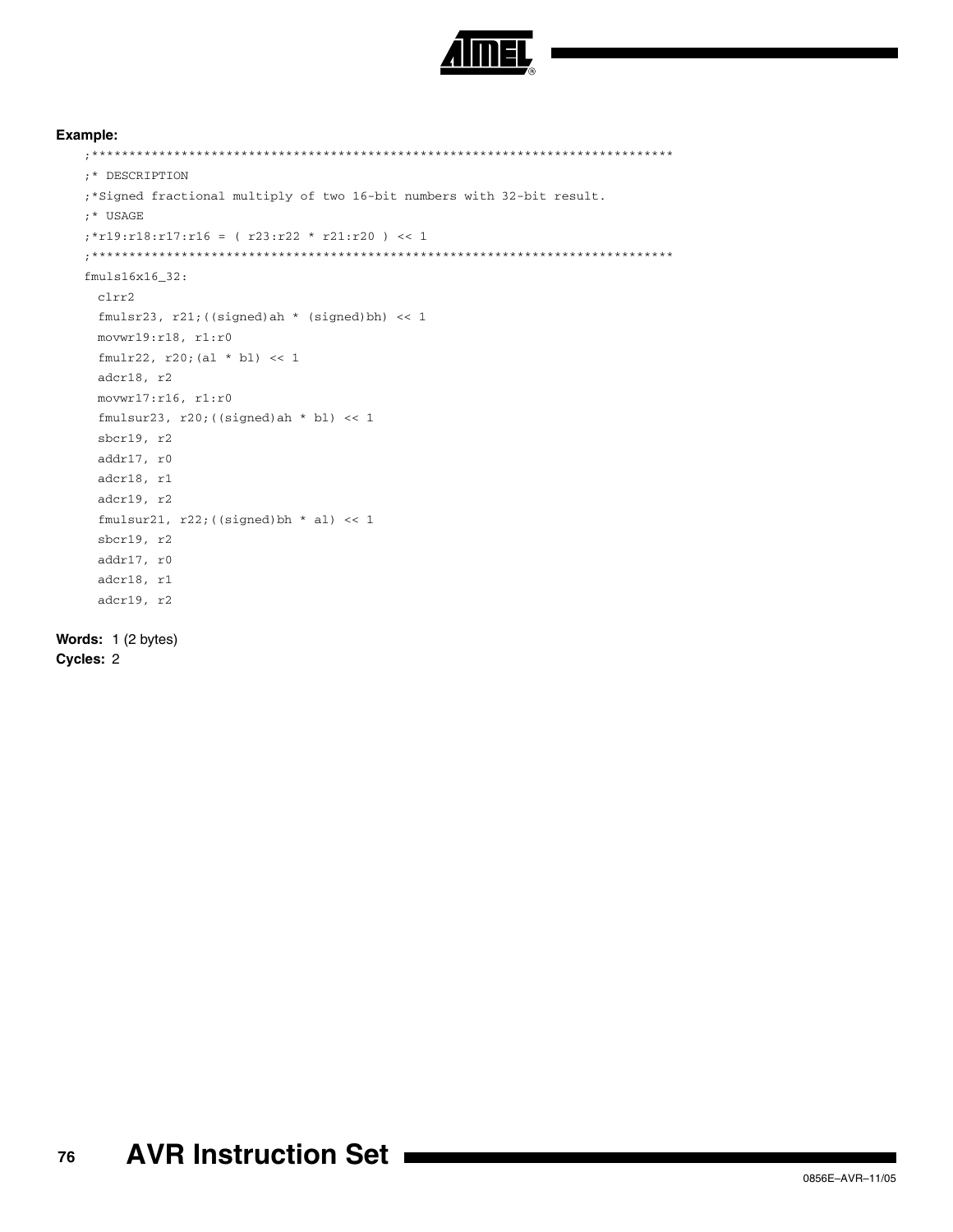

#### **Example:**

```
;******************************************************************************
;* DESCRIPTION
;*Signed fractional multiply of two 16-bit numbers with 32-bit result.
;* USAGE
;*r19:r18:r17:r16 = ( r23:r22 * r21:r20 ) << 1
;******************************************************************************
fmuls16x16_32:
 clrr2
 fmulsr23, r21; ((signed)ah * (signed)bh) << 1
 movwr19:r18, r1:r0
 fmulr22, r20;(al * bl) << 1
 adcr18, r2
 movwr17:r16, r1:r0
 fmulsur23, r20; ((signed)ah * bl) << 1
 sbcr19, r2
 addr17, r0
 adcr18, r1
 adcr19, r2
 fmulsur21, r22; ((signed)bh * al) << 1
 sbcr19, r2
 addr17, r0
 adcr18, r1
 adcr19, r2
```

```
Words: 1 (2 bytes)
Cycles: 2
```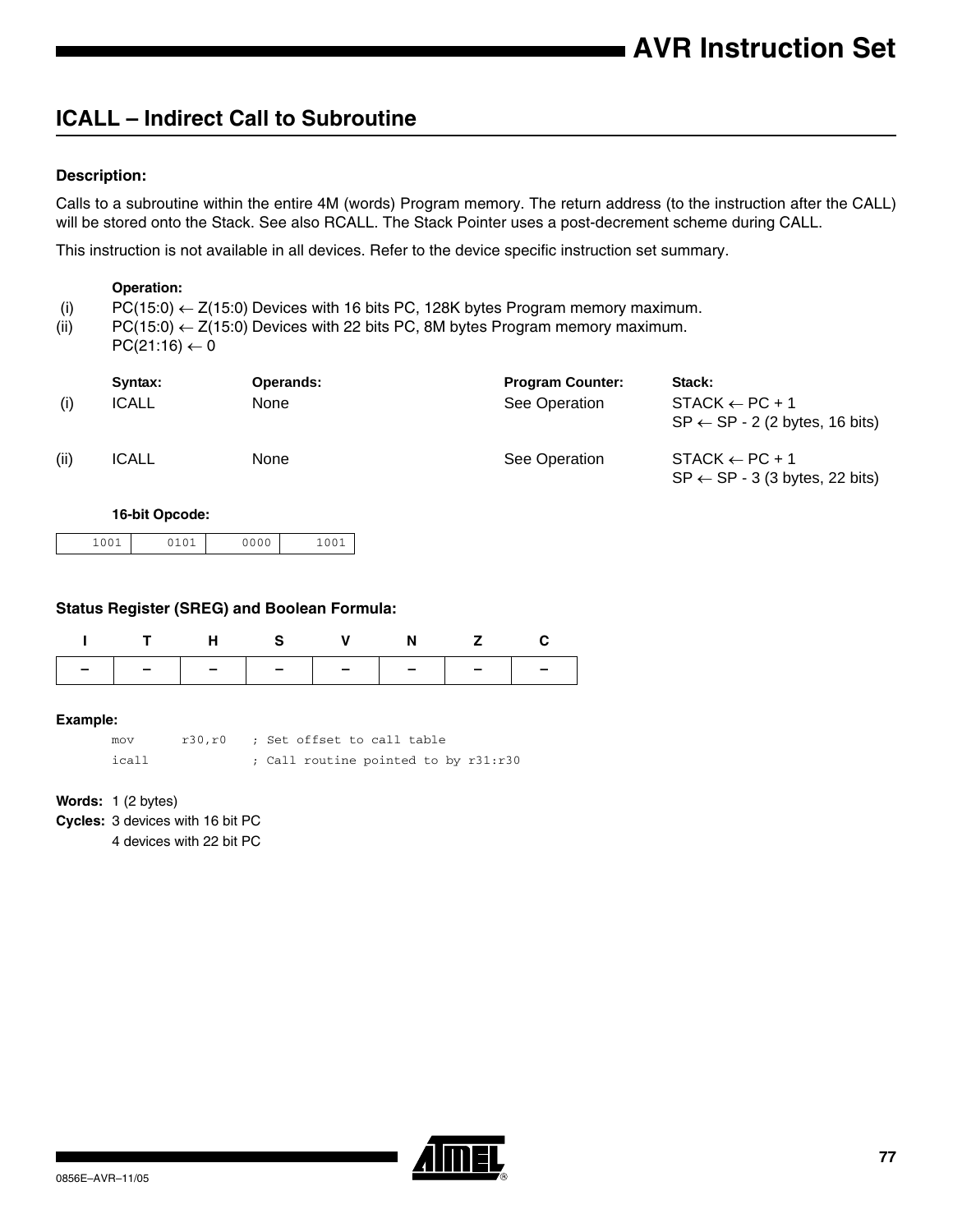# **ICALL – Indirect Call to Subroutine**

### **Description:**

Calls to a subroutine within the entire 4M (words) Program memory. The return address (to the instruction after the CALL) will be stored onto the Stack. See also RCALL. The Stack Pointer uses a post-decrement scheme during CALL.

This instruction is not available in all devices. Refer to the device specific instruction set summary.

#### **Operation:**

- (i) PC(15:0)  $\leftarrow$  Z(15:0) Devices with 16 bits PC, 128K bytes Program memory maximum.
- (ii) PC(15:0)  $\leftarrow$  Z(15:0) Devices with 22 bits PC, 8M bytes Program memory maximum.
- $PC(21:16) \leftarrow 0$

| (i)  | Syntax:<br><b>ICALL</b> | Operands:<br>None | <b>Program Counter:</b><br>See Operation | Stack:<br>$STACK \leftarrow PC + 1$<br>$SP \leftarrow SP - 2$ (2 bytes, 16 bits) |
|------|-------------------------|-------------------|------------------------------------------|----------------------------------------------------------------------------------|
| (ii) | <b>ICALL</b>            | <b>None</b>       | See Operation                            | $STACK \leftarrow PC + 1$<br>$SP \leftarrow SP - 3$ (3 bytes, 22 bits)           |

### **16-bit Opcode:**

#### **Status Register (SREG) and Boolean Formula:**

|                               | H S V N Z C |  |  |
|-------------------------------|-------------|--|--|
| -   -   -   -   -   -   -   - |             |  |  |

#### **Example:**

mov r30,r0 ; Set offset to call table icall  $;$  Call routine pointed to by r31:r30

**Words:** 1 (2 bytes)

- **Cycles:** 3 devices with 16 bit PC
- 4 devices with 22 bit PC

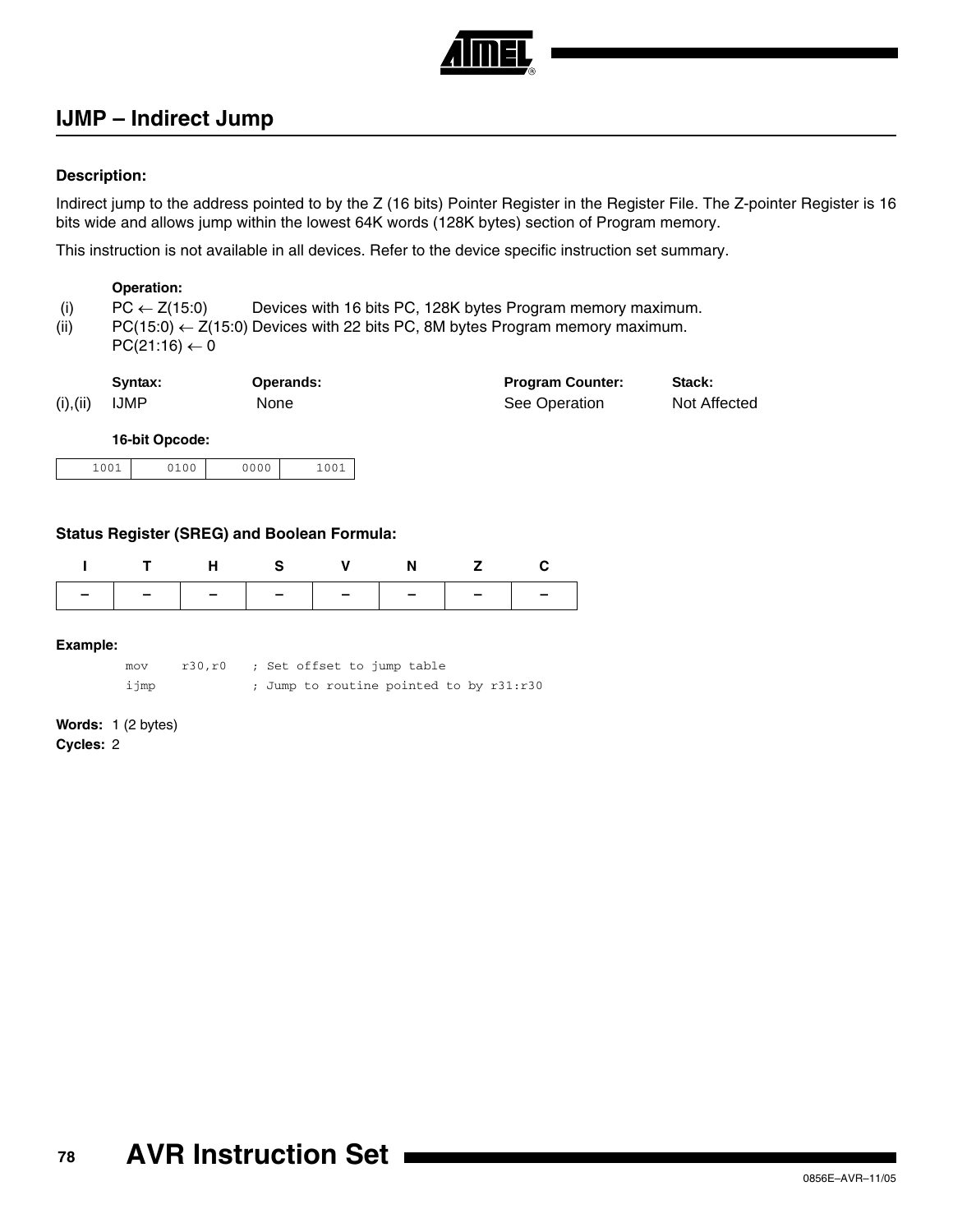# **IJMP – Indirect Jump**

#### **Description:**

Indirect jump to the address pointed to by the Z (16 bits) Pointer Register in the Register File. The Z-pointer Register is 16 bits wide and allows jump within the lowest 64K words (128K bytes) section of Program memory.

This instruction is not available in all devices. Refer to the device specific instruction set summary.

#### **Operation:**

- (i)  $PC \leftarrow Z(15:0)$  Devices with 16 bits PC, 128K bytes Program memory maximum.
- (ii) PC(15:0)  $\leftarrow$  Z(15:0) Devices with 22 bits PC, 8M bytes Program memory maximum.
- $PC(21:16) \leftarrow 0$

|           | Syntax:     | Operands: | <b>Program Counter:</b> | Stack:       |
|-----------|-------------|-----------|-------------------------|--------------|
| (i), (ii) | <b>IJMP</b> | None      | See Operation           | Not Affected |

#### **16-bit Opcode:**

| 100 <sup>4</sup><br>0100 | 0000 | 100 <sup>7</sup> |
|--------------------------|------|------------------|
|--------------------------|------|------------------|

#### **Status Register (SREG) and Boolean Formula:**

|          |             |                                                                                  |  |  | N |  |  |
|----------|-------------|----------------------------------------------------------------------------------|--|--|---|--|--|
|          |             |                                                                                  |  |  |   |  |  |
| Example: | mov<br>ijmp | ; Set offset to jump table<br>r30, r0<br>; Jump to routine pointed to by r31:r30 |  |  |   |  |  |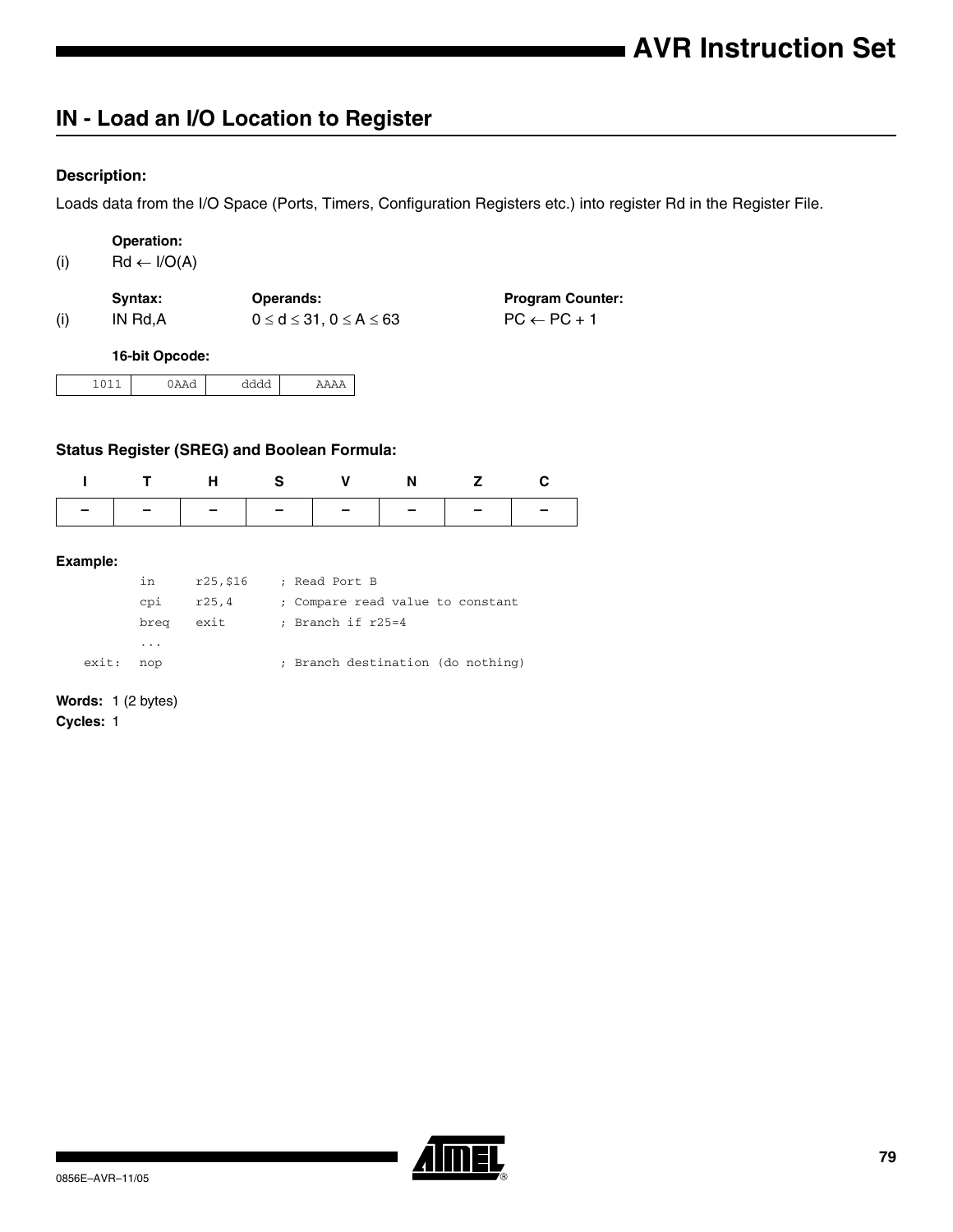# **IN - Load an I/O Location to Register**

### **Description:**

Loads data from the I/O Space (Ports, Timers, Configuration Registers etc.) into register Rd in the Register File.

| (i) |      | <b>Operation:</b><br>$Rd \leftarrow I/O(A)$ |      |                                                      |  |                                                   |
|-----|------|---------------------------------------------|------|------------------------------------------------------|--|---------------------------------------------------|
| (i) |      | Syntax:<br>IN Rd, A                         |      | Operands:<br>$0 \leq d \leq 31$ , $0 \leq A \leq 63$ |  | <b>Program Counter:</b><br>$PC \leftarrow PC + 1$ |
|     |      | 16-bit Opcode:                              |      |                                                      |  |                                                   |
|     | 1011 | 0AAd                                        | dddd | AAAA                                                 |  |                                                   |

### **Status Register (SREG) and Boolean Formula:**

| THS V N Z C    |  |  |  |
|----------------|--|--|--|
| -------------- |  |  |  |

#### **Example:**

|       | in                      | r25,\$16 | ; Read Port B                     |
|-------|-------------------------|----------|-----------------------------------|
|       | cpi                     | r25.4    | ; Compare read value to constant  |
|       | brea                    | exit     | ; Branch if r25=4                 |
|       | $\cdot$ $\cdot$ $\cdot$ |          |                                   |
| exit: | nop                     |          | ; Branch destination (do nothing) |

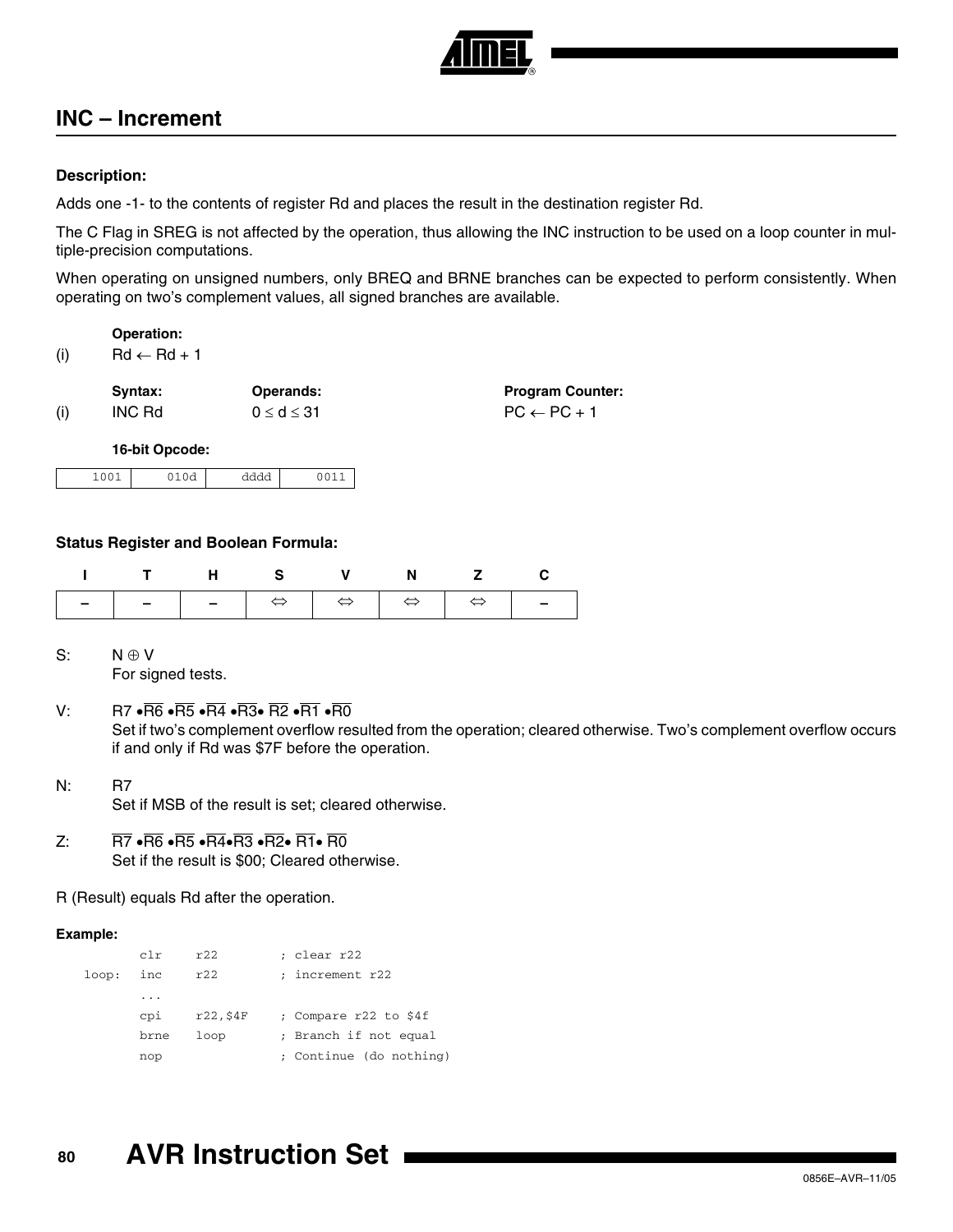# **INC – Increment**

# **Description:**

Adds one -1- to the contents of register Rd and places the result in the destination register Rd.

The C Flag in SREG is not affected by the operation, thus allowing the INC instruction to be used on a loop counter in multiple-precision computations.

When operating on unsigned numbers, only BREQ and BRNE branches can be expected to perform consistently. When operating on two's complement values, all signed branches are available.

**Operation:** (i)  $Rd \leftarrow Rd + 1$ 

|     | Svntax: | <b>Operands:</b> | <b>Program Cour</b>    |
|-----|---------|------------------|------------------------|
| (i) | INC Rd  | $0 \le d \le 31$ | $PC \leftarrow PC + 1$ |

**Program Counter:** 

**16-bit Opcode:**

| 100 <sup>2</sup> | በ1 በብ | Adda<br>$   -$ | $   -$ |
|------------------|-------|----------------|--------|
|------------------|-------|----------------|--------|

# **Status Register and Boolean Formula:**

|  | ITHS V N Z C |  |  |
|--|--------------|--|--|
|  |              |  |  |

- S: N ⊕ V For signed tests.
- V: R7  $\overline{R6}$   $\overline{R5}$   $\overline{R4}$   $\overline{R3}$   $\overline{R2}$   $\overline{R1}$   $\overline{R0}$ Set if two's complement overflow resulted from the operation; cleared otherwise. Two's complement overflow occurs if and only if Rd was \$7F before the operation.
- N: R7 Set if MSB of the result is set; cleared otherwise.
- Z:  $\overline{R7}$   $\overline{R6}$   $\overline{R5}$   $\overline{R4}$   $\overline{R3}$   $\overline{R2}$   $\overline{R1}$   $\overline{R0}$ Set if the result is \$00; Cleared otherwise.
- R (Result) equals Rd after the operation.

#### **Example:**

|       | c1r  | r22      | ; clear r22             |
|-------|------|----------|-------------------------|
| loop: | inc  | r22      | ; increment r22         |
|       | .    |          |                         |
|       | cpi  | r22,\$4F | ; Compare r22 to \$4f   |
|       | brne | loop     | ; Branch if not equal   |
|       | nop  |          | ; Continue (do nothing) |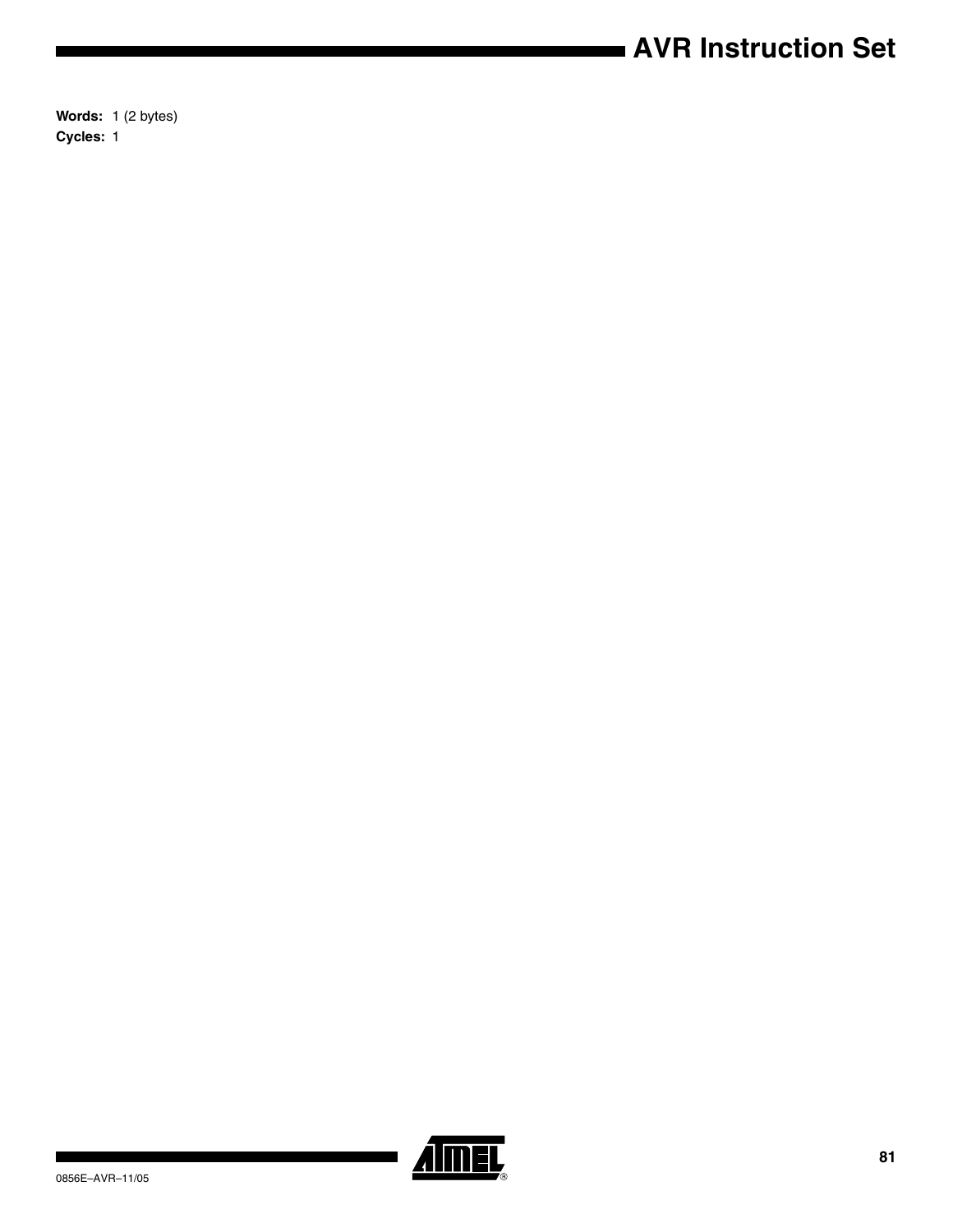# **AVR Instruction Set**

**Words:** 1 (2 bytes) **Cycles:** 1

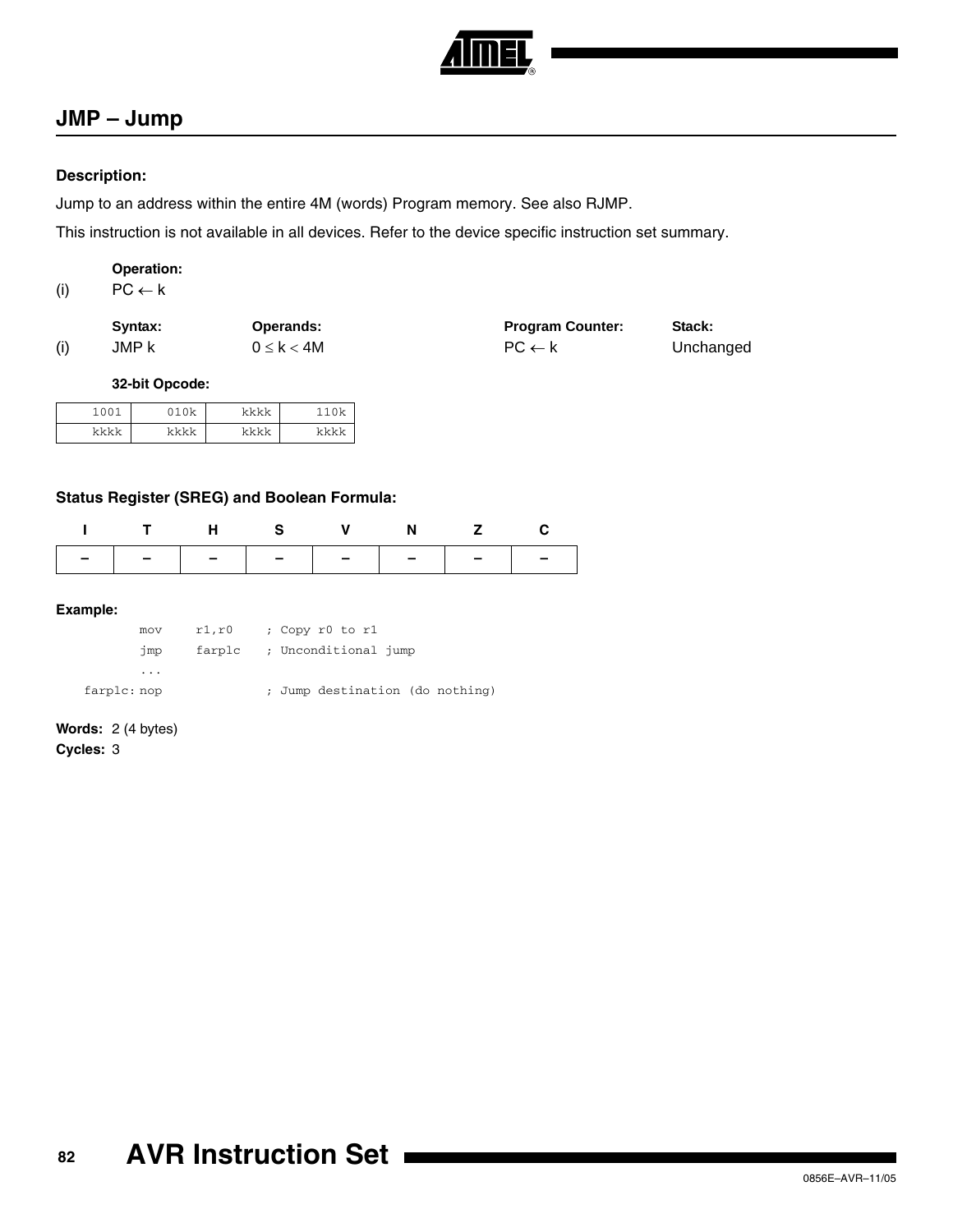

# **JMP – Jump**

#### **Description:**

Jump to an address within the entire 4M (words) Program memory. See also RJMP.

This instruction is not available in all devices. Refer to the device specific instruction set summary.

# **Operation:**

(i)  $\mathsf{PC} \leftarrow \mathsf{k}$ 

|     | Syntax: | <b>Operands:</b> | <b>Program Counter:</b> | Stack:    |
|-----|---------|------------------|-------------------------|-----------|
| (i) | JMP k   | $0 \leq k < 4M$  | $PC \leftarrow k$       | Unchanged |

**32-bit Opcode:**

| $-100.5$ | $\bigcap$ | レレレレ | ሰሁ   |
|----------|-----------|------|------|
| とととと     | レレレレ      | レレレレ | トレレト |

### **Status Register (SREG) and Boolean Formula:**

|  |  | HS V N Z C |  |
|--|--|------------|--|
|  |  |            |  |

#### **Example:**

| mov         | r1.r0  | ; Copy r0 to r1                 |
|-------------|--------|---------------------------------|
| jmp         | farplc | ; Unconditional jump            |
| .           |        |                                 |
| farplc: nop |        | ; Jump destination (do nothing) |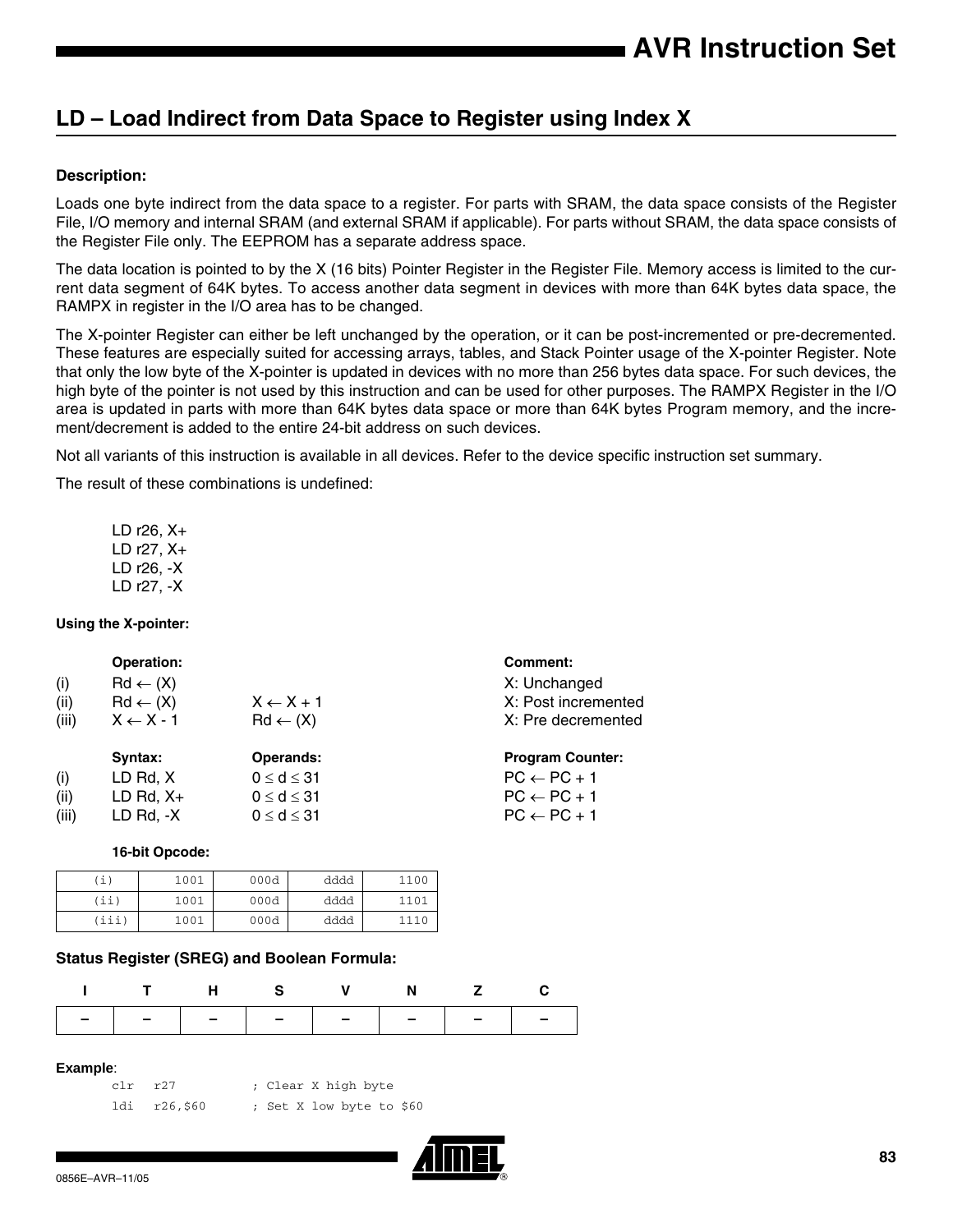# **LD – Load Indirect from Data Space to Register using Index X**

#### **Description:**

Loads one byte indirect from the data space to a register. For parts with SRAM, the data space consists of the Register File, I/O memory and internal SRAM (and external SRAM if applicable). For parts without SRAM, the data space consists of the Register File only. The EEPROM has a separate address space.

The data location is pointed to by the X (16 bits) Pointer Register in the Register File. Memory access is limited to the current data segment of 64K bytes. To access another data segment in devices with more than 64K bytes data space, the RAMPX in register in the I/O area has to be changed.

The X-pointer Register can either be left unchanged by the operation, or it can be post-incremented or pre-decremented. These features are especially suited for accessing arrays, tables, and Stack Pointer usage of the X-pointer Register. Note that only the low byte of the X-pointer is updated in devices with no more than 256 bytes data space. For such devices, the high byte of the pointer is not used by this instruction and can be used for other purposes. The RAMPX Register in the I/O area is updated in parts with more than 64K bytes data space or more than 64K bytes Program memory, and the increment/decrement is added to the entire 24-bit address on such devices.

Not all variants of this instruction is available in all devices. Refer to the device specific instruction set summary.

The result of these combinations is undefined:

LD r26, X+ LD r27, X+ LD r26, -X LD r27, -X

#### **Using the X-pointer:**

|       | Operation:           |                      | Comment:            |
|-------|----------------------|----------------------|---------------------|
| (i)   | $Rd \leftarrow (X)$  |                      | X: Unchanged        |
| (ii)  | $Rd \leftarrow (X)$  | $X \leftarrow X + 1$ | X: Post incremented |
| (iii) | $X \leftarrow X - 1$ | $Rd \leftarrow (X)$  | X: Pre decremented  |
|       |                      |                      |                     |

|       | Syntax:        | <b>Operands:</b>   | <b>Program Counter:</b> |
|-------|----------------|--------------------|-------------------------|
| (i)   | LD Rd. X       | $0 \leq d \leq 31$ | $PC \leftarrow PC + 1$  |
| (ii)  | LD Rd, $X_{+}$ | $0 \le d \le 31$   | $PC \leftarrow PC + 1$  |
| (iii) | LD Rd. -X      | $0 \le d \le 31$   | $PC \leftarrow PC + 1$  |

#### **16-bit Opcode:**

| i)  | 1001 | 000d | dddd | 1100 |
|-----|------|------|------|------|
| ii' | 1001 | 000d | dddd | 1101 |
| iii | 1001 | 000d | dddd | 1110 |

#### **Status Register (SREG) and Boolean Formula:**

| I THS V N Z C                 |  |  |  |
|-------------------------------|--|--|--|
| -   -   -   -   -   -   -   - |  |  |  |

#### **Example**:

| $clr$ $r27$  | ; Clear |
|--------------|---------|
| 1di r26,\$60 | ; Set X |

X high byte low byte to \$60

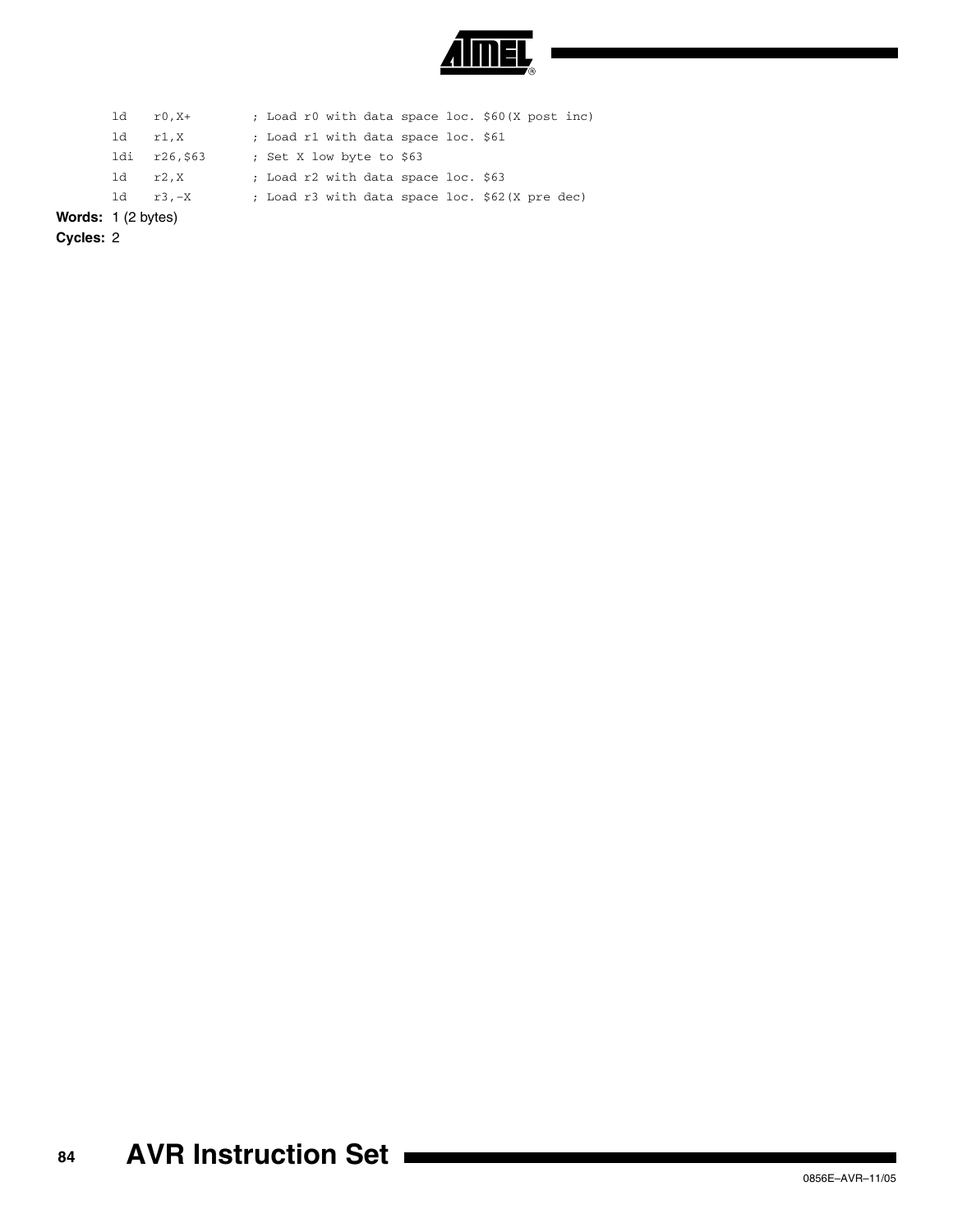

|                                    | ldi  | r26,\$63     | ; Set X low byte to \$63                       |  |  |  |  |
|------------------------------------|------|--------------|------------------------------------------------|--|--|--|--|
|                                    | ld – | r2.X         | ; Load r2 with data space loc. \$63            |  |  |  |  |
|                                    |      | $1d$ $r3,-X$ | ; Load r3 with data space loc. \$62(X pre dec) |  |  |  |  |
| <b>Words:</b> $1(2 \text{ bytes})$ |      |              |                                                |  |  |  |  |

# **Cycles:** 2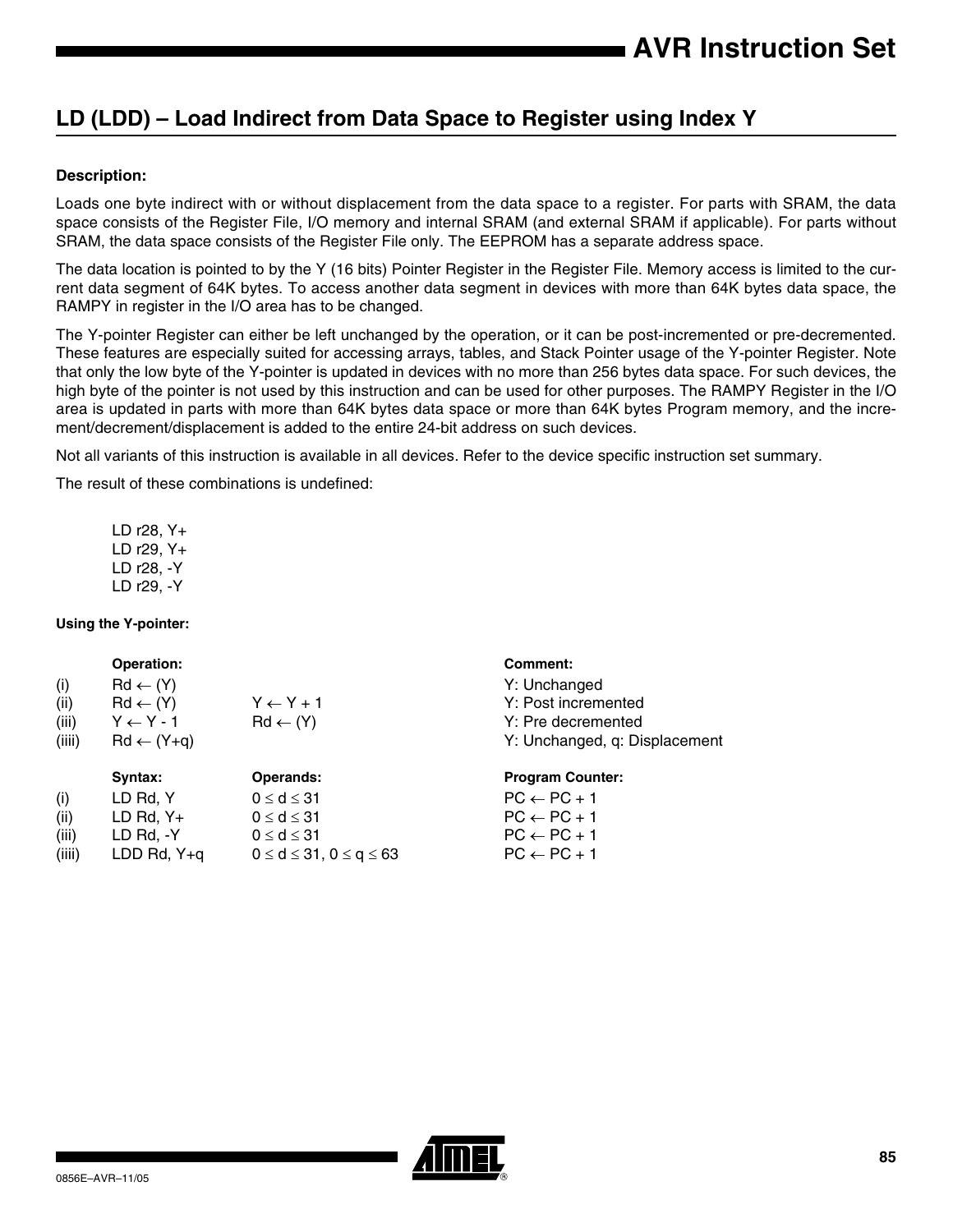# **LD (LDD) – Load Indirect from Data Space to Register using Index Y**

### **Description:**

Loads one byte indirect with or without displacement from the data space to a register. For parts with SRAM, the data space consists of the Register File, I/O memory and internal SRAM (and external SRAM if applicable). For parts without SRAM, the data space consists of the Register File only. The EEPROM has a separate address space.

The data location is pointed to by the Y (16 bits) Pointer Register in the Register File. Memory access is limited to the current data segment of 64K bytes. To access another data segment in devices with more than 64K bytes data space, the RAMPY in register in the I/O area has to be changed.

The Y-pointer Register can either be left unchanged by the operation, or it can be post-incremented or pre-decremented. These features are especially suited for accessing arrays, tables, and Stack Pointer usage of the Y-pointer Register. Note that only the low byte of the Y-pointer is updated in devices with no more than 256 bytes data space. For such devices, the high byte of the pointer is not used by this instruction and can be used for other purposes. The RAMPY Register in the I/O area is updated in parts with more than 64K bytes data space or more than 64K bytes Program memory, and the increment/decrement/displacement is added to the entire 24-bit address on such devices.

Not all variants of this instruction is available in all devices. Refer to the device specific instruction set summary.

The result of these combinations is undefined:

LD r28, Y+ LD r29, Y+ LD r28, -Y LD r29, -Y

#### **Using the Y-pointer:**

| <b>Operation:</b> |  |
|-------------------|--|
|                   |  |

(i) Rd ← (Y)  $\left( Y:$  Unchanged (ii)  $\mathsf{Rd} \leftarrow (\mathsf{Y}) \qquad \mathsf{Y} \leftarrow \mathsf{Y} + 1 \qquad \mathsf{Y}: \mathsf{Post}\text{ incremented}$ (iii)  $Y \leftarrow Y$  - 1 Rd  $\leftarrow$  (Y)  $Y:$  Pre decremented

|        | Syntax:       | Operands:                           | <b>Program Cour</b>    |
|--------|---------------|-------------------------------------|------------------------|
| (i)    | LD Rd, Y      | $0 \le d \le 31$                    | $PC \leftarrow PC + 1$ |
| (iii)  | LD Rd, $Y_+$  | $0 \le d \le 31$                    | $PC \leftarrow PC + 1$ |
| (iii)  | LD Rd. -Y     | $0 \le d \le 31$                    | $PC \leftarrow PC + 1$ |
| (iiii) | LDD Rd, $Y+q$ | $0 \le d \le 31$ , $0 \le q \le 63$ | $PC \leftarrow PC + 1$ |

#### Comment:

(iiii) Rd ← (Y+q) Y: Unchanged, q: Displacement

# **Program Counter:**

| $\mathsf{PC}\leftarrow\mathsf{PC}+\mathsf{1}$ |  |
|-----------------------------------------------|--|
| $\mathsf{PC}\leftarrow\mathsf{PC}+\mathsf{1}$ |  |
| $\mathsf{PC}\leftarrow\mathsf{PC}+\mathsf{1}$ |  |
| $\mathsf{PC}\leftarrow\mathsf{PC}+\mathsf{1}$ |  |

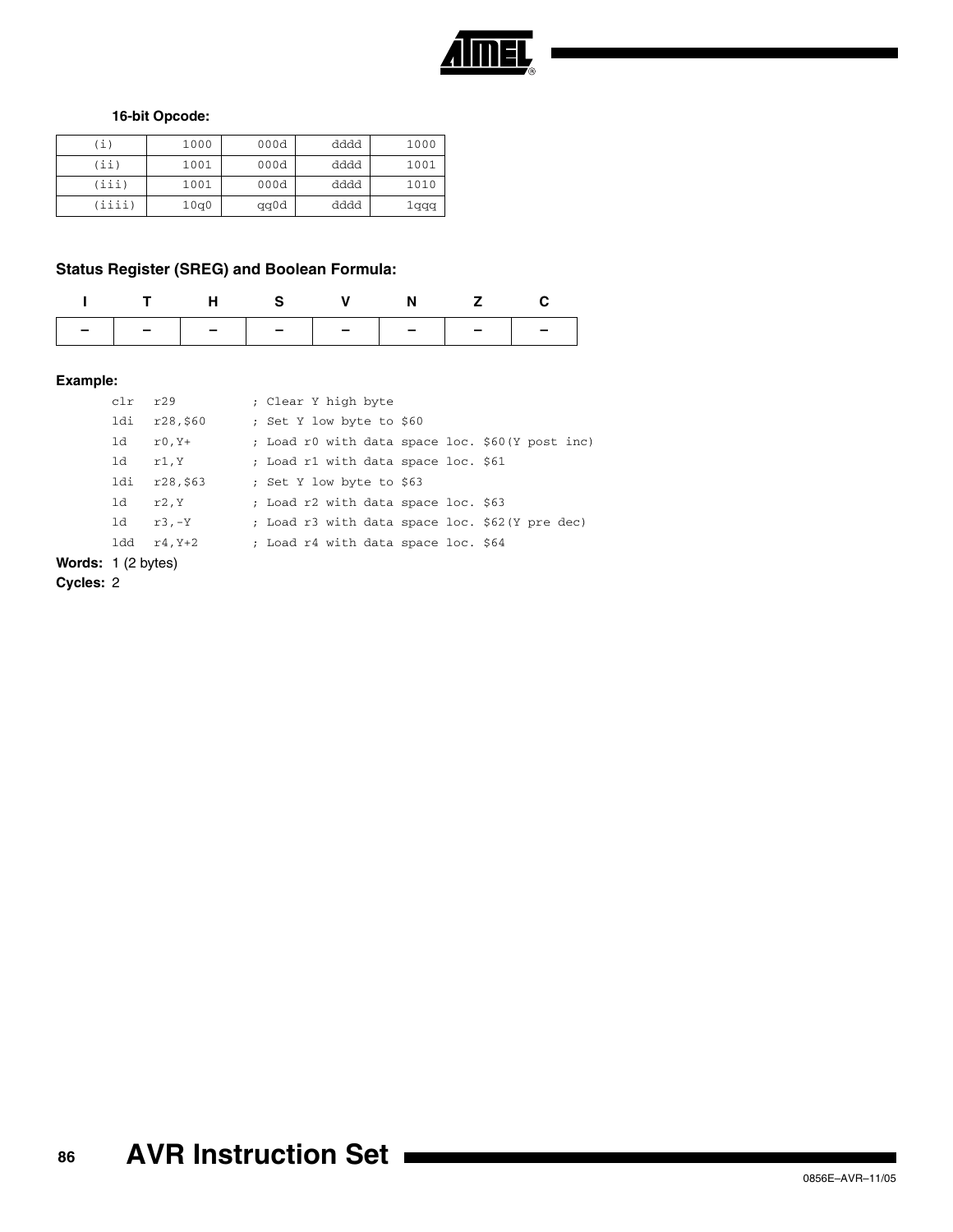

### **16-bit Opcode:**

| $\perp$ ) | 1000 | 000d | dddd | 1000 |
|-----------|------|------|------|------|
| (iii)     | 1001 | 000d | dddd | 1001 |
| (iii)     | 1001 | 000d | dddd | 1010 |
| (iiii)    | 10q0 | qq0d | dddd | 1qqq |

# **Status Register (SREG) and Boolean Formula:**

|                | HS V | <b>N</b> N |  |
|----------------|------|------------|--|
| -------------- |      |            |  |

### **Example:**

| $1/2$ $(2/2)(2/2)$ |          |                                                 |
|--------------------|----------|-------------------------------------------------|
| ldd                | r4, Y+2  | ; Load r4 with data space loc. \$64             |
| ld                 | r3,-Y    | ; Load r3 with data space loc. \$62(Y pre dec)  |
| ld                 | r2, Y    | ; Load r2 with data space loc. \$63             |
| ldi                | r28,\$63 | ; Set Y low byte to \$63                        |
| ld                 | r1, Y    | ; Load r1 with data space loc. \$61             |
| 1d                 | $r0, Y+$ | ; Load r0 with data space loc. \$60(Y post inc) |
| ldi                | r28,\$60 | ; Set Y low byte to \$60                        |
| clr                | r29      | ; Clear Y high byte                             |

**Words:** 1 (2 bytes)

**Cycles:** 2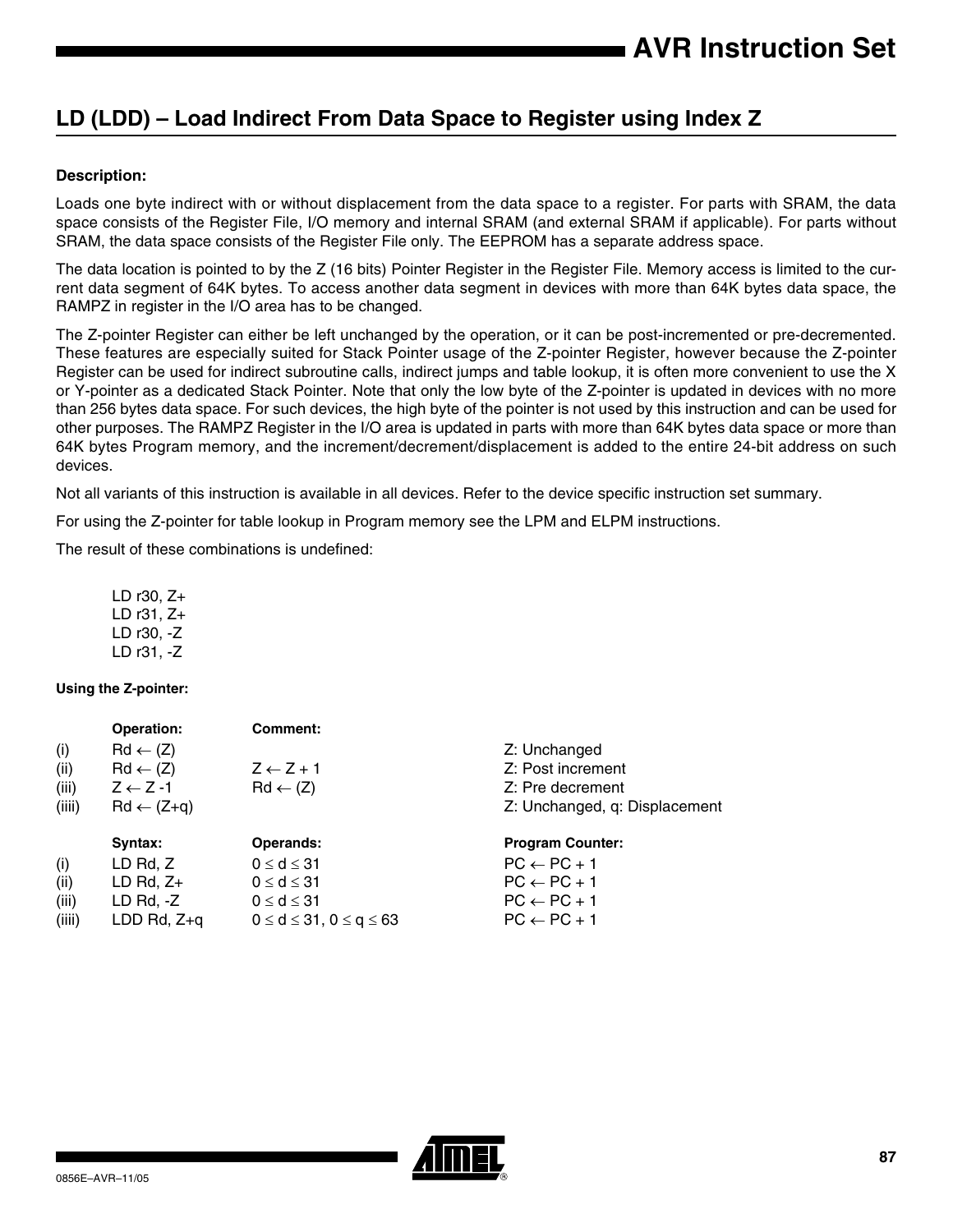# **LD (LDD) – Load Indirect From Data Space to Register using Index Z**

# **Description:**

Loads one byte indirect with or without displacement from the data space to a register. For parts with SRAM, the data space consists of the Register File, I/O memory and internal SRAM (and external SRAM if applicable). For parts without SRAM, the data space consists of the Register File only. The EEPROM has a separate address space.

The data location is pointed to by the Z (16 bits) Pointer Register in the Register File. Memory access is limited to the current data segment of 64K bytes. To access another data segment in devices with more than 64K bytes data space, the RAMPZ in register in the I/O area has to be changed.

The Z-pointer Register can either be left unchanged by the operation, or it can be post-incremented or pre-decremented. These features are especially suited for Stack Pointer usage of the Z-pointer Register, however because the Z-pointer Register can be used for indirect subroutine calls, indirect jumps and table lookup, it is often more convenient to use the X or Y-pointer as a dedicated Stack Pointer. Note that only the low byte of the Z-pointer is updated in devices with no more than 256 bytes data space. For such devices, the high byte of the pointer is not used by this instruction and can be used for other purposes. The RAMPZ Register in the I/O area is updated in parts with more than 64K bytes data space or more than 64K bytes Program memory, and the increment/decrement/displacement is added to the entire 24-bit address on such devices.

Not all variants of this instruction is available in all devices. Refer to the device specific instruction set summary.

For using the Z-pointer for table lookup in Program memory see the LPM and ELPM instructions.

The result of these combinations is undefined:

LD r30, Z+ LD r31, Z+ LD r30, -Z LD r31, -Z

#### **Using the Z-pointer:**

|        | <b>Operation:</b>     | <b>Comment:</b>                     |                               |
|--------|-----------------------|-------------------------------------|-------------------------------|
| (i)    | $Rd \leftarrow (Z)$   |                                     | Z: Unchanged                  |
| (ii)   | $Rd \leftarrow (Z)$   | $Z \leftarrow Z + 1$                | Z: Post increment             |
| (iii)  | $Z \leftarrow Z - 1$  | $Rd \leftarrow (Z)$                 | Z: Pre decrement              |
| (iiii) | $Rd \leftarrow (Z+q)$ |                                     | Z: Unchanged, q: Displacement |
|        | Syntax:               | <b>Operands:</b>                    | <b>Program Counter:</b>       |
| (i)    | LD Rd, Z              | $0 \leq d \leq 31$                  | $PC \leftarrow PC + 1$        |
| (ii)   | LD Rd, $Z+$           | $0 \le d \le 31$                    | $PC \leftarrow PC + 1$        |
| (iii)  | $LD$ Rd, $-Z$         | $0 \le d \le 31$                    | $PC \leftarrow PC + 1$        |
| (iiii) | LDD Rd, $Z+q$         | $0 \le d \le 31$ , $0 \le q \le 63$ | $PC \leftarrow PC + 1$        |

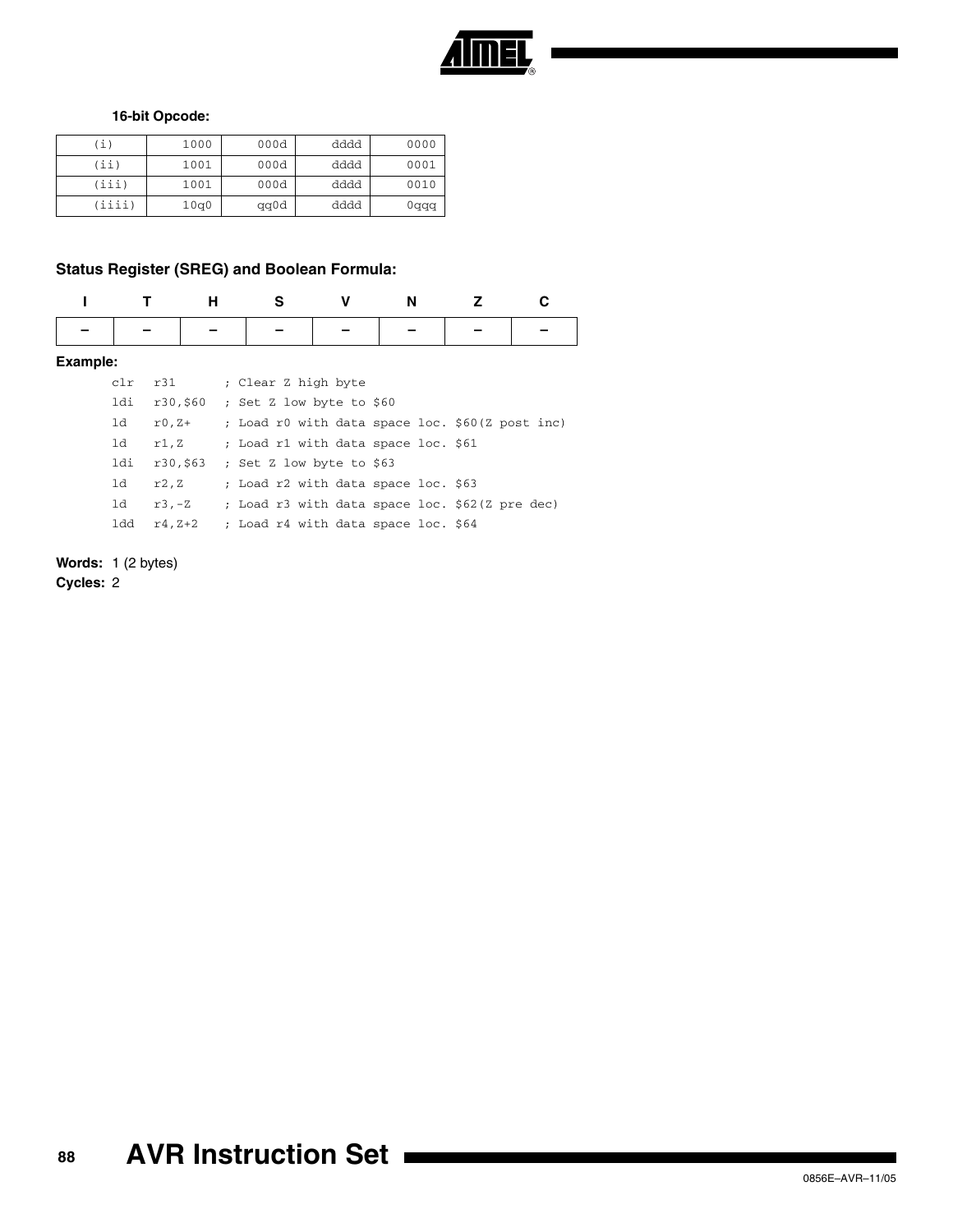

### **16-bit Opcode:**

| (i)       | 1000 | 000d | dddd | 0000 |
|-----------|------|------|------|------|
| (iii)     | 1001 | 000d | dddd | 0001 |
| (iii)     | 1001 | 000d | dddd | 0010 |
| $(i$ iii) | 10q0 | qq0d | dddd | 0qqq |

# **Status Register (SREG) and Boolean Formula:**

|          |          | н | s                                               |  | v | N |  |  |  |  |
|----------|----------|---|-------------------------------------------------|--|---|---|--|--|--|--|
|          |          |   |                                                 |  |   |   |  |  |  |  |
| Example: |          |   |                                                 |  |   |   |  |  |  |  |
| clr      | r31      |   | ; Clear Z high byte                             |  |   |   |  |  |  |  |
| ldi      |          |   | r30, \$60 ; Set Z low byte to \$60              |  |   |   |  |  |  |  |
| 1d       | r0,Z+    |   | ; Load r0 with data space loc. \$60(Z post inc) |  |   |   |  |  |  |  |
| 1d       | r1, z    |   | ; Load r1 with data space loc. \$61             |  |   |   |  |  |  |  |
| ldi      | r30,\$63 |   | ; Set Z low byte to \$63                        |  |   |   |  |  |  |  |
| 1d       | r2,Z     |   | ; Load r2 with data space loc. \$63             |  |   |   |  |  |  |  |
| 1d -     | r3,-Z    |   | ; Load r3 with data space loc. \$62(Z pre dec)  |  |   |   |  |  |  |  |
| ldd      | r4,Z+2   |   | ; Load r4 with data space loc. \$64             |  |   |   |  |  |  |  |

**Words:** 1 (2 bytes)

**Cycles:** 2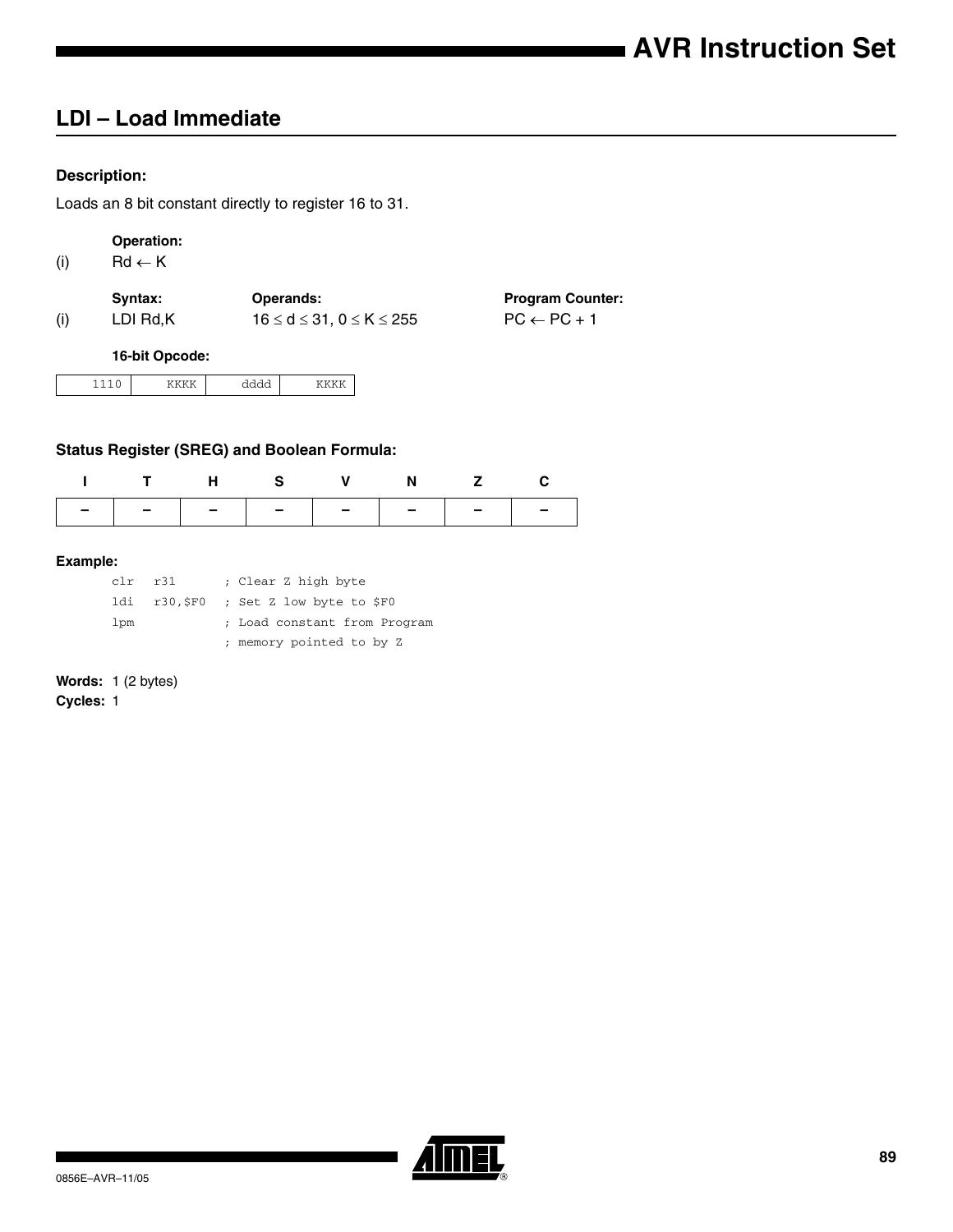# **LDI – Load Immediate**

### **Description:**

Loads an 8 bit constant directly to register 16 to 31.

# **Operation:**

(i)  $Rd \leftarrow K$ 

|     | Syntax:  | <b>Operands:</b>                       | <b>Program Counter:</b> |
|-----|----------|----------------------------------------|-------------------------|
| (i) | LDI Rd.K | $16 \leq d \leq 31, 0 \leq K \leq 255$ | $PC \leftarrow PC + 1$  |

**16-bit Opcode:**

|  | . |  |
|--|---|--|
|--|---|--|

### **Status Register (SREG) and Boolean Formula:**

| ITHS V N Z C |  |  |  |
|--------------|--|--|--|
|              |  |  |  |

### **Example:**

| $clr$ $r31$ | ; Clear Z high byte                   |
|-------------|---------------------------------------|
|             | ldi r30,\$F0 ; Set Z low byte to \$F0 |
| lpm         | ; Load constant from Program          |
|             | ; memory pointed to by Z              |

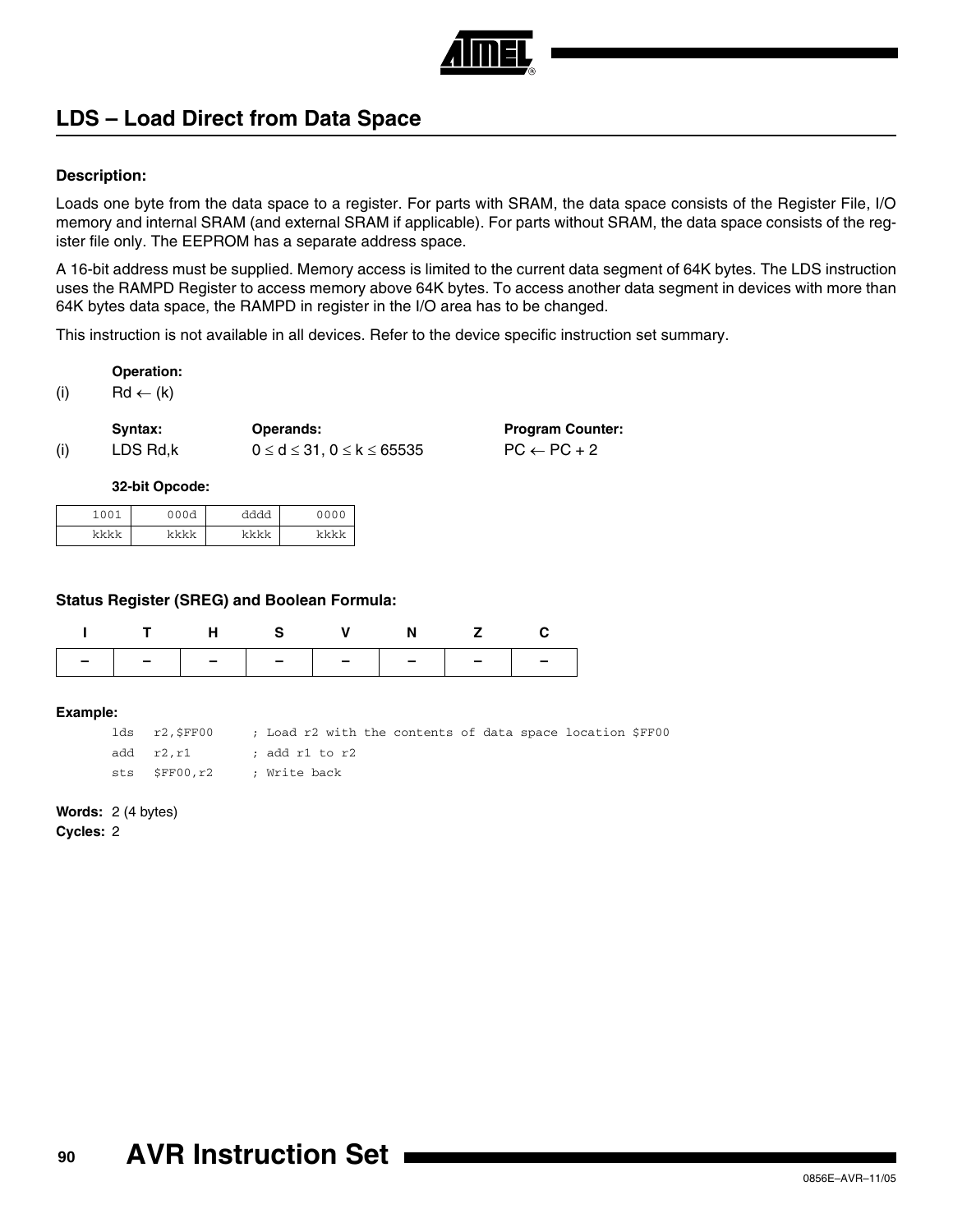

# **LDS – Load Direct from Data Space**

#### **Description:**

Loads one byte from the data space to a register. For parts with SRAM, the data space consists of the Register File, I/O memory and internal SRAM (and external SRAM if applicable). For parts without SRAM, the data space consists of the register file only. The EEPROM has a separate address space.

A 16-bit address must be supplied. Memory access is limited to the current data segment of 64K bytes. The LDS instruction uses the RAMPD Register to access memory above 64K bytes. To access another data segment in devices with more than 64K bytes data space, the RAMPD in register in the I/O area has to be changed.

This instruction is not available in all devices. Refer to the device specific instruction set summary.

#### **Operation:**

(i)  $Rd \leftarrow (k)$ 

|     | Svntax:  | <b>Operands:</b>                        | <b>Program Counter:</b> |
|-----|----------|-----------------------------------------|-------------------------|
| (i) | LDS Rd,k | $0 \leq d \leq 31, 0 \leq k \leq 65535$ | $PC \leftarrow PC + 2$  |

#### **32-bit Opcode:**

| 1 0 0 1 | nnna<br>ັ | ふふふふ | 0000 |
|---------|-----------|------|------|
| レレレレ    | レレレレ      | レレレレ | レレレレ |

#### **Status Register (SREG) and Boolean Formula:**

|                               |  | THS V N Z C |  |
|-------------------------------|--|-------------|--|
| -   -   -   -   -   -   -   - |  |             |  |

#### **Example:**

lds r2,\$FF00 ; Load r2 with the contents of data space location \$FF00 add  $r2, r1$  ; add  $r1$  to  $r2$ sts \$FF00,r2 ; Write back

#### **Words:** 2 (4 bytes)

**Cycles:** 2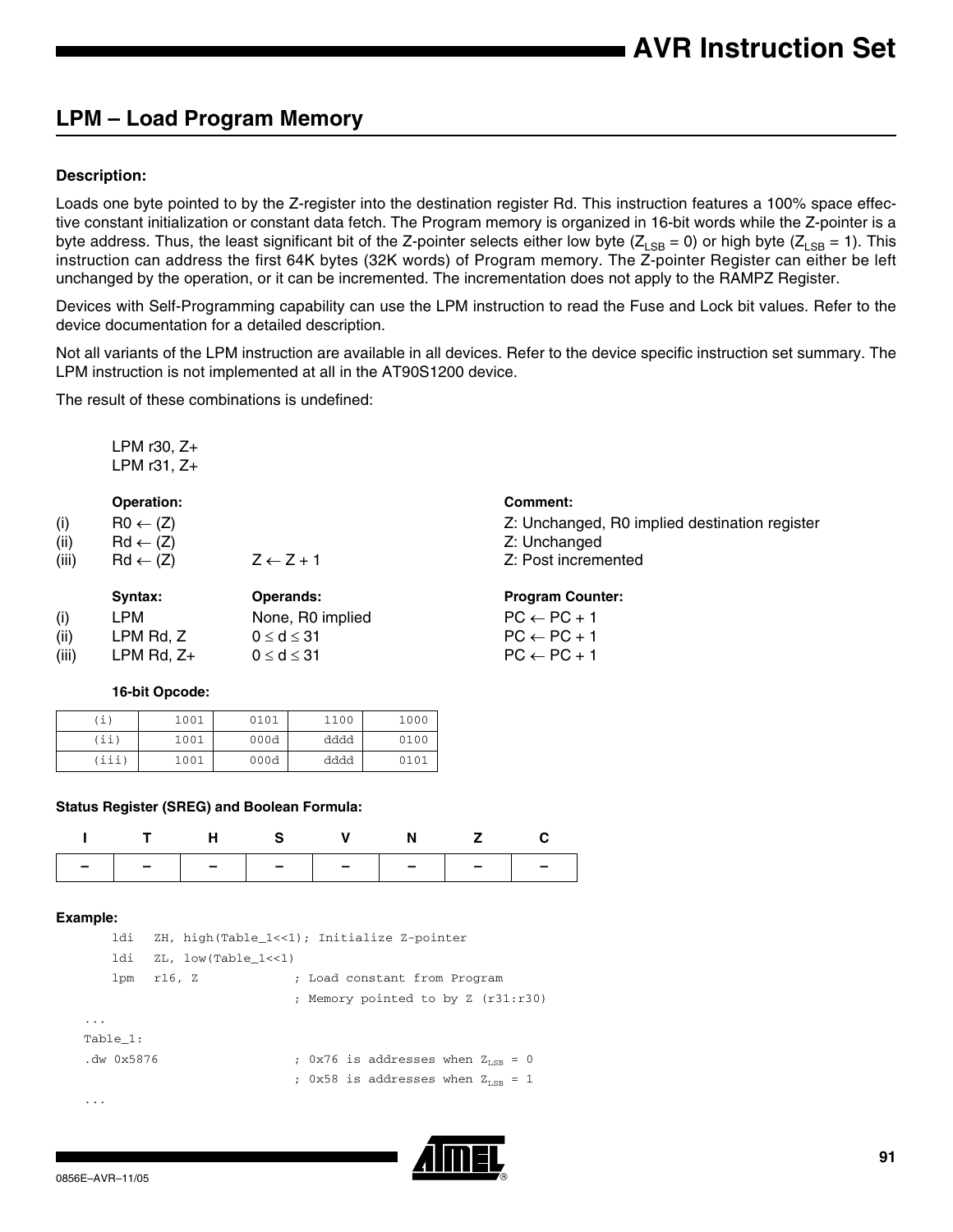# **LPM – Load Program Memory**

### **Description:**

Loads one byte pointed to by the Z-register into the destination register Rd. This instruction features a 100% space effective constant initialization or constant data fetch. The Program memory is organized in 16-bit words while the Z-pointer is a byte address. Thus, the least significant bit of the Z-pointer selects either low byte ( $Z_{LSB}$  = 0) or high byte ( $Z_{LSB}$  = 1). This instruction can address the first 64K bytes (32K words) of Program memory. The Z-pointer Register can either be left unchanged by the operation, or it can be incremented. The incrementation does not apply to the RAMPZ Register.

Devices with Self-Programming capability can use the LPM instruction to read the Fuse and Lock bit values. Refer to the device documentation for a detailed description.

Not all variants of the LPM instruction are available in all devices. Refer to the device specific instruction set summary. The LPM instruction is not implemented at all in the AT90S1200 device.

The result of these combinations is undefined:

LPM r30, Z+ LPM r31, Z+

#### **Operation: Comment:**

| (i)<br>(ii)<br>(iii) | $\mathsf{R0} \leftarrow (\mathsf{Z})$<br>$Rd \leftarrow (Z)$<br>$Rd \leftarrow (Z)$ | $Z \leftarrow Z + 1$ | Z: Unchanged, R0 implied destination register<br>Z: Unchanged<br>Z: Post incremented |
|----------------------|-------------------------------------------------------------------------------------|----------------------|--------------------------------------------------------------------------------------|
|                      | Syntax:                                                                             | <b>Operands:</b>     | <b>Program Counter:</b>                                                              |
| (i)                  | LPM                                                                                 | None, R0 implied     | $PC \leftarrow PC + 1$                                                               |
| (ii)                 | $LPM$ Rd, $Z$                                                                       | $0 \leq d \leq 31$   | $PC \leftarrow PC + 1$                                                               |
| (iii)                | LPM Rd, $Z+$                                                                        | $0 \leq d \leq 31$   | $PC \leftarrow PC + 1$                                                               |

#### **16-bit Opcode:**

| 'i)  | 1001 | 0101 | 1100 | 1000 |
|------|------|------|------|------|
| (ii) | 1001 | 000d | dddd | 0100 |
| 'iii | 1001 | 000d | dddd | 0101 |

#### **Status Register (SREG) and Boolean Formula:**

|  | T H S V N Z C |  |                               |
|--|---------------|--|-------------------------------|
|  |               |  | -   -   -   -   -   -   -   - |

#### **Example:**

| ldi             | ZH, high(Table_1<<1); Initialize Z-pointer |  |                                               |  |  |
|-----------------|--------------------------------------------|--|-----------------------------------------------|--|--|
| ldi             | ZL, $low(Table 1<<1)$                      |  |                                               |  |  |
| lpm             | r16, Z                                     |  | ; Load constant from Program                  |  |  |
|                 |                                            |  | ; Memory pointed to by Z (r31:r30)            |  |  |
| .               |                                            |  |                                               |  |  |
| Table 1:        |                                            |  |                                               |  |  |
| $. dw$ $0x5876$ |                                            |  | ; 0x76 is addresses when $Z_{\text{tan}} = 0$ |  |  |
|                 |                                            |  | ; 0x58 is addresses when $Z_{\text{tan}} = 1$ |  |  |
|                 |                                            |  |                                               |  |  |

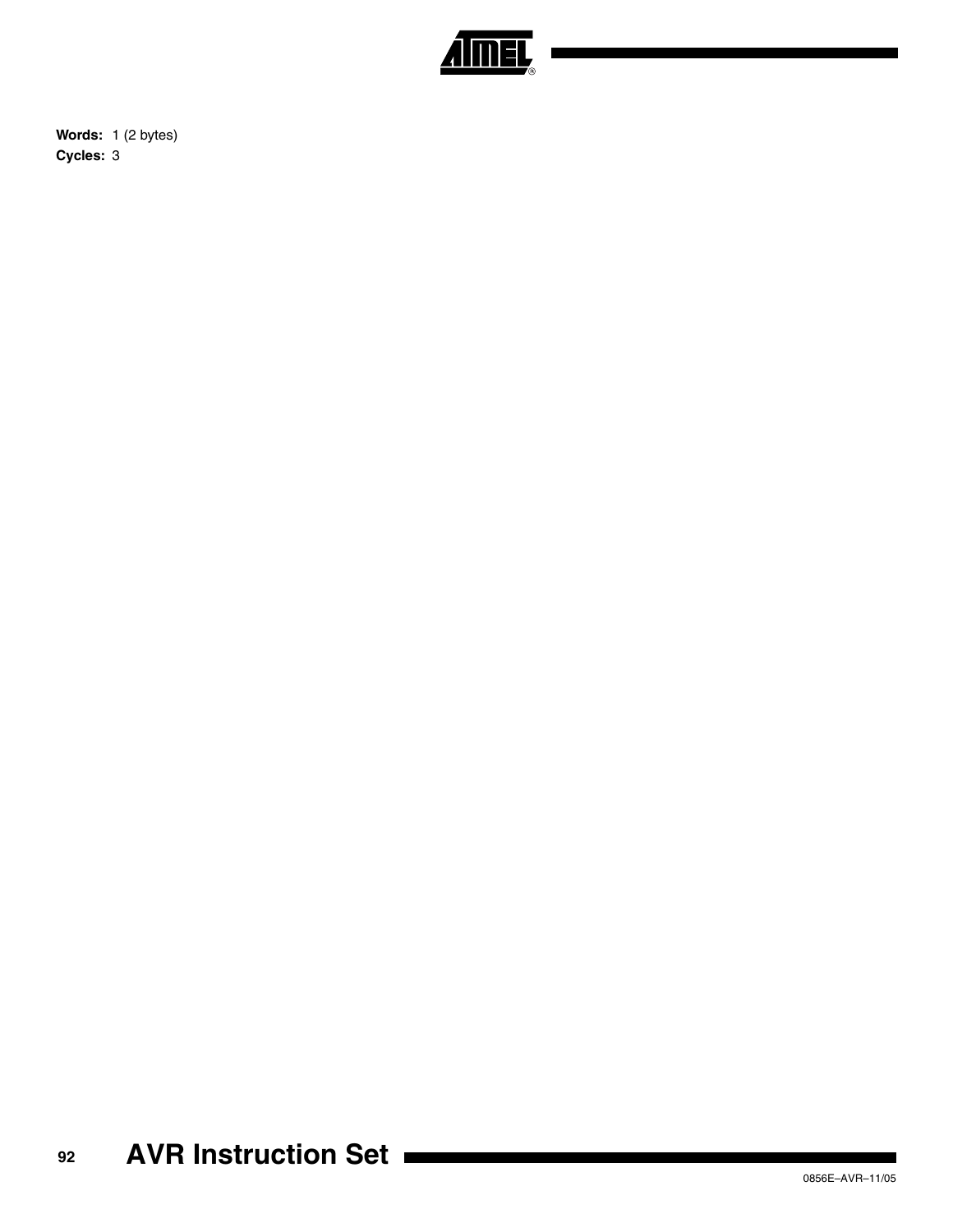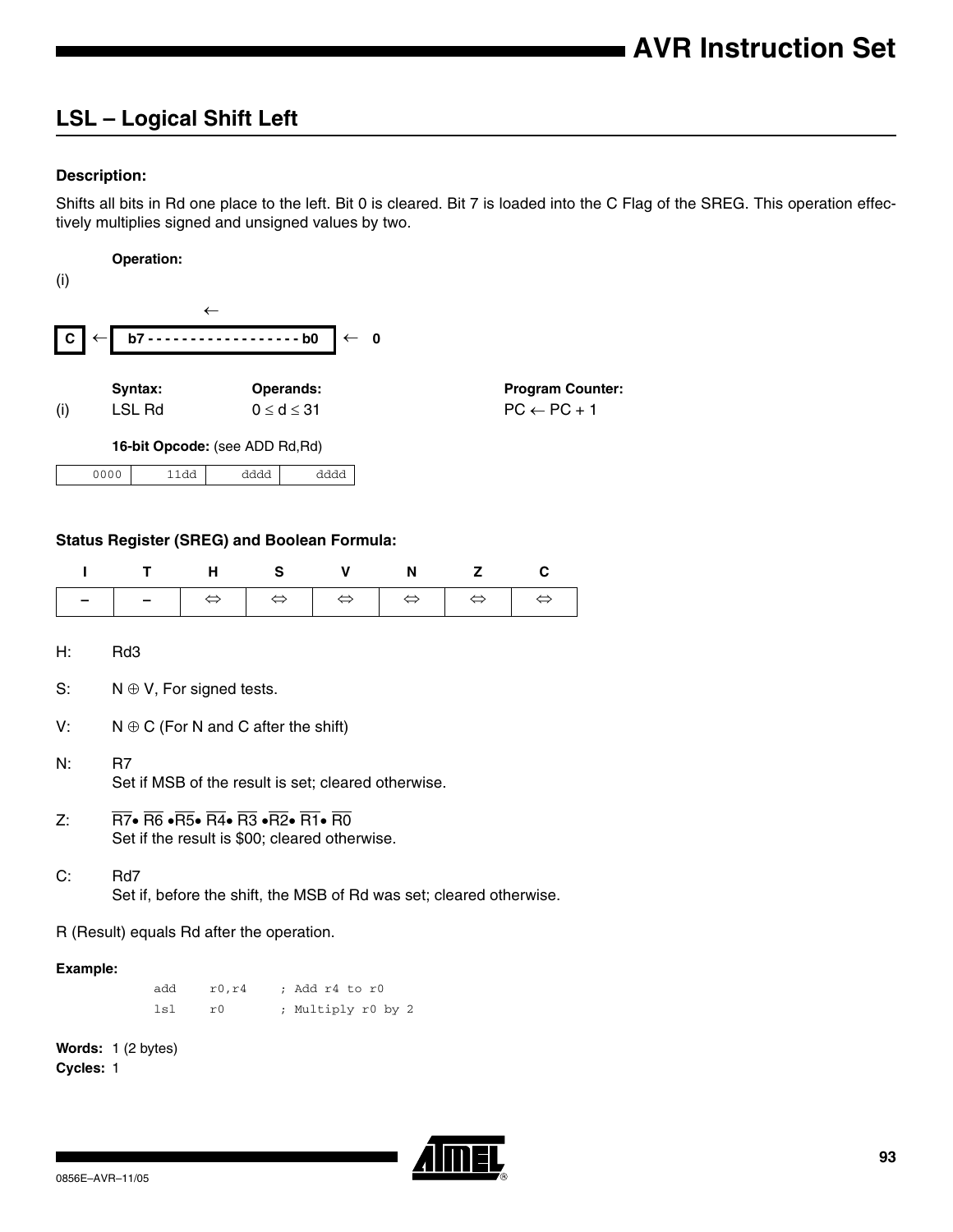# **LSL – Logical Shift Left**

# **Description:**

Shifts all bits in Rd one place to the left. Bit 0 is cleared. Bit 7 is loaded into the C Flag of the SREG. This operation effectively multiplies signed and unsigned values by two.

# **Operation:** (i) Syntax: **Operands:** Program Counter: (i) LSL Rd  $0 \le d \le 31$  PC  $\leftarrow$  PC + 1 **16-bit Opcode:** (see ADD Rd,Rd) ←  $C \in \mathbb{C}$  **b7** - - - - - - - - - - - - - - - - - **b0**  $\in \mathbb{C}$ 0000 11dd dddd dddd

### **Status Register (SREG) and Boolean Formula:**

| ı                                         | т                                                                                        | н                 | S                 | v                  | N                 | z                 | C                 |  |  |
|-------------------------------------------|------------------------------------------------------------------------------------------|-------------------|-------------------|--------------------|-------------------|-------------------|-------------------|--|--|
|                                           |                                                                                          | $\Leftrightarrow$ | $\Leftrightarrow$ | $\Leftrightarrow$  | $\Leftrightarrow$ | $\Leftrightarrow$ | $\Leftrightarrow$ |  |  |
| H:                                        | Rd3                                                                                      |                   |                   |                    |                   |                   |                   |  |  |
| S:                                        | $N \oplus V$ , For signed tests.                                                         |                   |                   |                    |                   |                   |                   |  |  |
| V:                                        | $N \oplus C$ (For N and C after the shift)                                               |                   |                   |                    |                   |                   |                   |  |  |
| N:                                        | R7<br>Set if MSB of the result is set; cleared otherwise.                                |                   |                   |                    |                   |                   |                   |  |  |
| Z.                                        | <b>R7• R6</b> • R5• R4• R3 • R2• R1• R0<br>Set if the result is \$00; cleared otherwise. |                   |                   |                    |                   |                   |                   |  |  |
| C:                                        | Rd7<br>Set if, before the shift, the MSB of Rd was set; cleared otherwise.               |                   |                   |                    |                   |                   |                   |  |  |
| R (Result) equals Rd after the operation. |                                                                                          |                   |                   |                    |                   |                   |                   |  |  |
| Example:                                  |                                                                                          |                   |                   |                    |                   |                   |                   |  |  |
|                                           | add                                                                                      | r0, r4            |                   | ; Add r4 to r0     |                   |                   |                   |  |  |
|                                           | 1s1                                                                                      | r0                |                   | ; Multiply r0 by 2 |                   |                   |                   |  |  |

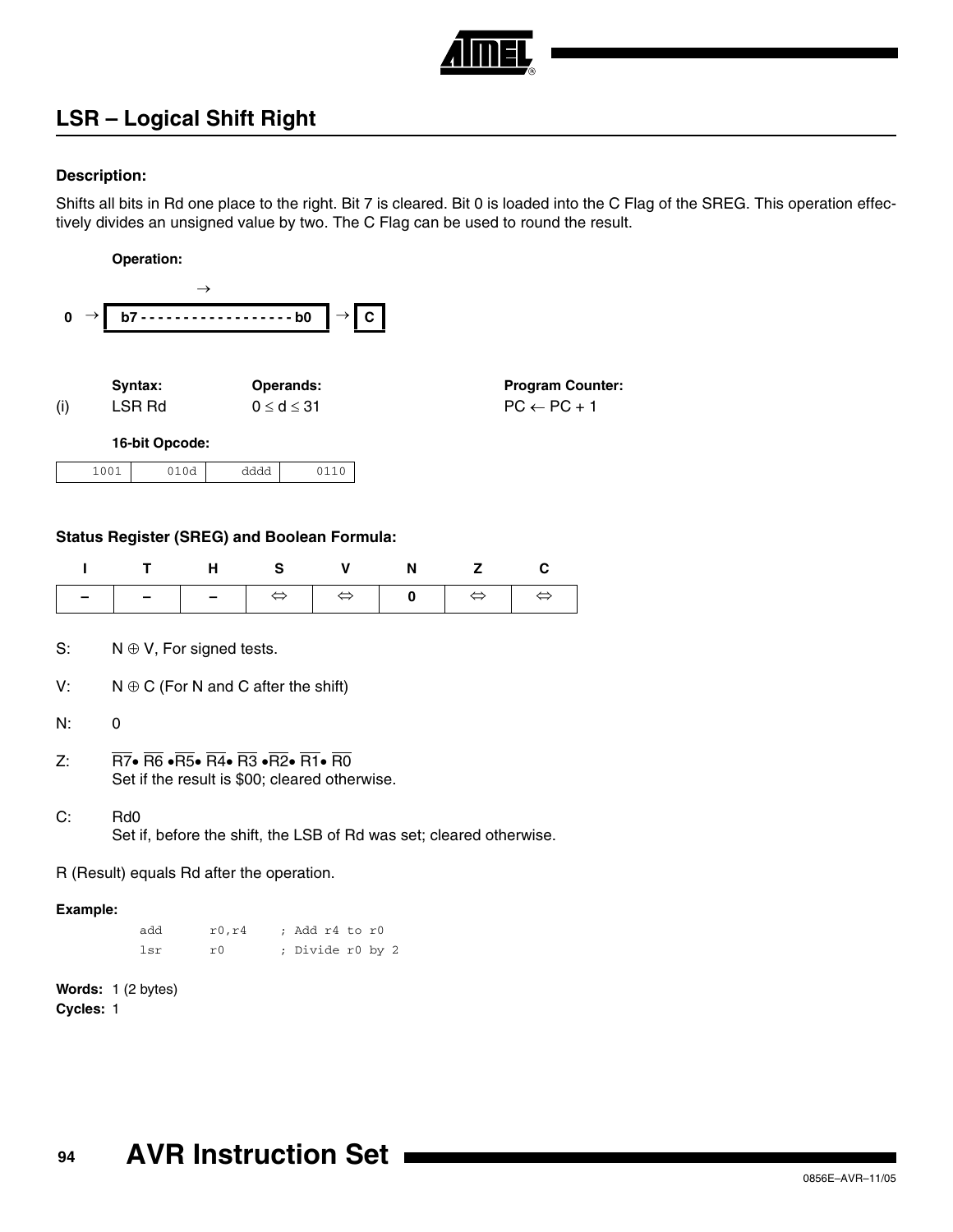

# **LSR – Logical Shift Right**

#### **Description:**

Shifts all bits in Rd one place to the right. Bit 7 is cleared. Bit 0 is loaded into the C Flag of the SREG. This operation effectively divides an unsigned value by two. The C Flag can be used to round the result.

|             |                          | <b>Operation:</b> |      |                                 |   |                                                   |  |
|-------------|--------------------------|-------------------|------|---------------------------------|---|---------------------------------------------------|--|
| $\mathbf 0$ | b7                       | $\rightarrow$     |      | $- - b0$<br>$\rightarrow$       | c |                                                   |  |
| (i)         | Syntax:<br><b>LSR Rd</b> |                   |      | Operands:<br>$0 \leq d \leq 31$ |   | <b>Program Counter:</b><br>$PC \leftarrow PC + 1$ |  |
|             |                          | 16-bit Opcode:    |      |                                 |   |                                                   |  |
|             | 1001                     | 010d              | dddd | 0110                            |   |                                                   |  |
|             |                          |                   |      |                                 |   |                                                   |  |
|             |                          |                   |      |                                 |   |                                                   |  |

#### **Status Register (SREG) and Boolean Formula:**

| ı                                         | т                                                                                                                                                                                                                                                      | н      | S                 | v                 | N | z                 | С                 |
|-------------------------------------------|--------------------------------------------------------------------------------------------------------------------------------------------------------------------------------------------------------------------------------------------------------|--------|-------------------|-------------------|---|-------------------|-------------------|
|                                           |                                                                                                                                                                                                                                                        |        | $\Leftrightarrow$ | $\Leftrightarrow$ | 0 | $\Leftrightarrow$ | $\Leftrightarrow$ |
|                                           |                                                                                                                                                                                                                                                        |        |                   |                   |   |                   |                   |
| S:                                        | $N \oplus V$ , For signed tests.                                                                                                                                                                                                                       |        |                   |                   |   |                   |                   |
| V:                                        | $N \oplus C$ (For N and C after the shift)                                                                                                                                                                                                             |        |                   |                   |   |                   |                   |
| N:                                        | 0                                                                                                                                                                                                                                                      |        |                   |                   |   |                   |                   |
| Z:                                        | $\overline{\text{R7}}$ • $\overline{\text{R6}}$ • $\overline{\text{R5}}$ • $\overline{\text{R4}}$ • $\overline{\text{R3}}$ • $\overline{\text{R2}}$ • $\overline{\text{R1}}$ • $\overline{\text{R0}}$<br>Set if the result is \$00; cleared otherwise. |        |                   |                   |   |                   |                   |
| C:                                        | Rd <sub>0</sub><br>Set if, before the shift, the LSB of Rd was set; cleared otherwise.                                                                                                                                                                 |        |                   |                   |   |                   |                   |
| R (Result) equals Rd after the operation. |                                                                                                                                                                                                                                                        |        |                   |                   |   |                   |                   |
| Example:                                  |                                                                                                                                                                                                                                                        |        |                   |                   |   |                   |                   |
|                                           | add                                                                                                                                                                                                                                                    | r0, r4 |                   | ; Add r4 to r0    |   |                   |                   |
|                                           | lsr                                                                                                                                                                                                                                                    | r0     |                   | ; Divide r0 by 2  |   |                   |                   |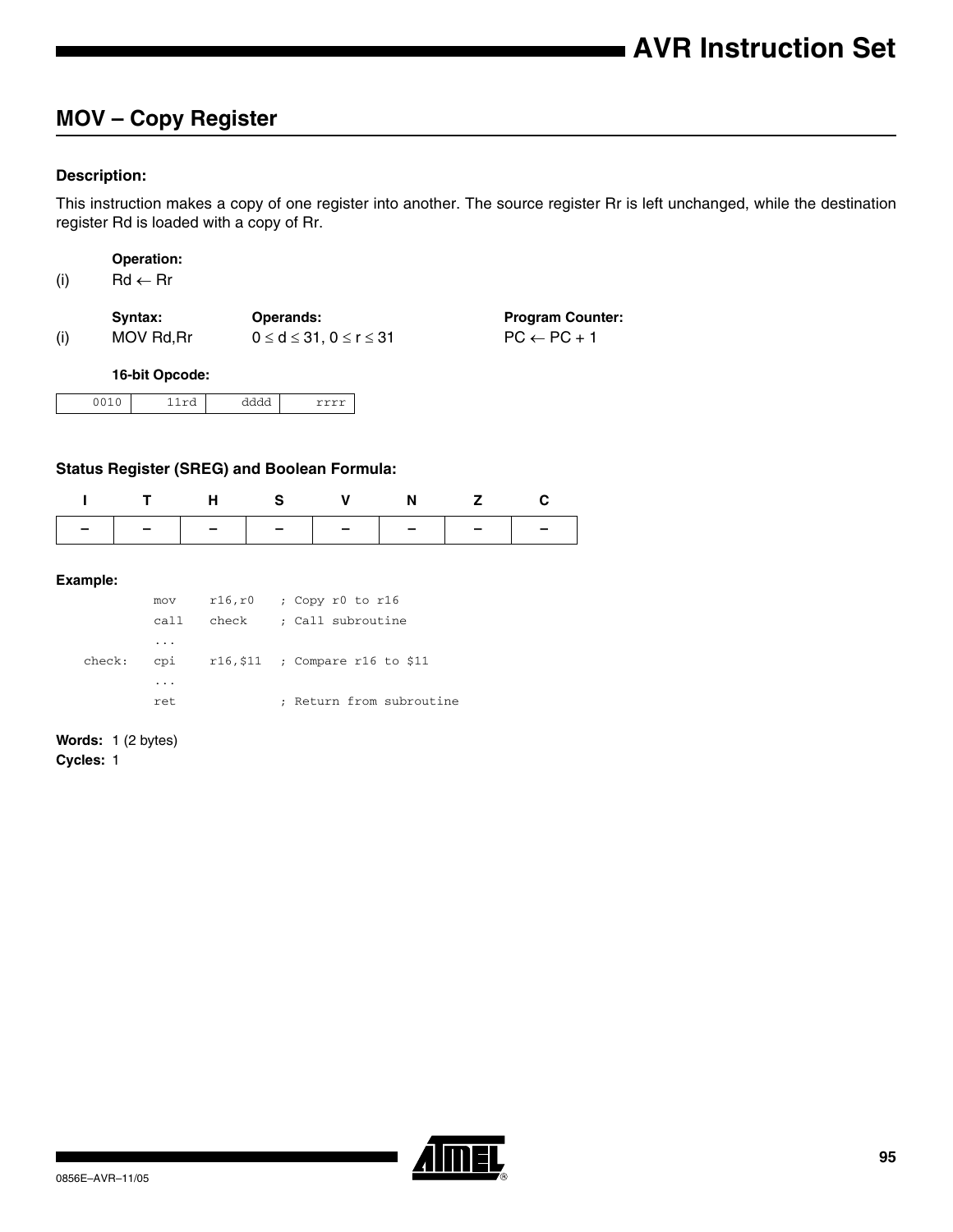# **MOV – Copy Register**

### **Description:**

This instruction makes a copy of one register into another. The source register Rr is left unchanged, while the destination register Rd is loaded with a copy of Rr.

| <b>Operation:</b> |  |
|-------------------|--|
|                   |  |

(i) Rd ← Rr

|     | Svntax:   | <b>Operands:</b>                       | <b>Program Counter:</b> |
|-----|-----------|----------------------------------------|-------------------------|
| (i) | MOV Rd.Rr | $0 \leq d \leq 31.$ $0 \leq r \leq 31$ | $PC \leftarrow PC + 1$  |

#### **16-bit Opcode:**

| __ | $   -$ |  |
|----|--------|--|

### **Status Register (SREG) and Boolean Formula:**

|                | . н. |  | N |  |
|----------------|------|--|---|--|
| -------------- |      |  |   |  |

### **Example:**

I

|        | mov                     |       | $r16, r0$ ; Copy r0 to r16        |
|--------|-------------------------|-------|-----------------------------------|
|        | call                    | check | ; Call subroutine                 |
|        | $\cdot$ $\cdot$ $\cdot$ |       |                                   |
| check: | cpi                     |       | $r16,$ \$11 ; Compare r16 to \$11 |
|        | $\cdot$ $\cdot$ $\cdot$ |       |                                   |
|        | ret.                    |       | ; Return from subroutine          |

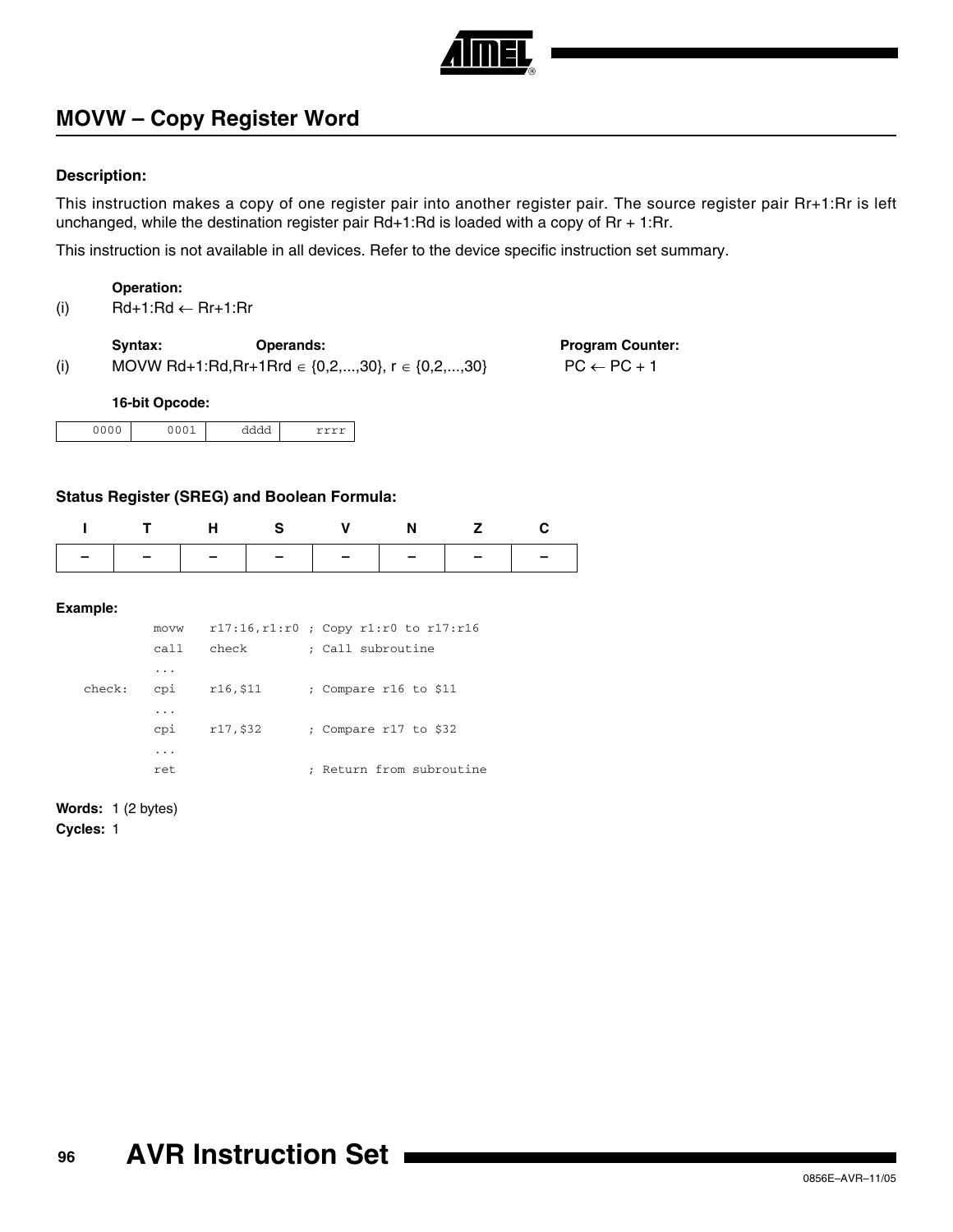# **MOVW – Copy Register Word**

#### **Description:**

This instruction makes a copy of one register pair into another register pair. The source register pair Rr+1:Rr is left unchanged, while the destination register pair Rd+1:Rd is loaded with a copy of Rr + 1:Rr.

This instruction is not available in all devices. Refer to the device specific instruction set summary.

#### **Operation:**

(i)  $Rd+1:Rd \leftarrow Rr+1:Rr$ 

Syntax: **Operands:** Program Counter: (i) MOVW Rd+1:Rd,Rr+1Rrd ∈ {0,2,...,30}, r ∈ {0,2,...,30} PC ← PC + 1

#### **16-bit Opcode:**

| 0000        | $000^{\circ}$ | dddd    |  |
|-------------|---------------|---------|--|
| $\check{ }$ | - - -         | $    -$ |  |
|             |               |         |  |

#### **Status Register (SREG) and Boolean Formula:**

|                               |  | THS V N Z C |  |
|-------------------------------|--|-------------|--|
| -   -   -   -   -   -   -   - |  |             |  |

#### **Example:**

|        | movw |             | $r17:16, r1:r0$ ; Copy $r1:r0$ to $r17:r16$ |
|--------|------|-------------|---------------------------------------------|
|        | ca11 | check       | : Call subroutine                           |
|        | .    |             |                                             |
| check: | cpi  | $r16,$ \$11 | ; Compare r16 to \$11                       |
|        | .    |             |                                             |
|        | cpi  | r17,\$32    | ; Compare r17 to \$32                       |
|        | .    |             |                                             |
|        | ret. |             | Return from subroutine                      |

**Words:** 1 (2 bytes)

**Cycles:** 1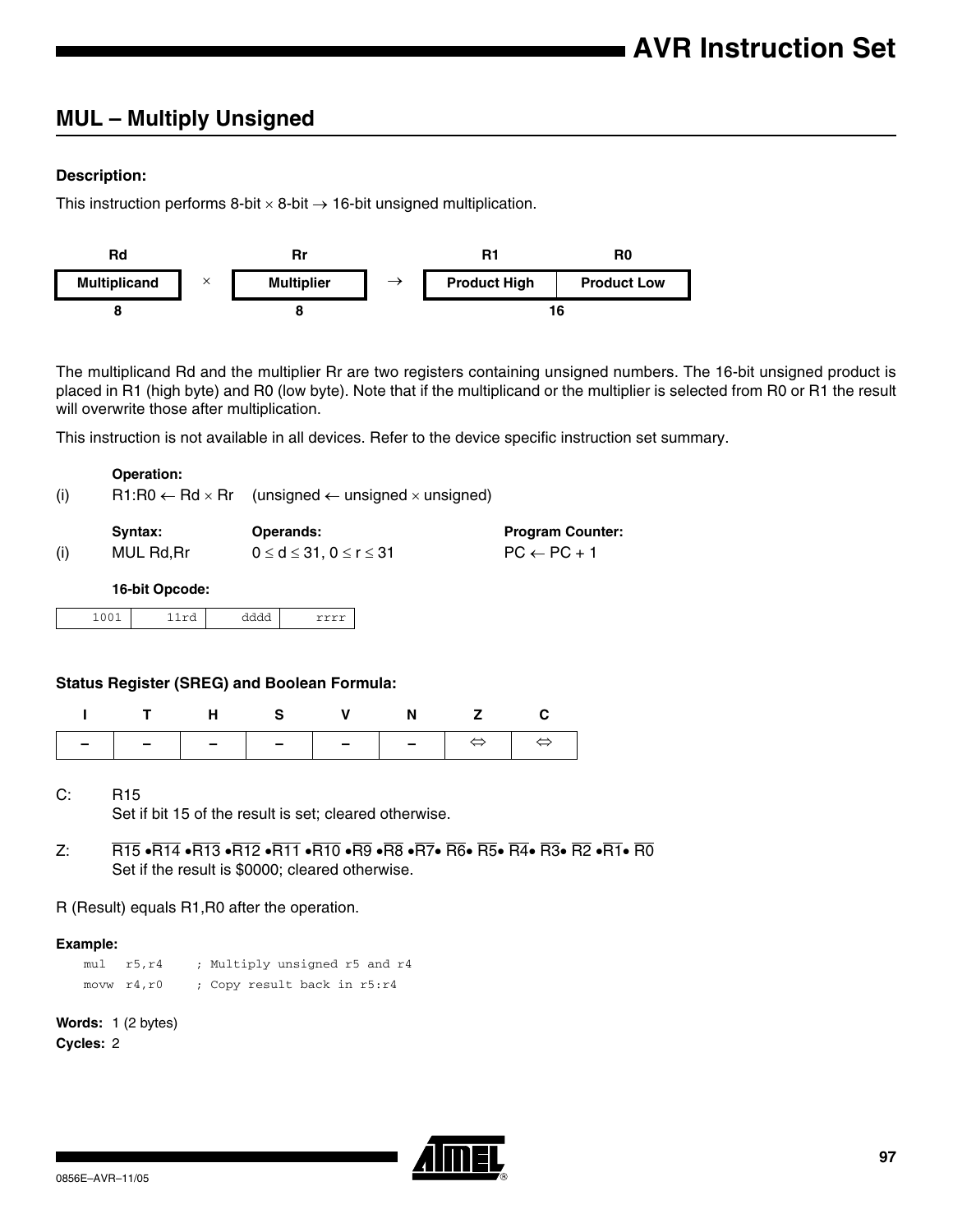# **MUL – Multiply Unsigned**

# **Description:**

This instruction performs 8-bit  $\times$  8-bit  $\rightarrow$  16-bit unsigned multiplication.



The multiplicand Rd and the multiplier Rr are two registers containing unsigned numbers. The 16-bit unsigned product is placed in R1 (high byte) and R0 (low byte). Note that if the multiplicand or the multiplier is selected from R0 or R1 the result will overwrite those after multiplication.

This instruction is not available in all devices. Refer to the device specific instruction set summary.

| <b>Operation:</b> |
|-------------------|
|-------------------|

(i) R1:R0  $\leftarrow$  Rd  $\times$  Rr (unsigned  $\leftarrow$  unsigned  $\times$  unsigned)

|     | Svntax:    | <b>Operands:</b>                     | <b>Program Counter:</b> |
|-----|------------|--------------------------------------|-------------------------|
| (i) | MUL Rd, Rr | $0 \leq d \leq 31, 0 \leq r \leq 31$ | $PC \leftarrow PC + 1$  |

#### **16-bit Opcode:**

1001 11rd dddd rrrr

# **Status Register (SREG) and Boolean Formula:**

| ITHS V N Z C |  |  |  |
|--------------|--|--|--|
|              |  |  |  |

- C: R15 Set if bit 15 of the result is set; cleared otherwise.
- Z: R15 •R14 •R13 •R12 •R11 •R10 •R9 •R8 •R7• R6• R5• R4• R3• R2 •R1• R0 Set if the result is \$0000; cleared otherwise.

R (Result) equals R1,R0 after the operation.

#### **Example:**

mul r5,r4 ; Multiply unsigned r5 and r4 movw r4,r0 ; Copy result back in r5:r4

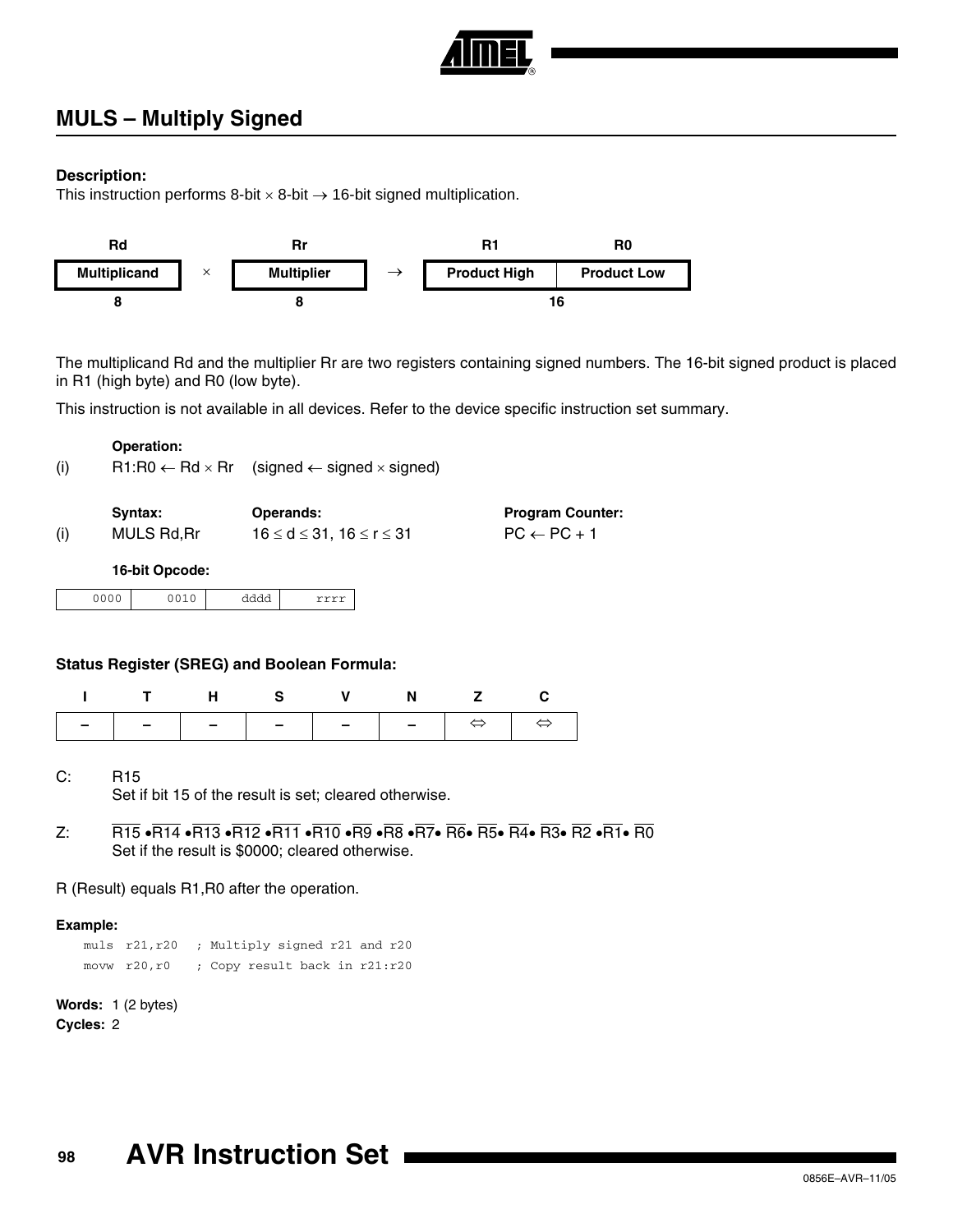

# **MULS – Multiply Signed**

### **Description:**

This instruction performs 8-bit  $\times$  8-bit  $\rightarrow$  16-bit signed multiplication.



The multiplicand Rd and the multiplier Rr are two registers containing signed numbers. The 16-bit signed product is placed in R1 (high byte) and R0 (low byte).

This instruction is not available in all devices. Refer to the device specific instruction set summary.

|     | Syntax:           | Operands:                                                                    | <b>Program Counter:</b> |
|-----|-------------------|------------------------------------------------------------------------------|-------------------------|
| (i) |                   | $R1:R0 \leftarrow Rd \times Rr$ (signed $\leftarrow$ signed $\times$ signed) |                         |
|     | <b>Operation:</b> |                                                                              |                         |

(i) MULS Rd, Rr  $16 \le d \le 31$ ,  $16 \le r \le 31$  PC  $\leftarrow$  PC + 1

#### **16-bit Opcode:**

| , v<br>$\check{ }$ | <b>1111</b> |  |
|--------------------|-------------|--|

#### **Status Register (SREG) and Boolean Formula:**

|  | ITHS V N Z C |  |  |
|--|--------------|--|--|
|  |              |  |  |

- C: R15 Set if bit 15 of the result is set; cleared otherwise.
- Z: R15 •R14 •R13 •R12 •R11 •R10 •R9 •R8 •R7• R6• R5• R4• R3• R2 •R1• R0 Set if the result is \$0000; cleared otherwise.

R (Result) equals R1,R0 after the operation.

#### **Example:**

muls r21,r20 ; Multiply signed r21 and r20 movw r20,r0 ; Copy result back in r21:r20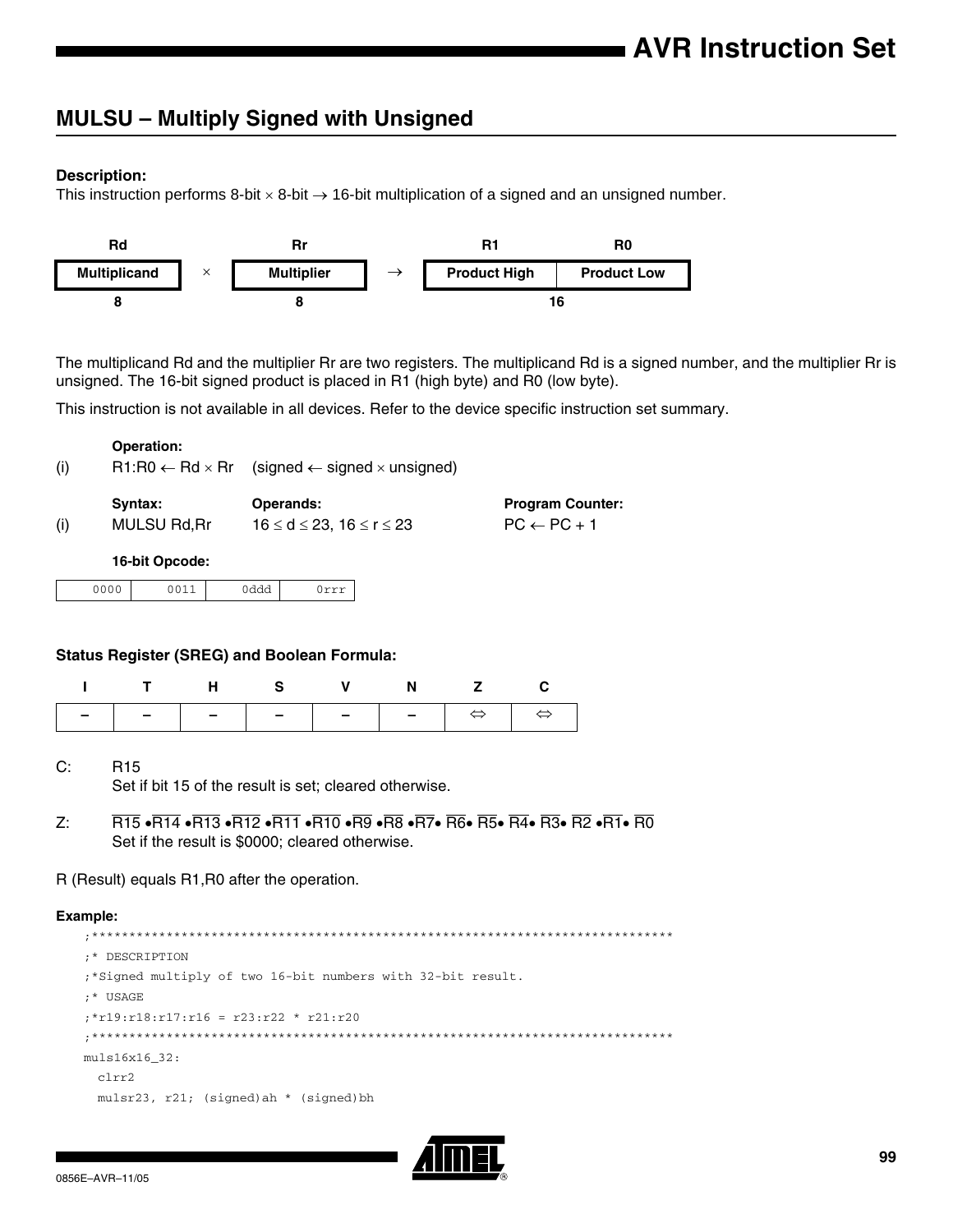# **MULSU – Multiply Signed with Unsigned**

### **Description:**

This instruction performs 8-bit  $\times$  8-bit  $\rightarrow$  16-bit multiplication of a signed and an unsigned number.



The multiplicand Rd and the multiplier Rr are two registers. The multiplicand Rd is a signed number, and the multiplier Rr is unsigned. The 16-bit signed product is placed in R1 (high byte) and R0 (low byte).

This instruction is not available in all devices. Refer to the device specific instruction set summary.

| (i) |              | $R1:R0 \leftarrow Rd \times Rr$ (signed $\leftarrow$ signed $\times$ unsigned) |                         |
|-----|--------------|--------------------------------------------------------------------------------|-------------------------|
| (i) | Syntax:      | Operands:                                                                      | <b>Program Counter:</b> |
|     | MULSU Rd, Rr | $16 \le d \le 23$ , $16 \le r \le 23$                                          | $PC \leftarrow PC + 1$  |

#### **16-bit Opcode:**

**Operation:**

| $\sim$ $\sim$ $\sim$<br>. .<br>∼<br>ــ | ------ |  |
|----------------------------------------|--------|--|
|----------------------------------------|--------|--|

#### **Status Register (SREG) and Boolean Formula:**

|  |  | ITHS V N Z C |  |
|--|--|--------------|--|
|  |  |              |  |

- C: R15 Set if bit 15 of the result is set; cleared otherwise.
- Z: R15 •R14 •R13 •R12 •R11 •R10 •R9 •R8 •R7• R6• R5• R4• R3• R2 •R1• R0 Set if the result is \$0000; cleared otherwise.

#### R (Result) equals R1,R0 after the operation.

#### **Example:**

```
;******************************************************************************
;* DESCRIPTION
;*Signed multiply of two 16-bit numbers with 32-bit result.
;* USAGE
;*r19:r18:r17:r16 = r23:r22 * r21:r20
;******************************************************************************
muls16x16_32:
 clrr2
 mulsr23, r21; (signed)ah * (signed)bh
```
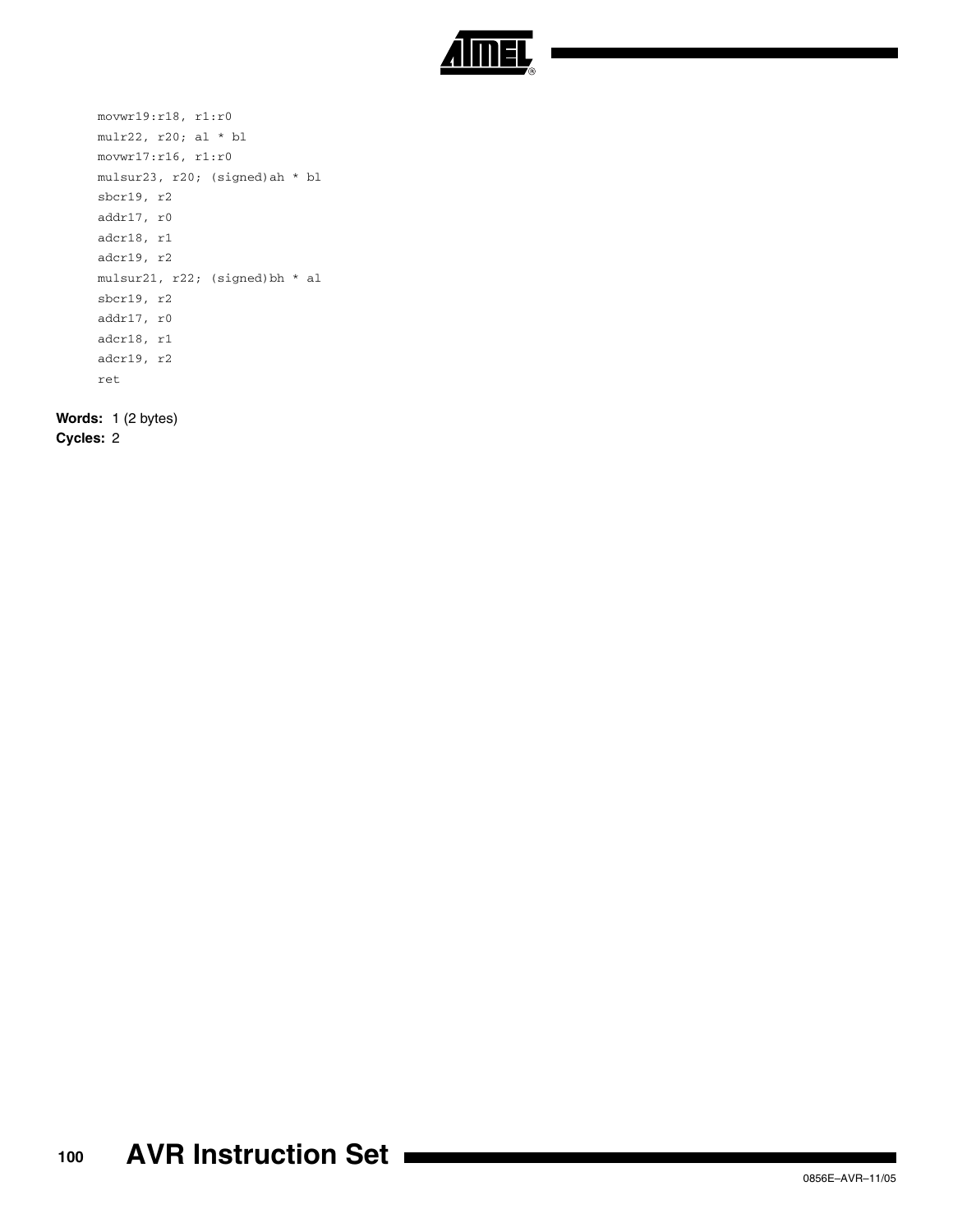

```
movwr19:r18, r1:r0
mulr22, r20; al * bl
movwr17:r16, r1:r0
mulsur23, r20; (signed)ah * bl
sbcr19, r2
addr17, r0
adcr18, r1
adcr19, r2
mulsur21, r22; (signed)bh * al
sbcr19, r2
addr17, r0
adcr18, r1
adcr19, r2
ret
```
**Words:** 1 (2 bytes)

**Cycles:** 2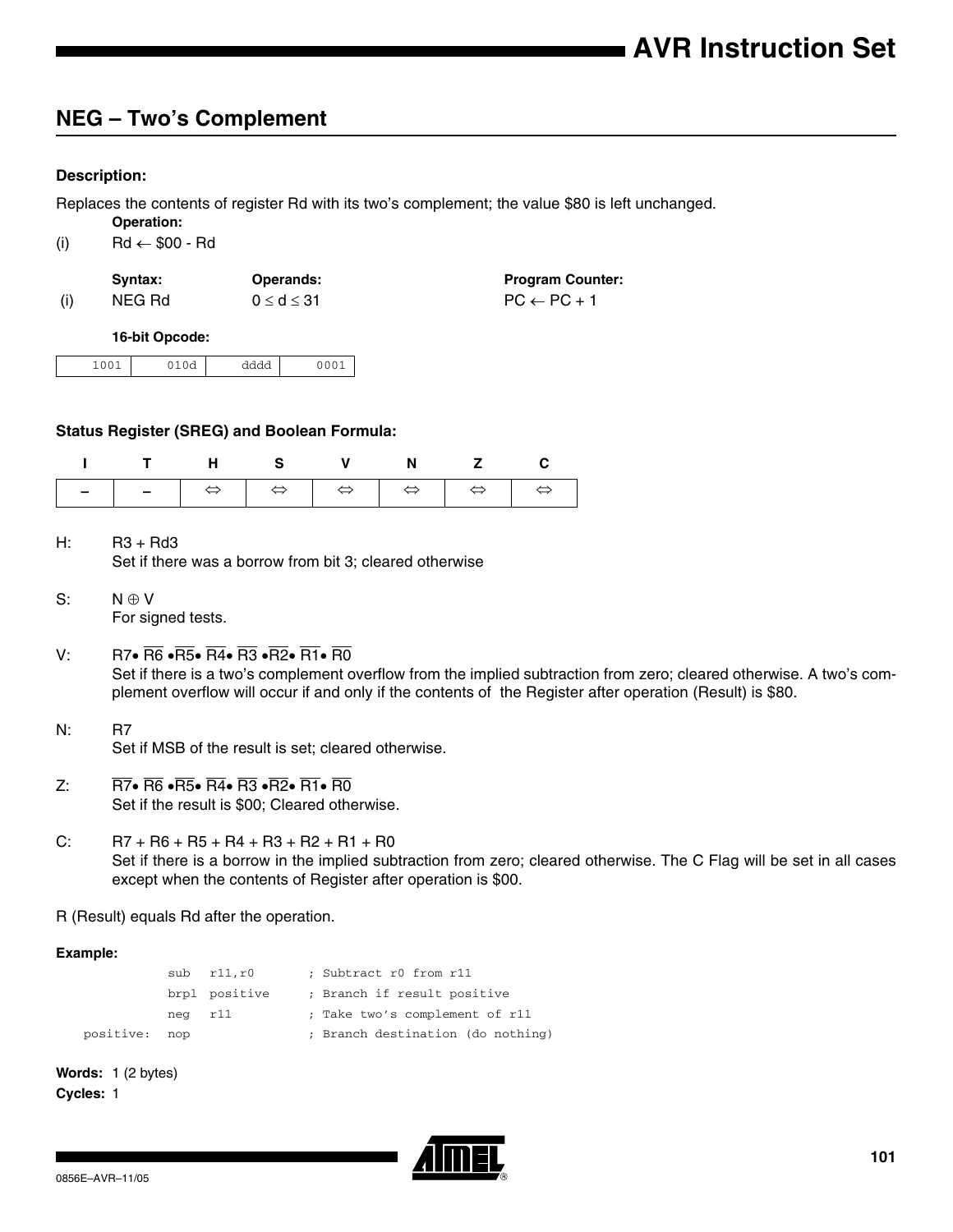# **NEG – Two's Complement**

### **Description:**

Replaces the contents of register Rd with its two's complement; the value \$80 is left unchanged. **Operation:**

|     | Operation.               |  |
|-----|--------------------------|--|
| (i) | $Rd \leftarrow $00 - Rd$ |  |

| Syntax: | <b>Operands:</b>   | <b>Program Counter:</b> |
|---------|--------------------|-------------------------|
| NEG Rd  | $0 \leq d \leq 31$ | $PC \leftarrow PC + 1$  |

#### **16-bit Opcode:**

|--|

### **Status Register (SREG) and Boolean Formula:**

| ITHS V N Z C |  |  |  |
|--------------|--|--|--|
|              |  |  |  |

 $H:$  R3 + Rd3 Set if there was a borrow from bit 3; cleared otherwise

- $S: N \oplus V$ For signed tests.
- V: R7• R6 •R5• R4• R3 •R2• R1• R0 Set if there is a two's complement overflow from the implied subtraction from zero; cleared otherwise. A two's complement overflow will occur if and only if the contents of the Register after operation (Result) is \$80.
- N: R7 Set if MSB of the result is set; cleared otherwise.
- Z:  $\overline{R7}$   $\overline{R6}$   $\overline{R5}$   $\overline{R4}$   $\overline{R3}$   $\overline{R2}$   $\overline{R1}$   $\overline{R0}$ Set if the result is \$00; Cleared otherwise.
- C:  $\overline{R7 + R6 + R5 + R4 + R3 + R2 + R1 + R0}$ Set if there is a borrow in the implied subtraction from zero; cleared otherwise. The C Flag will be set in all cases except when the contents of Register after operation is \$00.

R (Result) equals Rd after the operation.

#### **Example:**

|         | $sub$ $r11.r0$ | ; Subtract r0 from r11            |
|---------|----------------|-----------------------------------|
|         | brpl positive  | ; Branch if result positive       |
| neg r11 |                | ; Take two's complement of r11    |
| nop     |                | ; Branch destination (do nothing) |

```
Words: 1 (2 bytes)
Cycles: 1
```
positive

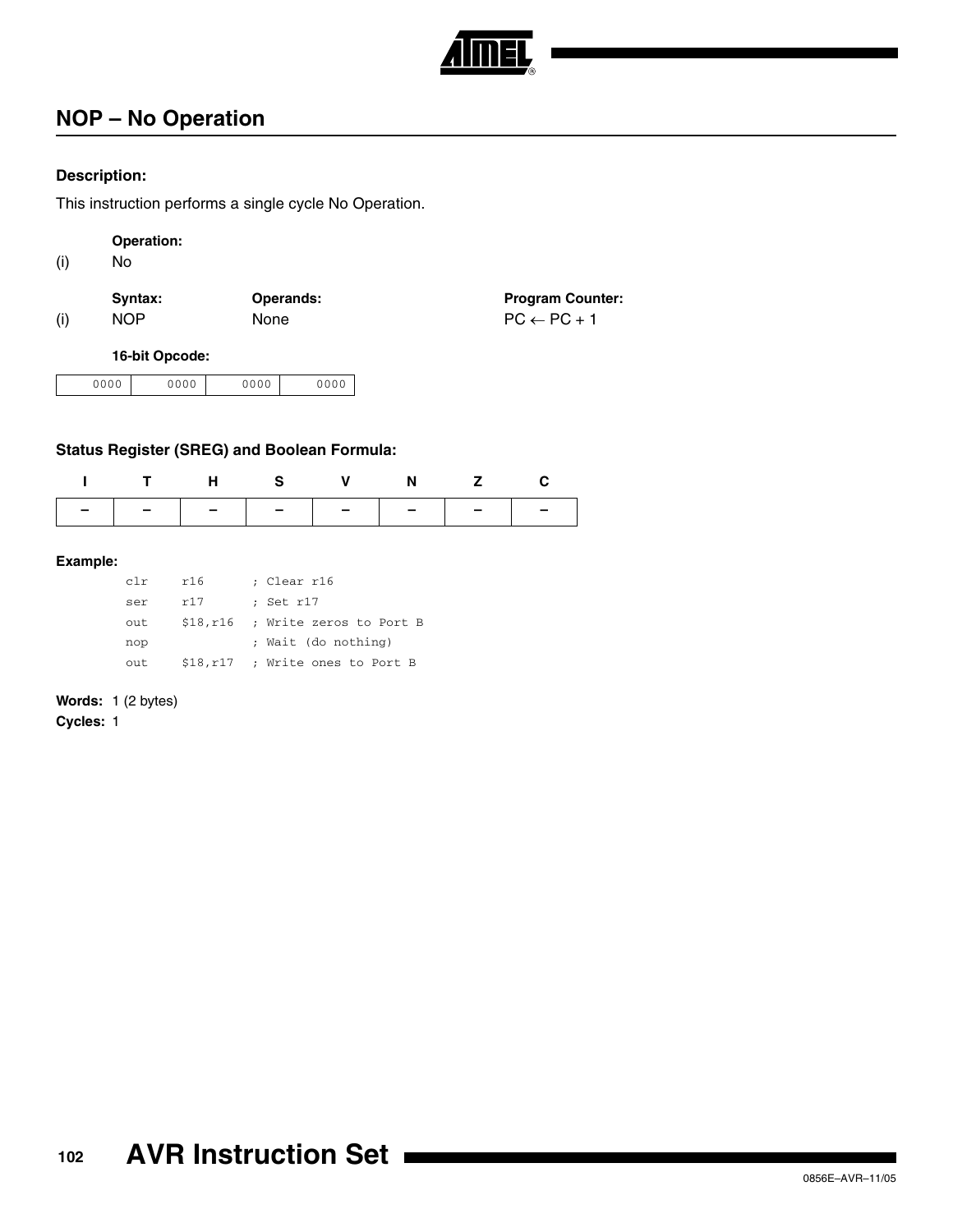# **NOP – No Operation**

### **Description:**

This instruction performs a single cycle No Operation.

| <b>Operation:</b> |
|-------------------|
|-------------------|

(i) No

|     | Syntax:    | <b>Operands:</b> | <b>Program Counter:</b> |
|-----|------------|------------------|-------------------------|
| (i) | <b>NOP</b> | None             | $PC \leftarrow PC + 1$  |

#### **16-bit Opcode:**

| $\cap$ $\cap$ $\cap$ | $\sim$ $\sim$ $\sim$ | $\sim$ $\sim$ $\sim$ | $\sim$ $\sim$ $\sim$ |
|----------------------|----------------------|----------------------|----------------------|
|                      |                      |                      |                      |

### **Status Register (SREG) and Boolean Formula:**

| $\mathbf{T}$                  | H S V N Z |  |  |  |
|-------------------------------|-----------|--|--|--|
| - - - - - - - - - - - - - - - |           |  |  |  |

### **Example:**

| clr | r16 | ; Clear r16                       |
|-----|-----|-----------------------------------|
| ser | r17 | ; Set r17                         |
| out |     | \$18, r16 ; Write zeros to Port B |
| nop |     | ; Wait (do nothing)               |
| out |     | \$18, r17, Write ones to Port B   |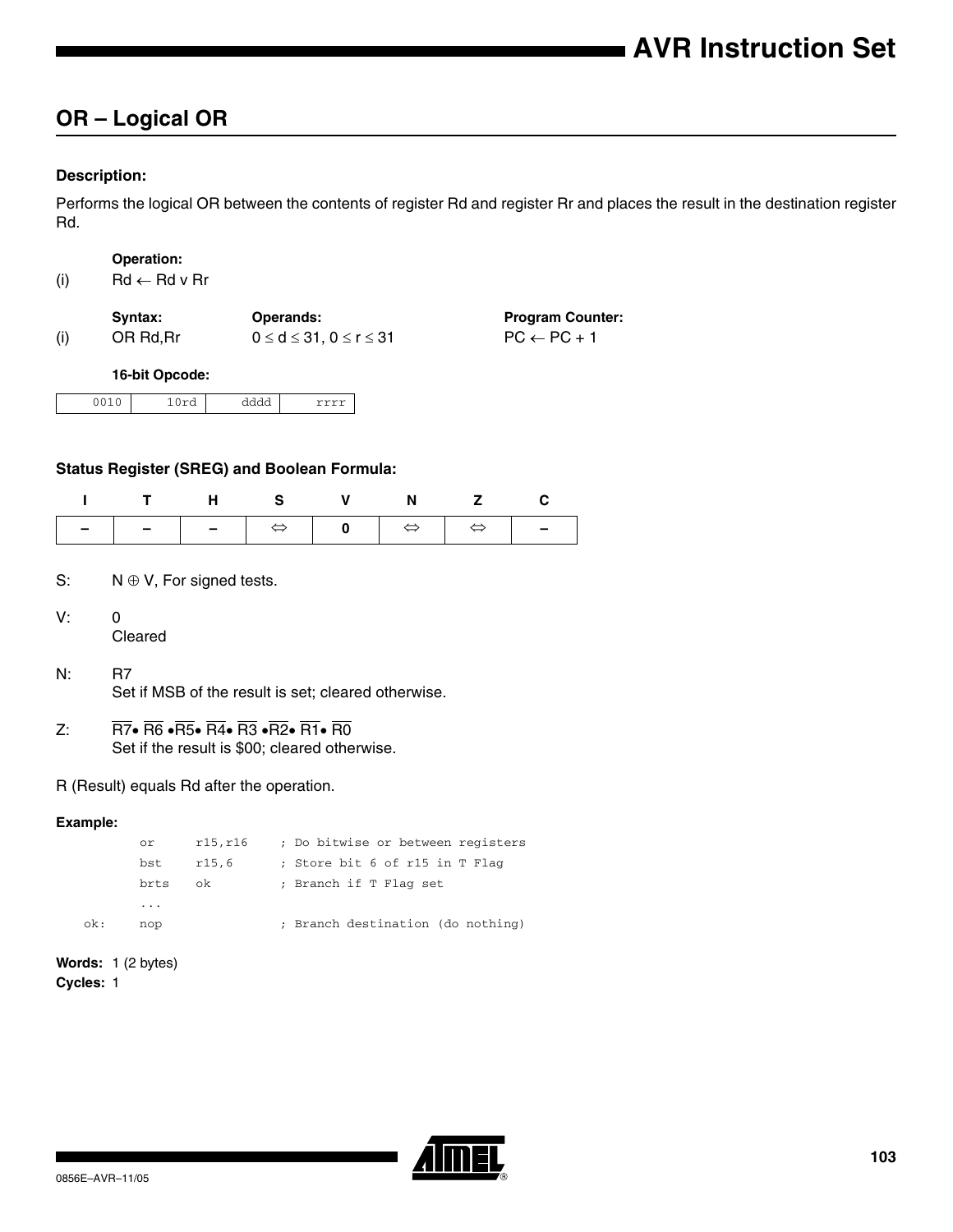# **OR – Logical OR**

### **Description:**

Performs the logical OR between the contents of register Rd and register Rr and places the result in the destination register Rd.

#### **Operation:**

(i) Rd ← Rd v Rr

|     | Svntax:   | <b>Operands:</b>                     | <b>Program Counter:</b> |
|-----|-----------|--------------------------------------|-------------------------|
| (i) | OR Rd, Rr | $0 \leq d \leq 31, 0 \leq r \leq 31$ | $PC \leftarrow PC + 1$  |

#### **16-bit Opcode:**

| $- - - -$ | - - |  |
|-----------|-----|--|

### **Status Register (SREG) and Boolean Formula:**

|  | ITHS V N Z C |  |  |
|--|--------------|--|--|
|  |              |  |  |

- S: N ⊕ V, For signed tests.
- V: 0 Cleared
- N: R7 Set if MSB of the result is set; cleared otherwise.
- Z:  $\overline{R7}$   $\overline{R6}$   $\overline{R5}$   $\overline{R4}$   $\overline{R3}$   $\overline{R2}$   $\overline{R1}$   $\overline{R0}$ Set if the result is \$00; cleared otherwise.

# R (Result) equals Rd after the operation.

#### **Example:**

|     | or.  | r15,r16 | ; Do bitwise or between registers |
|-----|------|---------|-----------------------------------|
|     | bst  | r15,6   | ; Store bit 6 of r15 in T Flag    |
|     | brts | ok      | ; Branch if T Flag set            |
|     | .    |         |                                   |
| ok: | nop  |         | ; Branch destination (do nothing) |
|     |      |         |                                   |

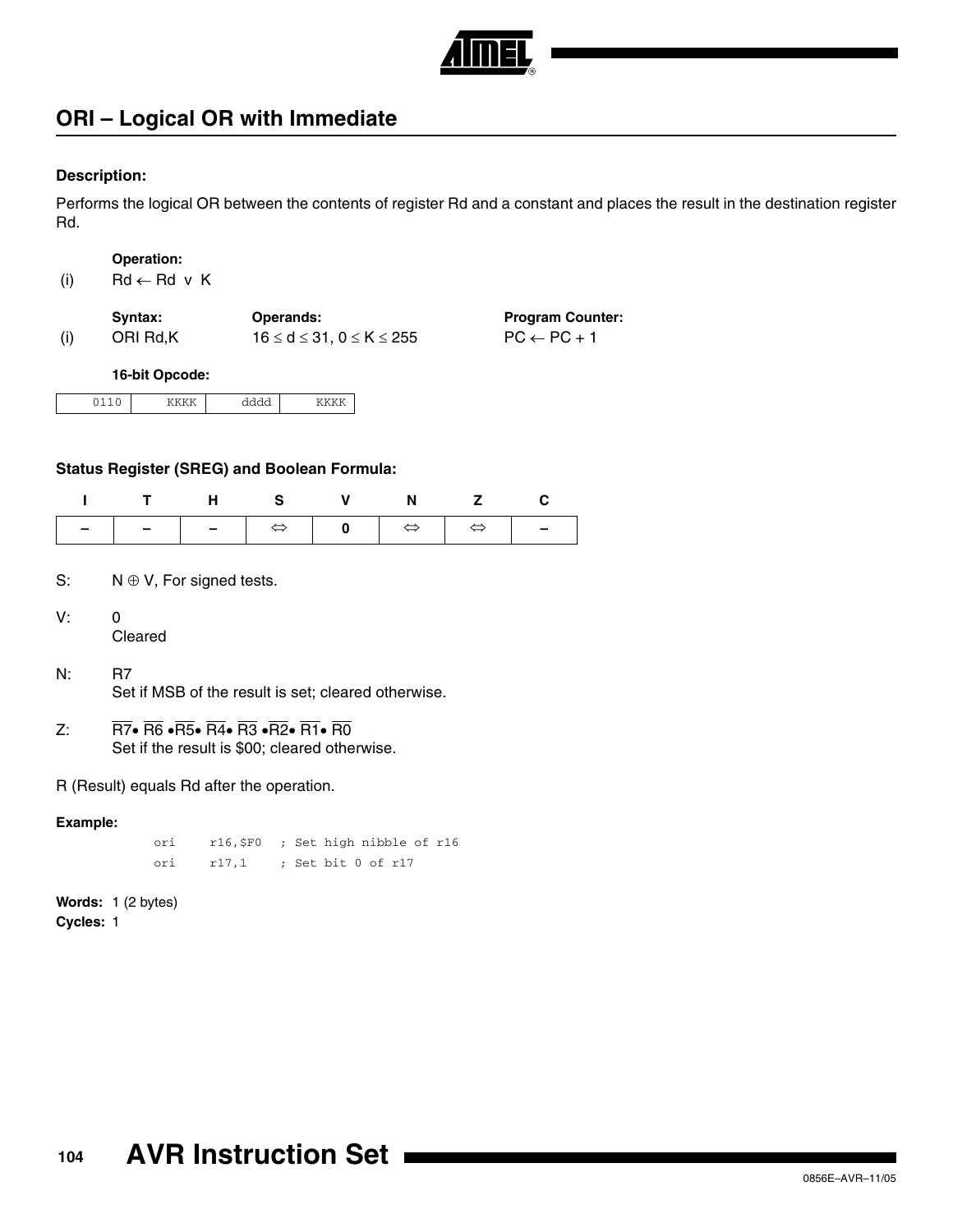

# **ORI – Logical OR with Immediate**

#### **Description:**

Performs the logical OR between the contents of register Rd and a constant and places the result in the destination register Rd.

> **Program Counter:**  $PC \leftarrow PC + 1$

#### **Operation:**

| (i)<br>$Rd \leftarrow Rd \vee K$ |
|----------------------------------|
|----------------------------------|

|     | Syntax:  | <b>Operands:</b>                   |
|-----|----------|------------------------------------|
| (i) | ORI Rd,K | $16 \le d \le 31, 0 \le K \le 255$ |

#### **16-bit Opcode:**

|  | . |  |
|--|---|--|

### **Status Register (SREG) and Boolean Formula:**

| ITHS V N Z C |  |  |  |
|--------------|--|--|--|
|              |  |  |  |

- S: N ⊕ V, For signed tests.
- V: 0 Cleared
- N: R7 Set if MSB of the result is set; cleared otherwise.
- Z:  $\overline{R7}$   $\overline{R6}$   $\overline{R5}$   $\overline{R4}$   $\overline{R3}$   $\overline{R2}$   $\overline{R1}$   $\overline{R0}$ Set if the result is \$00; cleared otherwise.

R (Result) equals Rd after the operation.

#### **Example:**

ori r16,\$F0 ; Set high nibble of r16 ori r17,1 ; Set bit 0 of r17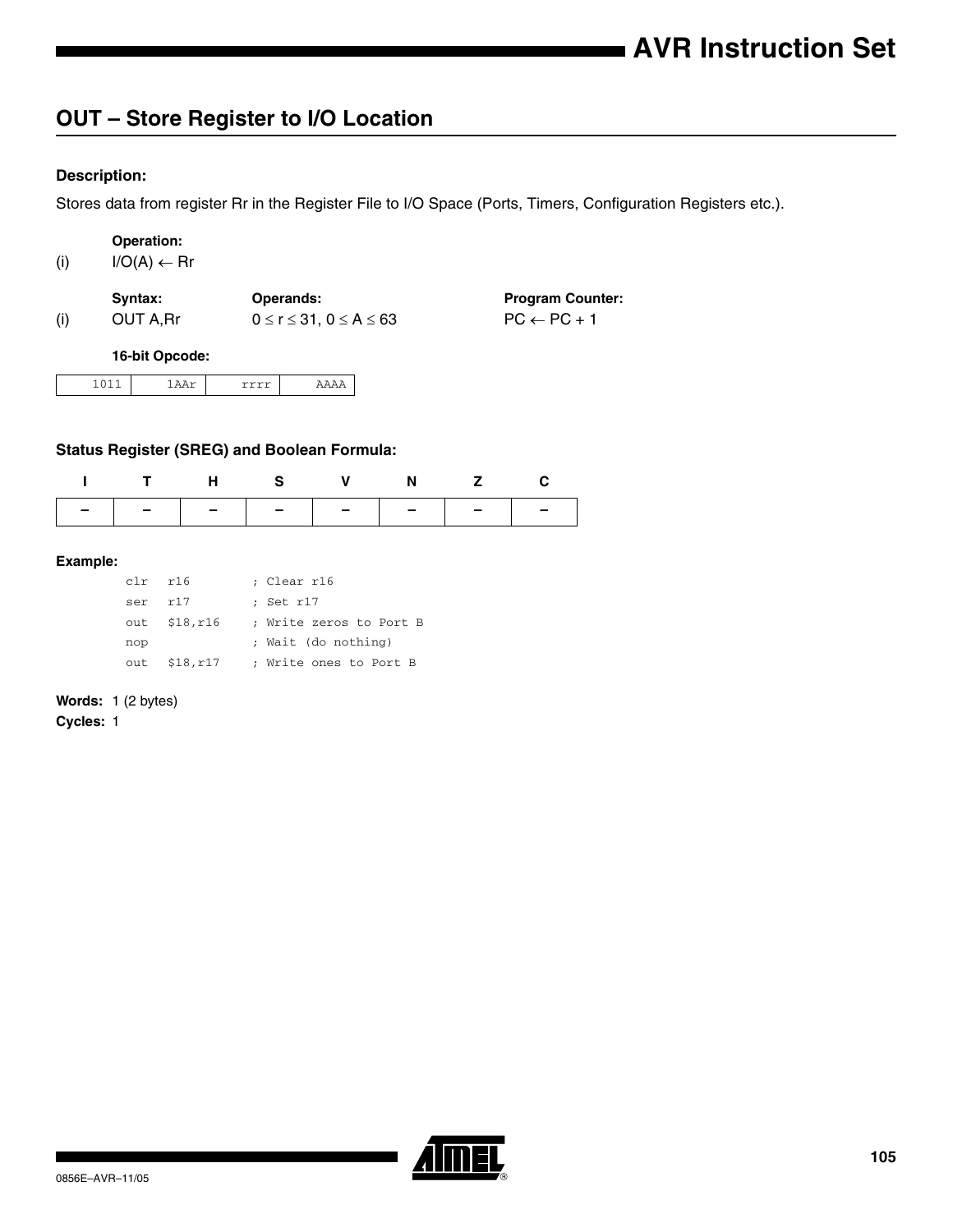# **OUT – Store Register to I/O Location**

### **Description:**

Stores data from register Rr in the Register File to I/O Space (Ports, Timers, Configuration Registers etc.).

# **Operation:**

| (i) | $I/O(A) \leftarrow Rr$ |
|-----|------------------------|
|-----|------------------------|

|     | Syntax:  | <b>Operands:</b>                    | <b>Program Counter:</b> |
|-----|----------|-------------------------------------|-------------------------|
| (i) | OUT A,Rr | $0 \le r \le 31$ , $0 \le A \le 63$ | $PC \leftarrow PC + 1$  |

#### **16-bit Opcode:**

|--|--|--|

### **Status Register (SREG) and Boolean Formula:**

| ITHS V N Z C |  |  |  |
|--------------|--|--|--|
|              |  |  |  |

#### **Example:**

| $clr$ $r16$ |                | ; Clear r16             |
|-------------|----------------|-------------------------|
| ser r17     |                | ; Set r17               |
|             | out $$18,r16$  | ; Write zeros to Port B |
| nop         |                | ; Wait (do nothing)     |
|             | out $$18, r17$ | ; Write ones to Port B  |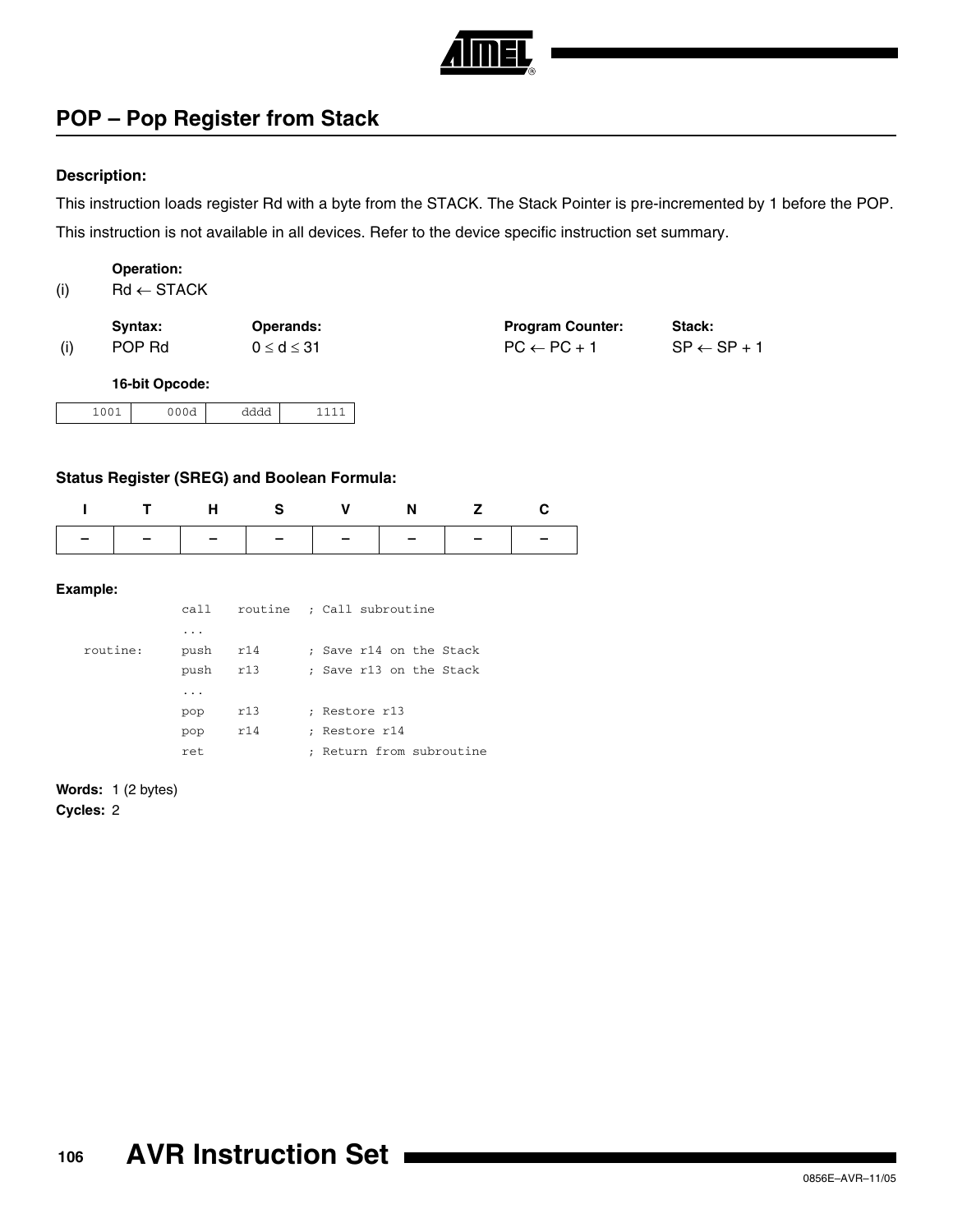# **POP – Pop Register from Stack**

#### **Description:**

This instruction loads register Rd with a byte from the STACK. The Stack Pointer is pre-incremented by 1 before the POP. This instruction is not available in all devices. Refer to the device specific instruction set summary.

#### **Operation:**

| (i) | $\mathsf{Rd} \leftarrow \mathsf{STACK}$ |
|-----|-----------------------------------------|
|     |                                         |

| (i) | Syntax: | Operands:          | <b>Program Counter:</b> | Stack:                 |
|-----|---------|--------------------|-------------------------|------------------------|
|     | POP Rd  | $0 \leq d \leq 31$ | $PC \leftarrow PC + 1$  | $SP \leftarrow SP + 1$ |
|     | .       |                    |                         |                        |

#### **16-bit Opcode:**

| .001 | nnna<br>⊾ا<br>◡<br>$\checkmark$ | -3-3-3<br>aaaa | - -<br>∽ |
|------|---------------------------------|----------------|----------|
|------|---------------------------------|----------------|----------|

### **Status Register (SREG) and Boolean Formula:**

| ITHS V N Z C                  |  |  |  |
|-------------------------------|--|--|--|
| -   -   -   -   -   -   -   - |  |  |  |

#### **Example:**

|          | call    |     | routine ; Call subroutine |
|----------|---------|-----|---------------------------|
|          | $\cdot$ |     |                           |
| routine: | push    | r14 | : Save r14 on the Stack   |
|          | push    | r13 | : Save r13 on the Stack   |
|          | $\cdot$ |     |                           |
|          | pop     | r13 | ; Restore r13             |
|          | pop     | r14 | ; Restore r14             |
|          | ret     |     | ; Return from subroutine  |

**Words:** 1 (2 bytes)

**Cycles:** 2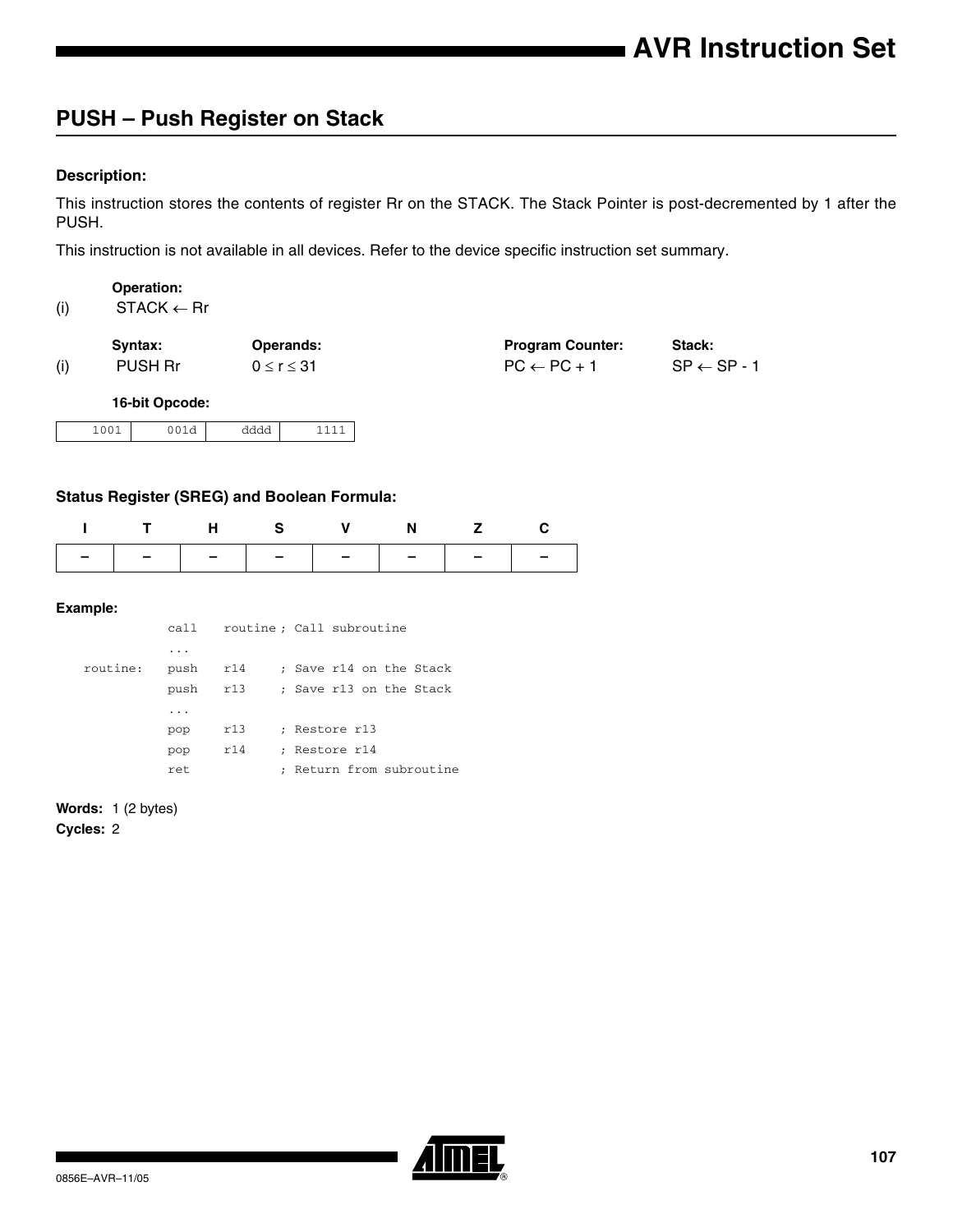# **PUSH – Push Register on Stack**

### **Description:**

This instruction stores the contents of register Rr on the STACK. The Stack Pointer is post-decremented by 1 after the PUSH.

This instruction is not available in all devices. Refer to the device specific instruction set summary.

# **Operation:**

(i)  $STACK \leftarrow Rr$ 

|     | Svntax: | <b>Operands:</b>   | <b>Program Counter:</b> | Stack:                 |
|-----|---------|--------------------|-------------------------|------------------------|
| (i) | PUSH Rr | $0 \leq r \leq 31$ | $PC \leftarrow PC + 1$  | $SP \leftarrow SP - 1$ |

#### **16-bit Opcode:**

### **Status Register (SREG) and Boolean Formula:**

| THS V N Z C                   |  |  |  |
|-------------------------------|--|--|--|
| -   -   -   -   -   -   -   - |  |  |  |

#### **Example:**

|          | call |     | routine; Call subroutine |
|----------|------|-----|--------------------------|
|          | .    |     |                          |
| routine: | push | r14 | : Save r14 on the Stack  |
|          | push | r13 | ; Save r13 on the Stack  |
|          | .    |     |                          |
|          | pop  | r13 | ; Restore r13            |
|          | pop  | r14 | : Restore r14            |
|          | ret. |     | Return from subroutine   |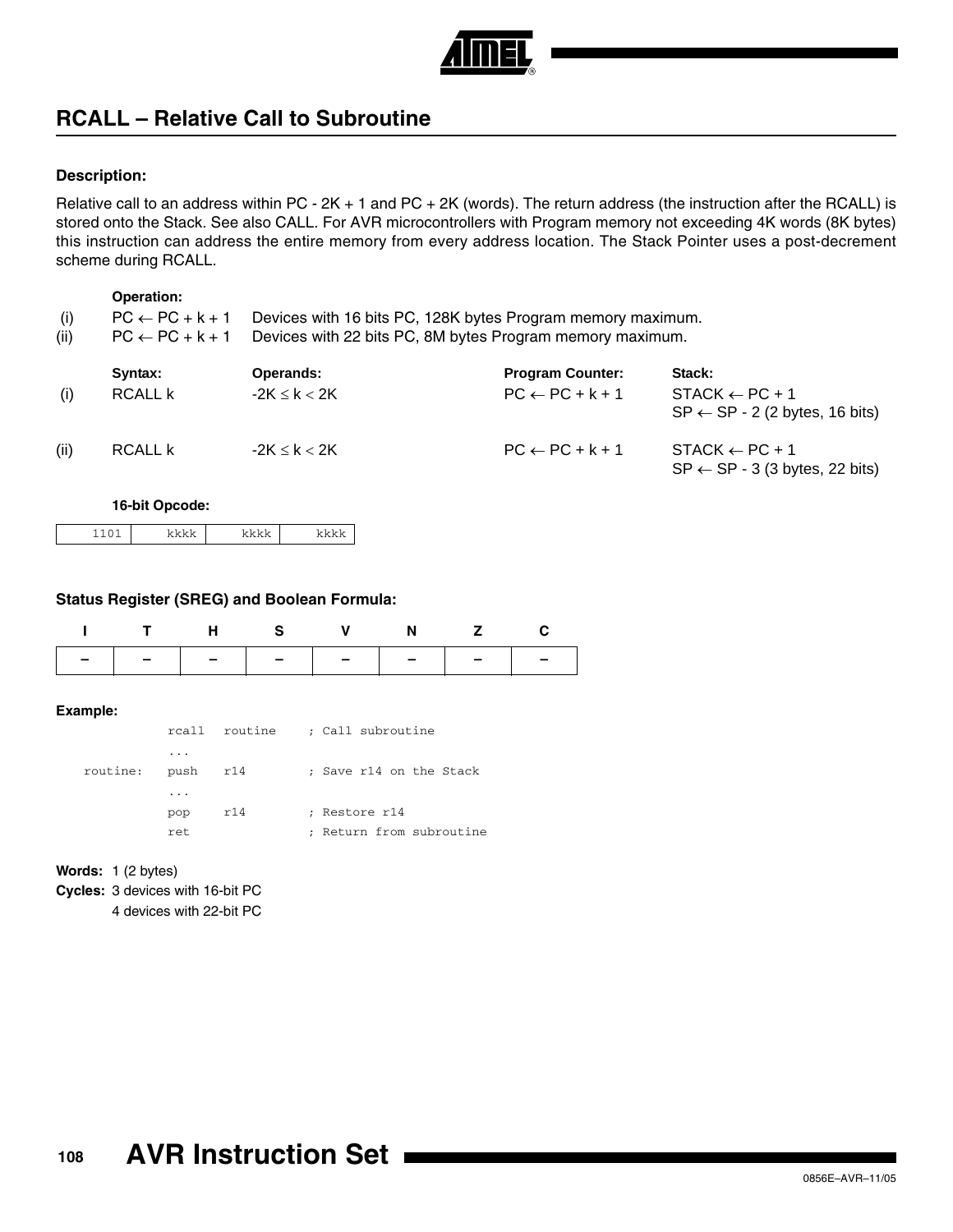

# **RCALL – Relative Call to Subroutine**

#### **Description:**

Relative call to an address within PC - 2K + 1 and PC + 2K (words). The return address (the instruction after the RCALL) is stored onto the Stack. See also CALL. For AVR microcontrollers with Program memory not exceeding 4K words (8K bytes) this instruction can address the entire memory from every address location. The Stack Pointer uses a post-decrement scheme during RCALL.

#### **Operation:**

| (i) |  | $PC \leftarrow PC + k + 1$ Devices with 16 bits PC, 128K bytes Program memory maximum. |  |
|-----|--|----------------------------------------------------------------------------------------|--|
|-----|--|----------------------------------------------------------------------------------------|--|

(ii)  $PC \leftarrow PC + k + 1$  Devices with 22 bits PC, 8M bytes Program memory maximum.

| (i)  | Syntax:<br>RCALL k | Operands:<br>$-2K \leq k < 2K$ | <b>Program Counter:</b><br>$PC \leftarrow PC + k + 1$ | Stack:<br>$STACK \leftarrow PC + 1$<br>$SP \leftarrow SP - 2$ (2 bytes, 16 bits) |
|------|--------------------|--------------------------------|-------------------------------------------------------|----------------------------------------------------------------------------------|
| (ii) | RCALL k            | $-2K \leq k < 2K$              | $PC \leftarrow PC + k + 1$                            | $STACK \leftarrow PC + 1$<br>$SP \leftarrow SP - 3$ (3 bytes, 22 bits)           |

#### **16-bit Opcode:**

|--|--|--|

#### **Status Register (SREG) and Boolean Formula:**

| ITHS V N Z C                             |  |  |  |
|------------------------------------------|--|--|--|
| -   -   -   -   -   -   - <del>  -</del> |  |  |  |

#### **Example:**

|          |          |     | rcall routine ; Call subroutine |
|----------|----------|-----|---------------------------------|
|          | .        |     |                                 |
| routine: | push r14 |     | ; Save r14 on the Stack         |
|          | .        |     |                                 |
|          | pop      | r14 | : Restore r14                   |
|          | ret      |     | ; Return from subroutine        |

**Words:** 1 (2 bytes)

**Cycles:** 3 devices with 16-bit PC

4 devices with 22-bit PC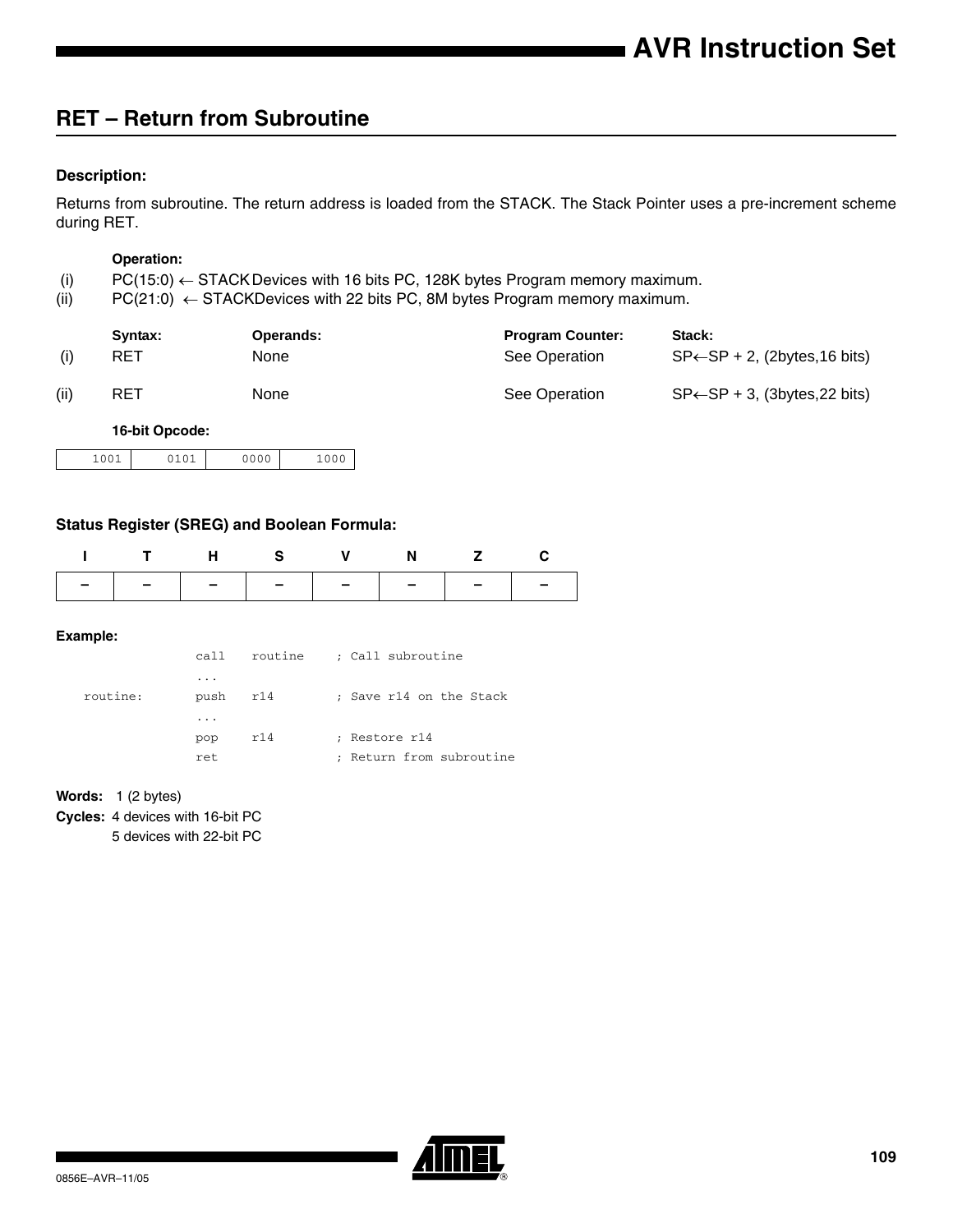# **RET – Return from Subroutine**

## **Description:**

Returns from subroutine. The return address is loaded from the STACK. The Stack Pointer uses a pre-increment scheme during RET.

#### **Operation:**

- (i) PC(15:0)  $\leftarrow$  STACK Devices with 16 bits PC, 128K bytes Program memory maximum.
- (ii)  $PC(21:0) \leftarrow STACKDevices with 22 bits PC, 8M bytes Program memory maximum.$

|      | Syntax: | Operands: | <b>Program Counter:</b> | Stack:                                     |
|------|---------|-----------|-------------------------|--------------------------------------------|
|      | RET     | None      | See Operation           | $SP \leftarrow SP + 2$ , (2bytes, 16 bits) |
| (ii) | RET     | None      | See Operation           | $SP \leftarrow SP + 3$ , (3bytes, 22 bits) |

#### **16-bit Opcode:**

| 1001 | 0101 | 0000 | 1000 |
|------|------|------|------|
|      |      |      |      |

### **Status Register (SREG) and Boolean Formula:**

|                               |  | THS V N Z C |  |
|-------------------------------|--|-------------|--|
| -   -   -   -   -   -   -   - |  |             |  |

#### **Example:**

|          | call                    |     | routine ; Call subroutine |
|----------|-------------------------|-----|---------------------------|
| routine: | $\cdot$<br>push r14     |     | ; Save r14 on the Stack   |
|          | $\cdot$ $\cdot$ $\cdot$ |     |                           |
|          | pop                     | r14 | ; Restore r14             |
|          | ret                     |     | ; Return from subroutine  |

#### **Words:** 1 (2 bytes)

**Cycles:** 4 devices with 16-bit PC

5 devices with 22-bit PC

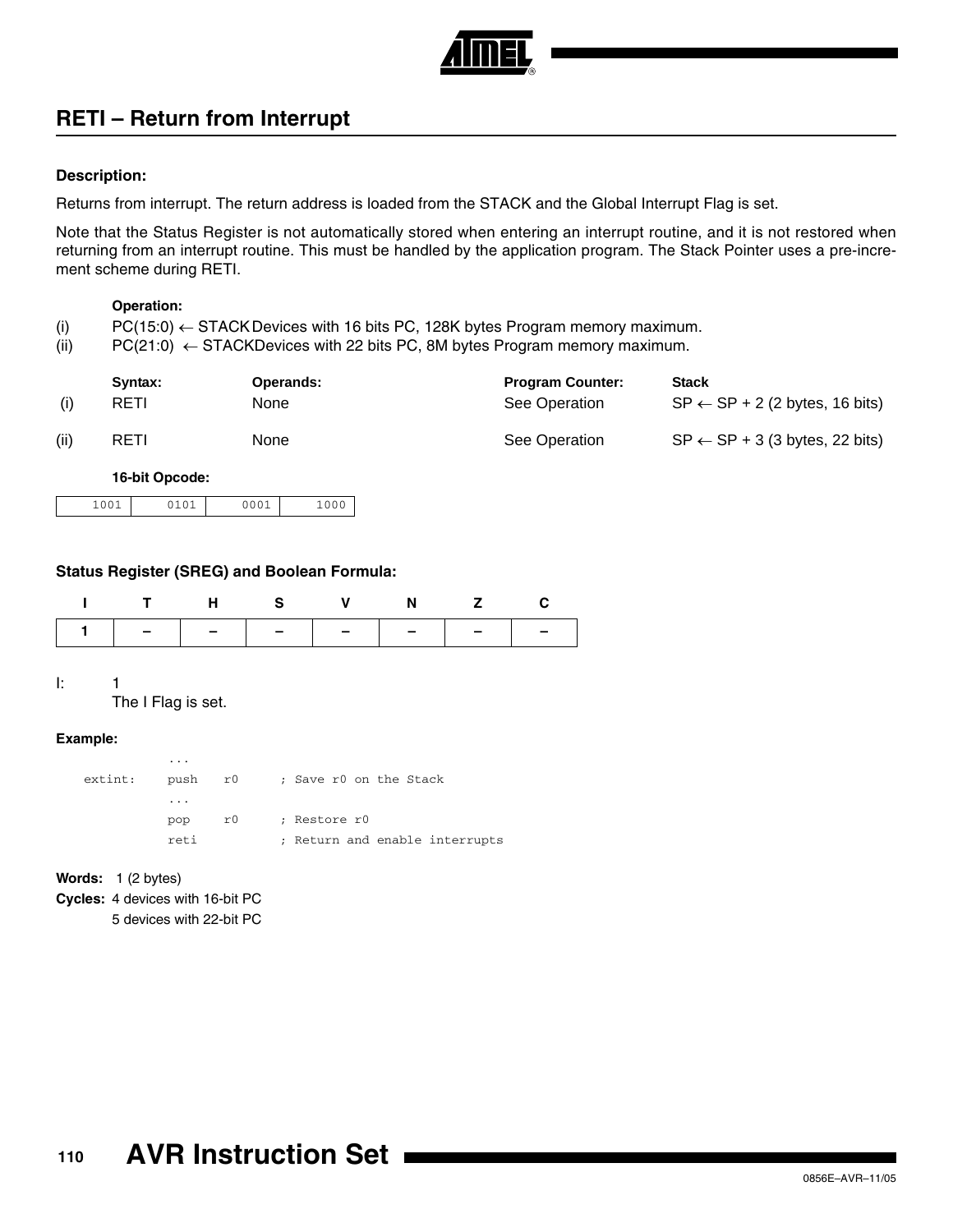# **RETI – Return from Interrupt**

# **Description:**

Returns from interrupt. The return address is loaded from the STACK and the Global Interrupt Flag is set.

Note that the Status Register is not automatically stored when entering an interrupt routine, and it is not restored when returning from an interrupt routine. This must be handled by the application program. The Stack Pointer uses a pre-increment scheme during RETI.

#### **Operation:**

- (i)  $PC(15:0) \leftarrow$  STACK Devices with 16 bits PC, 128K bytes Program memory maximum.
- (ii) PC(21:0) ← STACKDevices with 22 bits PC, 8M bytes Program memory maximum.

|      | Syntax: | <b>Operands:</b> | <b>Program Counter:</b> | Stack                                     |
|------|---------|------------------|-------------------------|-------------------------------------------|
|      | RETI    | None             | See Operation           | $SP \leftarrow SP + 2$ (2 bytes, 16 bits) |
| (ii) | RETI    | None             | See Operation           | $SP \leftarrow SP + 3$ (3 bytes, 22 bits) |

#### **16-bit Opcode:**

| 001<br>---- | 11.04<br>$ -$ | 001<br>◡ | $\sim$ $\sim$ $\sim$<br>τ.<br>∸∨∿ |
|-------------|---------------|----------|-----------------------------------|
|-------------|---------------|----------|-----------------------------------|

## **Status Register (SREG) and Boolean Formula:**

|                               | H S | N. | $\mathbf{Z}$ |  |
|-------------------------------|-----|----|--------------|--|
| 1   -   -   -   -   -   -   - |     |    |              |  |

 $l: 1$ 

The I Flag is set.

### **Example:**

| extint: | $\cdots$<br>push r0     |    | ; Save r0 on the Stack         |
|---------|-------------------------|----|--------------------------------|
|         | $\cdot$ $\cdot$ $\cdot$ |    |                                |
|         | pop                     | r0 | ; Restore r0                   |
|         | reti                    |    | ; Return and enable interrupts |
|         |                         |    |                                |

**Words:** 1 (2 bytes)

**Cycles:** 4 devices with 16-bit PC

5 devices with 22-bit PC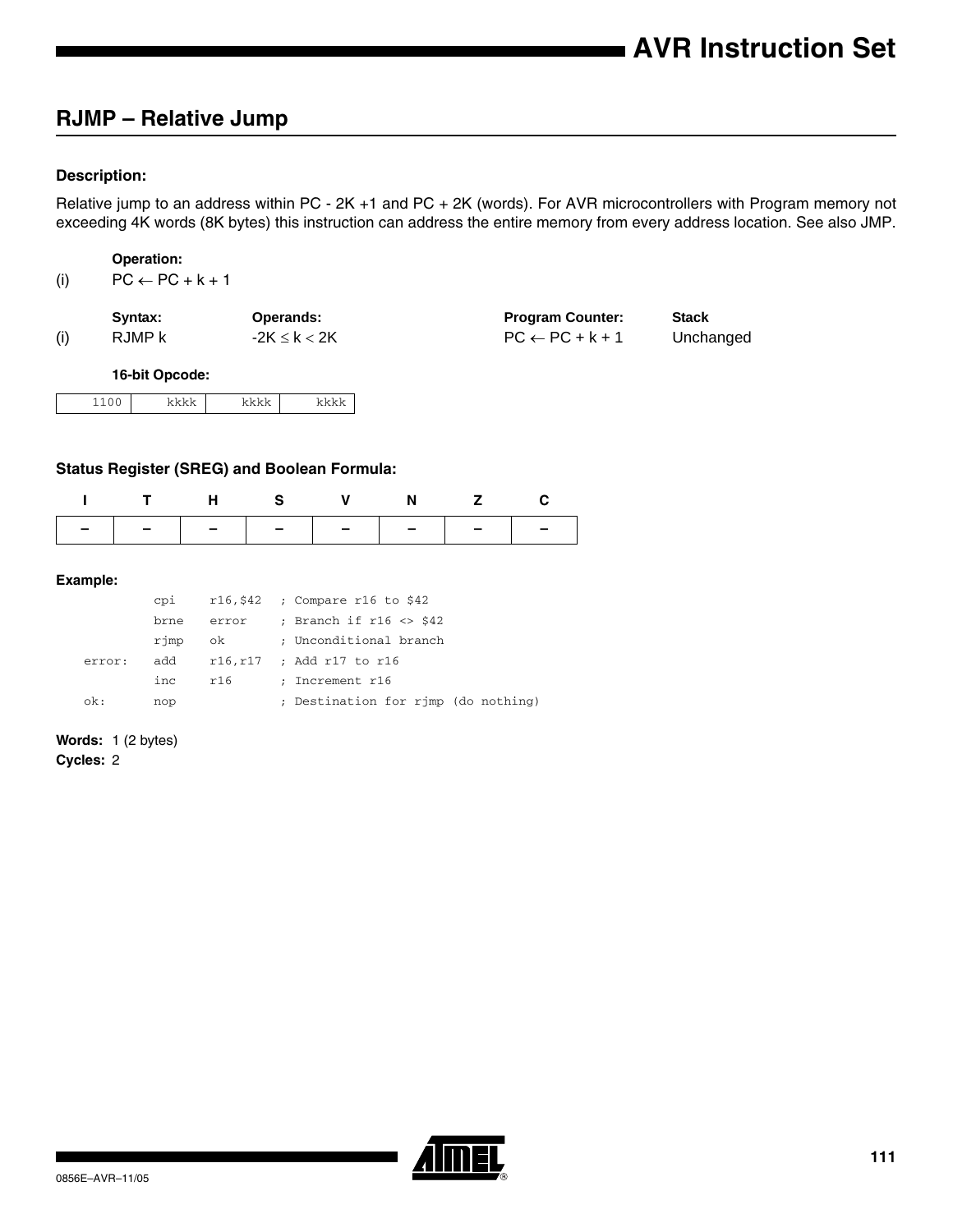# **RJMP – Relative Jump**

# **Description:**

Relative jump to an address within PC - 2K +1 and PC + 2K (words). For AVR microcontrollers with Program memory not exceeding 4K words (8K bytes) this instruction can address the entire memory from every address location. See also JMP.

| <b>Operation:</b> |
|-------------------|
|-------------------|

| (i)<br>$PC \leftarrow PC + k + 1$ |  |
|-----------------------------------|--|
|-----------------------------------|--|

|     | Syntax: | <b>Operands:</b>  | <b>Program Counter:</b>    | <b>Stack</b> |
|-----|---------|-------------------|----------------------------|--------------|
| (i) | RJMP k  | $-2K \leq k < 2K$ | $PC \leftarrow PC + k + 1$ | Unchanged    |

**16-bit Opcode:**

### **Status Register (SREG) and Boolean Formula:**

|                | . н. |  | N |  |
|----------------|------|--|---|--|
| -------------- |      |  |   |  |

### **Example:**

|        | cpi  |       | $r16, $42$ ; Compare r16 to \$42    |
|--------|------|-------|-------------------------------------|
|        | brne | error | ; Branch if $r16 \leq s42$          |
|        | rjmp | ok    | ; Unconditional branch              |
| error: | add  |       | r16,r17; Add r17 to r16             |
|        | inc  | r16   | ; Increment r16                     |
| ok:    | nop  |       | ; Destination for rjmp (do nothing) |

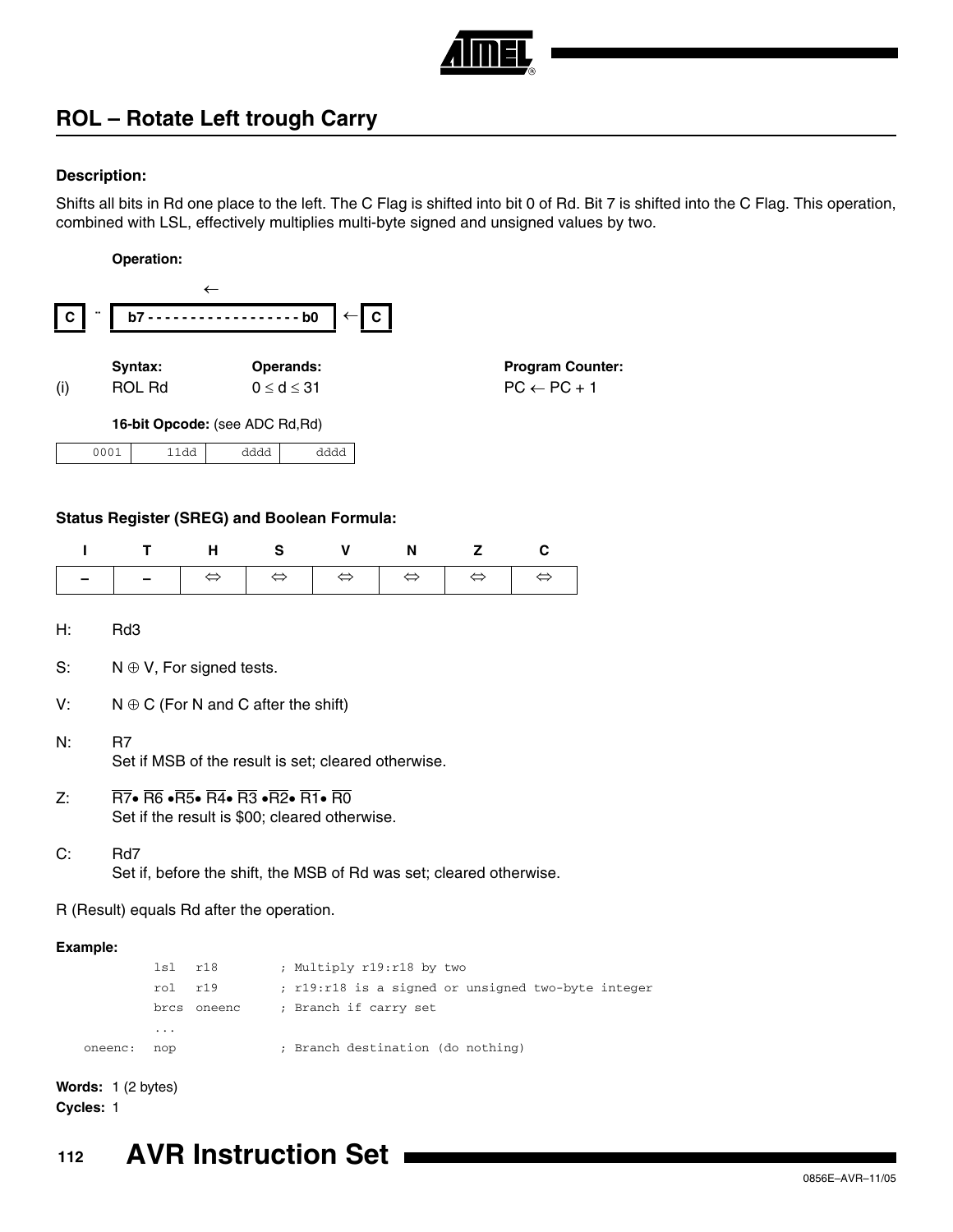

# **ROL – Rotate Left trough Carry**

### **Description:**

Shifts all bits in Rd one place to the left. The C Flag is shifted into bit 0 of Rd. Bit 7 is shifted into the C Flag. This operation, combined with LSL, effectively multiplies multi-byte signed and unsigned values by two.

#### **Operation:**



### **Status Register (SREG) and Boolean Formula:**

| ı                                         | т                                                                                                                                                                                                                                                                             | н                 | s                 | v                 | N                 | z                 | C                 |  |  |
|-------------------------------------------|-------------------------------------------------------------------------------------------------------------------------------------------------------------------------------------------------------------------------------------------------------------------------------|-------------------|-------------------|-------------------|-------------------|-------------------|-------------------|--|--|
|                                           |                                                                                                                                                                                                                                                                               | $\Leftrightarrow$ | $\Leftrightarrow$ | $\Leftrightarrow$ | $\Leftrightarrow$ | $\Leftrightarrow$ | $\Leftrightarrow$ |  |  |
| H:                                        | Rd3                                                                                                                                                                                                                                                                           |                   |                   |                   |                   |                   |                   |  |  |
| S:                                        | $N \oplus V$ , For signed tests.                                                                                                                                                                                                                                              |                   |                   |                   |                   |                   |                   |  |  |
| V.                                        | $N \oplus C$ (For N and C after the shift)                                                                                                                                                                                                                                    |                   |                   |                   |                   |                   |                   |  |  |
| N:                                        | R7<br>Set if MSB of the result is set; cleared otherwise.                                                                                                                                                                                                                     |                   |                   |                   |                   |                   |                   |  |  |
| Z.                                        | $\overline{\text{R7}}$ $\bullet$ $\overline{\text{R6}}$ $\bullet$ $\overline{\text{R4}}$ $\bullet$ $\overline{\text{R3}}$ $\bullet$ $\overline{\text{R2}}$ $\bullet$ $\overline{\text{R1}}$ $\bullet$ $\overline{\text{R0}}$<br>Set if the result is \$00; cleared otherwise. |                   |                   |                   |                   |                   |                   |  |  |
| C:                                        | Rd7<br>Set if, before the shift, the MSB of Rd was set; cleared otherwise.                                                                                                                                                                                                    |                   |                   |                   |                   |                   |                   |  |  |
| R (Result) equals Rd after the operation. |                                                                                                                                                                                                                                                                               |                   |                   |                   |                   |                   |                   |  |  |
| Example:                                  |                                                                                                                                                                                                                                                                               |                   |                   |                   |                   |                   |                   |  |  |

|         | 1s1 r18  |        | ; Multiply r19:r18 by two                          |
|---------|----------|--------|----------------------------------------------------|
|         | rol r19  |        | : r19:r18 is a signed or unsigned two-byte integer |
|         | brcs     | oneenc | ; Branch if carry set                              |
|         | $\cdots$ |        |                                                    |
| oneenc: | nop      |        | ; Branch destination (do nothing)                  |
|         |          |        |                                                    |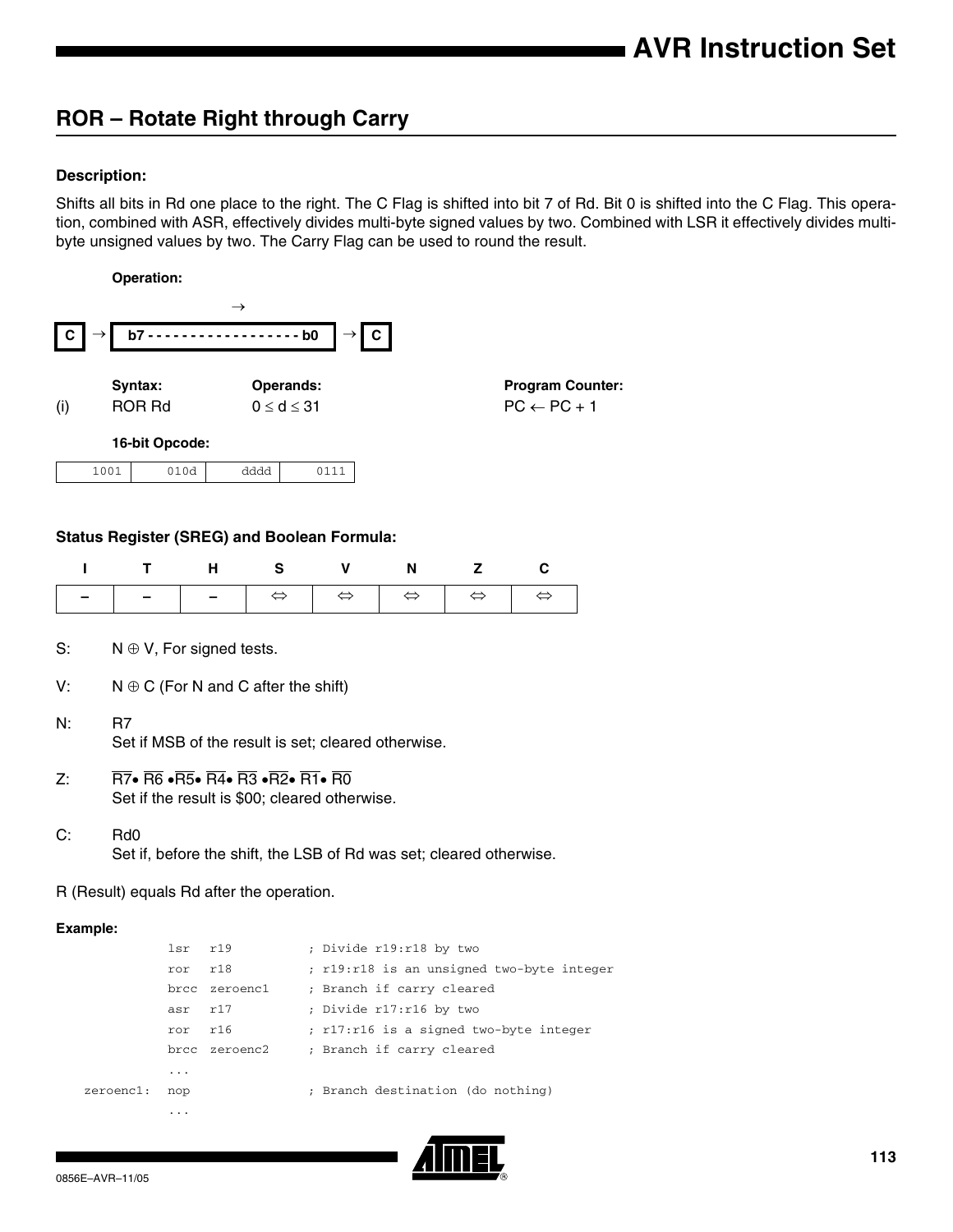# **ROR – Rotate Right through Carry**

## **Description:**

Shifts all bits in Rd one place to the right. The C Flag is shifted into bit 7 of Rd. Bit 0 is shifted into the C Flag. This operation, combined with ASR, effectively divides multi-byte signed values by two. Combined with LSR it effectively divides multibyte unsigned values by two. The Carry Flag can be used to round the result.

#### **Operation:**



#### **Status Register (SREG) and Boolean Formula:**

| ı                                         | т                                                                                                                                                                                                                                                                             | н                | S                 | v                 | N                         | z                 | C                                         |  |  |  |
|-------------------------------------------|-------------------------------------------------------------------------------------------------------------------------------------------------------------------------------------------------------------------------------------------------------------------------------|------------------|-------------------|-------------------|---------------------------|-------------------|-------------------------------------------|--|--|--|
|                                           |                                                                                                                                                                                                                                                                               |                  | $\Leftrightarrow$ | $\Leftrightarrow$ | $\Leftrightarrow$         | $\Leftrightarrow$ | $\Leftrightarrow$                         |  |  |  |
| S:<br>$N \oplus V$ , For signed tests.    |                                                                                                                                                                                                                                                                               |                  |                   |                   |                           |                   |                                           |  |  |  |
| V.                                        | $N \oplus C$ (For N and C after the shift)                                                                                                                                                                                                                                    |                  |                   |                   |                           |                   |                                           |  |  |  |
| N:                                        | R7<br>Set if MSB of the result is set; cleared otherwise.                                                                                                                                                                                                                     |                  |                   |                   |                           |                   |                                           |  |  |  |
| Z.                                        | $\overline{\text{R7}}$ $\bullet$ $\overline{\text{R6}}$ $\bullet$ $\overline{\text{R4}}$ $\bullet$ $\overline{\text{R3}}$ $\bullet$ $\overline{\text{R2}}$ $\bullet$ $\overline{\text{R1}}$ $\bullet$ $\overline{\text{R0}}$<br>Set if the result is \$00; cleared otherwise. |                  |                   |                   |                           |                   |                                           |  |  |  |
| C:                                        | Rd0<br>Set if, before the shift, the LSB of Rd was set; cleared otherwise.                                                                                                                                                                                                    |                  |                   |                   |                           |                   |                                           |  |  |  |
| R (Result) equals Rd after the operation. |                                                                                                                                                                                                                                                                               |                  |                   |                   |                           |                   |                                           |  |  |  |
| Example:                                  |                                                                                                                                                                                                                                                                               |                  |                   |                   |                           |                   |                                           |  |  |  |
|                                           |                                                                                                                                                                                                                                                                               | r19<br>lsr       |                   |                   | ; Divide r19:r18 by two   |                   |                                           |  |  |  |
|                                           |                                                                                                                                                                                                                                                                               | r18<br>ror       |                   |                   |                           |                   | ; r19:r18 is an unsigned two-byte integer |  |  |  |
|                                           |                                                                                                                                                                                                                                                                               | brcc<br>zeroenc1 |                   |                   | ; Branch if carry cleared |                   |                                           |  |  |  |
|                                           |                                                                                                                                                                                                                                                                               | r17<br>asr       |                   |                   | ; Divide r17:r16 by two   |                   |                                           |  |  |  |
|                                           |                                                                                                                                                                                                                                                                               | r16<br>ror       |                   |                   |                           |                   | ; r17:r16 is a signed two-byte integer    |  |  |  |

brcc zeroenc2 ; Branch if carry cleared

zeroenc1: nop ; Branch destination (do nothing)

...

...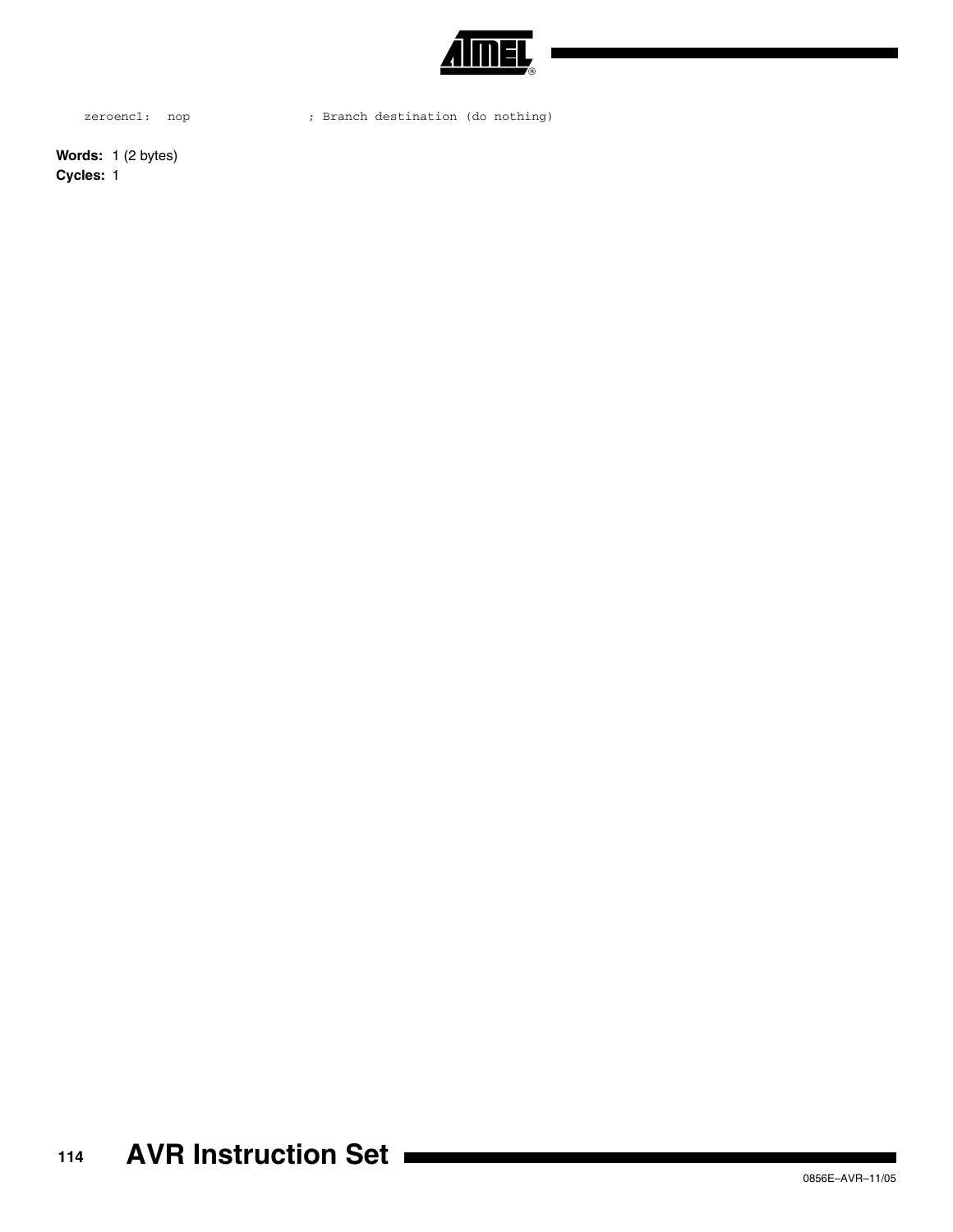

zeroenc1: nop ; Branch destination (do nothing)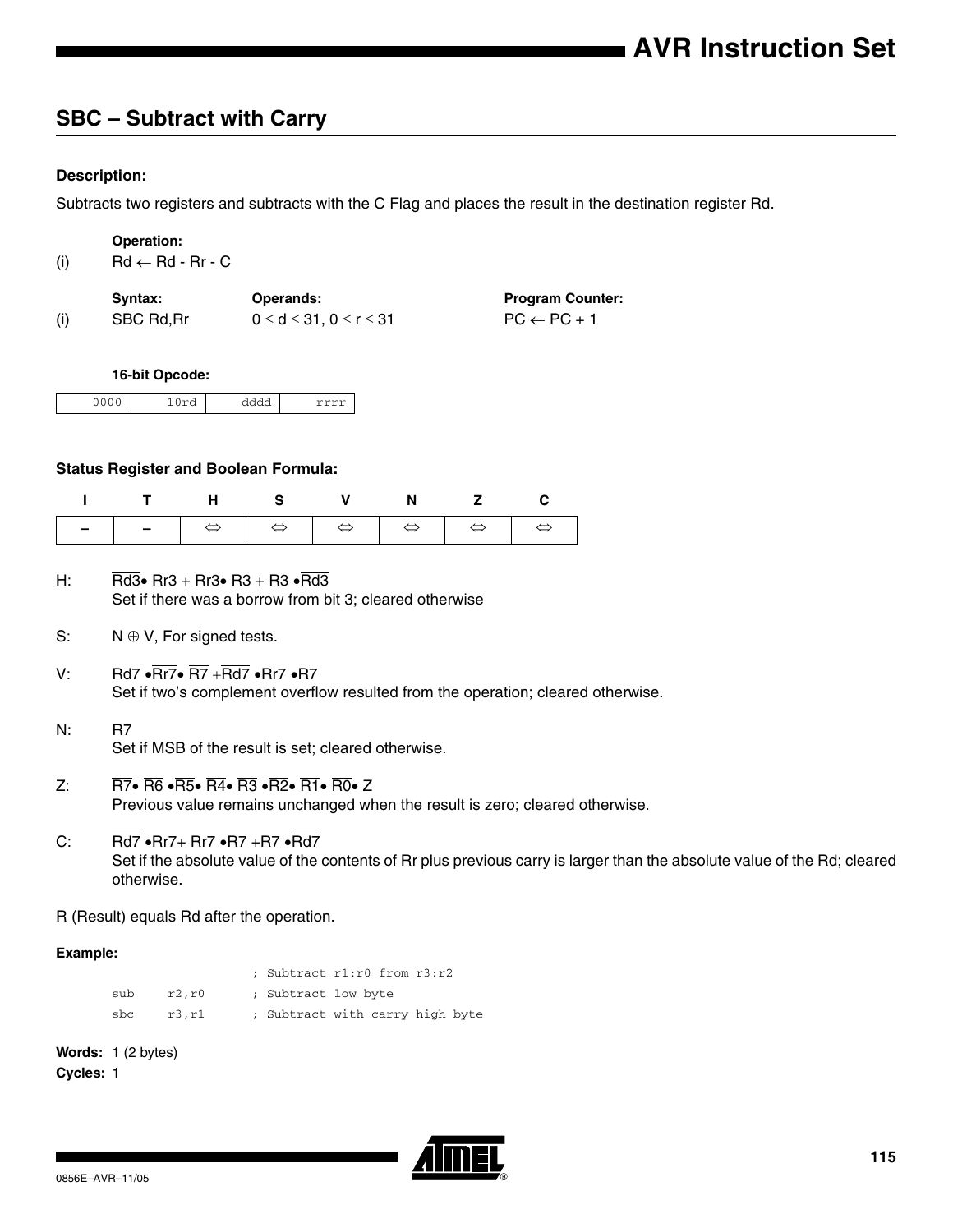# **SBC – Subtract with Carry**

## **Description:**

Subtracts two registers and subtracts with the C Flag and places the result in the destination register Rd.

**Operation:**

(i)  $Rd \leftarrow Rd - Rr - C$ 

| Syntax:    | Operands:                              | <b>Program Counter:</b> |
|------------|----------------------------------------|-------------------------|
| SBC Rd, Rr | $0 \leq d \leq 31.$ $0 \leq r \leq 31$ | $PC \leftarrow PC + 1$  |

#### **16-bit Opcode:**

| 0.000<br>◡<br>◡ | - - | ------ |
|-----------------|-----|--------|

#### **Status Register and Boolean Formula:**

| ITHS V N Z C |  |  |  |
|--------------|--|--|--|
|              |  |  |  |

- H: Rd3• Rr3 + Rr3• R3 + R3 Rd3 Set if there was a borrow from bit 3; cleared otherwise
- S: N ⊕ V, For signed tests.
- V: Rd7  $\overline{RT}$   $\overline{R7}$  +  $\overline{Rd7}$   $\overline{R17}$   $\overline{R7}$ Set if two's complement overflow resulted from the operation; cleared otherwise.
- N: R7 Set if MSB of the result is set; cleared otherwise.
- Z:  $\overline{R7}$   $\overline{R6}$   $\overline{R5}$   $\overline{R4}$   $\overline{R3}$   $\overline{R2}$   $\overline{R1}$   $\overline{R0}$  Z Previous value remains unchanged when the result is zero; cleared otherwise.
- C:  $\overline{Rd7}$  Rr7 + Rr7 R7 + R7  $\overline{Rd7}$ Set if the absolute value of the contents of Rr plus previous carry is larger than the absolute value of the Rd; cleared otherwise.
- R (Result) equals Rd after the operation.

#### **Example:**

; Subtract r1:r0 from r3:r2 sub r2, r0 ; Subtract low byte sbc r3, r1 ; Subtract with carry high byte

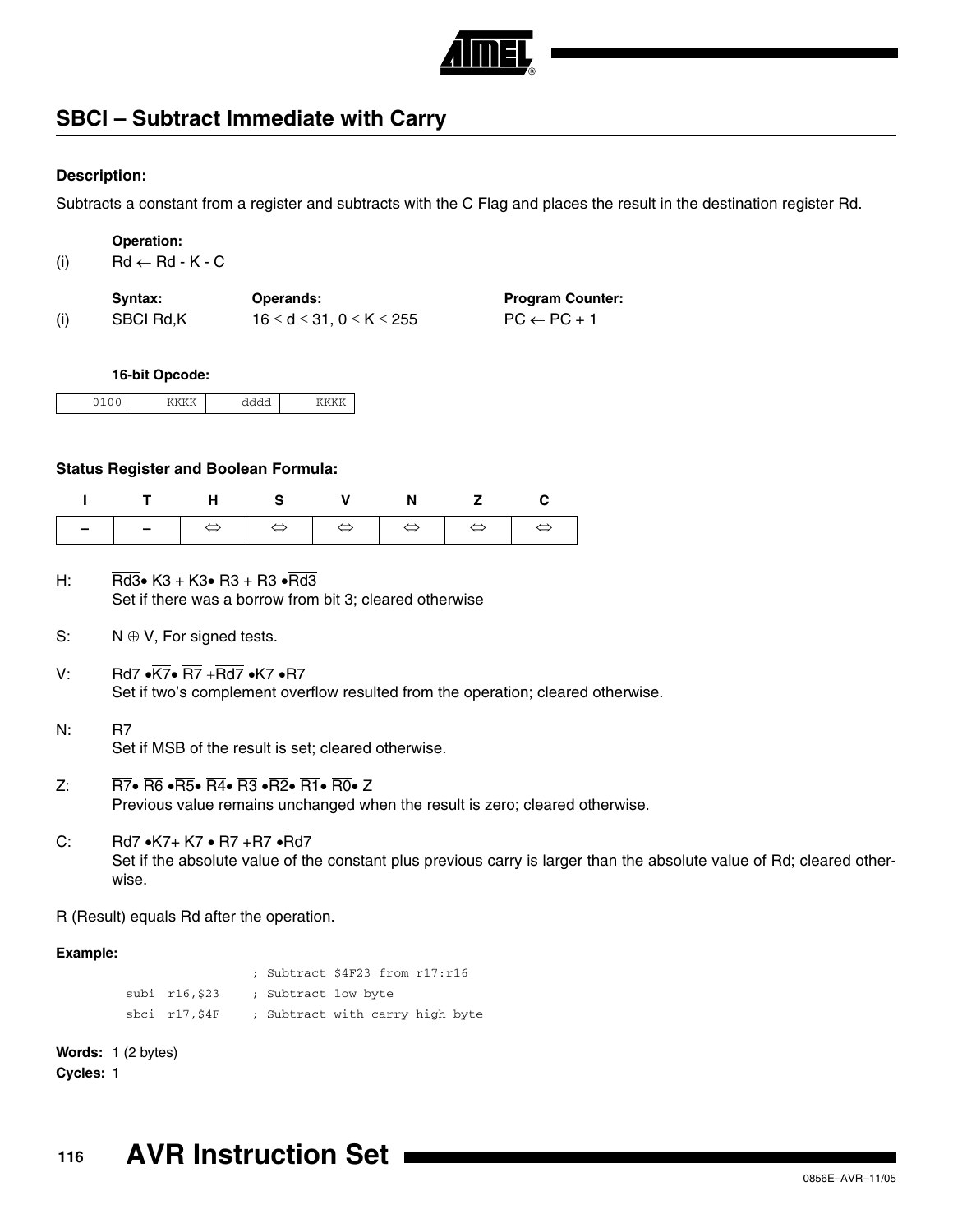

# **SBCI – Subtract Immediate with Carry**

## **Description:**

Subtracts a constant from a register and subtracts with the C Flag and places the result in the destination register Rd.

| <b>Operation:</b> |  |  |  |
|-------------------|--|--|--|
|                   |  |  |  |

| Syntax:          | <b>Operands:</b>                       | <b>Program Counter:</b> |
|------------------|----------------------------------------|-------------------------|
| <b>SBCI Rd,K</b> | $16 \leq d \leq 31, 0 \leq K \leq 255$ | $PC \leftarrow PC + 1$  |

#### **16-bit Opcode:**

| $\sim$ | . | . |  |
|--------|---|---|--|

#### **Status Register and Boolean Formula:**

| ITHS V N Z C |  |  |  |
|--------------|--|--|--|
|              |  |  |  |

- H: Rd3• K3 + K3• R3 + R3 Rd3 Set if there was a borrow from bit 3; cleared otherwise
- S: N ⊕ V, For signed tests.
- V: Rd7  $\overline{\text{K7}}$   $\overline{\text{R7}}$  +  $\overline{\text{Rd7}}$   $\text{K7}$   $\text{R7}$ Set if two's complement overflow resulted from the operation; cleared otherwise.
- N: R7 Set if MSB of the result is set; cleared otherwise.
- Z: R7• R6 •R5• R4• R3 •R2• R1• R0• Z Previous value remains unchanged when the result is zero; cleared otherwise.
- C:  $\overline{Rd7}$  K7 + K7 R7 + R7  $\overline{Rd7}$ Set if the absolute value of the constant plus previous carry is larger than the absolute value of Rd; cleared otherwise.
- R (Result) equals Rd after the operation.

#### **Example:**

; Subtract \$4F23 from r17:r16 subi r16, \$23 ; Subtract low byte sbci r17, \$4F ; Subtract with carry high byte

**Words:** 1 (2 bytes) **Cycles:** 1

**<sup>116</sup> AVR Instruction Set**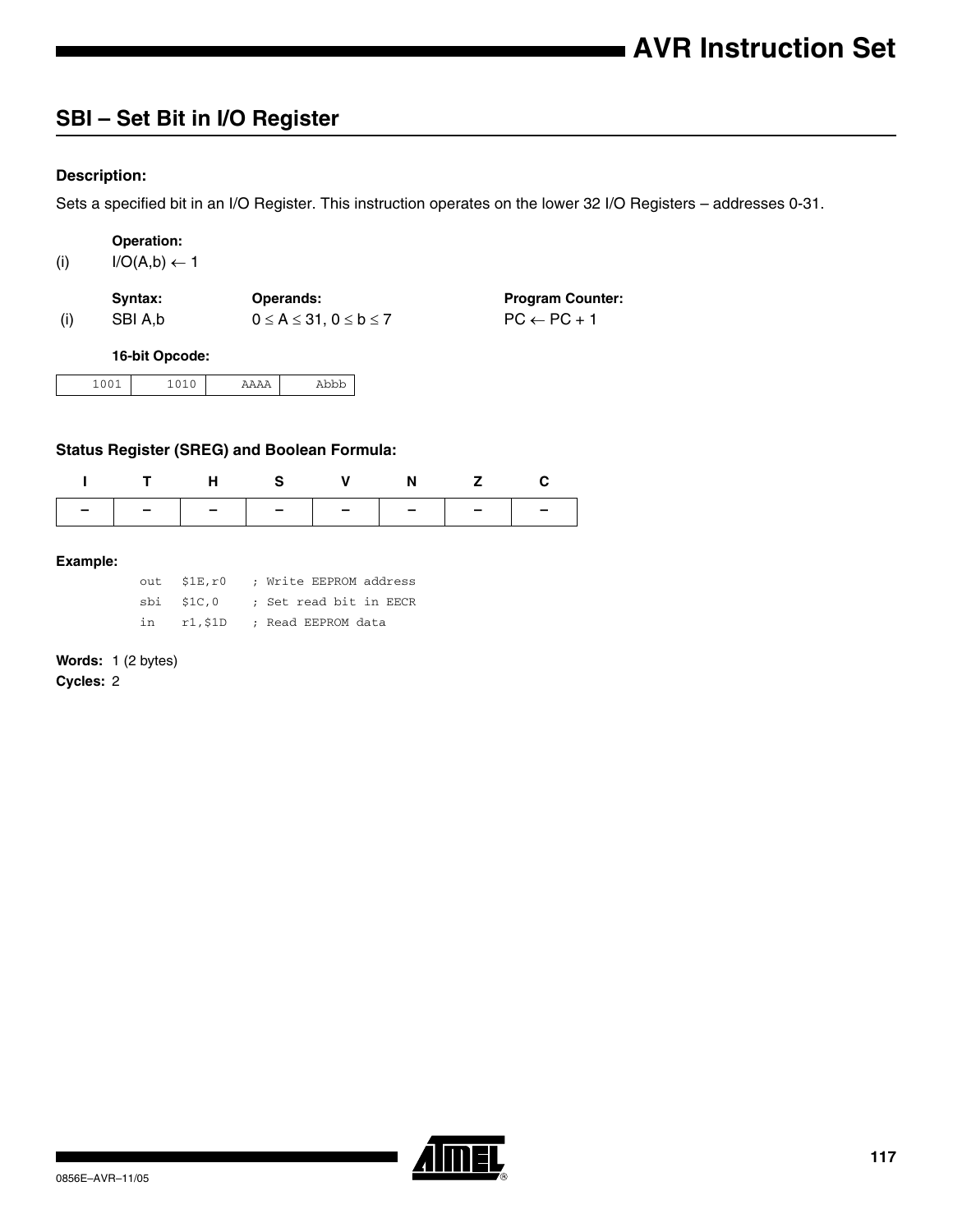# **SBI – Set Bit in I/O Register**

# **Description:**

Sets a specified bit in an I/O Register. This instruction operates on the lower 32 I/O Registers – addresses 0-31.

| $I/O(A,b) \leftarrow 1$<br>(i) |  |
|--------------------------------|--|
|--------------------------------|--|

| Svntax: | <b>Operands:</b>                    | <b>Program Counter:</b> |
|---------|-------------------------------------|-------------------------|
| SBI A.b | $0 \leq A \leq 31, 0 \leq b \leq 7$ | $PC \leftarrow PC + 1$  |

**16-bit Opcode:**

| $ -$<br>__ |  | ---<br>---- |
|------------|--|-------------|
|------------|--|-------------|

# **Status Register (SREG) and Boolean Formula:**

| ITHS V N Z C |  |  |  |
|--------------|--|--|--|
|              |  |  |  |

#### **Example:**

|  | out \$1E.r0 | ; Write EEPROM address        |
|--|-------------|-------------------------------|
|  | sbi \$1C.0  | ; Set read bit in EECR        |
|  |             | in r1,\$1D ; Read EEPROM data |

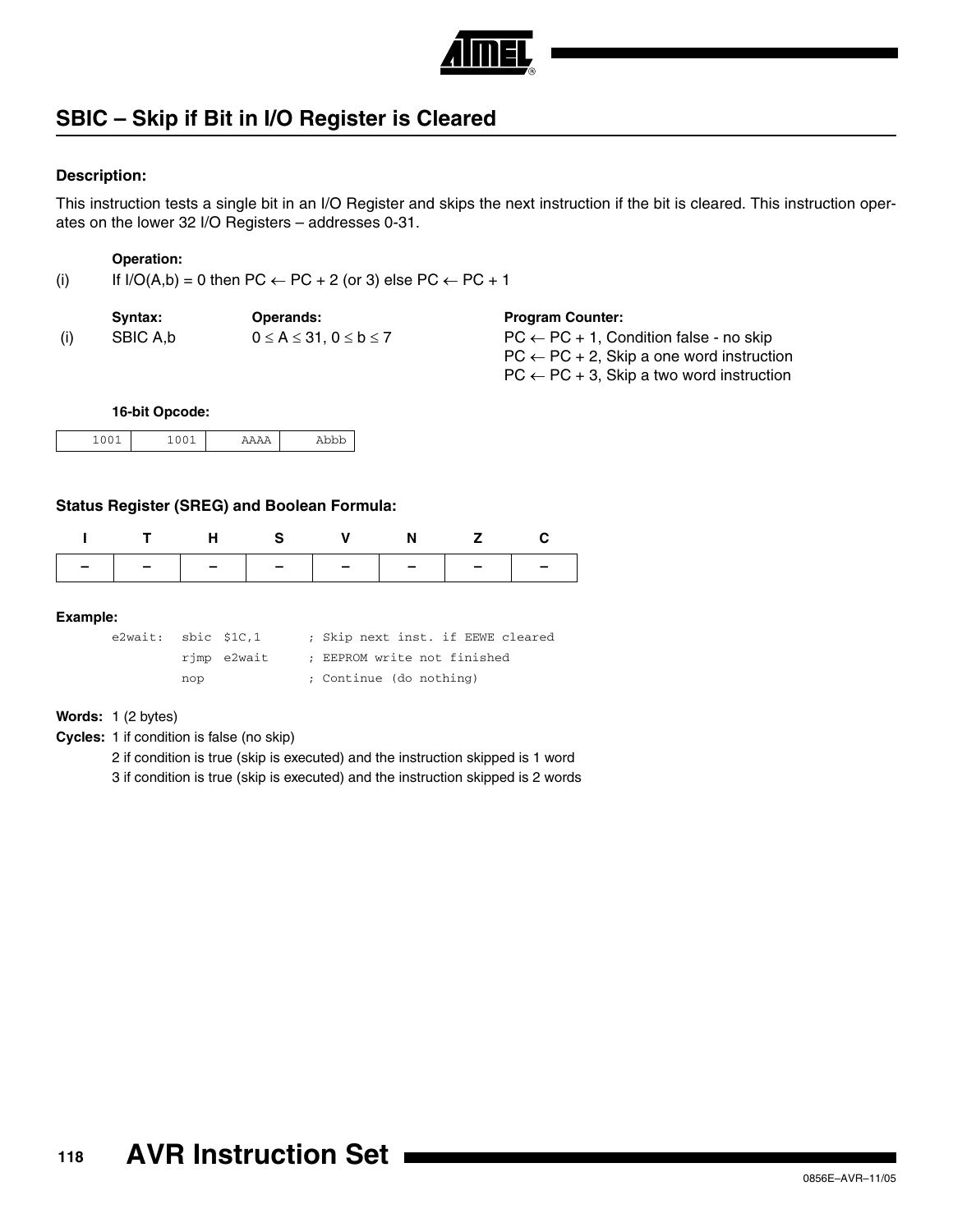

# **SBIC – Skip if Bit in I/O Register is Cleared**

### **Description:**

This instruction tests a single bit in an I/O Register and skips the next instruction if the bit is cleared. This instruction operates on the lower 32 I/O Registers – addresses 0-31.

#### **Operation:**

(i) If  $I/O(A,b) = 0$  then  $PC \leftarrow PC + 2$  (or 3) else  $PC \leftarrow PC + 1$ 

|     | Syntax:  | <b>Operands:</b>                       | <b>Program Counter:</b>                                                                                                                                            |
|-----|----------|----------------------------------------|--------------------------------------------------------------------------------------------------------------------------------------------------------------------|
| (i) | SBIC A,b | $0 \leq A \leq 31$ . $0 \leq b \leq 7$ | $PC \leftarrow PC + 1$ , Condition false - no skip<br>$PC \leftarrow PC + 2$ , Skip a one word instruction<br>$PC \leftarrow PC + 3$ , Skip a two word instruction |

## **16-bit Opcode:**

|  | ົ<br>---<br>. |
|--|---------------|

## **Status Register (SREG) and Boolean Formula:**

| THS V N Z C                   |  |  |  |
|-------------------------------|--|--|--|
| -   -   -   -   -   -   -   - |  |  |  |

#### **Example:**

| e2wait: sbic \$1C.1 |     |             | ; Skip next inst. if EEWE cleared |
|---------------------|-----|-------------|-----------------------------------|
|                     |     | rjmp e2wait | ; EEPROM write not finished       |
|                     | nop |             | : Continue (do nothing)           |

#### **Words:** 1 (2 bytes)

**Cycles:** 1 if condition is false (no skip)

2 if condition is true (skip is executed) and the instruction skipped is 1 word

3 if condition is true (skip is executed) and the instruction skipped is 2 words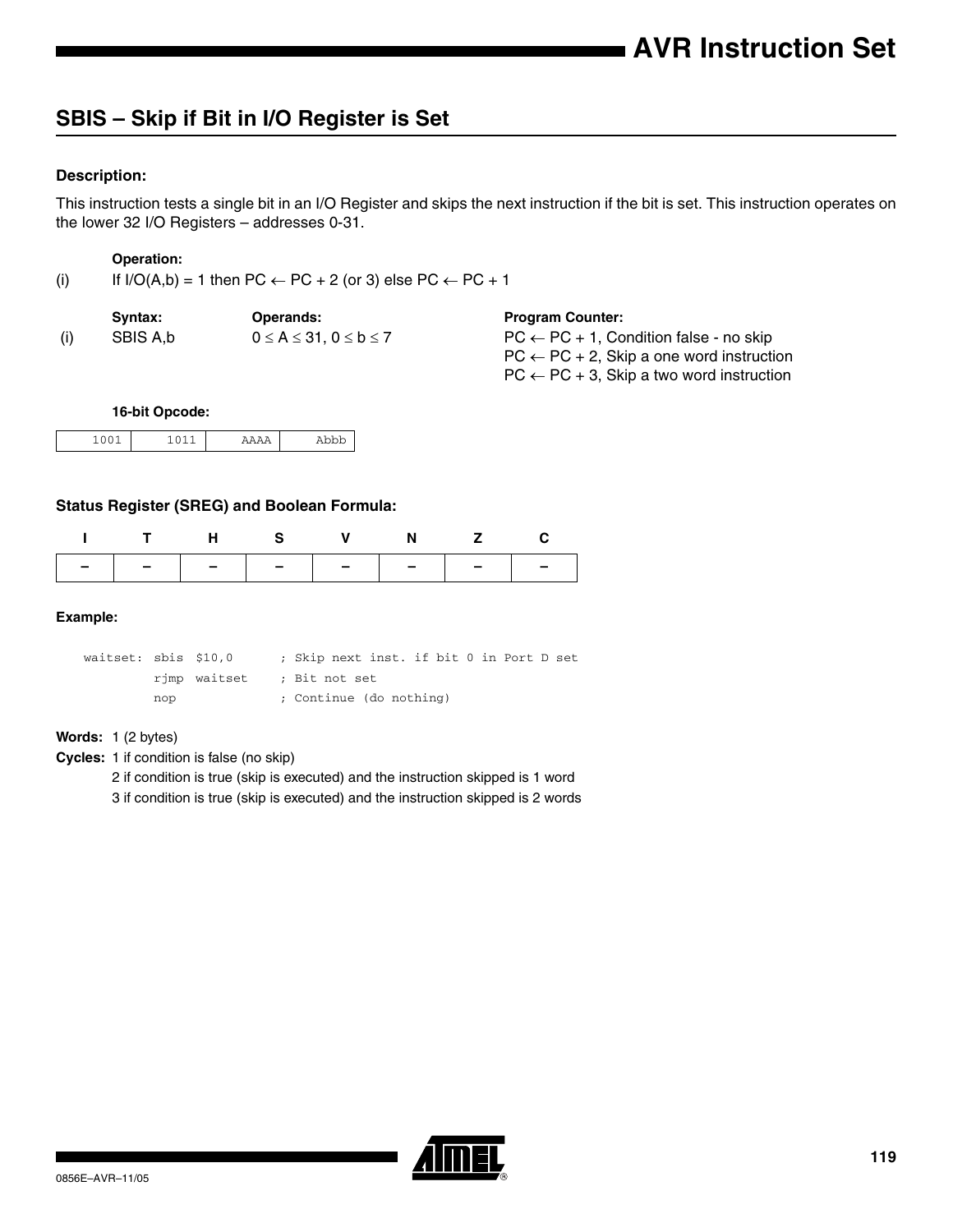# **SBIS – Skip if Bit in I/O Register is Set**

## **Description:**

This instruction tests a single bit in an I/O Register and skips the next instruction if the bit is set. This instruction operates on the lower 32 I/O Registers – addresses 0-31.

#### **Operation:**

(i) If  $I/O(A,b) = 1$  then  $PC \leftarrow PC + 2$  (or 3) else  $PC \leftarrow PC + 1$ 

|     | Syntax:  | <b>Operands:</b>                       | <b>Program Counter:</b>                                                                                                                                            |
|-----|----------|----------------------------------------|--------------------------------------------------------------------------------------------------------------------------------------------------------------------|
| (i) | SBIS A,b | $0 \leq A \leq 31$ . $0 \leq b \leq 7$ | $PC \leftarrow PC + 1$ , Condition false - no skip<br>$PC \leftarrow PC + 2$ , Skip a one word instruction<br>$PC \leftarrow PC + 3$ , Skip a two word instruction |

### **16-bit Opcode:**

| $ -$ |  | ∼<br>. .<br>. |
|------|--|---------------|

## **Status Register (SREG) and Boolean Formula:**

|                               | THS V N Z C |  |  |
|-------------------------------|-------------|--|--|
| -   -   -   -   -   -   -   - |             |  |  |

#### **Example:**

| waitset: sbis \$10,0 |     |  | ; Skip next inst. if bit 0 in Port D set |
|----------------------|-----|--|------------------------------------------|
|                      |     |  | rimp waitset ; Bit not set               |
|                      | nop |  | ; Continue (do nothing)                  |

#### **Words:** 1 (2 bytes)

**Cycles:** 1 if condition is false (no skip)

2 if condition is true (skip is executed) and the instruction skipped is 1 word

3 if condition is true (skip is executed) and the instruction skipped is 2 words

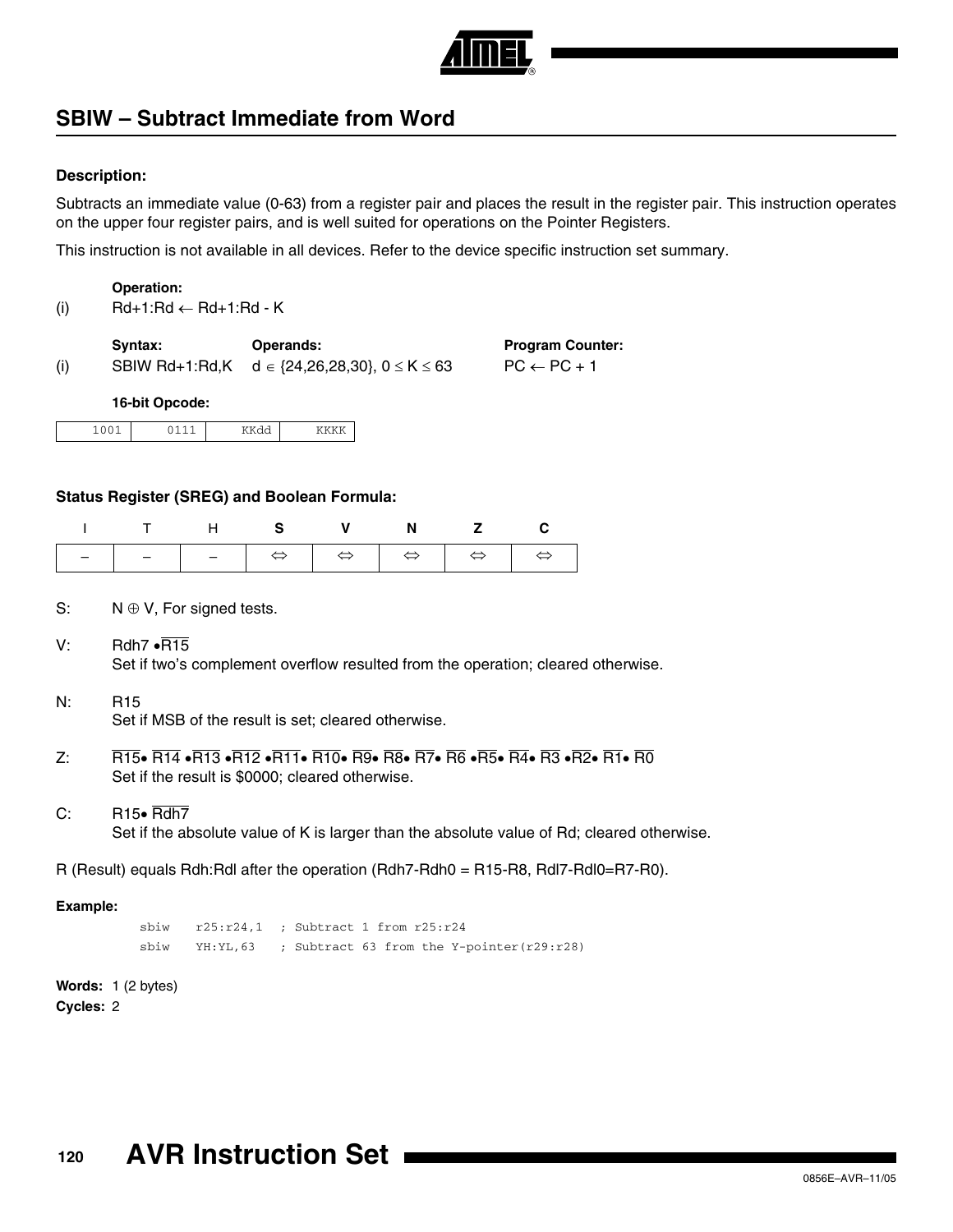

# **SBIW – Subtract Immediate from Word**

### **Description:**

Subtracts an immediate value (0-63) from a register pair and places the result in the register pair. This instruction operates on the upper four register pairs, and is well suited for operations on the Pointer Registers.

This instruction is not available in all devices. Refer to the device specific instruction set summary.

#### **Operation:**

(i)  $Rd+1:Rd \leftarrow Rd+1:Rd - K$ 

|     | Syntax: | <b>Operands:</b>                                         | <b>Program Counter:</b> |
|-----|---------|----------------------------------------------------------|-------------------------|
| (i) |         | SBIW Rd+1:Rd,K $d \in \{24,26,28,30\}, 0 \leq K \leq 63$ | $PC \leftarrow PC + 1$  |
|     |         |                                                          |                         |

#### **16-bit Opcode:**

|  | ີ<br>-- |  |
|--|---------|--|
|  |         |  |

### **Status Register (SREG) and Boolean Formula:**

|  | ITHS V N Z C |  |  |
|--|--------------|--|--|
|  |              |  |  |

- S: N ⊕ V, For signed tests.
- $V:$  Rdh7  $\cdot$ R15 Set if two's complement overflow resulted from the operation; cleared otherwise.
- N: R15

 $\mathsf{I}$ 

Set if MSB of the result is set; cleared otherwise.

- Z: R15• R14 •R13 •R12 •R11• R10• R9• R8• R7• R6 •R5• R4• R3 •R2• R1• R0 Set if the result is \$0000; cleared otherwise.
- C: R15• Rdh7

Set if the absolute value of K is larger than the absolute value of Rd; cleared otherwise.

R (Result) equals Rdh:Rdl after the operation (Rdh7-Rdh0 = R15-R8, Rdl7-Rdl0=R7-R0).

#### **Example:**

sbiw r25:r24,1 ; Subtract 1 from r25:r24 sbiw YH:YL,63 ; Subtract 63 from the Y-pointer(r29:r28)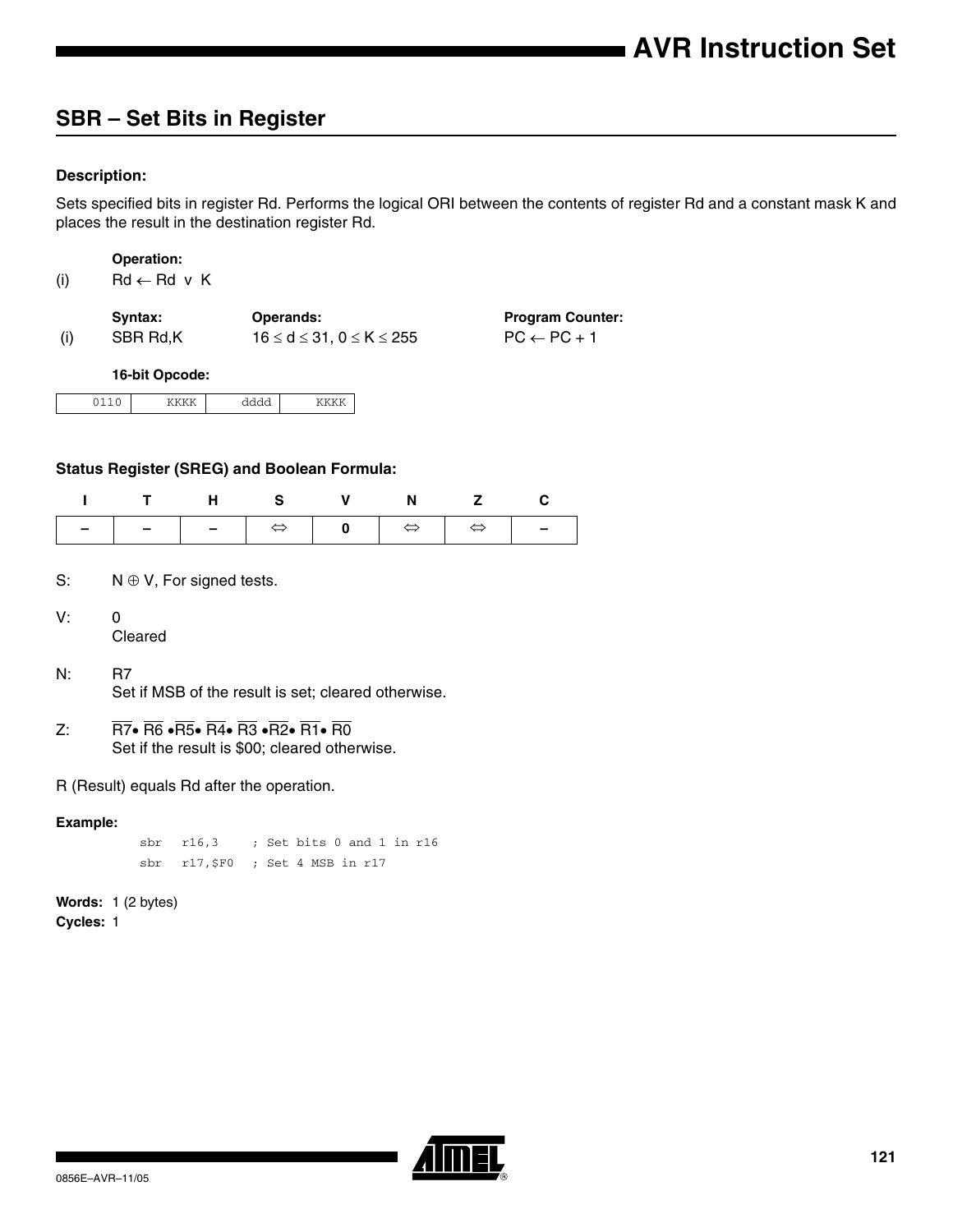# **SBR – Set Bits in Register**

# **Description:**

Sets specified bits in register Rd. Performs the logical ORI between the contents of register Rd and a constant mask K and places the result in the destination register Rd.

| <b>Operation:</b> |  |  |
|-------------------|--|--|
|                   |  |  |

| (i) | $Rd \leftarrow Rd$ v K |  |  |
|-----|------------------------|--|--|
|     |                        |  |  |

|     | Syntax:  | Operands:                                 | <b>Program Counter:</b> |
|-----|----------|-------------------------------------------|-------------------------|
| (i) | SBR Rd.K | $16 \leq d \leq 31$ , $0 \leq K \leq 255$ | $PC \leftarrow PC + 1$  |

#### **16-bit Opcode:**

| $\sim$ | . |  |
|--------|---|--|
|--------|---|--|

## **Status Register (SREG) and Boolean Formula:**

|  | ITHS V N Z C |  |  |
|--|--------------|--|--|
|  |              |  |  |

- S: N ⊕ V, For signed tests.
- V: 0 Cleared

 $\lceil$ 

- N: R7 Set if MSB of the result is set; cleared otherwise.
- Z:  $\overline{R7}$   $\overline{R6}$   $\overline{R5}$   $\overline{R4}$   $\overline{R3}$   $\overline{R2}$   $\overline{R1}$   $\overline{R0}$ Set if the result is \$00; cleared otherwise.

### R (Result) equals Rd after the operation.

### **Example:**

sbr r16,3 ; Set bits 0 and 1 in r16 sbr r17,\$F0 ; Set 4 MSB in r17

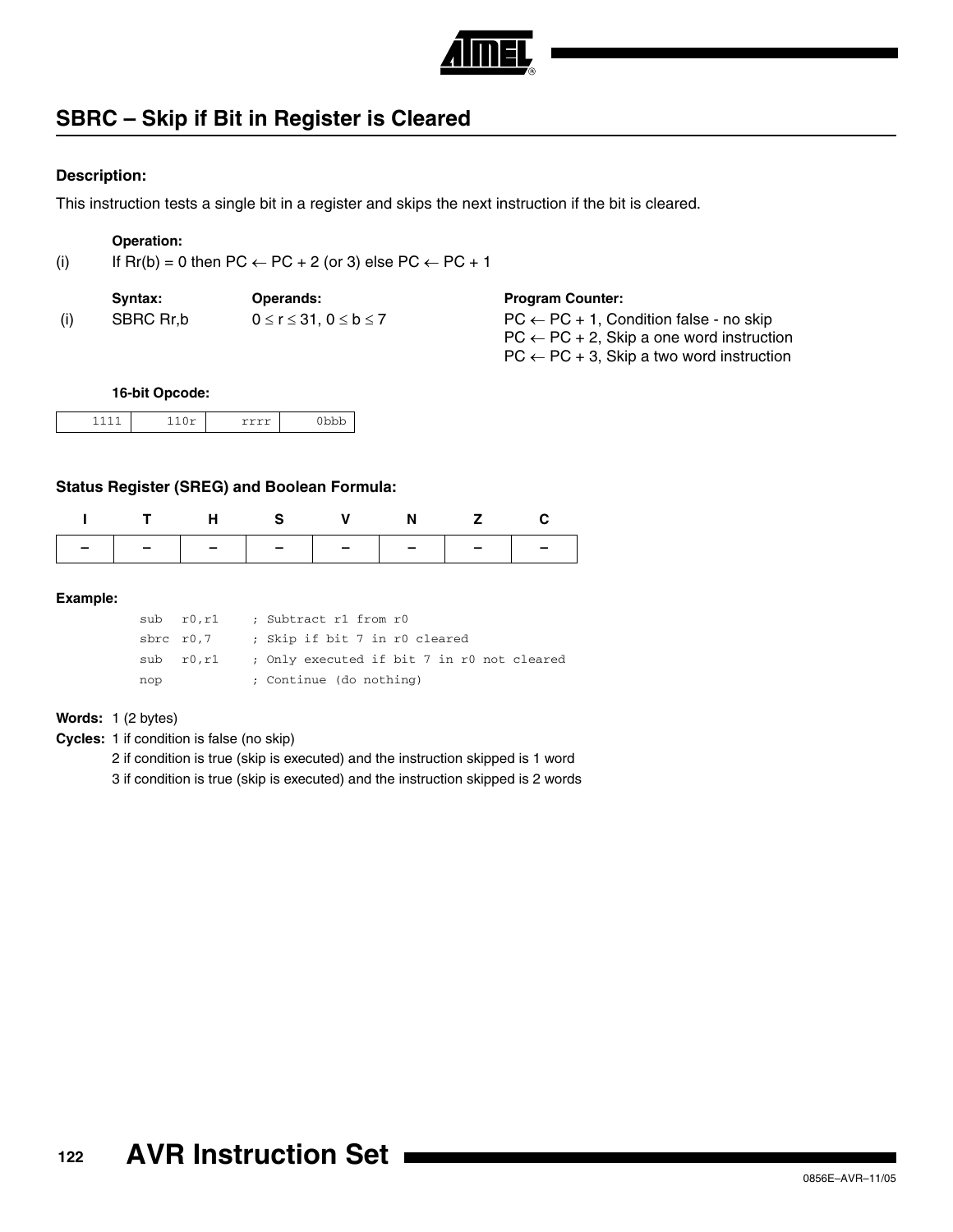

# **SBRC – Skip if Bit in Register is Cleared**

### **Description:**

This instruction tests a single bit in a register and skips the next instruction if the bit is cleared.

# **Operation:**

(i) If  $\text{Rr}(b) = 0$  then  $\text{PC} \leftarrow \text{PC} + 2$  (or 3) else  $\text{PC} \leftarrow \text{PC} + 1$ 

|     | Svntax:   | <b>Operands:</b>                       | <b>Program Counter:</b>                              |
|-----|-----------|----------------------------------------|------------------------------------------------------|
| (i) | SBRC Rr,b | $0 \leq r \leq 31$ . $0 \leq b \leq 7$ | $PC \leftarrow PC + 1$ , Condition false - no skip   |
|     |           |                                        | $PC \leftarrow PC + 2$ , Skip a one word instruction |

 $PC \leftarrow PC + 3$ , Skip a two word instruction

#### **16-bit Opcode:**

|  | . |
|--|---|

## **Status Register (SREG) and Boolean Formula:**

| THS V N Z C                   |  |  |  |
|-------------------------------|--|--|--|
| -   -   -   -   -   -   -   - |  |  |  |

#### **Example:**

|     | sub r0,r1 | ; Subtract r1 from r0                      |
|-----|-----------|--------------------------------------------|
|     | sbrc r0,7 | ; Skip if bit 7 in r0 cleared              |
|     | sub r0.r1 | ; Only executed if bit 7 in r0 not cleared |
| nop |           | ; Continue (do nothing)                    |

#### **Words:** 1 (2 bytes)

**Cycles:** 1 if condition is false (no skip)

2 if condition is true (skip is executed) and the instruction skipped is 1 word

3 if condition is true (skip is executed) and the instruction skipped is 2 words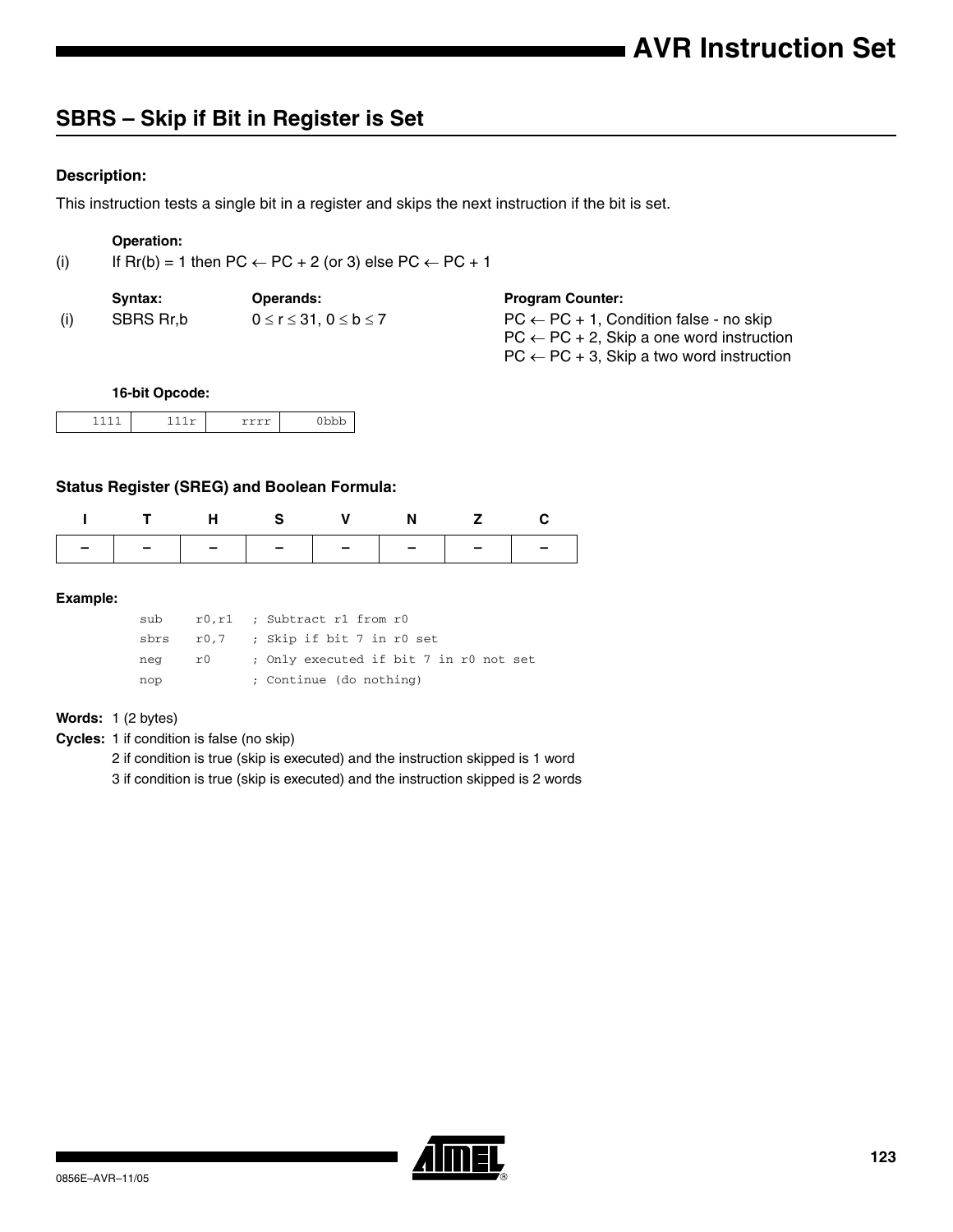# **SBRS – Skip if Bit in Register is Set**

## **Description:**

This instruction tests a single bit in a register and skips the next instruction if the bit is set.

# **Operation:**

(i) If  $\text{Rr}(b) = 1$  then  $\text{PC} \leftarrow \text{PC} + 2$  (or 3) else  $\text{PC} \leftarrow \text{PC} + 1$ 

|     | Svntax:   | <b>Operands:</b>                       | <b>Program Counter:</b>                              |
|-----|-----------|----------------------------------------|------------------------------------------------------|
| (i) | SBRS Rr.b | $0 \leq r \leq 31$ . $0 \leq b \leq 7$ | $PC \leftarrow PC + 1$ , Condition false - no skip   |
|     |           |                                        | $PC \leftarrow PC + 2$ , Skip a one word instruction |

 $PC \leftarrow PC + 3$ , Skip a two word instruction

#### **16-bit Opcode:**

|  | . |
|--|---|

# **Status Register (SREG) and Boolean Formula:**

| THS V N Z C                   |  |  |  |
|-------------------------------|--|--|--|
| -   -   -   -   -   -   -   - |  |  |  |

#### **Example:**

| sub  |      | r0, r1 ; Subtract r1 from r0           |
|------|------|----------------------------------------|
| sbrs |      | r0,7; Skip if bit 7 in r0 set          |
| neg  | r0 — | ; Only executed if bit 7 in r0 not set |
| nop  |      | ; Continue (do nothing)                |

#### **Words:** 1 (2 bytes)

**Cycles:** 1 if condition is false (no skip)

2 if condition is true (skip is executed) and the instruction skipped is 1 word

3 if condition is true (skip is executed) and the instruction skipped is 2 words

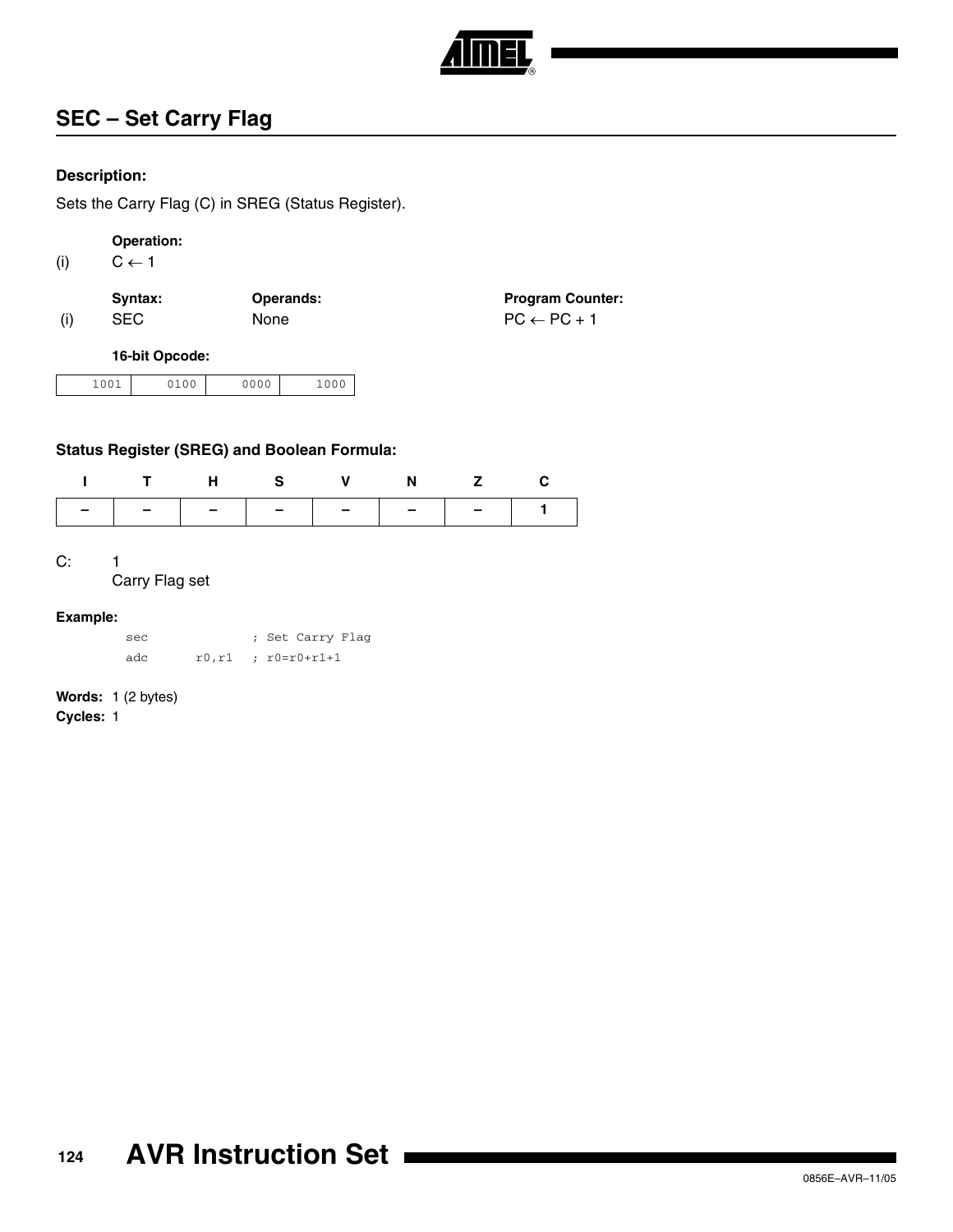# **SEC – Set Carry Flag**

# **Description:**

Sets the Carry Flag (C) in SREG (Status Register).

# **Operation:**

(i)  $C \leftarrow 1$ 

| Syntax:    | <b>Operands:</b> | <b>Program Counter:</b> |
|------------|------------------|-------------------------|
| <b>SEC</b> | None             | $PC \leftarrow PC + 1$  |

# **16-bit Opcode:**

| 001 | 0.000<br>◡◡ | 000c<br><u>-</u> |
|-----|-------------|------------------|
|     |             |                  |

# **Status Register (SREG) and Boolean Formula:**

|  |  | T H S V N Z C                 |  |
|--|--|-------------------------------|--|
|  |  | -   -   -   -   -   -   -   1 |  |

### C: 1

## Carry Flag set

#### **Example:**

| sec |  | ; Set Carry Flag              |
|-----|--|-------------------------------|
| adc |  | $r0, r1$ ; $r0 = r0 + r1 + 1$ |

# **Words:** 1 (2 bytes)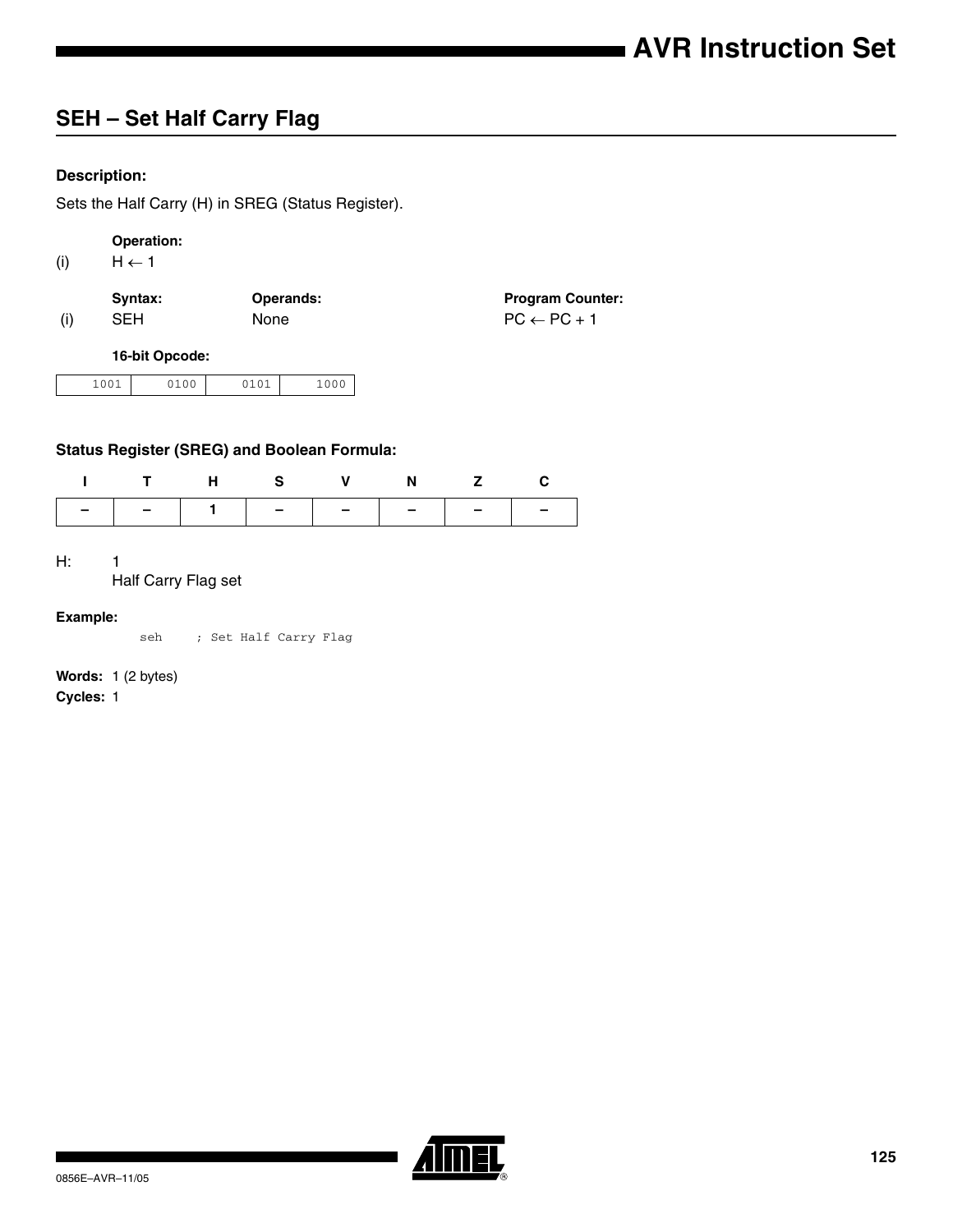# **SEH – Set Half Carry Flag**

# **Description:**

Sets the Half Carry (H) in SREG (Status Register).

# **Operation:**

 $(i)$   $H \leftarrow 1$ 

| Syntax:    | <b>Operands:</b> | <b>Program Counter:</b> |
|------------|------------------|-------------------------|
| <b>SEH</b> | None             | $PC \leftarrow PC + 1$  |

### **16-bit Opcode:**

| 001<br><b>1100</b><br>$-0$ | 0.1.0.1 | 000 |
|----------------------------|---------|-----|
|----------------------------|---------|-----|

# **Status Register (SREG) and Boolean Formula:**

|  |  | ITHS V N Z C                  |  |
|--|--|-------------------------------|--|
|  |  | -   -   1   -   -   -   -   - |  |

#### H: 1

Half Carry Flag set

#### **Example:**

seh ; Set Half Carry Flag

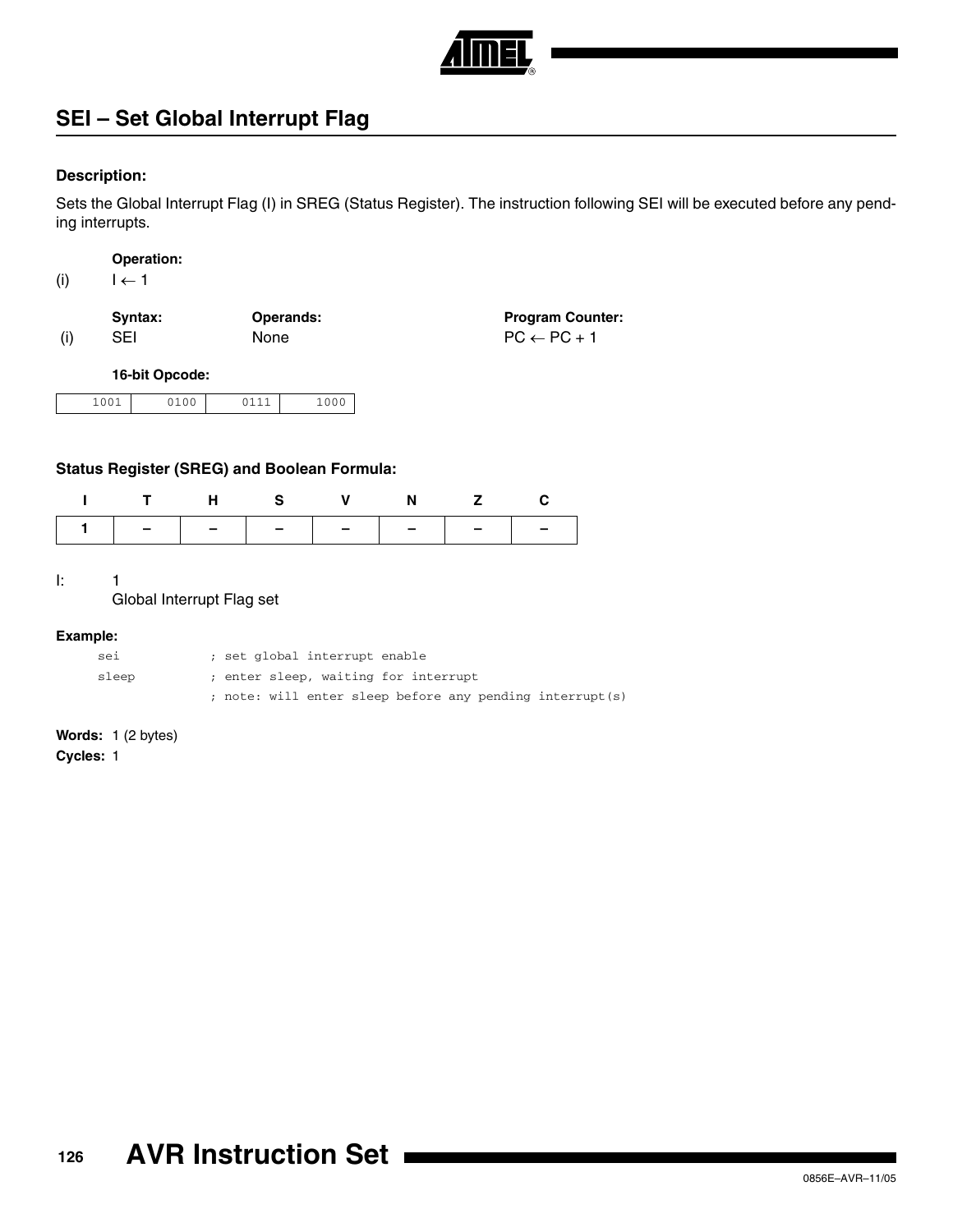# **SEI – Set Global Interrupt Flag**

## **Description:**

Sets the Global Interrupt Flag (I) in SREG (Status Register). The instruction following SEI will be executed before any pending interrupts.

**Program Counter:** 

|     | <b>Operation:</b> |           |                        |
|-----|-------------------|-----------|------------------------|
| (i) | $1 \leftarrow 1$  |           |                        |
|     | Syntax:           | Operands: | <b>Program Cour</b>    |
| (i) | SEI               | None      | $PC \leftarrow PC + 1$ |

**16-bit Opcode:**

| ገ1 N N<br>v v | --- | 1000 |
|---------------|-----|------|

## **Status Register (SREG) and Boolean Formula:**

|                                 |  | T H S V N Z C |  |
|---------------------------------|--|---------------|--|
| 1 1   -   -   -   -   -   -   - |  |               |  |

I: 1

Γ

Global Interrupt Flag set

#### **Example:**

| sei   | ; set global interrupt enable                            |
|-------|----------------------------------------------------------|
| sleep | ; enter sleep, waiting for interrupt                     |
|       | ; note: will enter sleep before any pending interrupt(s) |

**Words:** 1 (2 bytes)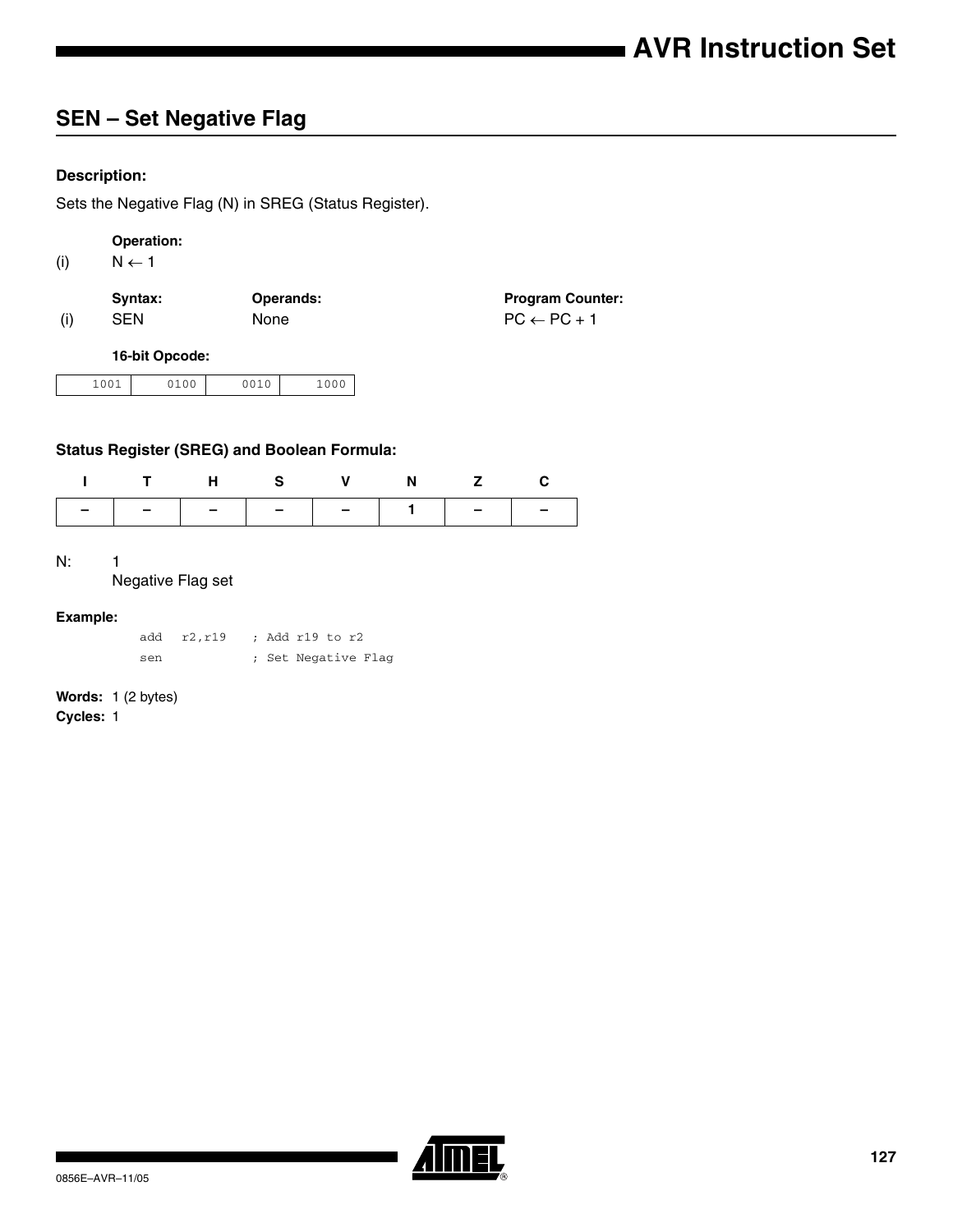# **SEN – Set Negative Flag**

# **Description:**

Sets the Negative Flag (N) in SREG (Status Register).

# **Operation:**

(i)  $N \leftarrow 1$ 

|     | Syntax:    | <b>Operands:</b> | <b>Program Counter:</b> |
|-----|------------|------------------|-------------------------|
| (i) | <b>SEN</b> | None             | $PC \leftarrow PC + 1$  |

### **16-bit Opcode:**

| 001<br><b>0100</b><br>$-0$ | 001<br>$\sim$ | 000 |
|----------------------------|---------------|-----|
|----------------------------|---------------|-----|

# **Status Register (SREG) and Boolean Formula:**

|  |  | ITHS V N Z C |  |
|--|--|--------------|--|
|  |  |              |  |

N: 1

### Negative Flag set

#### **Example:**

|     | add r2,r19 |  | ; Add r19 to r2     |  |
|-----|------------|--|---------------------|--|
| sen |            |  | ; Set Negative Flag |  |

# **Words:** 1 (2 bytes)

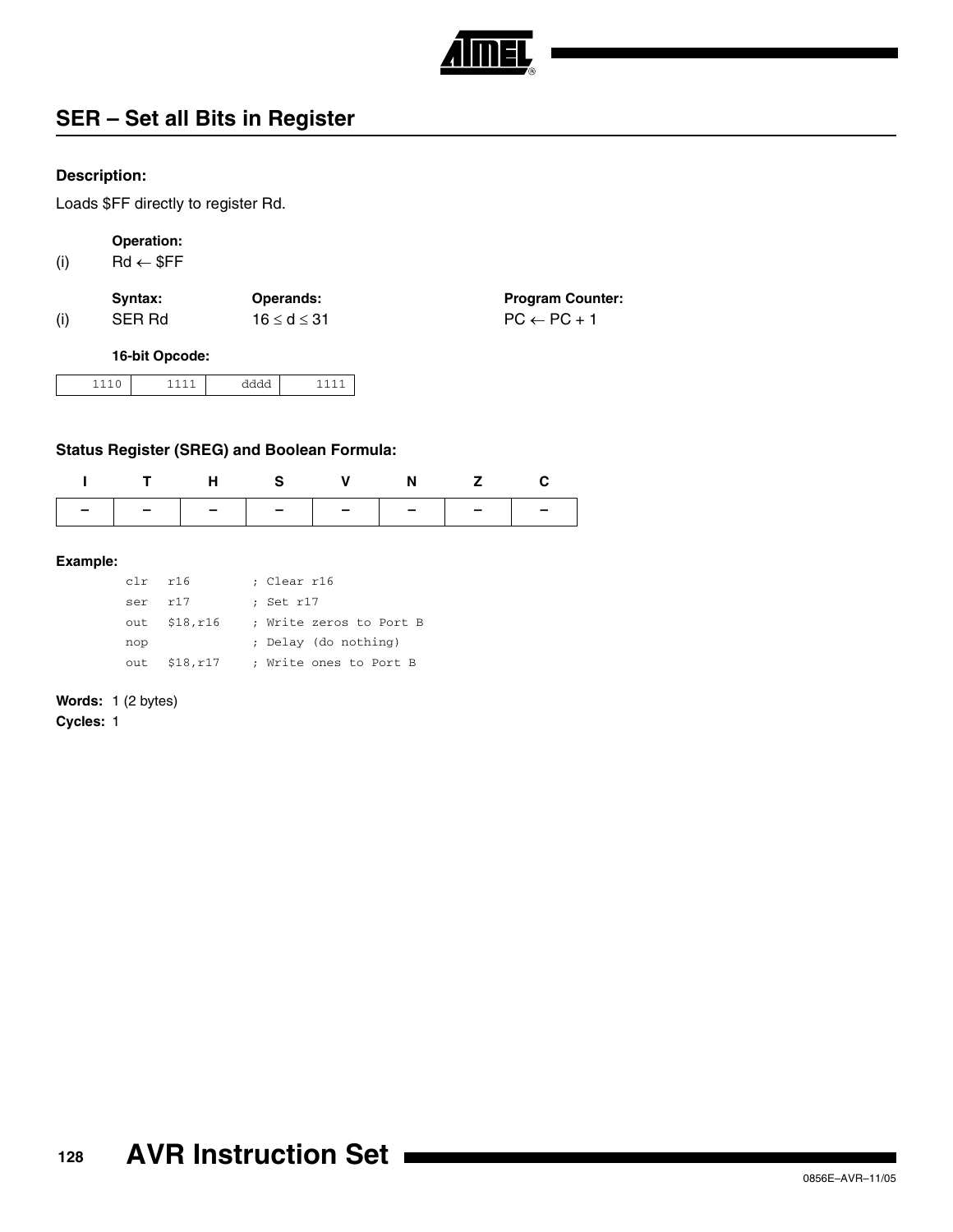# **SER – Set all Bits in Register**

# **Description:**

Loads \$FF directly to register Rd.

# **Operation:**

(i)  $Rd \leftarrow$  \$FF

|     | Syntax: | <b>Operands:</b>  | <b>Program Counter:</b> |
|-----|---------|-------------------|-------------------------|
| (i) | SER Rd  | $16 \le d \le 31$ | $PC \leftarrow PC + 1$  |

## **16-bit Opcode:**

| . |
|---|
|---|

# **Status Register (SREG) and Boolean Formula:**

| $\mathbf{T}$                  | H S V N Z |  |  |  |
|-------------------------------|-----------|--|--|--|
| - - - - - - - - - - - - - - - |           |  |  |  |

## **Example:**

| $clr$ $r16$ |                   | ; Clear r16             |
|-------------|-------------------|-------------------------|
| ser r17     |                   | ; Set r17               |
|             | $out$ \$18, $r16$ | ; Write zeros to Port B |
| nop         |                   | ; Delay (do nothing)    |
|             | out \$18, r17     | ; Write ones to Port B  |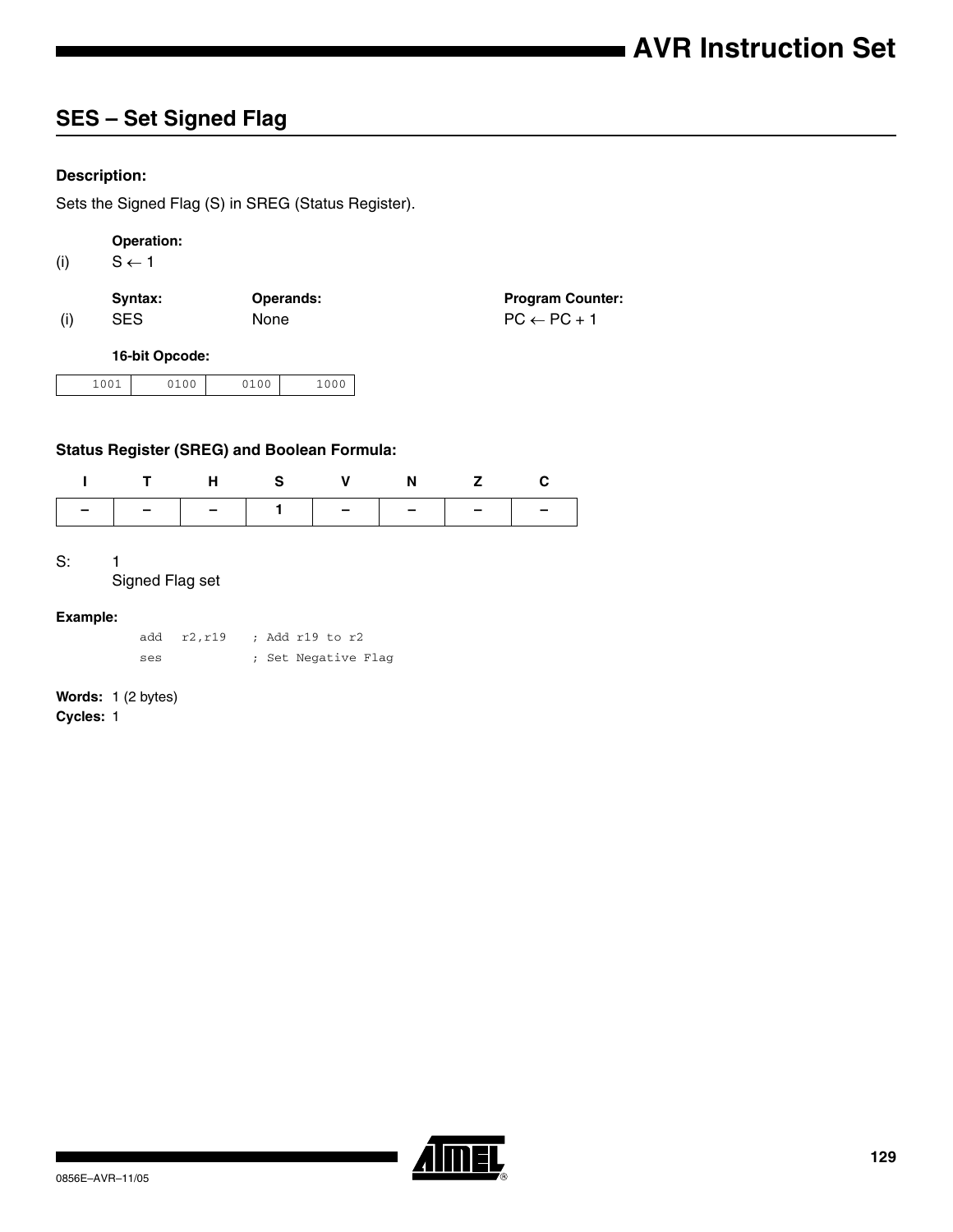# **SES – Set Signed Flag**

# **Description:**

Sets the Signed Flag (S) in SREG (Status Register).

# **Operation:**

(i)  $S \leftarrow 1$ 

|     | Syntax:    | Operands: | <b>Program Counter:</b> |
|-----|------------|-----------|-------------------------|
| (i) | <b>SES</b> | None      | $PC \leftarrow PC + 1$  |

### **16-bit Opcode:**

| 0.01<br>0.100 | $\sim$ $\sim$ $\sim$ | 0.00<br>__ |
|---------------|----------------------|------------|
|---------------|----------------------|------------|

# **Status Register (SREG) and Boolean Formula:**

|  |  | ITHS V N Z C        |  |
|--|--|---------------------|--|
|  |  | $    1$ $1$ $    -$ |  |

#### S: 1

### Signed Flag set

#### **Example:**

|     | add r2.r19 |  | ; Add r19 to r2     |  |
|-----|------------|--|---------------------|--|
| ses |            |  | ; Set Negative Flag |  |

# **Words:** 1 (2 bytes)

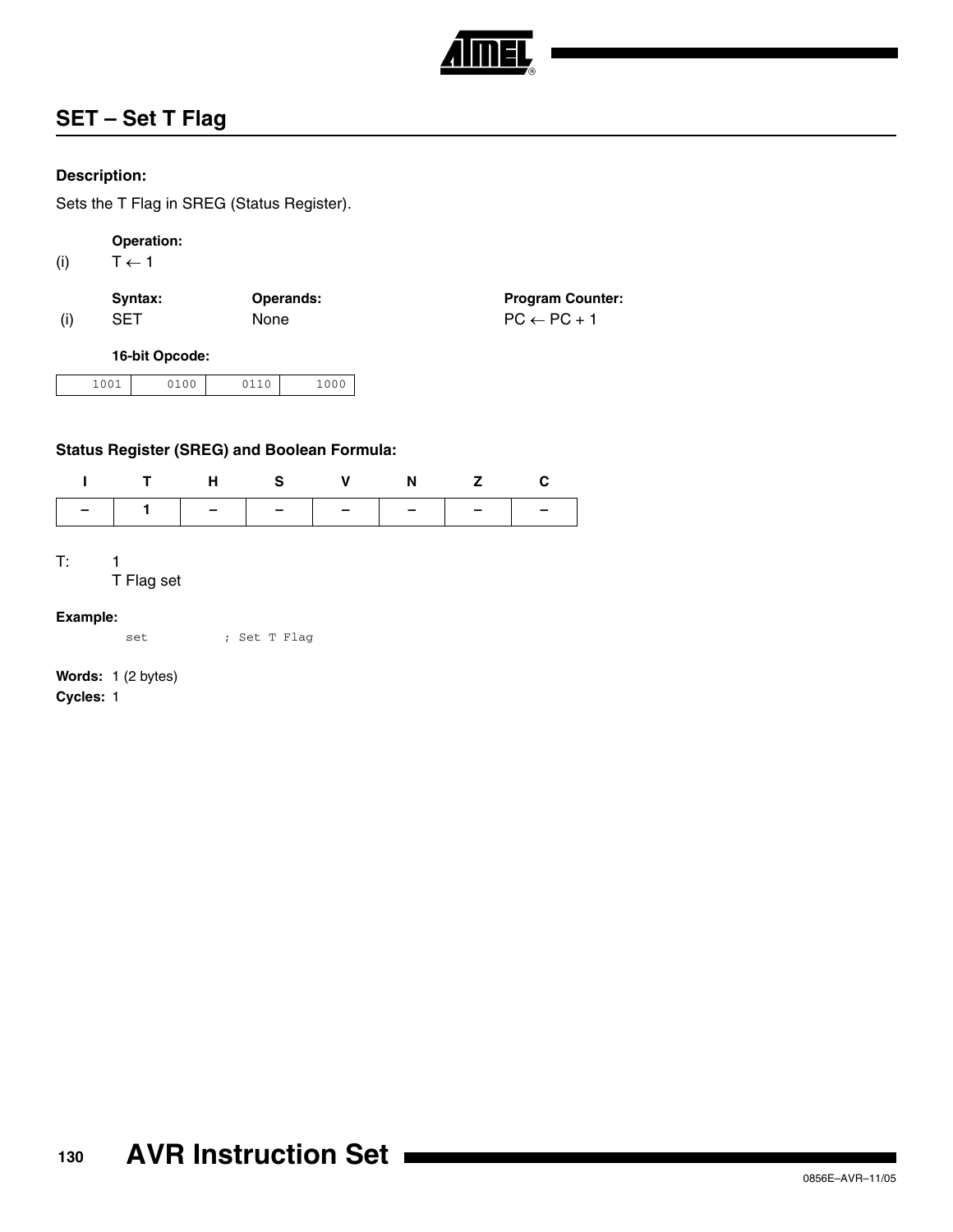# **SET – Set T Flag**

# **Description:**

Sets the T Flag in SREG (Status Register).

# **Operation:**

(i)  $T \leftarrow 1$ 

|     | Syntax:    | <b>Operands:</b> | <b>Program Counter:</b> |
|-----|------------|------------------|-------------------------|
| (i) | <b>SET</b> | None             | $PC \leftarrow PC + 1$  |

# **16-bit Opcode:**

| 001<br>---- | 010C | $\sim$ $\sim$ $\sim$ | nnn |
|-------------|------|----------------------|-----|

# **Status Register (SREG) and Boolean Formula:**

| ITHS V N Z C |  |  |  |
|--------------|--|--|--|
|              |  |  |  |

T: 1

T Flag set

#### **Example:**

set ; Set T Flag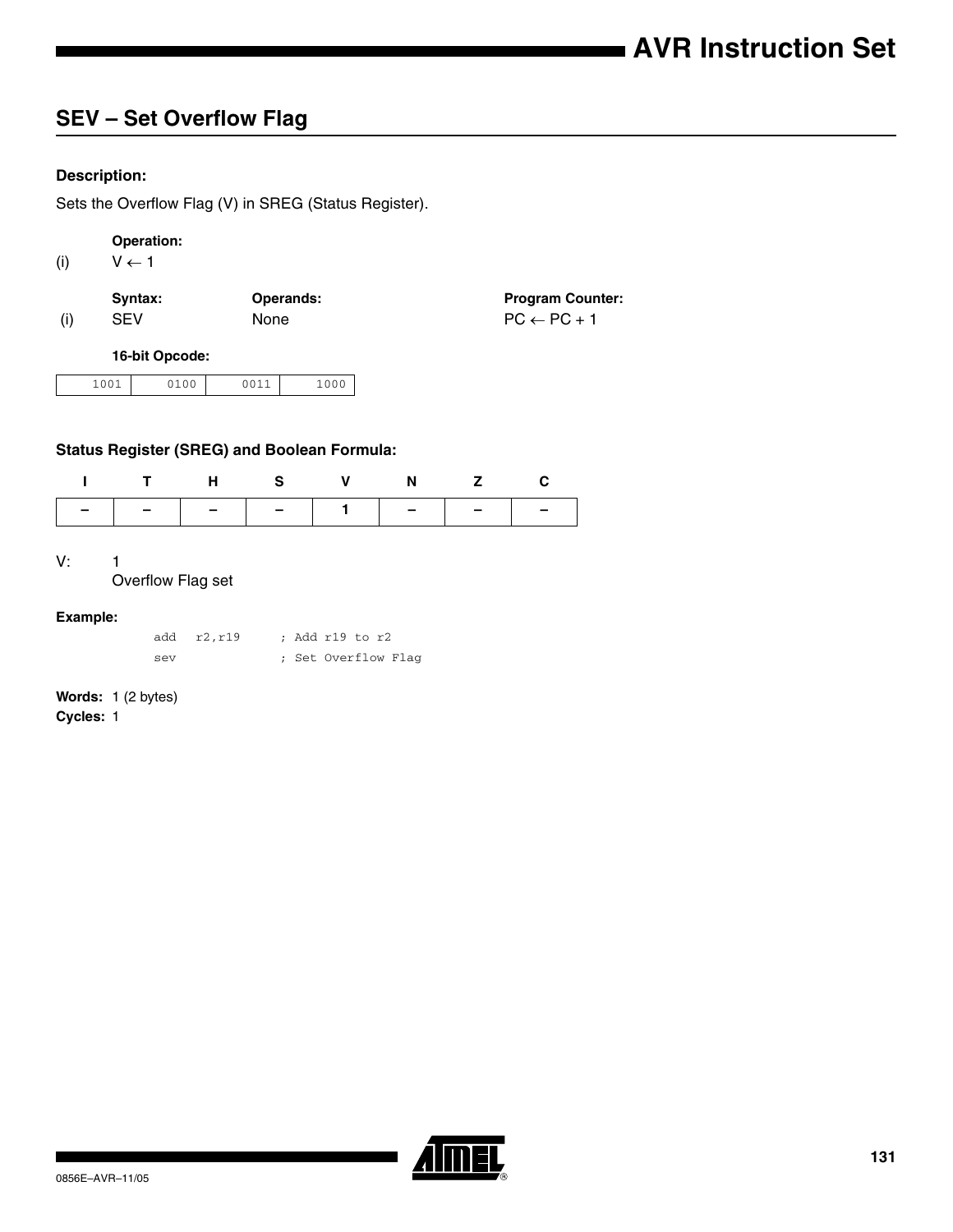# **SEV – Set Overflow Flag**

# **Description:**

Sets the Overflow Flag (V) in SREG (Status Register).

# **Operation:**

(i)  $V \leftarrow 1$ 

|     | Syntax:    | <b>Operands:</b> | <b>Program Counter:</b> |
|-----|------------|------------------|-------------------------|
| (i) | <b>SEV</b> | None             | $PC \leftarrow PC + 1$  |

### **16-bit Opcode:**

| 001،<br>01 N N<br>$-0$ | 0011 | 000 |
|------------------------|------|-----|
|------------------------|------|-----|

# **Status Register (SREG) and Boolean Formula:**

| $\mathbf{I}$ | THS V N Z C                   |  |  |  |
|--------------|-------------------------------|--|--|--|
|              | -   -   -   -   1   -   -   - |  |  |  |

#### V: 1

Overflow Flag set

#### **Example:**

|     | add r2.r19 | : Add r19 to r2 |  |                     |  |
|-----|------------|-----------------|--|---------------------|--|
| sev |            |                 |  | ; Set Overflow Flag |  |

# **Words:** 1 (2 bytes)

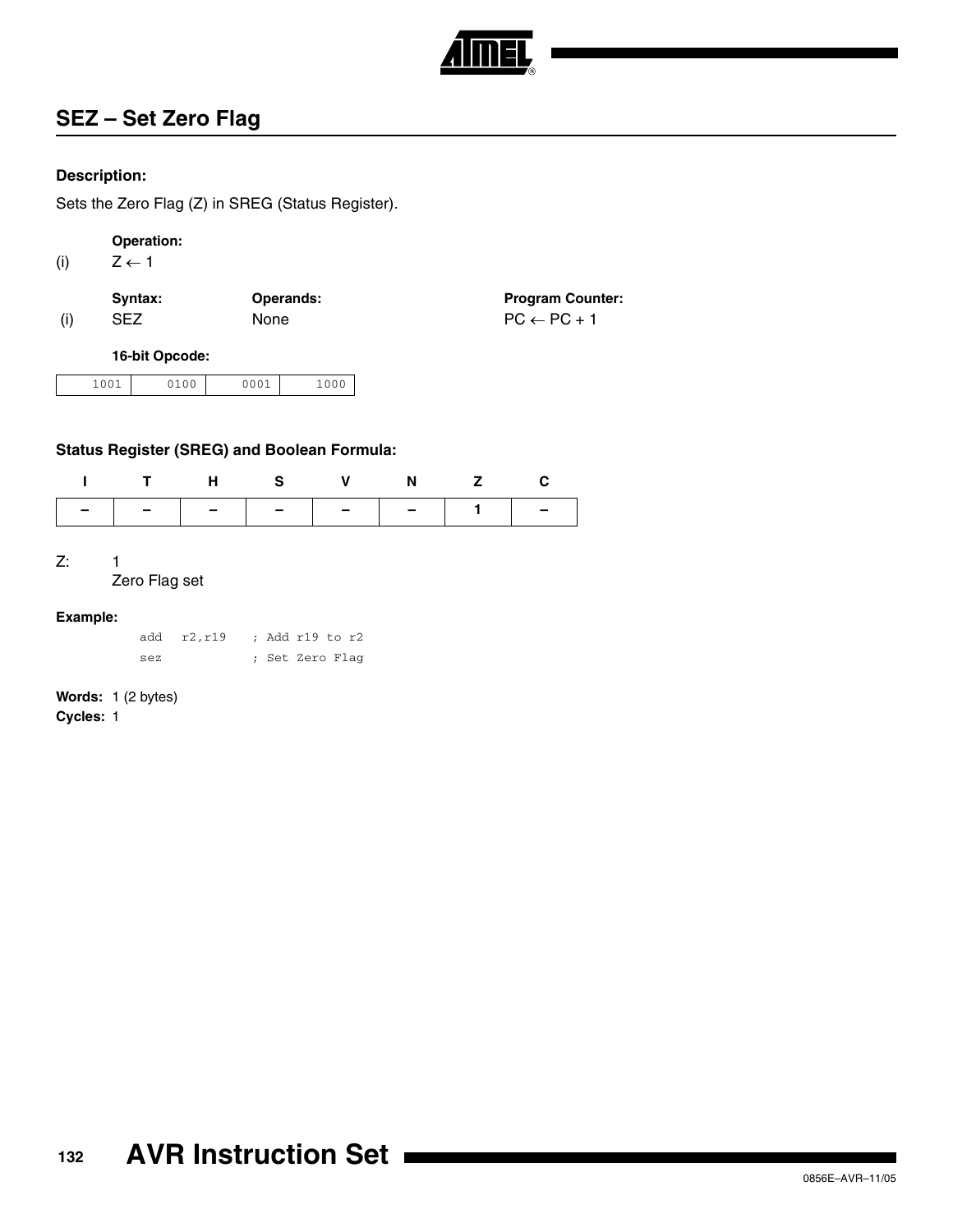# **SEZ – Set Zero Flag**

# **Description:**

Sets the Zero Flag (Z) in SREG (Status Register).

# **Operation:**

(i)  $Z \leftarrow 1$ 

| Syntax:    | Operands: | <b>Program Counter:</b> |
|------------|-----------|-------------------------|
| <b>SEZ</b> | None      | $PC \leftarrow PC + 1$  |

# **16-bit Opcode:**

| 001<br>0.100 | 0.0.01 | $\sim$ $\sim$ $\sim$<br>--- |
|--------------|--------|-----------------------------|
|--------------|--------|-----------------------------|

# **Status Register (SREG) and Boolean Formula:**

|  | T H S V N Z C |  |  |
|--|---------------|--|--|
|  |               |  |  |

#### Z: 1

## Zero Flag set

#### **Example:**

|     | add r2.r19 |  | ; Add r19 to r2 |  |
|-----|------------|--|-----------------|--|
| sez |            |  | ; Set Zero Flag |  |

# **Words:** 1 (2 bytes)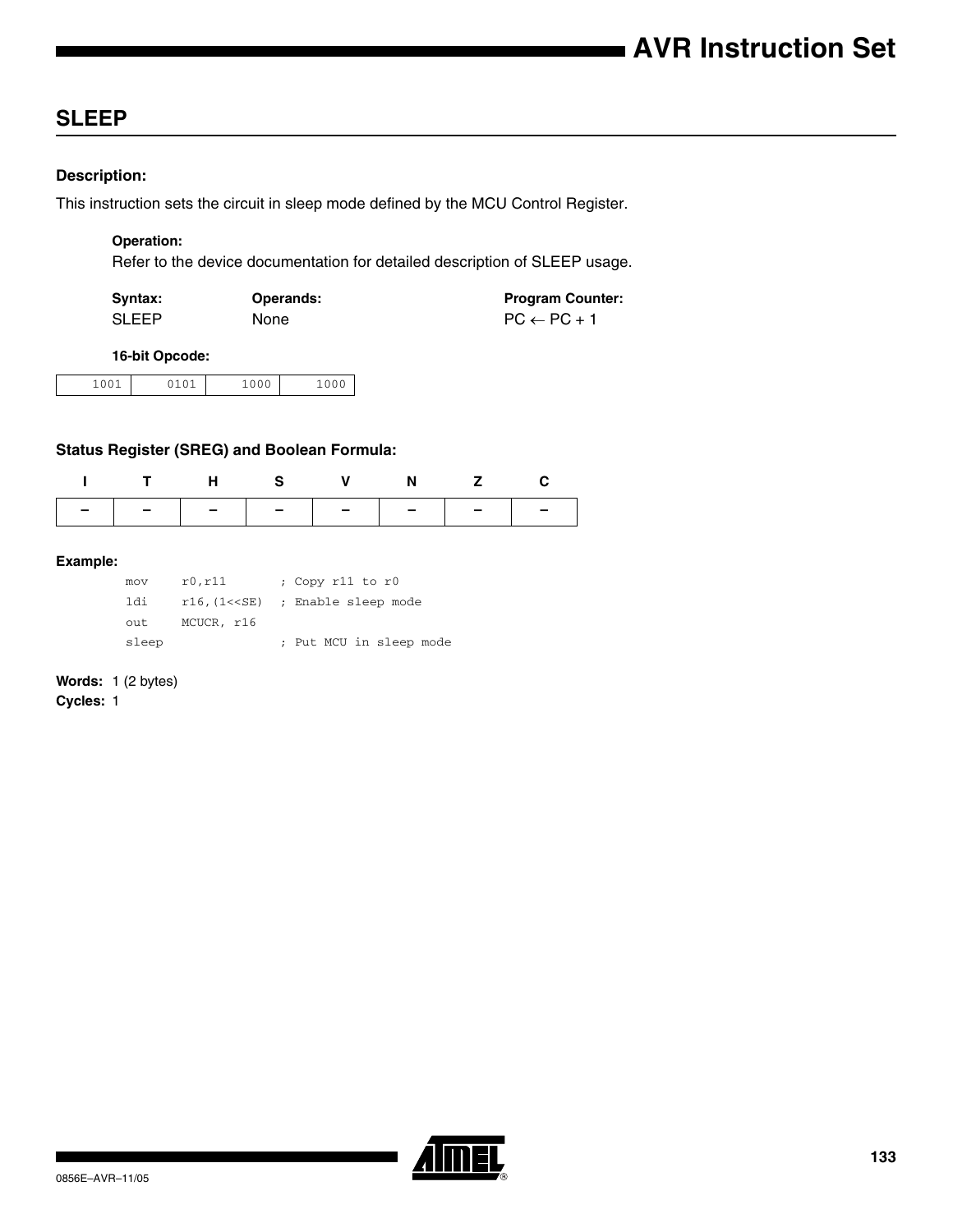# **SLEEP**

# **Description:**

This instruction sets the circuit in sleep mode defined by the MCU Control Register.

# **Operation:**

Refer to the device documentation for detailed description of SLEEP usage.

| Syntax:      | Operands:   | <b>Program Counter:</b> |
|--------------|-------------|-------------------------|
| <b>SLEEP</b> | <b>None</b> | $PC \leftarrow PC + 1$  |

#### **16-bit Opcode:**

| 001<br>$-0$ | $\sim$ $\sim$ | 0.00<br>ັ<br>$-0$ | $\sim$ $\sim$ $\sim$<br>20 U |
|-------------|---------------|-------------------|------------------------------|
|             |               |                   |                              |

## **Status Register (SREG) and Boolean Formula:**

| ITHS V N Z C                  |  |  |  |
|-------------------------------|--|--|--|
| -   -   -   -   -   -   -   - |  |  |  |

#### **Example:**

| mov   | r0, r11    | ; Copy r11 to r0                      |
|-------|------------|---------------------------------------|
| 1di   |            | $r16$ , $1<<$ SE) ; Enable sleep mode |
| out   | MCUCR, r16 |                                       |
| sleep |            | ; Put MCU in sleep mode               |

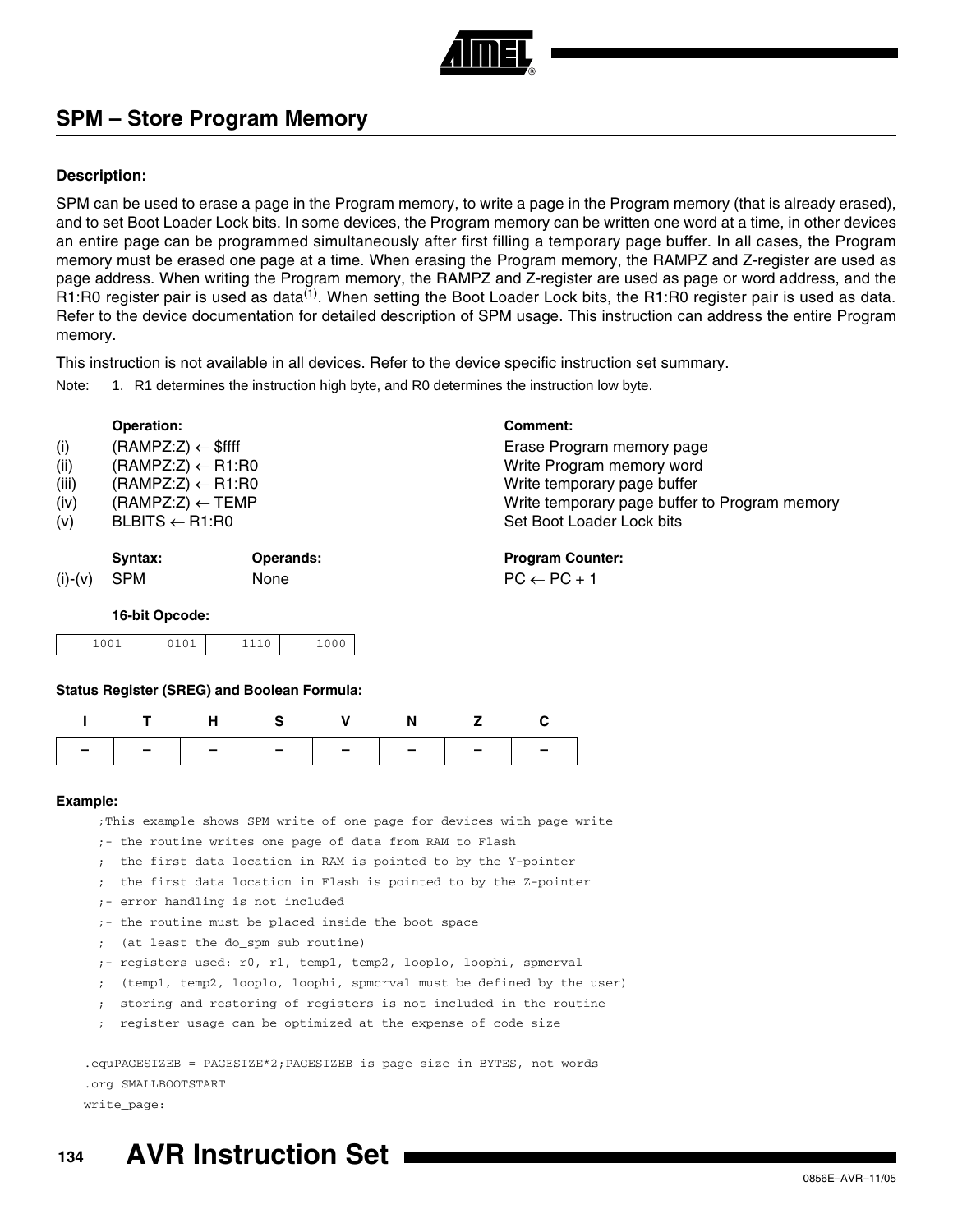# **SPM – Store Program Memory**

#### **Description:**

SPM can be used to erase a page in the Program memory, to write a page in the Program memory (that is already erased), and to set Boot Loader Lock bits. In some devices, the Program memory can be written one word at a time, in other devices an entire page can be programmed simultaneously after first filling a temporary page buffer. In all cases, the Program memory must be erased one page at a time. When erasing the Program memory, the RAMPZ and Z-register are used as page address. When writing the Program memory, the RAMPZ and Z-register are used as page or word address, and the R1:R0 register pair is used as data $^{(1)}$ . When setting the Boot Loader Lock bits, the R1:R0 register pair is used as data. Refer to the device documentation for detailed description of SPM usage. This instruction can address the entire Program memory.

This instruction is not available in all devices. Refer to the device specific instruction set summary.

Note: 1. R1 determines the instruction high byte, and R0 determines the instruction low byte.

|           | Operation:                     |                  | <b>Comment:</b>                               |  |  |
|-----------|--------------------------------|------------------|-----------------------------------------------|--|--|
| (i)       | $(RAMPZ:Z) \leftarrow \$$ ffff |                  | Erase Program memory page                     |  |  |
| (ii)      | $(RAMPZ:Z) \leftarrow R1:R0$   |                  | Write Program memory word                     |  |  |
| (iii)     | $(RAMPZ:Z) \leftarrow R1:R0$   |                  | Write temporary page buffer                   |  |  |
| (iv)      | $(RAMPZ:Z) \leftarrow TEMP$    |                  | Write temporary page buffer to Program memory |  |  |
| (v)       | BLBITS $\leftarrow$ R1:R0      |                  | Set Boot Loader Lock bits                     |  |  |
|           | Syntax:                        | <b>Operands:</b> | <b>Program Counter:</b>                       |  |  |
| $(i)-(v)$ | <b>SPM</b>                     | None             | $PC \leftarrow PC + 1$                        |  |  |

#### **16-bit Opcode:**

| 0.01 | . | $\sim$ $\sim$ |
|------|---|---------------|
| ---- |   | .             |

#### **Status Register (SREG) and Boolean Formula:**

| ITHS V N Z C                  |  |  |  |
|-------------------------------|--|--|--|
| -   -   -   -   -   -   -   - |  |  |  |

#### **Example:**

;This example shows SPM write of one page for devices with page write

- ;- the routine writes one page of data from RAM to Flash
- ; the first data location in RAM is pointed to by the Y-pointer
- ; the first data location in Flash is pointed to by the Z-pointer
- ;- error handling is not included
- ;- the routine must be placed inside the boot space
- ; (at least the do\_spm sub routine)
- ;- registers used: r0, r1, temp1, temp2, looplo, loophi, spmcrval
- ; (temp1, temp2, looplo, loophi, spmcrval must be defined by the user)
- ; storing and restoring of registers is not included in the routine
- ; register usage can be optimized at the expense of code size

.equPAGESIZEB = PAGESIZE\*2;PAGESIZEB is page size in BYTES, not words .org SMALLBOOTSTART

write\_page: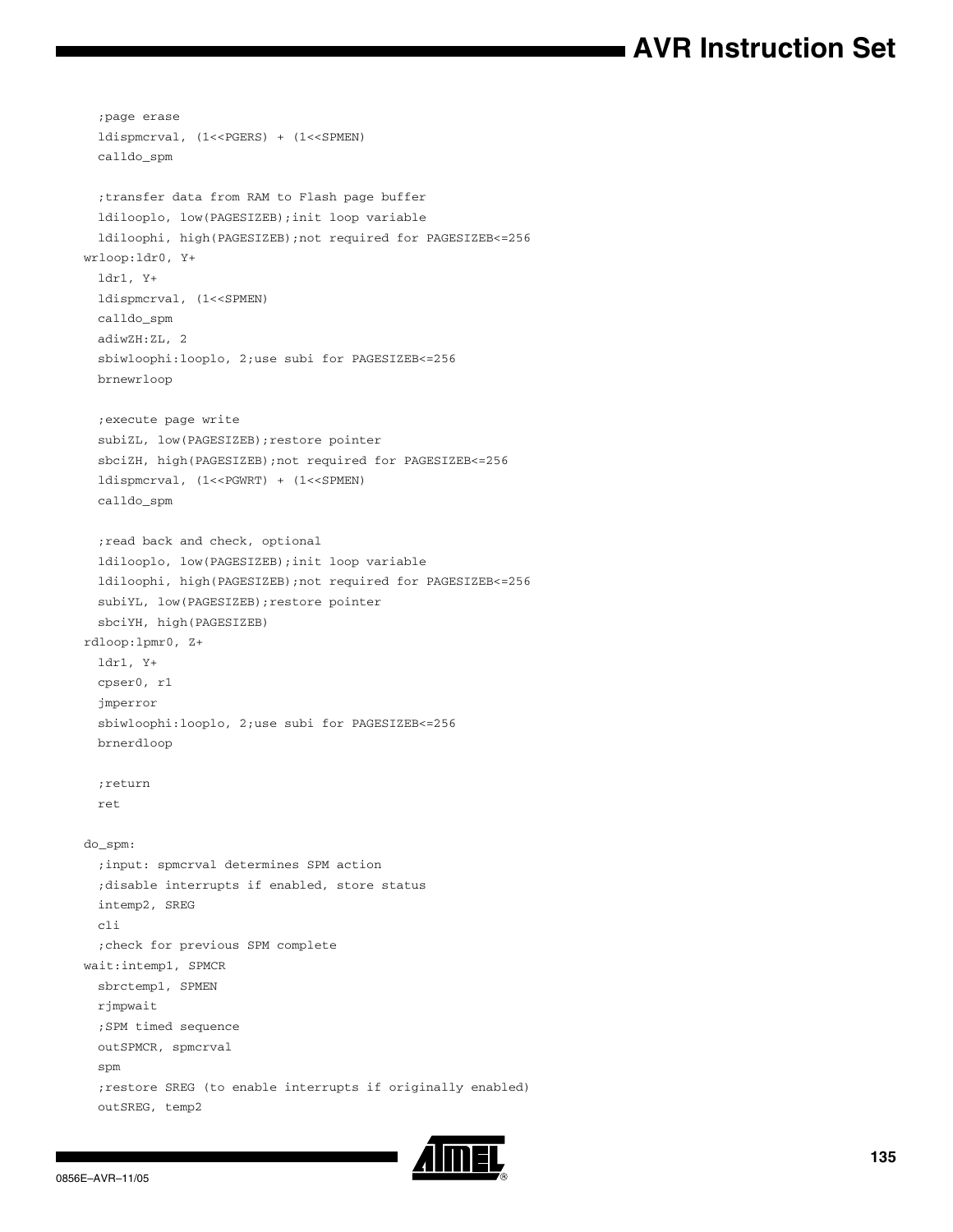# **AVR Instruction Set**

```
;page erase
  ldispmcrval, (1<<PGERS) + (1<<SPMEN)
  calldo_spm
  ;transfer data from RAM to Flash page buffer
 ldilooplo, low(PAGESIZEB);init loop variable
  ldiloophi, high(PAGESIZEB);not required for PAGESIZEB<=256
wrloop:ldr0, Y+
  ldr1, Y+
 ldispmcrval, (1<<SPMEN)
 calldo_spm
 adiwZH:ZL, 2
 sbiwloophi:looplo, 2;use subi for PAGESIZEB<=256
 brnewrloop
  ;execute page write
 subiZL, low(PAGESIZEB);restore pointer
  sbciZH, high(PAGESIZEB);not required for PAGESIZEB<=256
  ldispmcrval, (1<<PGWRT) + (1<<SPMEN)
  calldo_spm
  ;read back and check, optional
 ldilooplo, low(PAGESIZEB);init loop variable
  ldiloophi, high(PAGESIZEB);not required for PAGESIZEB<=256
  subiYL, low(PAGESIZEB);restore pointer
 sbciYH, high(PAGESIZEB)
rdloop:lpmr0, Z+
 ldr1, Y+
 cpser0, r1
 jmperror
  sbiwloophi:looplo, 2;use subi for PAGESIZEB<=256
 brnerdloop
  ;return
 ret
do_spm:
  ;input: spmcrval determines SPM action
  ;disable interrupts if enabled, store status
 intemp2, SREG
 cli
  ;check for previous SPM complete
wait:intemp1, SPMCR
 sbrctemp1, SPMEN
 rjmpwait
  ;SPM timed sequence
 outSPMCR, spmcrval
  spm
  ;restore SREG (to enable interrupts if originally enabled)
 outSREG, temp2
```
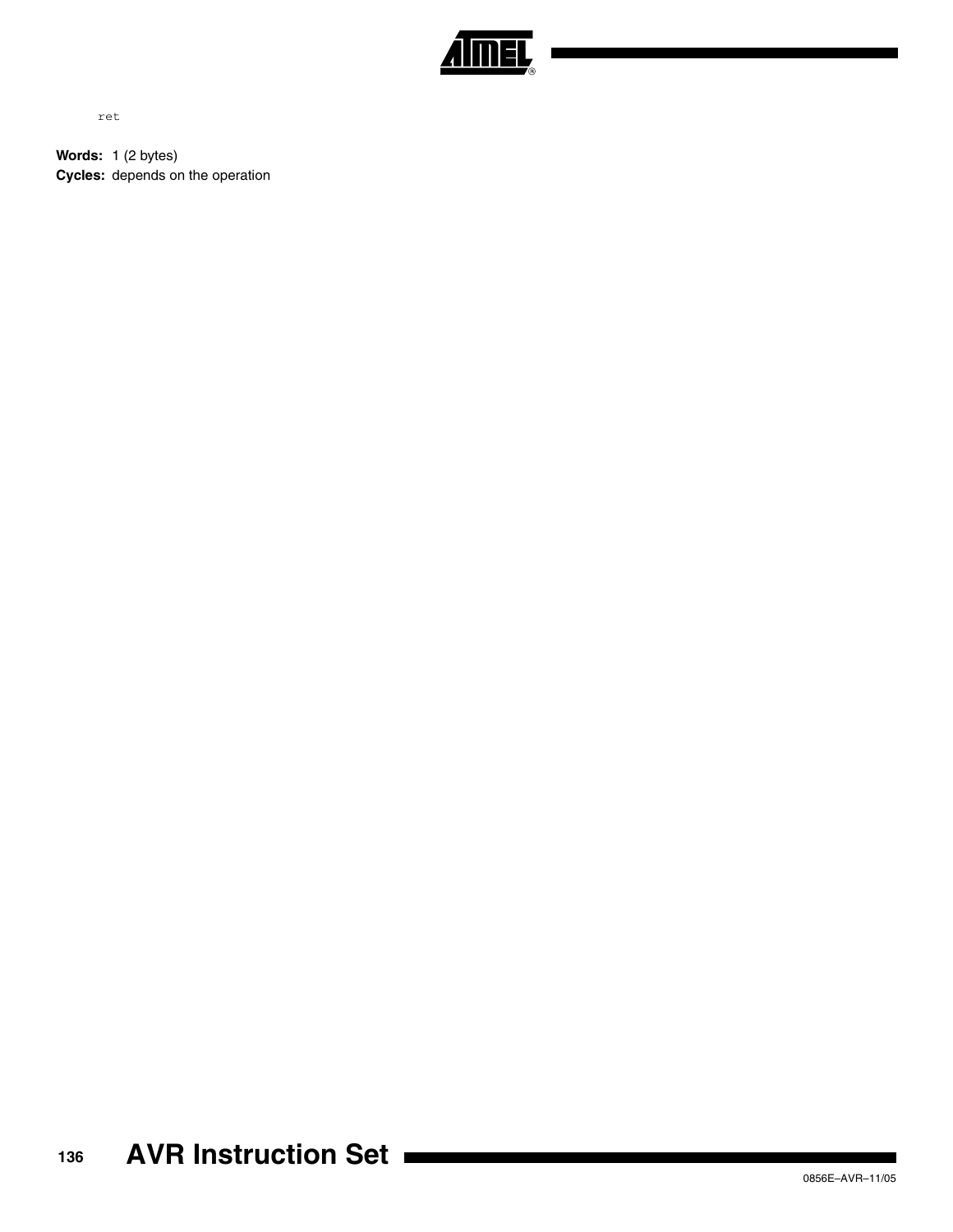

ret

**Words:** 1 (2 bytes) **Cycles:** depends on the operation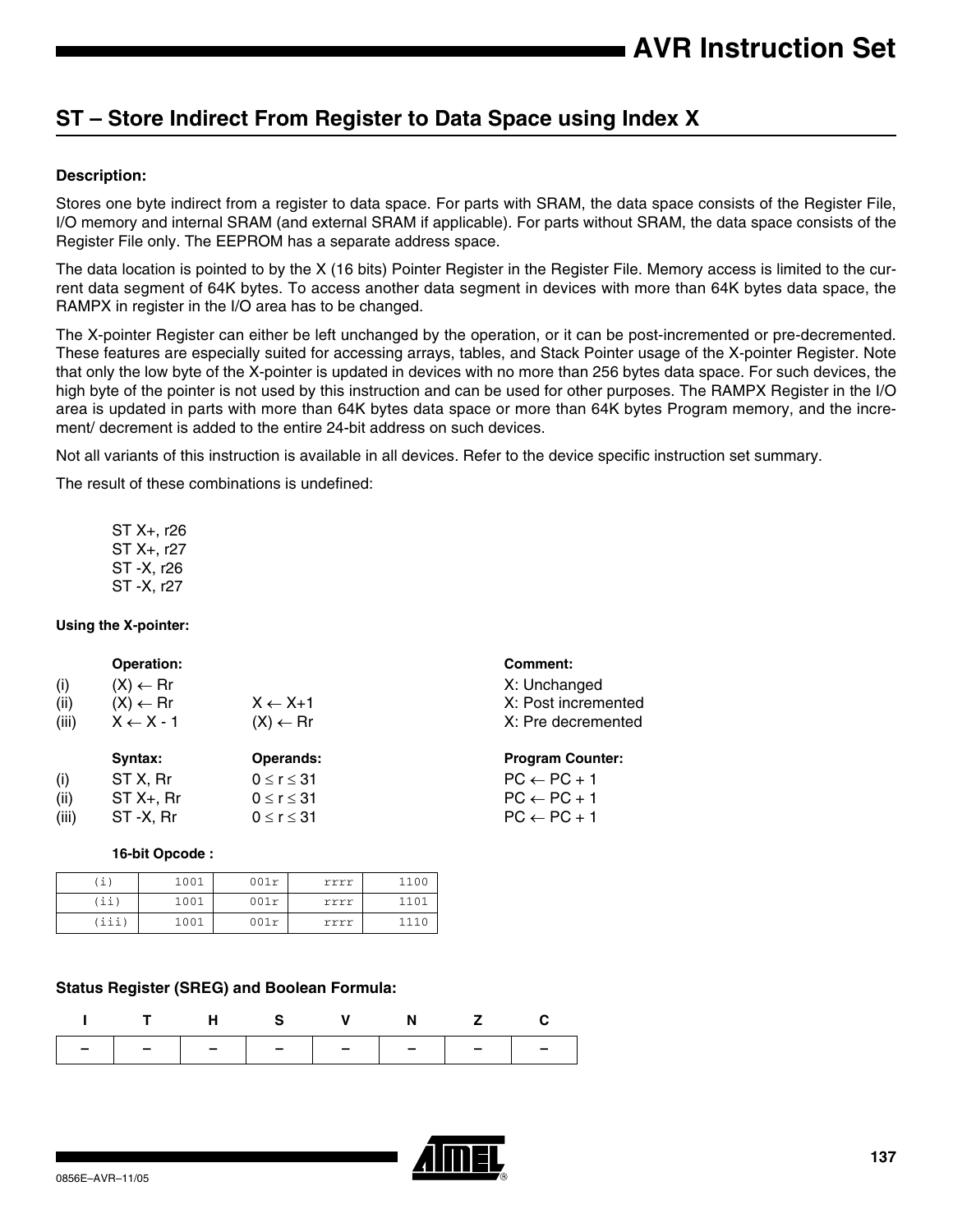# **ST – Store Indirect From Register to Data Space using Index X**

# **Description:**

Stores one byte indirect from a register to data space. For parts with SRAM, the data space consists of the Register File, I/O memory and internal SRAM (and external SRAM if applicable). For parts without SRAM, the data space consists of the Register File only. The EEPROM has a separate address space.

The data location is pointed to by the X (16 bits) Pointer Register in the Register File. Memory access is limited to the current data segment of 64K bytes. To access another data segment in devices with more than 64K bytes data space, the RAMPX in register in the I/O area has to be changed.

The X-pointer Register can either be left unchanged by the operation, or it can be post-incremented or pre-decremented. These features are especially suited for accessing arrays, tables, and Stack Pointer usage of the X-pointer Register. Note that only the low byte of the X-pointer is updated in devices with no more than 256 bytes data space. For such devices, the high byte of the pointer is not used by this instruction and can be used for other purposes. The RAMPX Register in the I/O area is updated in parts with more than 64K bytes data space or more than 64K bytes Program memory, and the increment/ decrement is added to the entire 24-bit address on such devices.

> **Program Counter:**  $PC \leftarrow PC + 1$  $PC \leftarrow PC + 1$  $PC \leftarrow PC + 1$

Not all variants of this instruction is available in all devices. Refer to the device specific instruction set summary.

The result of these combinations is undefined:

ST X+, r26 ST X+, r27 ST -X, r26 ST -X, r27

#### **Using the X-pointer:**

|       | <b>Operation:</b>    |                     | <b>Comment:</b>     |
|-------|----------------------|---------------------|---------------------|
| (i)   | $(X) \leftarrow Rr$  |                     | X: Unchanged        |
| (ii)  | $(X) \leftarrow Rr$  | $X \leftarrow X+1$  | X: Post incremented |
| (iii) | $X \leftarrow X - 1$ | $(X) \leftarrow Rr$ | X: Pre decremented  |

| <b>Syntax:</b> | <b>Operands:</b> |
|----------------|------------------|
| ST X. Rr       | $0 \le r \le 31$ |
| $ST X+$ , $Rr$ | $0 \le r \le 31$ |
| ST -X. Rr      | $0 \le r \le 31$ |
|                |                  |

#### **16-bit Opcode :**

| $\pm$ ) | 1001 | 001r | rrrr | 1100 |
|---------|------|------|------|------|
| (ii)    | 1001 | 001r | rrrr | 1101 |
| (iii)   | 1001 | 001r | rrrr | 1110 |

### **Status Register (SREG) and Boolean Formula:**

|                                 | — н |  |  |  |
|---------------------------------|-----|--|--|--|
| 1 - 1 - 1 - 1 - 1 - 1 - 1 - 1 - |     |  |  |  |

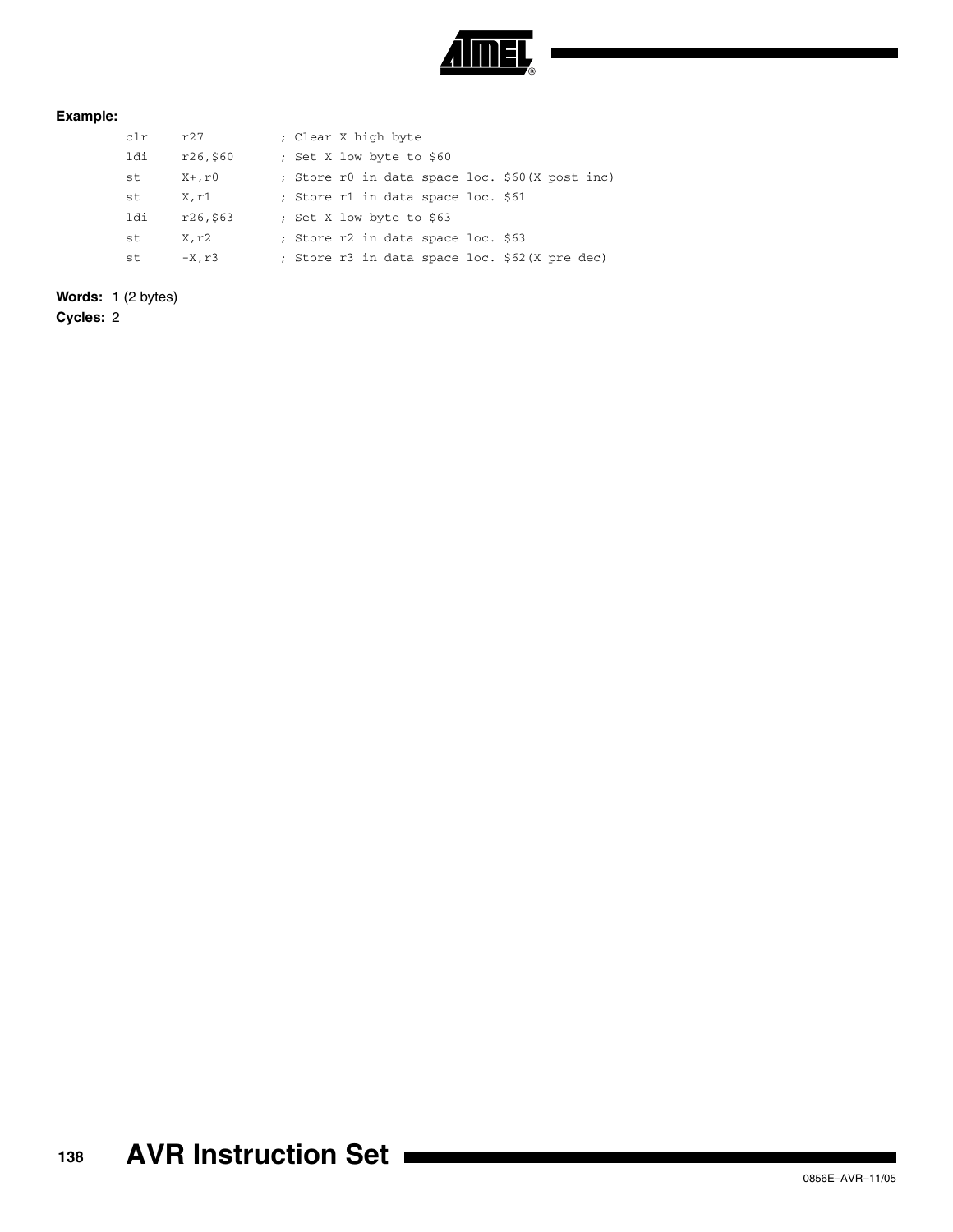

## **Example:**

| c1r | r27      | ; Clear X high byte                            |
|-----|----------|------------------------------------------------|
| ldi | r26,560  | ; Set X low byte to \$60                       |
| st  | X+,r0    | ; Store r0 in data space loc. \$60(X post inc) |
| st  | X,r1     | ; Store r1 in data space loc. \$61             |
| ldi | r26,563  | ; Set X low byte to \$63                       |
| st  | X,r2     | ; Store r2 in data space loc. \$63             |
| st  | $-X, r3$ | ; Store r3 in data space loc. \$62(X pre dec)  |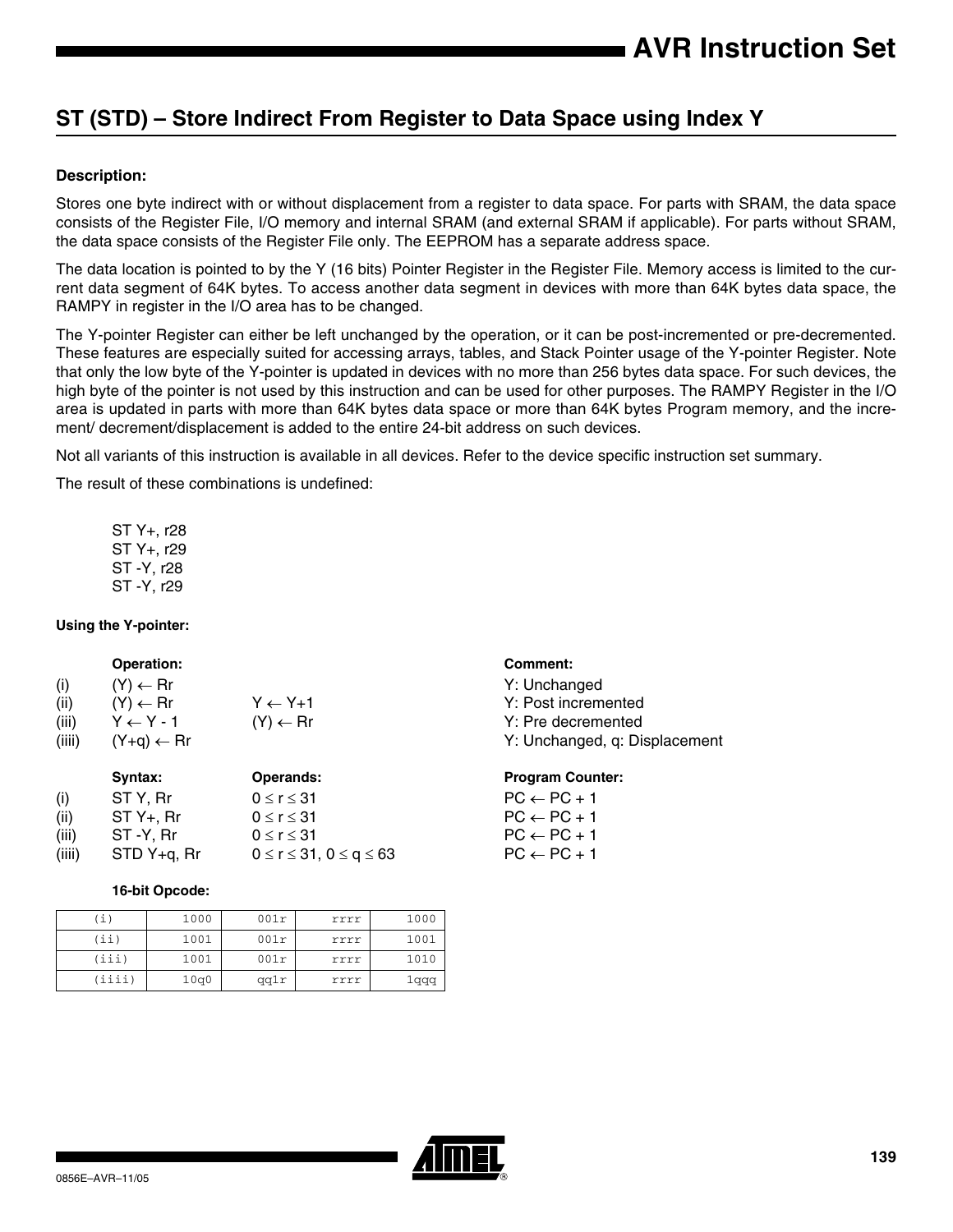# **ST (STD) – Store Indirect From Register to Data Space using Index Y**

# **Description:**

Stores one byte indirect with or without displacement from a register to data space. For parts with SRAM, the data space consists of the Register File, I/O memory and internal SRAM (and external SRAM if applicable). For parts without SRAM, the data space consists of the Register File only. The EEPROM has a separate address space.

The data location is pointed to by the Y (16 bits) Pointer Register in the Register File. Memory access is limited to the current data segment of 64K bytes. To access another data segment in devices with more than 64K bytes data space, the RAMPY in register in the I/O area has to be changed.

The Y-pointer Register can either be left unchanged by the operation, or it can be post-incremented or pre-decremented. These features are especially suited for accessing arrays, tables, and Stack Pointer usage of the Y-pointer Register. Note that only the low byte of the Y-pointer is updated in devices with no more than 256 bytes data space. For such devices, the high byte of the pointer is not used by this instruction and can be used for other purposes. The RAMPY Register in the I/O area is updated in parts with more than 64K bytes data space or more than 64K bytes Program memory, and the increment/ decrement/displacement is added to the entire 24-bit address on such devices.

Not all variants of this instruction is available in all devices. Refer to the device specific instruction set summary.

The result of these combinations is undefined:

ST Y+, r28 ST Y+, r29 ST -Y, r28 ST -Y, r29

### **Using the Y-pointer:**

| <b>Operation:</b> |
|-------------------|
|-------------------|

(i)  $(Y) \leftarrow \text{Rr}$  Y: Unchanged (ii)  $(Y) \leftarrow Rr$   $Y \leftarrow Y+1$  Y: Post incremented (iii)  $Y \leftarrow Y \cdot 1$  (Y)  $\leftarrow$  Rr  $Y:$  Pre decremented

|       | Syntax:       | <b>Operands:</b> | <b>Program Cour</b>    |
|-------|---------------|------------------|------------------------|
| (i)   | ST Y. Rr      | $0 \le r \le 31$ | $PC \leftarrow PC + 1$ |
| (ii)  | $STY+$ , $Rr$ | $0 \le r \le 31$ | $PC \leftarrow PC + 1$ |
| (iii) | ST -Y, Rr     | $0 \le r \le 31$ | $PC \leftarrow PC + 1$ |

# (iiii) STD Y+q, Rr  $0 \le r \le 31, 0 \le q \le 63$

|     | 16-bit Opcode: |      |      |      |
|-----|----------------|------|------|------|
| i)  | 1000           | 001r | rrrr | 1000 |
| (ii | 1001           | 001r | rrrr | 1001 |
|     |                |      |      |      |

(iii) 1001 001r rrrr 1010  $(iii)$  10q0 qq1r rrrr 1qqq Comment:

(iiii) (Y+q) ← Rr Y: Unchanged, q: Displacement

# **Program Counter:**

| $\mathsf{PC} \leftarrow \mathsf{PC} + 1$ |  |
|------------------------------------------|--|
| $PC \leftarrow PC + 1$                   |  |
| $PC \leftarrow PC + 1$                   |  |
| $\mathsf{PC} \leftarrow \mathsf{PC} + 1$ |  |

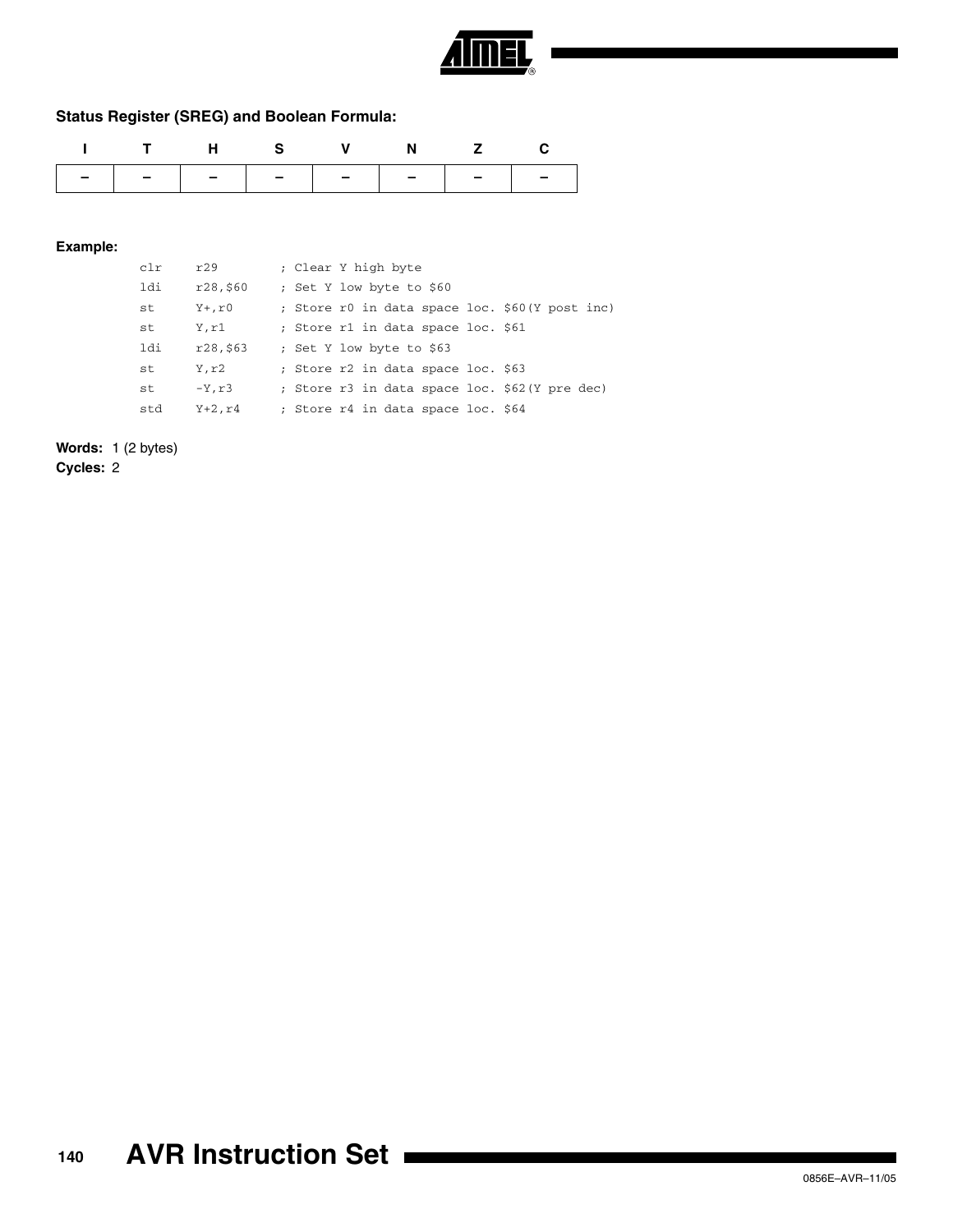

# **Status Register (SREG) and Boolean Formula:**

|                               | T H S V N Z |  |  |
|-------------------------------|-------------|--|--|
| -   -   -   -   -   -   -   - |             |  |  |

## **Example:**

| c1r | r29       | ; Clear Y high byte                            |
|-----|-----------|------------------------------------------------|
| ldi | r28,\$60  | ; Set Y low byte to \$60                       |
| st  | Y+,r0     | ; Store r0 in data space loc. \$60(Y post inc) |
| st  | Y,r1      | ; Store r1 in data space loc. \$61             |
| ldi | r28,\$63  | ; Set Y low byte to \$63                       |
| st  | Y,r2      | ; Store r2 in data space loc. \$63             |
| st  | $-Y, r3$  | ; Store r3 in data space loc. \$62(Y pre dec)  |
| std | $Y+2, r4$ | ; Store r4 in data space loc. \$64             |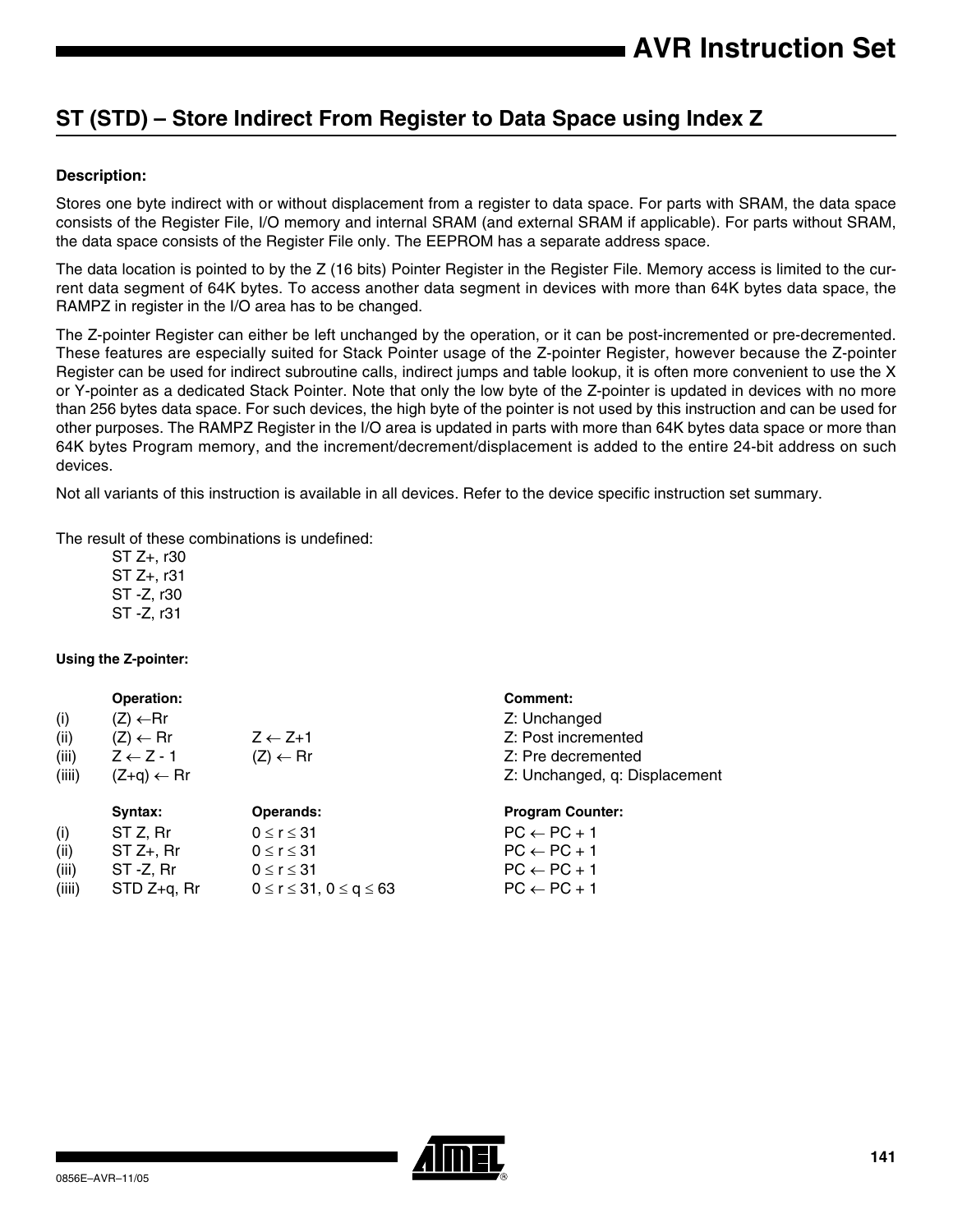# **ST (STD) – Store Indirect From Register to Data Space using Index Z**

# **Description:**

Stores one byte indirect with or without displacement from a register to data space. For parts with SRAM, the data space consists of the Register File, I/O memory and internal SRAM (and external SRAM if applicable). For parts without SRAM, the data space consists of the Register File only. The EEPROM has a separate address space.

The data location is pointed to by the Z (16 bits) Pointer Register in the Register File. Memory access is limited to the current data segment of 64K bytes. To access another data segment in devices with more than 64K bytes data space, the RAMPZ in register in the I/O area has to be changed.

The Z-pointer Register can either be left unchanged by the operation, or it can be post-incremented or pre-decremented. These features are especially suited for Stack Pointer usage of the Z-pointer Register, however because the Z-pointer Register can be used for indirect subroutine calls, indirect jumps and table lookup, it is often more convenient to use the X or Y-pointer as a dedicated Stack Pointer. Note that only the low byte of the Z-pointer is updated in devices with no more than 256 bytes data space. For such devices, the high byte of the pointer is not used by this instruction and can be used for other purposes. The RAMPZ Register in the I/O area is updated in parts with more than 64K bytes data space or more than 64K bytes Program memory, and the increment/decrement/displacement is added to the entire 24-bit address on such devices.

Not all variants of this instruction is available in all devices. Refer to the device specific instruction set summary.

The result of these combinations is undefined:

ST Z+, r30 ST Z+, r31 ST -Z, r30 ST -Z, r31

### **Using the Z-pointer:**

|        | <b>Operation:</b>     |                      | <b>Comment:</b>               |
|--------|-----------------------|----------------------|-------------------------------|
| (i)    | $(Z) \leftarrow$ Rr   |                      | Z: Unchanged                  |
| (ii)   | $(Z) \leftarrow Rr$   | $Z \leftarrow Z + 1$ | Z: Post incremented           |
| (iii)  | $Z \leftarrow Z - 1$  | $(Z) \leftarrow Rr$  | Z: Pre decremented            |
| (iiii) | $(Z+q) \leftarrow Rr$ |                      | Z: Unchanged, q: Displacement |
|        |                       |                      |                               |
|        | Syntax:               | <b>Operands:</b>     | <b>Program Counter:</b>       |
| (i)    | ST Z, Rr              | $0 \le r \le 31$     | $PC \leftarrow PC + 1$        |
| (ii)   |                       | $0 \le r \le 31$     |                               |
|        | $ST Z+$ , $Rr$        |                      | $PC \leftarrow PC + 1$        |
| (iii)  | ST-Z, Rr              | $0 \le r \le 31$     | $PC \leftarrow PC + 1$        |

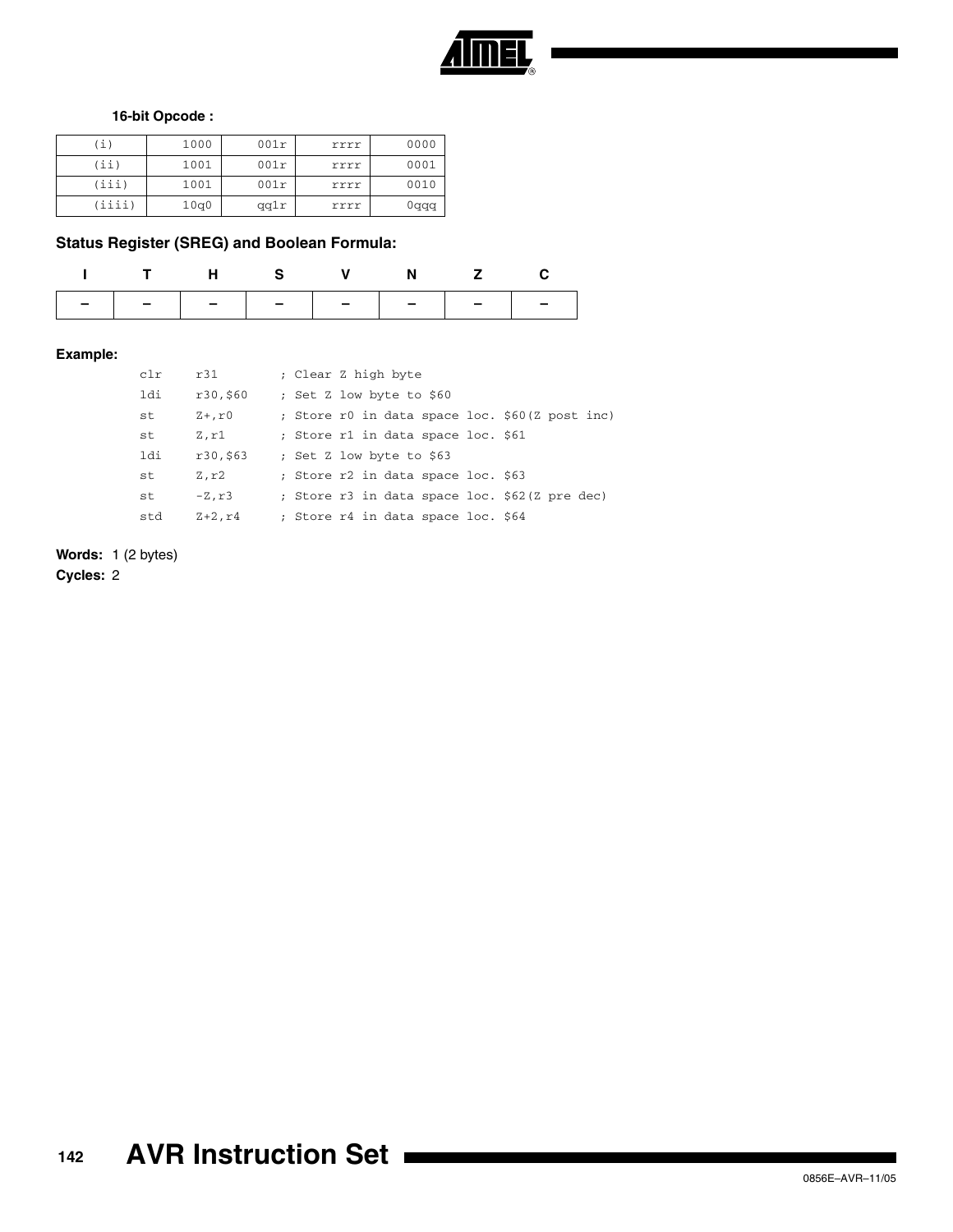

## **16-bit Opcode :**

| (i)    | 1000 | 001r | rrrr | 0000 |
|--------|------|------|------|------|
| (iii)  | 1001 | 001r | rrrr | 0001 |
| (iii)  | 1001 | 001r | rrrr | 0010 |
| (iiii) | 10q0 | qq1r | rrrr | 0qqq |

# **Status Register (SREG) and Boolean Formula:**

|                               | . н. | <b>S</b> | <b>N</b> | $\mathsf{Z}$ |  |
|-------------------------------|------|----------|----------|--------------|--|
| - - - - - - - - - - - - - - - |      |          |          |              |  |

## **Example:**

| clr | r31         | ; Clear Z high byte                            |
|-----|-------------|------------------------------------------------|
| ldi | r30,\$60    | ; Set Z low byte to \$60                       |
| st  | $Z+$ , $r0$ | ; Store r0 in data space loc. \$60(Z post inc) |
| st  | Z,r1        | ; Store r1 in data space loc. \$61             |
| ldi | r30,\$63    | ; Set Z low byte to \$63                       |
| st  | Z,r2        | ; Store r2 in data space loc. \$63             |
| st  | $-Z, r3$    | ; Store r3 in data space loc. \$62(Z pre dec)  |
| std | $Z+2, r4$   | ; Store r4 in data space loc. \$64             |

#### **Words:** 1 (2 bytes)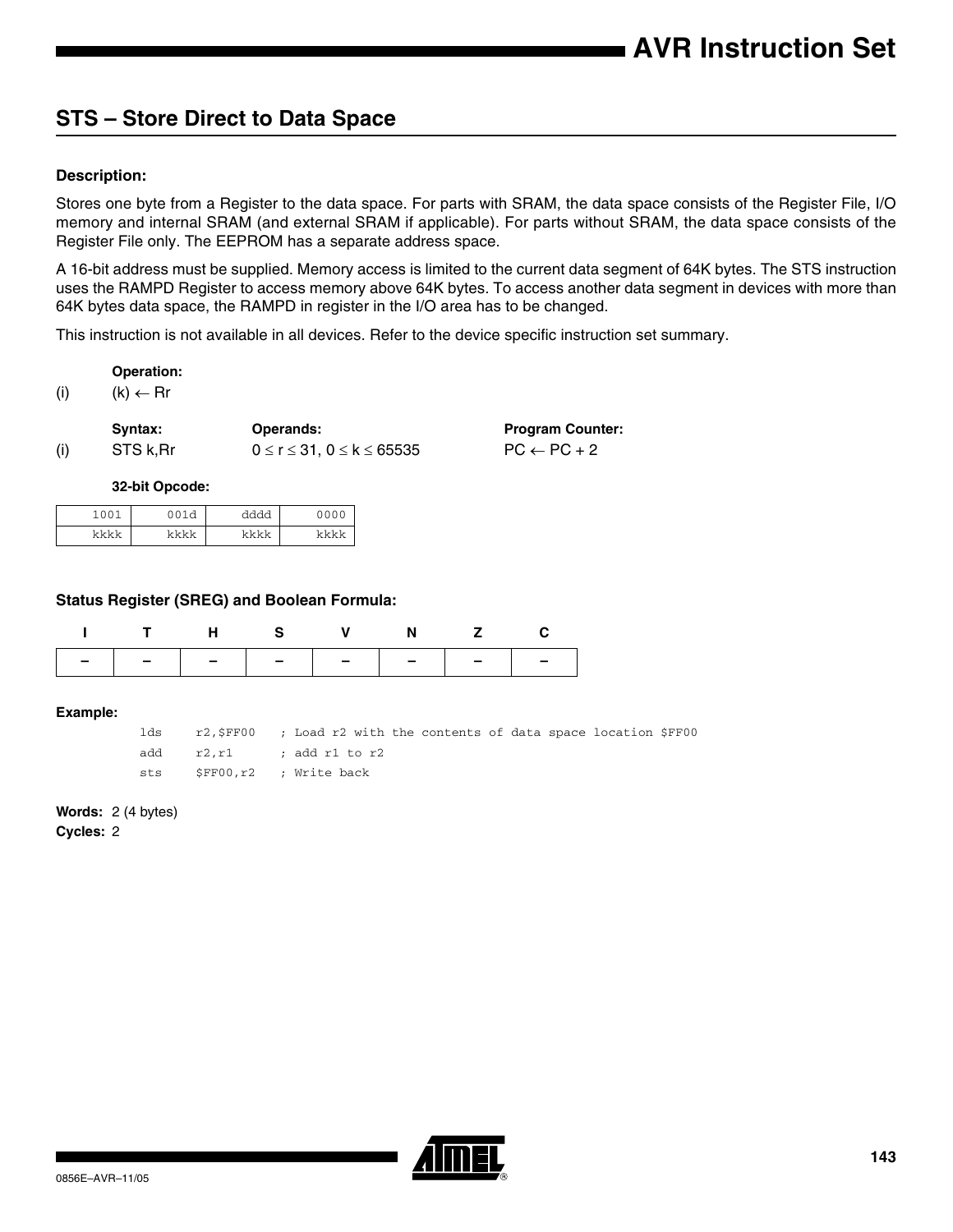# **STS – Store Direct to Data Space**

# **Description:**

Stores one byte from a Register to the data space. For parts with SRAM, the data space consists of the Register File, I/O memory and internal SRAM (and external SRAM if applicable). For parts without SRAM, the data space consists of the Register File only. The EEPROM has a separate address space.

A 16-bit address must be supplied. Memory access is limited to the current data segment of 64K bytes. The STS instruction uses the RAMPD Register to access memory above 64K bytes. To access another data segment in devices with more than 64K bytes data space, the RAMPD in register in the I/O area has to be changed.

This instruction is not available in all devices. Refer to the device specific instruction set summary.

#### **Operation:**

(i)  $(k) \leftarrow \text{Rr}$ 

|     | Syntax:  | <b>Operands:</b>                           | <b>Program Counter:</b> |
|-----|----------|--------------------------------------------|-------------------------|
| (i) | STS k,Rr | $0 \leq r \leq 31$ , $0 \leq k \leq 65535$ | $PC \leftarrow PC + 2$  |

#### **32-bit Opcode:**

| 1001 | 01A  | ふふふふ | $3000$<br>υ<br>◡◡ |
|------|------|------|-------------------|
| レレレレ | レレレレ | レレレレ | レレレレ              |

#### **Status Register (SREG) and Boolean Formula:**

|                               |  | THS V N Z |  |
|-------------------------------|--|-----------|--|
| -   -   -   -   -   -   -   - |  |           |  |

#### **Example:**

lds r2,\$FF00 ; Load r2 with the contents of data space location \$FF00 add r2, r1 ; add r1 to r2 sts \$FF00,r2 ; Write back

#### **Words:** 2 (4 bytes)

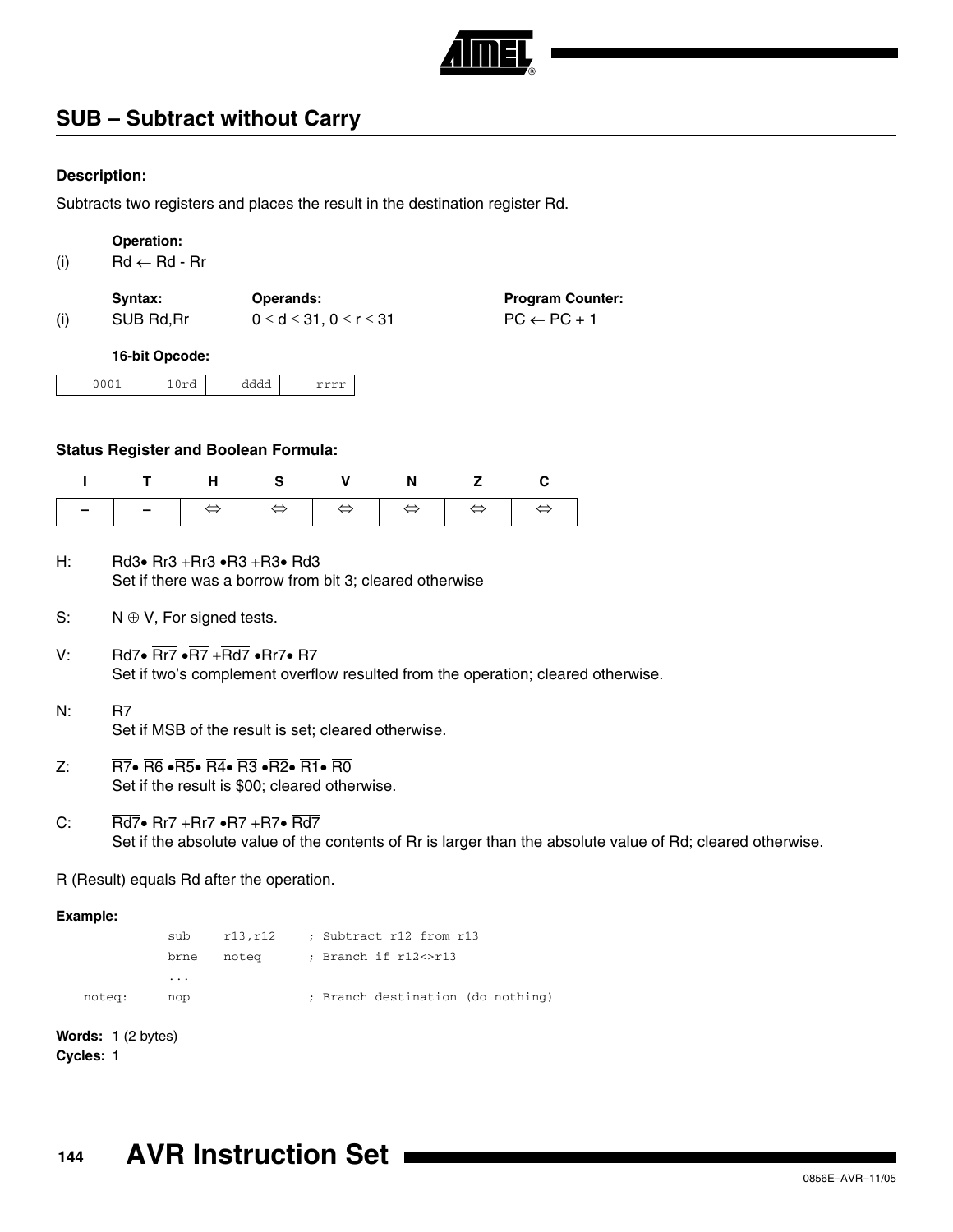# **SUB – Subtract without Carry**

# **Description:**

Subtracts two registers and places the result in the destination register Rd.

| (i)  | Syntax:<br>SUB Rd, Rr |      | <b>Operands:</b>                            | $0 \leq d \leq 31$ , $0 \leq r \leq 31$ |   |   | <b>Program Counter:</b><br>$PC \leftarrow PC + 1$ |  |
|------|-----------------------|------|---------------------------------------------|-----------------------------------------|---|---|---------------------------------------------------|--|
|      | 16-bit Opcode:        |      |                                             |                                         |   |   |                                                   |  |
|      |                       |      |                                             |                                         |   |   |                                                   |  |
| 0001 |                       | 10rd | dddd                                        | rrrr                                    |   |   |                                                   |  |
|      |                       |      | <b>Status Register and Boolean Formula:</b> |                                         |   |   |                                                   |  |
| ı    | T                     | н    | S                                           | v                                       | N | z | C                                                 |  |

- S: N ⊕ V, For signed tests.
- V: Rd7•  $\overline{Rr7}$  • $\overline{R7}$  + $\overline{Rd7}$  • $\overline{R}$ r7•  $\overline{R7}$ Set if two's complement overflow resulted from the operation; cleared otherwise.
- N: R7 Set if MSB of the result is set; cleared otherwise.
- Z: R7• R6 •R5• R4• R3 •R2• R1• R0 Set if the result is \$00; cleared otherwise.
- C: Rd7• Rr7 +Rr7 •R7 +R7• Rd7 Set if the absolute value of the contents of Rr is larger than the absolute value of Rd; cleared otherwise.
- R (Result) equals Rd after the operation.

# **Example:**

|        | sub                     | r13,r12 | ; Subtract r12 from r13           |
|--------|-------------------------|---------|-----------------------------------|
|        | brne                    | noteg   | ; Branch if r12<>r13              |
|        | $\cdot$ $\cdot$ $\cdot$ |         |                                   |
| noteg: | nop                     |         | ; Branch destination (do nothing) |
|        |                         |         |                                   |

**Words:** 1 (2 bytes)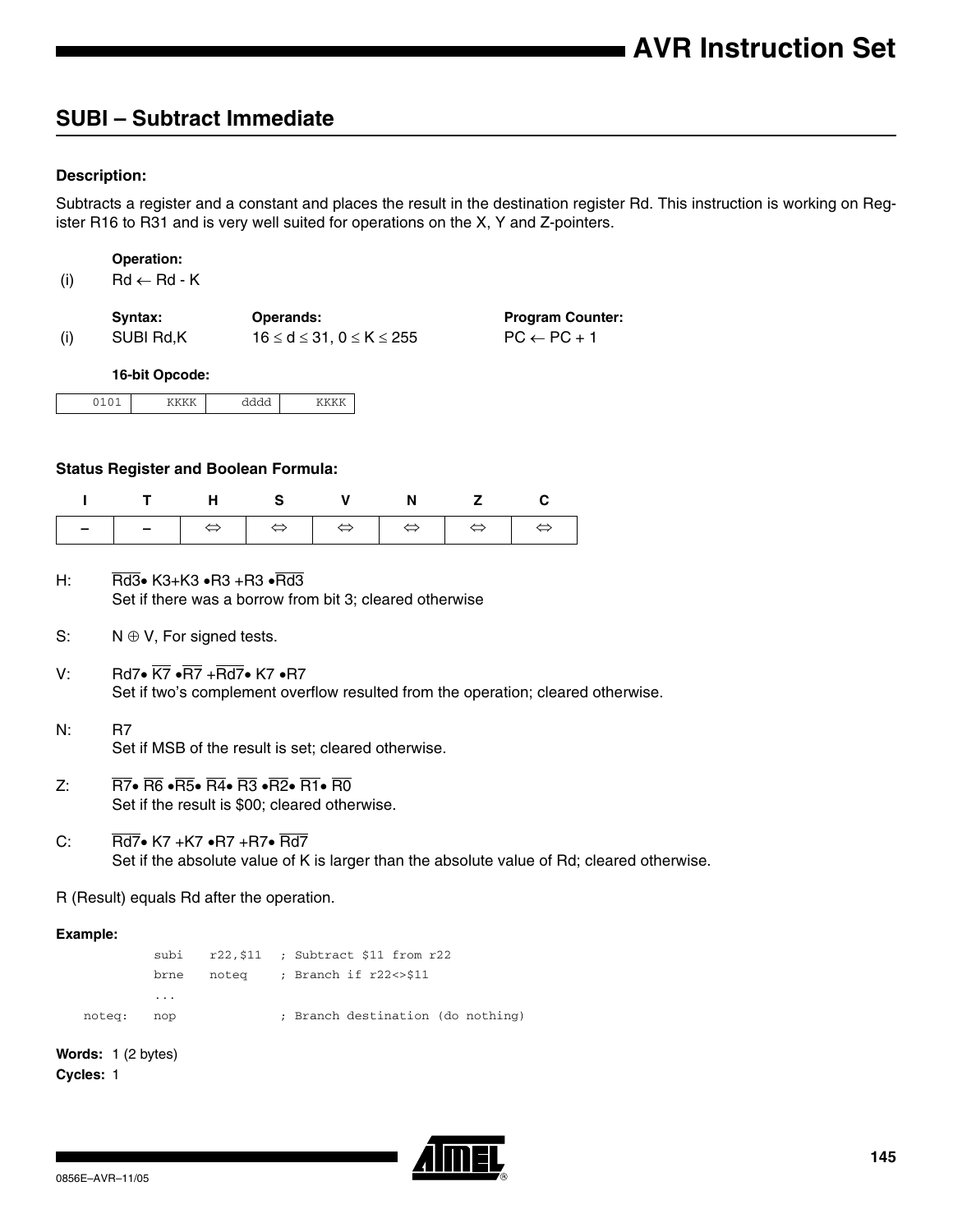# **SUBI – Subtract Immediate**

### **Description:**

Subtracts a register and a constant and places the result in the destination register Rd. This instruction is working on Register R16 to R31 and is very well suited for operations on the X, Y and Z-pointers.

| (i) |  | $Rd \leftarrow Rd - K$ |  |
|-----|--|------------------------|--|
|-----|--|------------------------|--|

|     | Svntax:   | <b>Operands:</b>                          | <b>Program Counter:</b> |
|-----|-----------|-------------------------------------------|-------------------------|
| (i) | SUBI Rd,K | $16 \leq d \leq 31$ , $0 \leq K \leq 255$ | $PC \leftarrow PC + 1$  |

**16-bit Opcode:**

| - - | . . | . |  |
|-----|-----|---|--|
|-----|-----|---|--|

### **Status Register and Boolean Formula:**

| ITHS V N Z C |  |  |  |
|--------------|--|--|--|
|              |  |  |  |

- H: Rd3• K3+K3 •R3 +R3 •Rd3 Set if there was a borrow from bit 3; cleared otherwise
- S: N ⊕ V, For signed tests.
- V: Rd7•  $\overline{\text{K7}}$   $\overline{\text{R7}}$  +  $\overline{\text{Rd7}}$  K7 R7 Set if two's complement overflow resulted from the operation; cleared otherwise.
- N: R7 Set if MSB of the result is set; cleared otherwise.
- Z:  $\overline{R7}$   $\overline{R6}$   $\overline{R5}$   $\overline{R4}$   $\overline{R3}$   $\overline{R2}$   $\overline{R1}$   $\overline{R0}$ Set if the result is \$00; cleared otherwise.
- C:  $\overline{Rd7}$  K7 +K7 •R7 +R7•  $\overline{Rd7}$ Set if the absolute value of K is larger than the absolute value of Rd; cleared otherwise.

R (Result) equals Rd after the operation.

#### **Example:**

subi r22,\$11 ; Subtract \$11 from r22 brne noteq ; Branch if r22<>\$11 ... noteq: nop ; Branch destination (do nothing)

**Words:** 1 (2 bytes) **Cycles:** 1

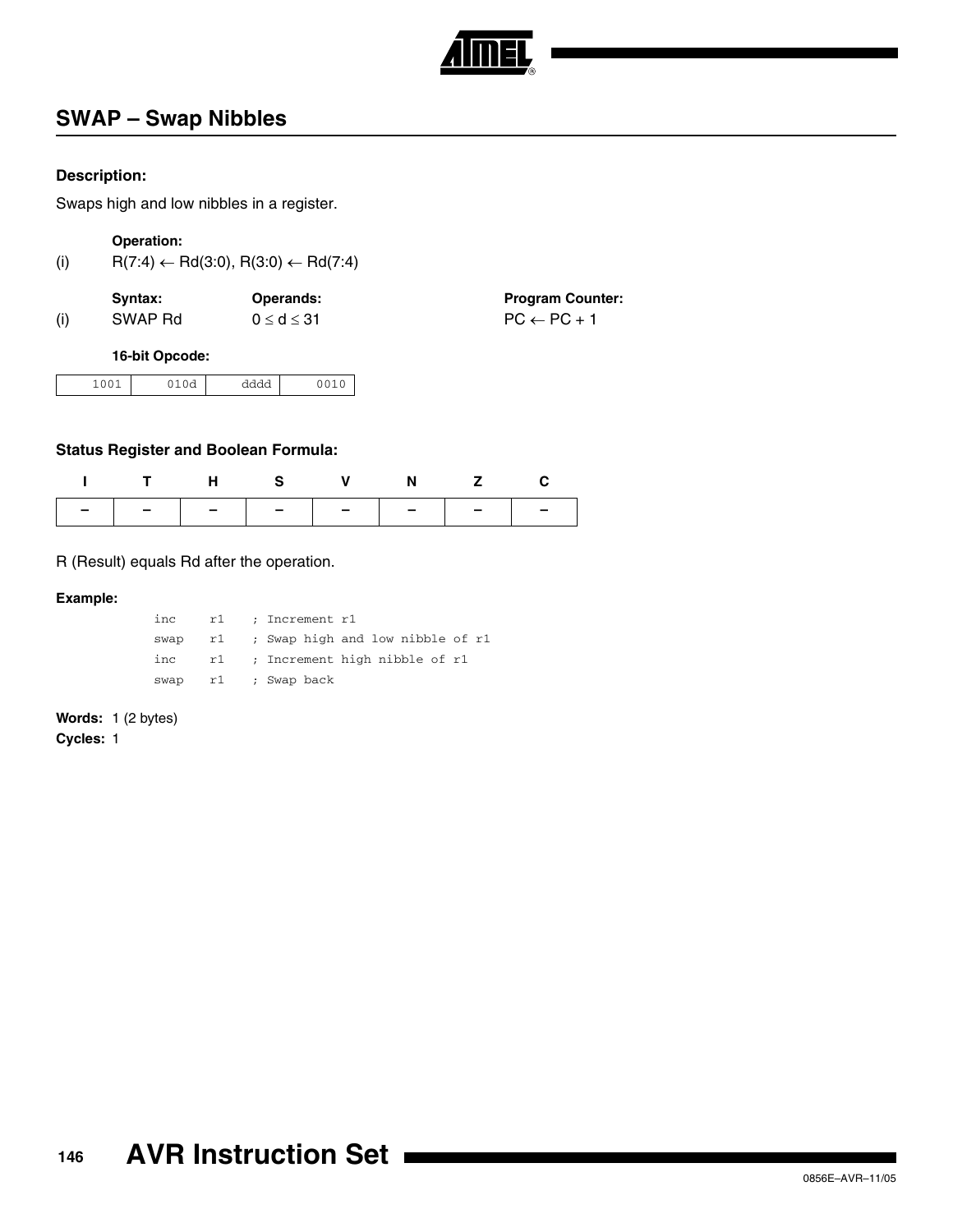# **SWAP – Swap Nibbles**

### **Description:**

Swaps high and low nibbles in a register.

# **Operation:**

| (i) |  | $R(7:4) \leftarrow Rd(3:0), R(3:0) \leftarrow Rd(7:4)$ |
|-----|--|--------------------------------------------------------|
|-----|--|--------------------------------------------------------|

|     | Svntax: | <b>Operands:</b> | <b>Program Counter:</b> |
|-----|---------|------------------|-------------------------|
| (i) | SWAP Rd | $0 \le d \le 31$ | $PC \leftarrow PC + 1$  |

#### **16-bit Opcode:**

| 100 <sup>4</sup> | 01 0 J | dddd | 001C |
|------------------|--------|------|------|

### **Status Register and Boolean Formula:**

| ITHS V N Z C |  |  |  |
|--------------|--|--|--|
|              |  |  |  |

### R (Result) equals Rd after the operation.

### **Example:**

| inc  | r1 - | ; Increment r1 |                                    |
|------|------|----------------|------------------------------------|
| swap |      |                | r1, Swap high and low nibble of r1 |
| inc  |      |                | r1 ; Increment high nibble of r1   |
| swap |      | r1 ; Swap back |                                    |

# **Words:** 1 (2 bytes)

**Cycles:** 1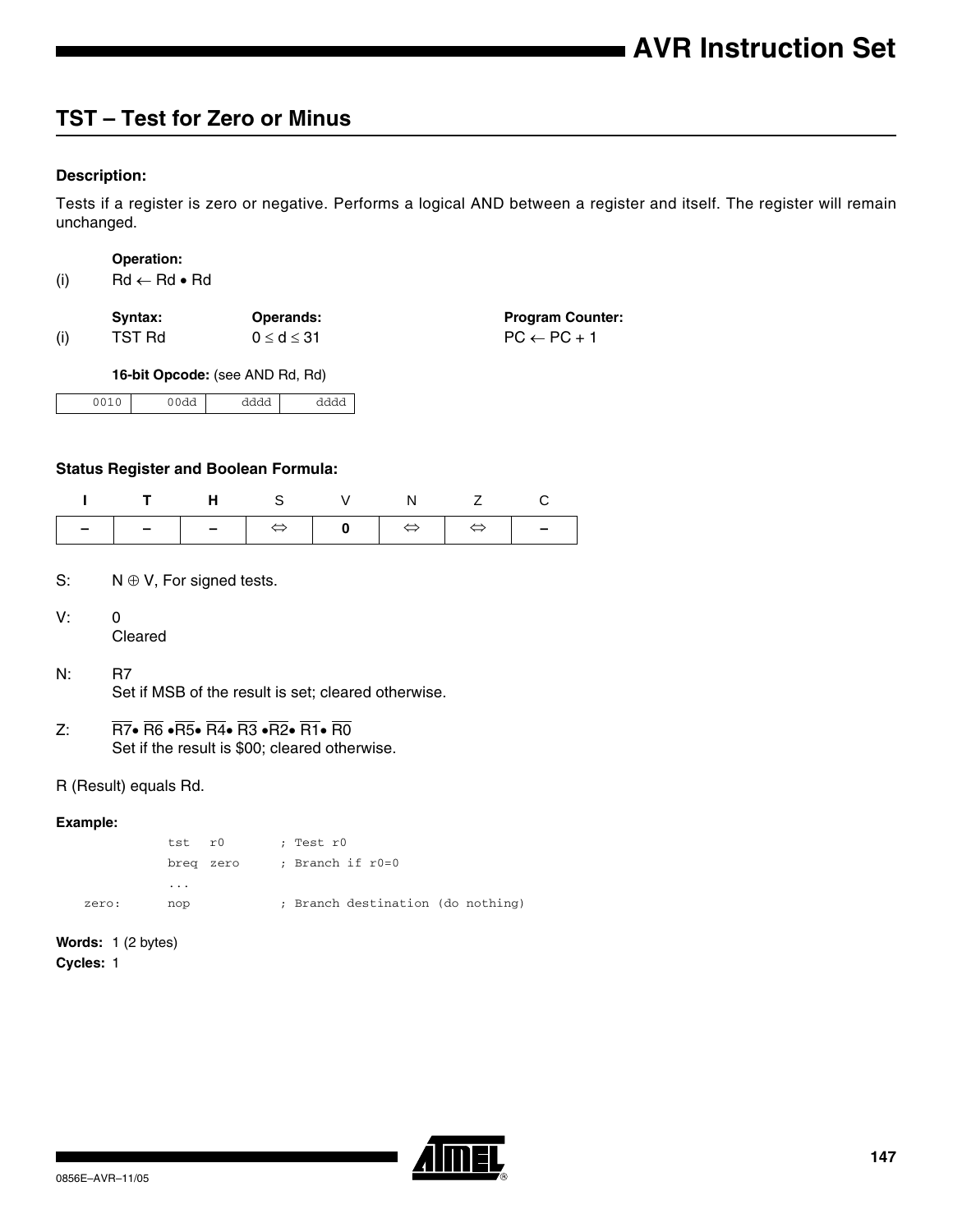# **TST – Test for Zero or Minus**

# **Description:**

Tests if a register is zero or negative. Performs a logical AND between a register and itself. The register will remain unchanged.

| <b>Operation:</b> |
|-------------------|
|-------------------|

| (i) |  | $\mathsf{Rd} \leftarrow \mathsf{Rd} \bullet \mathsf{Rd}$ |
|-----|--|----------------------------------------------------------|
|-----|--|----------------------------------------------------------|

|     | Syntax: | Operands:        | <b>Program Counter:</b> |
|-----|---------|------------------|-------------------------|
| (i) | TST Rd  | $0 \le d \le 31$ | $PC \leftarrow PC + 1$  |

**16-bit Opcode:** (see AND Rd, Rd)

| 0010 | 00dd | dddd | dddd |
|------|------|------|------|
|------|------|------|------|

### **Status Register and Boolean Formula:**

|  | I THIS V N Z C |  |  |
|--|----------------|--|--|
|  |                |  |  |

- S: N ⊕ V, For signed tests.
- V: 0 Cleared
- N: R7 Set if MSB of the result is set; cleared otherwise.
- Z:  $\overline{R7}$   $\overline{R6}$   $\overline{R5}$   $\overline{R4}$   $\overline{R3}$   $\overline{R2}$   $\overline{R1}$   $\overline{R0}$ Set if the result is \$00; cleared otherwise.

### R (Result) equals Rd.

### **Example:**

tst r0 ; Test r0 breq zero ; Branch if r0=0 ... zero: nop ; Branch destination (do nothing)

**Words:** 1 (2 bytes) **Cycles:** 1

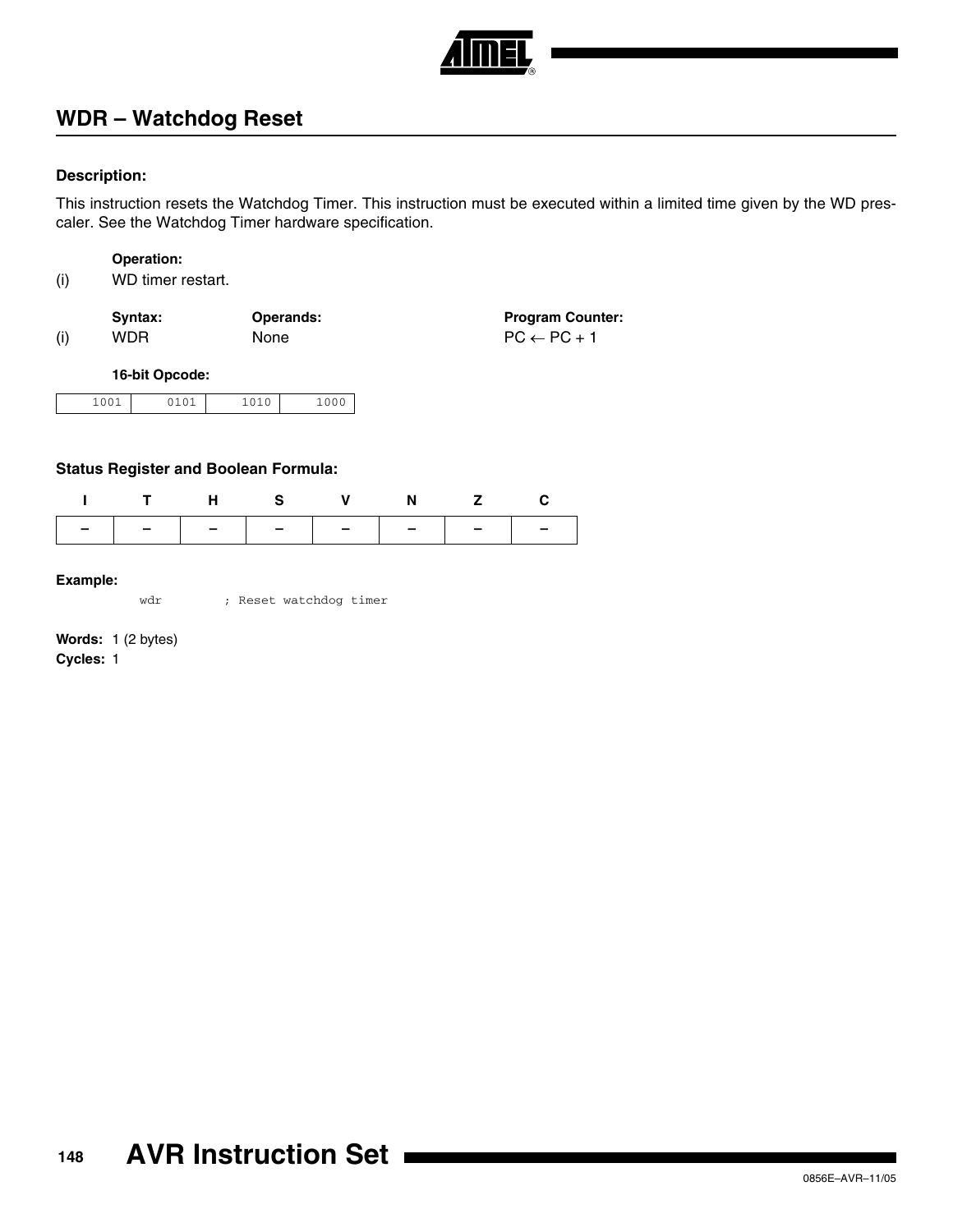# **WDR – Watchdog Reset**

### **Description:**

This instruction resets the Watchdog Timer. This instruction must be executed within a limited time given by the WD prescaler. See the Watchdog Timer hardware specification.

#### **Operation:**

| (i) | WD timer restart. |  |
|-----|-------------------|--|
|-----|-------------------|--|

|     | Syntax:    | Operands: | <b>Program Counter:</b> |
|-----|------------|-----------|-------------------------|
| (i) | <b>WDR</b> | None      | $PC \leftarrow PC + 1$  |

### **16-bit Opcode:**

| 0.01   | 0.10.1 | 3010 | - - -     |
|--------|--------|------|-----------|
| $-00+$ | $ -$   | ---  | <b>--</b> |

### **Status Register and Boolean Formula:**

|                               |  | THS V N Z C |  |
|-------------------------------|--|-------------|--|
| -   -   -   -   -   -   -   - |  |             |  |

#### **Example:**

wdr ; Reset watchdog timer

**Words:** 1 (2 bytes) **Cycles:** 1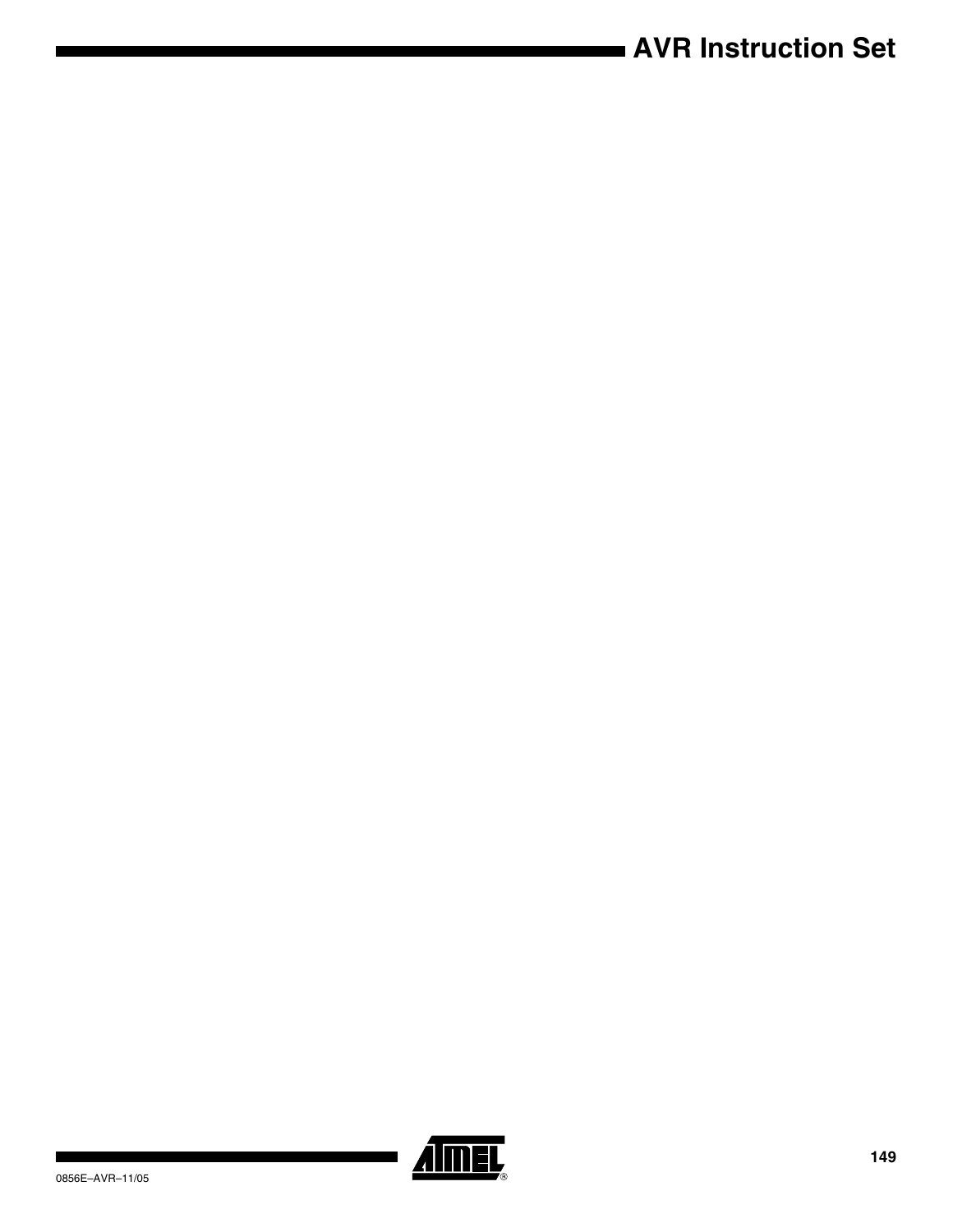